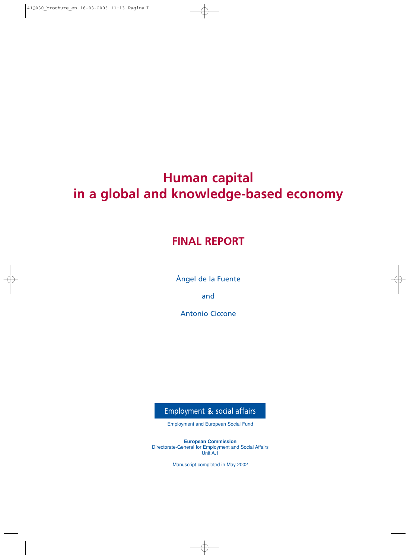# **Human capital in a global and knowledge-based economy**

# **FINAL REPORT**

Ángel de la Fuente

and

Antonio Ciccone

### Employment & social affairs

Employment and European Social Fund

**European Commission** Directorate-General for Employment and Social Affairs Unit A.1

Manuscript completed in May 2002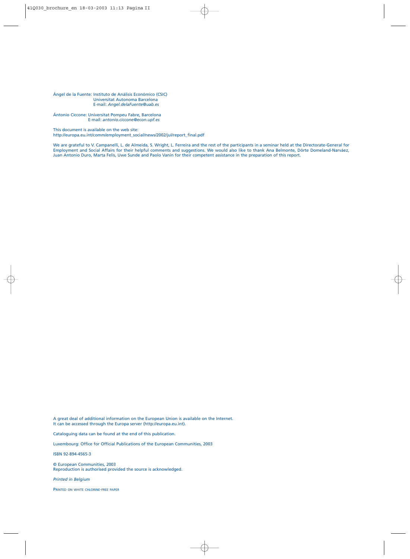Ángel de la Fuente: Instituto de Análisis Económico (CSIC) Universitat Autonoma Barcelona E-mail: *Angel.delaFuente@uab.es*

Ántonio Ciccone: Universitat Pompeu Fabre, Barcelona E-mail: *antonio.ciccone@econ.upf.es*

This document is available on the web site:

http://europa.eu.int/comm/employment\_social/news/2002/jul/report\_final.pdf

We are grateful to V. Campanelli, L. de Almeida, S. Wright, L. Ferreira and the rest of the participants in a seminar held at the Directorate-General for Employment and Social Affairs for their helpful comments and suggestions. We would also like to thank Ana Belmonte, Dörte Domeland-Narváez, Juan Antonio Duro, Marta Felis, Uwe Sunde and Paolo Vanin for their competent assistance in the preparation of this report.

A great deal of additional information on the European Union is available on the Internet. It can be accessed through the Europa server (http://europa.eu.int).

Cataloguing data can be found at the end of this publication.

Luxembourg: Office for Official Publications of the European Communities, 2003

ISBN 92-894-4565-3

© European Communities, 2003 Reproduction is authorised provided the source is acknowledged.

*Printed in Belgium*

PRINTED ON WHITE CHLORINE-FREE PAPER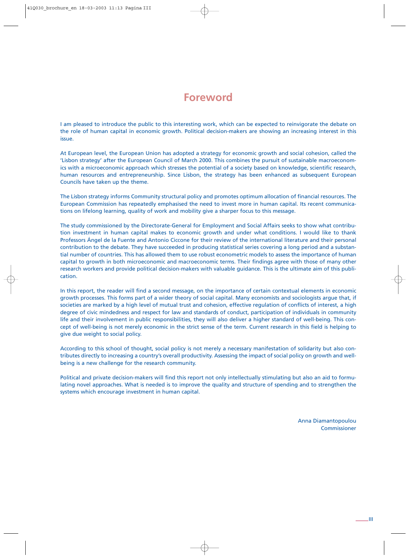# **Foreword**

I am pleased to introduce the public to this interesting work, which can be expected to reinvigorate the debate on the role of human capital in economic growth. Political decision-makers are showing an increasing interest in this issue.

At European level, the European Union has adopted a strategy for economic growth and social cohesion, called the 'Lisbon strategy' after the European Council of March 2000. This combines the pursuit of sustainable macroeconomics with a microeconomic approach which stresses the potential of a society based on knowledge, scientific research, human resources and entrepreneurship. Since Lisbon, the strategy has been enhanced as subsequent European Councils have taken up the theme.

The Lisbon strategy informs Community structural policy and promotes optimum allocation of financial resources. The European Commission has repeatedly emphasised the need to invest more in human capital. Its recent communications on lifelong learning, quality of work and mobility give a sharper focus to this message.

The study commissioned by the Directorate-General for Employment and Social Affairs seeks to show what contribution investment in human capital makes to economic growth and under what conditions. I would like to thank Professors Ángel de la Fuente and Antonio Ciccone for their review of the international literature and their personal contribution to the debate. They have succeeded in producing statistical series covering a long period and a substantial number of countries. This has allowed them to use robust econometric models to assess the importance of human capital to growth in both microeconomic and macroeconomic terms. Their findings agree with those of many other research workers and provide political decision-makers with valuable guidance. This is the ultimate aim of this publication.

In this report, the reader will find a second message, on the importance of certain contextual elements in economic growth processes. This forms part of a wider theory of social capital. Many economists and sociologists argue that, if societies are marked by a high level of mutual trust and cohesion, effective regulation of conflicts of interest, a high degree of civic mindedness and respect for law and standards of conduct, participation of individuals in community life and their involvement in public responsibilities, they will also deliver a higher standard of well-being. This concept of well-being is not merely economic in the strict sense of the term. Current research in this field is helping to give due weight to social policy.

According to this school of thought, social policy is not merely a necessary manifestation of solidarity but also contributes directly to increasing a country's overall productivity. Assessing the impact of social policy on growth and wellbeing is a new challenge for the research community.

Political and private decision-makers will find this report not only intellectually stimulating but also an aid to formulating novel approaches. What is needed is to improve the quality and structure of spending and to strengthen the systems which encourage investment in human capital.

> Anna Diamantopoulou Commissioner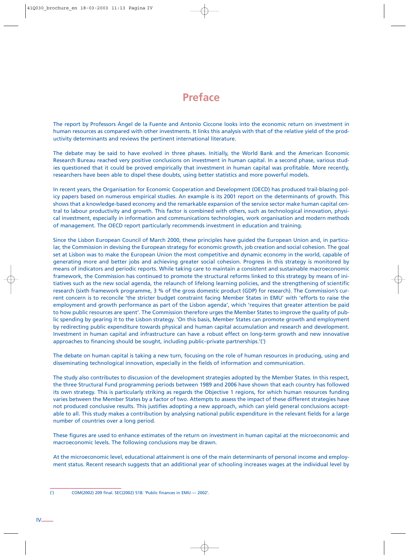# **Preface**

The report by Professors Ángel de la Fuente and Antonio Ciccone looks into the economic return on investment in human resources as compared with other investments. It links this analysis with that of the relative yield of the productivity determinants and reviews the pertinent international literature.

The debate may be said to have evolved in three phases. Initially, the World Bank and the American Economic Research Bureau reached very positive conclusions on investment in human capital. In a second phase, various studies questioned that it could be proved empirically that investment in human capital was profitable. More recently, researchers have been able to dispel these doubts, using better statistics and more powerful models.

In recent years, the Organisation for Economic Cooperation and Development (OECD) has produced trail-blazing policy papers based on numerous empirical studies. An example is its 2001 report on the determinants of growth. This shows that a knowledge-based economy and the remarkable expansion of the service sector make human capital central to labour productivity and growth. This factor is combined with others, such as technological innovation, physical investment, especially in information and communications technologies, work organisation and modern methods of management. The OECD report particularly recommends investment in education and training.

Since the Lisbon European Council of March 2000, these principles have guided the European Union and, in particular, the Commission in devising the European strategy for economic growth, job creation and social cohesion. The goal set at Lisbon was to make the European Union the most competitive and dynamic economy in the world, capable of generating more and better jobs and achieving greater social cohesion. Progress in this strategy is monitored by means of indicators and periodic reports. While taking care to maintain a consistent and sustainable macroeconomic framework, the Commission has continued to promote the structural reforms linked to this strategy by means of initiatives such as the new social agenda, the relaunch of lifelong learning policies, and the strengthening of scientific research (sixth framework programme, 3 % of the gross domestic product (GDP) for research). The Commission's current concern is to reconcile 'the stricter budget constraint facing Member States in EMU' with 'efforts to raise the employment and growth performance as part of the Lisbon agenda', which 'requires that greater attention be paid to how public resources are spent'. The Commission therefore urges the Member States to improve the quality of public spending by gearing it to the Lisbon strategy. 'On this basis, Member States can promote growth and employment by redirecting public expenditure towards physical and human capital accumulation and research and development. Investment in human capital and infrastructure can have a robust effect on long-term growth and new innovative approaches to financing should be sought, including public-private partnerships.'(')

The debate on human capital is taking a new turn, focusing on the role of human resources in producing, using and disseminating technological innovation, especially in the fields of information and communication.

The study also contributes to discussion of the development strategies adopted by the Member States. In this respect, the three Structural Fund programming periods between 1989 and 2006 have shown that each country has followed its own strategy. This is particularly striking as regards the Objective 1 regions, for which human resources funding varies between the Member States by a factor of two. Attempts to assess the impact of these different strategies have not produced conclusive results. This justifies adopting a new approach, which can yield general conclusions acceptable to all. This study makes a contribution by analysing national public expenditure in the relevant fields for a large number of countries over a long period.

These figures are used to enhance estimates of the return on investment in human capital at the microeconomic and macroeconomic levels. The following conclusions may be drawn.

At the microeconomic level, educational attainment is one of the main determinants of personal income and employment status. Recent research suggests that an additional year of schooling increases wages at the individual level by

( 1

<sup>)</sup> COM(2002) 209 final. SEC(2002) 518: 'Public finances in EMU — 2002'.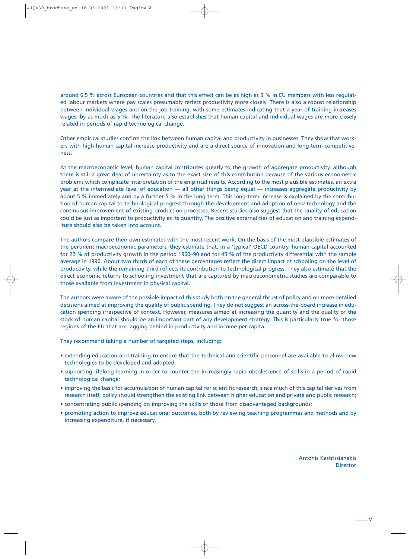around 6.5 % across European countries and that this effect can be as high as 9 % in EU members with less regulated labour markets where pay scales presumably reflect productivity more closely. There is also a robust relationship between individual wages and on-the-job training, with some estimates indicating that a year of training increases wages by as much as 5 %. The literature also establishes that human capital and individual wages are more closely related in periods of rapid technological change.

Other empirical studies confirm the link between human capital and productivity in businesses. They show that workers with high human capital increase productivity and are a direct source of innovation and long-term competitiveness.

At the macroeconomic level, human capital contributes greatly to the growth of aggregate productivity, although there is still a great deal of uncertainty as to the exact size of this contribution because of the various econometric problems which complicate interpretation of the empirical results. According to the most plausible estimates, an extra year at the intermediate level of education — all other things being equal — increases aggregate productivity by about 5 % immediately and by a further 5 % in the long term. This long-term increase is explained by the contribution of human capital to technological progress through the development and adoption of new technology and the continuous improvement of existing production processes. Recent studies also suggest that the quality of education could be just as important to productivity as its quantity. The positive externalities of education and training expenditure should also be taken into account.

The authors compare their own estimates with the most recent work. On the basis of the most plausible estimates of the pertinent macroeconomic parameters, they estimate that, in a 'typical' OECD country, human capital accounted for 22 % of productivity growth in the period 1960–90 and for 45 % of the productivity differential with the sample average in 1990. About two thirds of each of these percentages reflect the direct impact of schooling on the level of productivity, while the remaining third reflects its contribution to technological progress. They also estimate that the direct economic returns to schooling investment that are captured by macroeconometric studies are comparable to those available from investment in physical capital.

The authors were aware of the possible impact of this study both on the general thrust of policy and on more detailed decisions aimed at improving the quality of public spending. They do not suggest an across-the-board increase in education spending irrespective of context. However, measures aimed at increasing the quantity and the quality of the stock of human capital should be an important part of any development strategy. This is particularly true for those regions of the EU that are lagging behind in productivity and income per capita.

They recommend taking a number of targeted steps, including:

- extending education and training to ensure that the technical and scientific personnel are available to allow new technologies to be developed and adopted;
- supporting lifelong learning in order to counter the increasingly rapid obsolescence of skills in a period of rapid technological change;
- improving the basis for accumulation of human capital for scientific research; since much of this capital derives from research itself, policy should strengthen the existing link between higher education and private and public research;
- concentrating public spending on improving the skills of those from disadvantaged backgrounds;
- promoting action to improve educational outcomes, both by reviewing teaching programmes and methods and by increasing expenditure, if necessary.

Antonis Kastrissianakis Director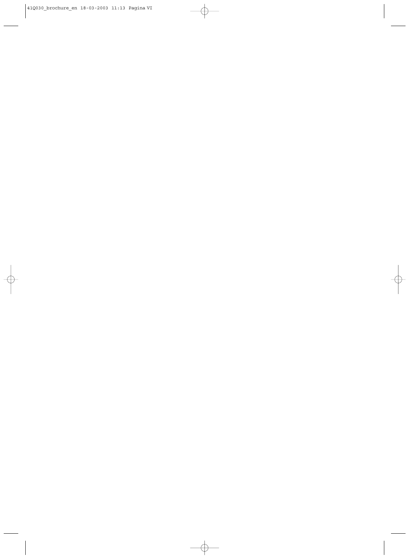41Q030\_brochure\_en 18-03-2003 11:13 Pagina VI

 $\phi$ 

 $\phi$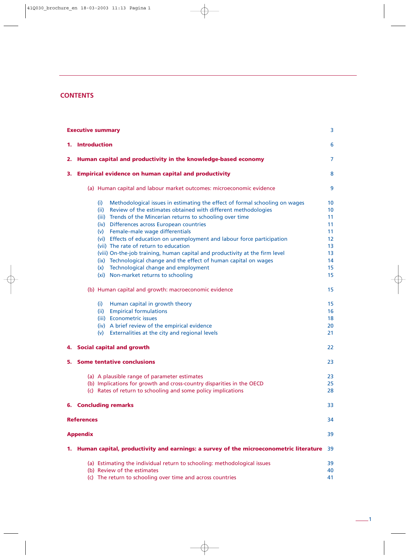# **CONTENTS**

|    | <b>Executive summary</b>                                                                                                                                                                                                                                                                                                                                                                                                                                                                                                                                                                                                                                                                                                                                                                                                                                                                                                                     | 3                                                                                                  |
|----|----------------------------------------------------------------------------------------------------------------------------------------------------------------------------------------------------------------------------------------------------------------------------------------------------------------------------------------------------------------------------------------------------------------------------------------------------------------------------------------------------------------------------------------------------------------------------------------------------------------------------------------------------------------------------------------------------------------------------------------------------------------------------------------------------------------------------------------------------------------------------------------------------------------------------------------------|----------------------------------------------------------------------------------------------------|
|    | 1. Introduction                                                                                                                                                                                                                                                                                                                                                                                                                                                                                                                                                                                                                                                                                                                                                                                                                                                                                                                              | 6                                                                                                  |
| 2. | Human capital and productivity in the knowledge-based economy                                                                                                                                                                                                                                                                                                                                                                                                                                                                                                                                                                                                                                                                                                                                                                                                                                                                                | $\overline{7}$                                                                                     |
| з. | <b>Empirical evidence on human capital and productivity</b>                                                                                                                                                                                                                                                                                                                                                                                                                                                                                                                                                                                                                                                                                                                                                                                                                                                                                  | 8                                                                                                  |
|    | (a) Human capital and labour market outcomes: microeconomic evidence                                                                                                                                                                                                                                                                                                                                                                                                                                                                                                                                                                                                                                                                                                                                                                                                                                                                         | 9                                                                                                  |
|    | Methodological issues in estimating the effect of formal schooling on wages<br>(i)<br>(ii) Review of the estimates obtained with different methodologies<br>(iii) Trends of the Mincerian returns to schooling over time<br>(iv) Differences across European countries<br>(v) Female-male wage differentials<br>(vi) Effects of education on unemployment and labour force participation<br>(vii) The rate of return to education<br>(viii) On-the-job training, human capital and productivity at the firm level<br>(ix) Technological change and the effect of human capital on wages<br>(x) Technological change and employment<br>(xi) Non-market returns to schooling<br>(b) Human capital and growth: macroeconomic evidence<br>(i)<br>Human capital in growth theory<br>(ii) Empirical formulations<br>(iii) Econometric issues<br>(iv) A brief review of the empirical evidence<br>(v) Externalities at the city and regional levels | 10<br>10<br>11<br>11<br>11<br>12<br>13<br>13<br>14<br>15<br>15<br>15<br>15<br>16<br>18<br>20<br>21 |
|    | 4. Social capital and growth                                                                                                                                                                                                                                                                                                                                                                                                                                                                                                                                                                                                                                                                                                                                                                                                                                                                                                                 | 22                                                                                                 |
|    | 5. Some tentative conclusions                                                                                                                                                                                                                                                                                                                                                                                                                                                                                                                                                                                                                                                                                                                                                                                                                                                                                                                | 23                                                                                                 |
|    | (a) A plausible range of parameter estimates<br>(b) Implications for growth and cross-country disparities in the OECD<br>(c) Rates of return to schooling and some policy implications                                                                                                                                                                                                                                                                                                                                                                                                                                                                                                                                                                                                                                                                                                                                                       | 23<br>25<br>28                                                                                     |
|    | <b>6. Concluding remarks</b>                                                                                                                                                                                                                                                                                                                                                                                                                                                                                                                                                                                                                                                                                                                                                                                                                                                                                                                 | 33                                                                                                 |
|    | <b>References</b>                                                                                                                                                                                                                                                                                                                                                                                                                                                                                                                                                                                                                                                                                                                                                                                                                                                                                                                            | 34                                                                                                 |
|    | <b>Appendix</b>                                                                                                                                                                                                                                                                                                                                                                                                                                                                                                                                                                                                                                                                                                                                                                                                                                                                                                                              | 39                                                                                                 |
|    | 1. Human capital, productivity and earnings: a survey of the microeconometric literature                                                                                                                                                                                                                                                                                                                                                                                                                                                                                                                                                                                                                                                                                                                                                                                                                                                     | 39                                                                                                 |
|    | (a) Estimating the individual return to schooling: methodological issues<br>(b) Review of the estimates<br>(c) The return to schooling over time and across countries                                                                                                                                                                                                                                                                                                                                                                                                                                                                                                                                                                                                                                                                                                                                                                        | 39<br>40<br>41                                                                                     |

 $\oplus$ 

 $-1$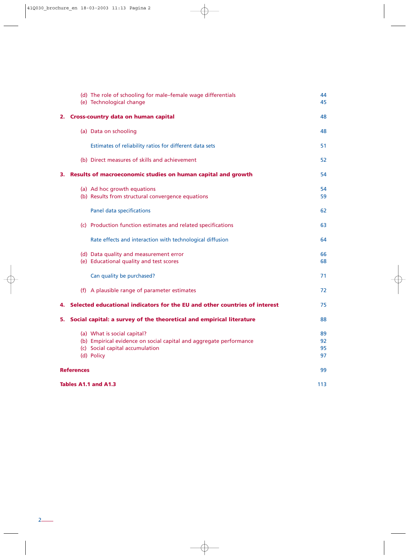|    | (d) The role of schooling for male-female wage differentials<br>(e) Technological change                                                           | 44<br>45             |
|----|----------------------------------------------------------------------------------------------------------------------------------------------------|----------------------|
|    | 2. Cross-country data on human capital                                                                                                             | 48                   |
|    | (a) Data on schooling                                                                                                                              | 48                   |
|    | Estimates of reliability ratios for different data sets                                                                                            | 51                   |
|    | (b) Direct measures of skills and achievement                                                                                                      | 52                   |
| з. | Results of macroeconomic studies on human capital and growth                                                                                       | 54                   |
|    | (a) Ad hoc growth equations<br>(b) Results from structural convergence equations                                                                   | 54<br>59             |
|    | Panel data specifications                                                                                                                          | 62                   |
|    | (c) Production function estimates and related specifications                                                                                       | 63                   |
|    | Rate effects and interaction with technological diffusion                                                                                          | 64                   |
|    | (d) Data quality and measurement error<br>(e) Educational quality and test scores                                                                  | 66<br>68             |
|    | Can quality be purchased?                                                                                                                          | 71                   |
|    | (f) A plausible range of parameter estimates                                                                                                       | 72                   |
| 4. | Selected educational indicators for the EU and other countries of interest                                                                         | 75                   |
| 5. | Social capital: a survey of the theoretical and empirical literature                                                                               | 88                   |
|    | (a) What is social capital?<br>(b) Empirical evidence on social capital and aggregate performance<br>(c) Social capital accumulation<br>(d) Policy | 89<br>92<br>95<br>97 |
|    | <b>References</b>                                                                                                                                  | 99                   |
|    | Tables A1.1 and A1.3                                                                                                                               | 113                  |

 $\oplus$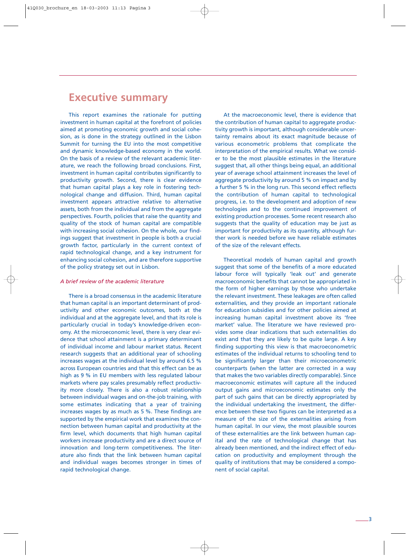### **Executive summary**

This report examines the rationale for putting investment in human capital at the forefront of policies aimed at promoting economic growth and social cohesion, as is done in the strategy outlined in the Lisbon Summit for turning the EU into the most competitive and dynamic knowledge-based economy in the world. On the basis of a review of the relevant academic literature, we reach the following broad conclusions. First, investment in human capital contributes significantly to productivity growth. Second, there is clear evidence that human capital plays a key role in fostering technological change and diffusion. Third, human capital investment appears attractive relative to alternative assets, both from the individual and from the aggregate perspectives. Fourth, policies that raise the quantity and quality of the stock of human capital are compatible with increasing social cohesion. On the whole, our findings suggest that investment in people is both a crucial growth factor, particularly in the current context of rapid technological change, and a key instrument for enhancing social cohesion, and are therefore supportive of the policy strategy set out in Lisbon.

#### *A brief review of the academic literature*

There is a broad consensus in the academic literature that human capital is an important determinant of productivity and other economic outcomes, both at the individual and at the aggregate level, and that its role is particularly crucial in today's knowledge-driven economy. At the microeconomic level, there is very clear evidence that school attainment is a primary determinant of individual income and labour market status. Recent research suggests that an additional year of schooling increases wages at the individual level by around 6.5 % across European countries and that this effect can be as high as 9 % in EU members with less regulated labour markets where pay scales presumably reflect productivity more closely. There is also a robust relationship between individual wages and on-the-job training, with some estimates indicating that a year of training increases wages by as much as 5 %. These findings are supported by the empirical work that examines the connection between human capital and productivity at the firm level, which documents that high human capital workers increase productivity and are a direct source of innovation and long-term competitiveness. The literature also finds that the link between human capital and individual wages becomes stronger in times of rapid technological change.

At the macroeconomic level, there is evidence that the contribution of human capital to aggregate productivity growth is important, although considerable uncertainty remains about its exact magnitude because of various econometric problems that complicate the interpretation of the empirical results. What we consider to be the most plausible estimates in the literature suggest that, all other things being equal, an additional year of average school attainment increases the level of aggregate productivity by around 5 % on impact and by a further 5 % in the long run. This second effect reflects the contribution of human capital to technological progress, i.e. to the development and adoption of new technologies and to the continued improvement of existing production processes. Some recent research also suggests that the quality of education may be just as important for productivity as its quantity, although further work is needed before we have reliable estimates of the size of the relevant effects.

Theoretical models of human capital and growth suggest that some of the benefits of a more educated labour force will typically 'leak out' and generate macroeconomic benefits that cannot be appropriated in the form of higher earnings by those who undertake the relevant investment. These leakages are often called externalities, and they provide an important rationale for education subsidies and for other policies aimed at increasing human capital investment above its 'free market' value. The literature we have reviewed provides some clear indications that such externalities do exist and that they are likely to be quite large. A key finding supporting this view is that macroeconometric estimates of the individual returns to schooling tend to be significantly larger than their microeconometric counterparts (when the latter are corrected in a way that makes the two variables directly comparable). Since macroeconomic estimates will capture all the induced output gains and microeconomic estimates only the part of such gains that can be directly appropriated by the individual undertaking the investment, the difference between these two figures can be interpreted as a measure of the size of the externalities arising from human capital. In our view, the most plausible sources of these externalities are the link between human capital and the rate of technological change that has already been mentioned, and the indirect effect of education on productivity and employment through the quality of institutions that may be considered a component of social capital.

3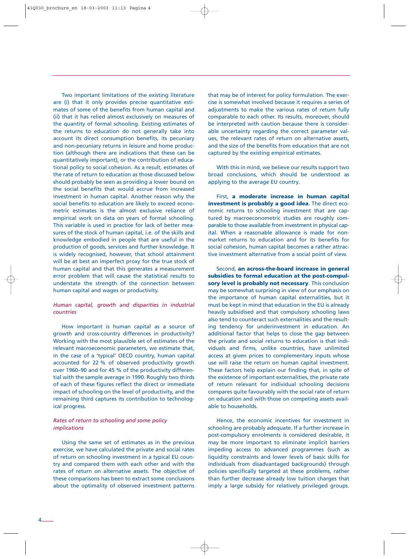Two important limitations of the existing literature are (i) that it only provides precise quantitative estimates of some of the benefits from human capital and (ii) that it has relied almost exclusively on measures of the quantity of formal schooling. Existing estimates of the returns to education do not generally take into account its direct consumption benefits, its pecuniary and non-pecuniary returns in leisure and home production (although there are indications that these can be quantitatively important), or the contribution of educational policy to social cohesion. As a result, estimates of the rate of return to education as those discussed below should probably be seen as providing a lower bound on the social benefits that would accrue from increased investment in human capital. Another reason why the social benefits to education are likely to exceed econometric estimates is the almost exclusive reliance of empirical work on data on years of formal schooling. This variable is used in practice for lack of better measures of the stock of human capital, i.e. of the skills and knowledge embodied in people that are useful in the production of goods, services and further knowledge. It is widely recognised, however, that school attainment will be at best an imperfect proxy for the true stock of human capital and that this generates a measurement error problem that will cause the statistical results to understate the strength of the connection between human capital and wages or productivity.

#### *Human capital, growth and disparities in industrial countries*

How important is human capital as a source of growth and cross-country differences in productivity? Working with the most plausible set of estimates of the relevant macroeconomic parameters, we estimate that, in the case of a 'typical' OECD country, human capital accounted for 22 % of observed productivity growth over 1960–90 and for 45 % of the productivity differential with the sample average in 1990. Roughly two thirds of each of these figures reflect the direct or immediate impact of schooling on the level of productivity, and the remaining third captures its contribution to technological progress.

#### *Rates of return to schooling and some policy implications*

Using the same set of estimates as in the previous exercise, we have calculated the private and social rates of return on schooling investment in a typical EU country and compared them with each other and with the rates of return on alternative assets. The objective of these comparisons has been to extract some conclusions about the optimality of observed investment patterns that may be of interest for policy formulation. The exercise is somewhat involved because it requires a series of adjustments to make the various rates of return fully comparable to each other. Its results, moreover, should be interpreted with caution because there is considerable uncertainty regarding the correct parameter values, the relevant rates of return on alternative assets, and the size of the benefits from education that are not captured by the existing empirical estimates.

With this in mind, we believe our results support two broad conclusions, which should be understood as applying to the average EU country.

First, **a moderate increase in human capital investment is probably a good idea**. The direct economic returns to schooling investment that are captured by macroeconometric studies are roughly comparable to those available from investment in physical capital. When a reasonable allowance is made for nonmarket returns to education and for its benefits for social cohesion, human capital becomes a rather attractive investment alternative from a social point of view.

Second, **an across-the-board increase in general subsidies to formal education at the post-compulsory level is probably not necessary**. This conclusion may be somewhat surprising in view of our emphasis on the importance of human capital externalities, but it must be kept in mind that education in the EU is already heavily subsidised and that compulsory schooling laws also tend to counteract such externalities and the resulting tendency for underinvestment in education. An additional factor that helps to close the gap between the private and social returns to education is that individuals and firms, unlike countries, have unlimited access at given prices to complementary inputs whose use will raise the return on human capital investment. These factors help explain our finding that, in spite of the existence of important externalities, the private rate of return relevant for individual schooling decisions compares quite favourably with the social rate of return on education and with those on competing assets available to households.

Hence, the economic incentives for investment in schooling are probably adequate. If a further increase in post-compulsory enrolments is considered desirable, it may be more important to eliminate implicit barriers impeding access to advanced programmes (such as liquidity constraints and lower levels of basic skills for individuals from disadvantaged backgrounds) through policies specifically targeted at these problems, rather than further decrease already low tuition charges that imply a large subsidy for relatively privileged groups.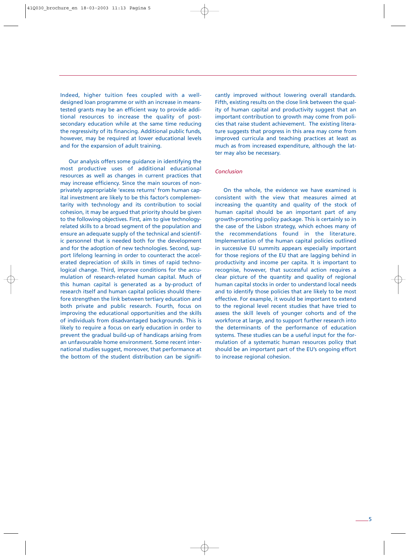Indeed, higher tuition fees coupled with a welldesigned loan programme or with an increase in meanstested grants may be an efficient way to provide additional resources to increase the quality of postsecondary education while at the same time reducing the regressivity of its financing. Additional public funds, however, may be required at lower educational levels and for the expansion of adult training.

Our analysis offers some guidance in identifying the most productive uses of additional educational resources as well as changes in current practices that may increase efficiency. Since the main sources of nonprivately appropriable 'excess returns' from human capital investment are likely to be this factor's complementarity with technology and its contribution to social cohesion, it may be argued that priority should be given to the following objectives. First, aim to give technologyrelated skills to a broad segment of the population and ensure an adequate supply of the technical and scientific personnel that is needed both for the development and for the adoption of new technologies. Second, support lifelong learning in order to counteract the accelerated depreciation of skills in times of rapid technological change. Third, improve conditions for the accumulation of research-related human capital. Much of this human capital is generated as a by-product of research itself and human capital policies should therefore strengthen the link between tertiary education and both private and public research. Fourth, focus on improving the educational opportunities and the skills of individuals from disadvantaged backgrounds. This is likely to require a focus on early education in order to prevent the gradual build-up of handicaps arising from an unfavourable home environment. Some recent international studies suggest, moreover, that performance at the bottom of the student distribution can be significantly improved without lowering overall standards. Fifth, existing results on the close link between the quality of human capital and productivity suggest that an important contribution to growth may come from policies that raise student achievement. The existing literature suggests that progress in this area may come from improved curricula and teaching practices at least as much as from increased expenditure, although the latter may also be necessary.

#### *Conclusion*

On the whole, the evidence we have examined is consistent with the view that measures aimed at increasing the quantity and quality of the stock of human capital should be an important part of any growth-promoting policy package. This is certainly so in the case of the Lisbon strategy, which echoes many of the recommendations found in the literature. Implementation of the human capital policies outlined in successive EU summits appears especially important for those regions of the EU that are lagging behind in productivity and income per capita. It is important to recognise, however, that successful action requires a clear picture of the quantity and quality of regional human capital stocks in order to understand local needs and to identify those policies that are likely to be most effective. For example, it would be important to extend to the regional level recent studies that have tried to assess the skill levels of younger cohorts and of the workforce at large, and to support further research into the determinants of the performance of education systems. These studies can be a useful input for the formulation of a systematic human resources policy that should be an important part of the EU's ongoing effort to increase regional cohesion.

5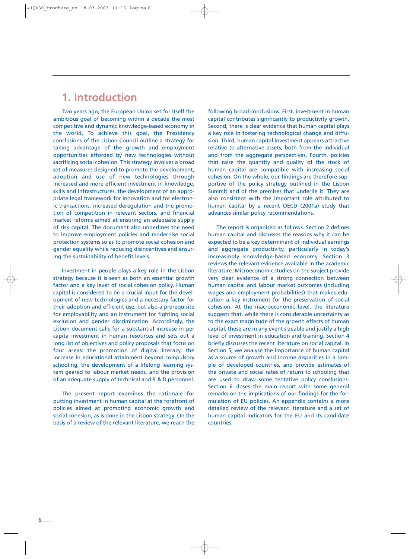## **1. Introduction**

Two years ago, the European Union set for itself the ambitious goal of becoming within a decade the most competitive and dynamic knowledge-based economy in the world. To achieve this goal, the Presidency conclusions of the Lisbon Council outline a strategy for taking advantage of the growth and employment opportunities afforded by new technologies without sacrificing social cohesion. This strategy involves a broad set of measures designed to promote the development, adoption and use of new technologies through increased and more efficient investment in knowledge, skills and infrastructures, the development of an appropriate legal framework for innovation and for electronic transactions, increased deregulation and the promotion of competition in relevant sectors, and financial market reforms aimed at ensuring an adequate supply of risk capital. The document also underlines the need to improve employment policies and modernise social protection systems so as to promote social cohesion and gender equality while reducing disincentives and ensuring the sustainability of benefit levels.

Investment in people plays a key role in the Lisbon strategy because it is seen as both an essential growth factor and a key lever of social cohesion policy. Human capital is considered to be a crucial input for the development of new technologies and a necessary factor for their adoption and efficient use, but also a prerequisite for employability and an instrument for fighting social exclusion and gender discrimination. Accordingly, the Lisbon document calls for a substantial increase in per capita investment in human resources and sets out a long list of objectives and policy proposals that focus on four areas: the promotion of digital literacy, the increase in educational attainment beyond compulsory schooling, the development of a lifelong learning system geared to labour market needs, and the provision of an adequate supply of technical and R & D personnel.

The present report examines the rationale for putting investment in human capital at the forefront of policies aimed at promoting economic growth and social cohesion, as is done in the Lisbon strategy. On the basis of a review of the relevant literature, we reach the following broad conclusions. First, investment in human capital contributes significantly to productivity growth. Second, there is clear evidence that human capital plays a key role in fostering technological change and diffusion. Third, human capital investment appears attractive relative to alternative assets, both from the individual and from the aggregate perspectives. Fourth, policies that raise the quantity and quality of the stock of human capital are compatible with increasing social cohesion. On the whole, our findings are therefore supportive of the policy strategy outlined in the Lisbon Summit and of the premises that underlie it. They are also consistent with the important role attributed to human capital by a recent OECD (2001a) study that advances similar policy recommendations.

The report is organised as follows. Section 2 defines human capital and discusses the reasons why it can be expected to be a key determinant of individual earnings and aggregate productivity, particularly in today's increasingly knowledge-based economy. Section 3 reviews the relevant evidence available in the academic literature. Microeconomic studies on the subject provide very clear evidence of a strong connection between human capital and labour market outcomes (including wages and employment probabilities) that makes education a key instrument for the preservation of social cohesion. At the macroeconomic level, the literature suggests that, while there is considerable uncertainty as to the exact magnitude of the growth effects of human capital, these are in any event sizeable and justify a high level of investment in education and training. Section 4 briefly discusses the recent literature on social capital. In Section 5, we analyse the importance of human capital as a source of growth and income disparities in a sample of developed countries, and provide estimates of the private and social rates of return to schooling that are used to draw some tentative policy conclusions. Section 6 closes the main report with some general remarks on the implications of our findings for the formulation of EU policies. An appendix contains a more detailed review of the relevant literature and a set of human capital indicators for the EU and its candidate countries.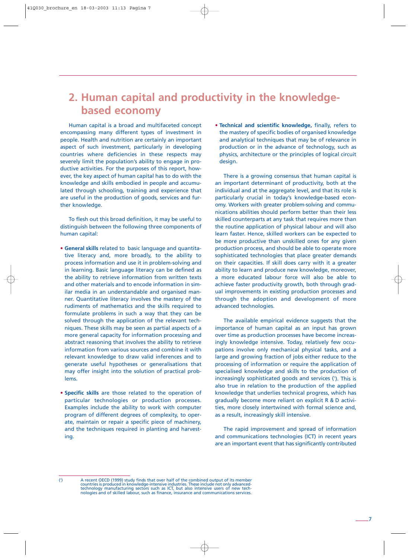# **2. Human capital and productivity in the knowledgebased economy**

Human capital is a broad and multifaceted concept encompassing many different types of investment in people. Health and nutrition are certainly an important aspect of such investment, particularly in developing countries where deficiencies in these respects may severely limit the population's ability to engage in productive activities. For the purposes of this report, however, the key aspect of human capital has to do with the knowledge and skills embodied in people and accumulated through schooling, training and experience that are useful in the production of goods, services and further knowledge.

To flesh out this broad definition, it may be useful to distinguish between the following three components of human capital:

- **General skills** related to basic language and quantitative literacy and, more broadly, to the ability to process information and use it in problem-solving and in learning. Basic language literacy can be defined as the ability to retrieve information from written texts and other materials and to encode information in similar media in an understandable and organised manner. Quantitative literacy involves the mastery of the rudiments of mathematics and the skills required to formulate problems in such a way that they can be solved through the application of the relevant techniques. These skills may be seen as partial aspects of a more general capacity for information processing and abstract reasoning that involves the ability to retrieve information from various sources and combine it with relevant knowledge to draw valid inferences and to generate useful hypotheses or generalisations that may offer insight into the solution of practical problems.
- **Specific skills** are those related to the operation of particular technologies or production processes. Examples include the ability to work with computer program of different degrees of complexity, to operate, maintain or repair a specific piece of machinery, and the techniques required in planting and harvesting.

• **Technical and scientific knowledge,** finally, refers to the mastery of specific bodies of organised knowledge and analytical techniques that may be of relevance in production or in the advance of technology, such as physics, architecture or the principles of logical circuit design.

There is a growing consensus that human capital is an important determinant of productivity, both at the individual and at the aggregate level, and that its role is particularly crucial in today's knowledge-based economy. Workers with greater problem-solving and communications abilities should perform better than their less skilled counterparts at any task that requires more than the routine application of physical labour and will also learn faster. Hence, skilled workers can be expected to be more productive than unskilled ones for any given production process, and should be able to operate more sophisticated technologies that place greater demands on their capacities. If skill does carry with it a greater ability to learn and produce new knowledge, moreover, a more educated labour force will also be able to achieve faster productivity growth, both through gradual improvements in existing production processes and through the adoption and development of more advanced technologies.

The available empirical evidence suggests that the importance of human capital as an input has grown over time as production processes have become increasingly knowledge intensive. Today, relatively few occupations involve only mechanical physical tasks, and a large and growing fraction of jobs either reduce to the processing of information or require the application of specialised knowledge and skills to the production of increasingly sophisticated goods and services (1). This is also true in relation to the production of the applied knowledge that underlies technical progress, which has gradually become more reliant on explicit R & D activities, more closely intertwined with formal science and, as a result, increasingly skill intensive.

The rapid improvement and spread of information and communications technologies (ICT) in recent years are an important event that has significantly contributed

( 1

) A recent OECD (1999) study finds that over half of the combined output of its member<br>countries is produced in knowledge-intensive industries. These include not only advanced-<br>technology manufacturing sectors such as ICT, nologies and of skilled labour, such as finance, insurance and communications services.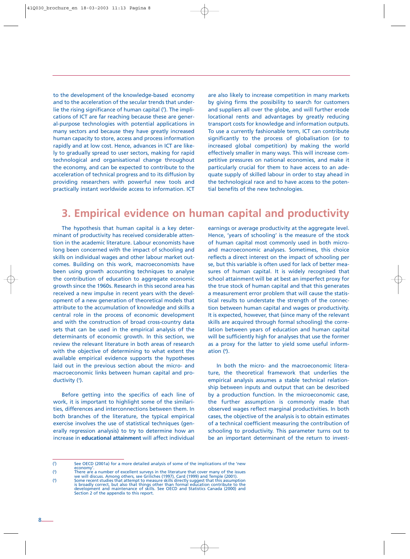to the development of the knowledge-based economy and to the acceleration of the secular trends that underlie the rising significance of human capital  $(2)$ . The implications of ICT are far reaching because these are general-purpose technologies with potential applications in many sectors and because they have greatly increased human capacity to store, access and process information rapidly and at low cost. Hence, advances in ICT are likely to gradually spread to user sectors, making for rapid technological and organisational change throughout the economy, and can be expected to contribute to the acceleration of technical progress and to its diffusion by providing researchers with powerful new tools and practically instant worldwide access to information. ICT

are also likely to increase competition in many markets by giving firms the possibility to search for customers and suppliers all over the globe, and will further erode locational rents and advantages by greatly reducing transport costs for knowledge and information outputs. To use a currently fashionable term, ICT can contribute significantly to the process of globalisation (or to increased global competition) by making the world effectively smaller in many ways. This will increase competitive pressures on national economies, and make it particularly crucial for them to have access to an adequate supply of skilled labour in order to stay ahead in the technological race and to have access to the potential benefits of the new technologies.

# **3. Empirical evidence on human capital and productivity**

The hypothesis that human capital is a key determinant of productivity has received considerable attention in the academic literature. Labour economists have long been concerned with the impact of schooling and skills on individual wages and other labour market outcomes. Building on this work, macroeconomists have been using growth accounting techniques to analyse the contribution of education to aggregate economic growth since the 1960s. Research in this second area has received a new impulse in recent years with the development of a new generation of theoretical models that attribute to the accumulation of knowledge and skills a central role in the process of economic development and with the construction of broad cross-country data sets that can be used in the empirical analysis of the determinants of economic growth. In this section, we review the relevant literature in both areas of research with the objective of determining to what extent the available empirical evidence supports the hypotheses laid out in the previous section about the micro- and macroeconomic links between human capital and productivity (3 ).

Before getting into the specifics of each line of work, it is important to highlight some of the similarities, differences and interconnections between them. In both branches of the literature, the typical empirical exercise involves the use of statistical techniques (generally regression analysis) to try to determine how an increase in **educational attainment** will affect individual

earnings or average productivity at the aggregate level. Hence, 'years of schooling' is the measure of the stock of human capital most commonly used in both microand macroeconomic analyses. Sometimes, this choice reflects a direct interest on the impact of schooling per se, but this variable is often used for lack of better measures of human capital. It is widely recognised that school attainment will be at best an imperfect proxy for the true stock of human capital and that this generates a measurement error problem that will cause the statistical results to understate the strength of the connection between human capital and wages or productivity. It is expected, however, that (since many of the relevant skills are acquired through formal schooling) the correlation between years of education and human capital will be sufficiently high for analyses that use the former as a proxy for the latter to yield some useful information (4 ).

In both the micro- and the macroeconomic literature, the theoretical framework that underlies the empirical analysis assumes a stable technical relationship between inputs and output that can be described by a production function. In the microeconomic case, the further assumption is commonly made that observed wages reflect marginal productivities. In both cases, the objective of the analysis is to obtain estimates of a technical coefficient measuring the contribution of schooling to productivity. This parameter turns out to be an important determinant of the return to invest-

<sup>(</sup> 2 ) See OECD (2001a) for a more detailed analysis of some of the implications of the 'new

<sup>(</sup> 3

economy'.<br>
There are a number of excellent surveys in the literature that cover many of the issues<br>
we will discuss. Among others, see Griliches (1997), Card (1999) and Temple (2001).<br>
Some recent studies that attempt to m ( 4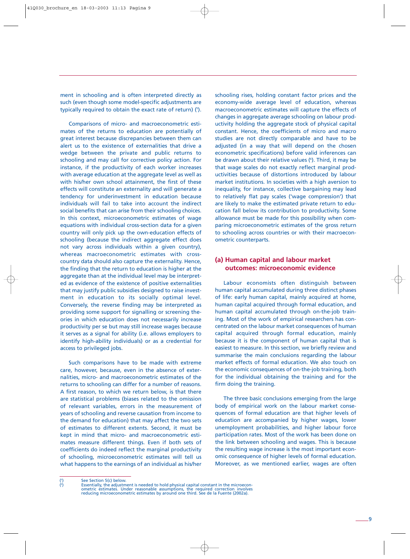ment in schooling and is often interpreted directly as such (even though some model-specific adjustments are typically required to obtain the exact rate of return) (5 ).

Comparisons of micro- and macroeconometric estimates of the returns to education are potentially of great interest because discrepancies between them can alert us to the existence of externalities that drive a wedge between the private and public returns to schooling and may call for corrective policy action. For instance, if the productivity of each worker increases with average education at the aggregate level as well as with his/her own school attainment, the first of these effects will constitute an externality and will generate a tendency for underinvestment in education because individuals will fail to take into account the indirect social benefits that can arise from their schooling choices. In this context, microeconometric estimates of wage equations with individual cross-section data for a given country will only pick up the own-education effects of schooling (because the indirect aggregate effect does not vary across individuals within a given country), whereas macroeconometric estimates with crosscountry data should also capture the externality. Hence, the finding that the return to education is higher at the aggregate than at the individual level may be interpreted as evidence of the existence of positive externalities that may justify public subsidies designed to raise investment in education to its socially optimal level. Conversely, the reverse finding may be interpreted as providing some support for signalling or screening theories in which education does not necessarily increase productivity per se but may still increase wages because it serves as a signal for ability (i.e. allows employers to identify high-ability individuals) or as a credential for access to privileged jobs.

Such comparisons have to be made with extreme care, however, because, even in the absence of externalities, micro- and macroeconometric estimates of the returns to schooling can differ for a number of reasons. A first reason, to which we return below, is that there are statistical problems (biases related to the omission of relevant variables, errors in the measurement of years of schooling and reverse causation from income to the demand for education) that may affect the two sets of estimates to different extents. Second, it must be kept in mind that micro- and macroeconometric estimates measure different things. Even if both sets of coefficients do indeed reflect the marginal productivity of schooling, microeconometric estimates will tell us what happens to the earnings of an individual as his/her schooling rises, holding constant factor prices and the economy-wide average level of education, whereas macroeconometric estimates will capture the effects of changes in aggregate average schooling on labour productivity holding the aggregate stock of physical capital constant. Hence, the coefficients of micro and macro studies are not directly comparable and have to be adjusted (in a way that will depend on the chosen econometric specifications) before valid inferences can be drawn about their relative values (<sup>6</sup>). Third, it may be that wage scales do not exactly reflect marginal productivities because of distortions introduced by labour market institutions. In societies with a high aversion to inequality, for instance, collective bargaining may lead to relatively flat pay scales ('wage compression') that are likely to make the estimated private return to education fall below its contribution to productivity. Some allowance must be made for this possibility when comparing microeconometric estimates of the gross return to schooling across countries or with their macroeconometric counterparts.

### **(a) Human capital and labour market outcomes: microeconomic evidence**

Labour economists often distinguish between human capital accumulated during three distinct phases of life: early human capital, mainly acquired at home, human capital acquired through formal education, and human capital accumulated through on-the-job training. Most of the work of empirical researchers has concentrated on the labour market consequences of human capital acquired through formal education, mainly because it is the component of human capital that is easiest to measure. In this section, we briefly review and summarise the main conclusions regarding the labour market effects of formal education. We also touch on the economic consequences of on-the-job training, both for the individual obtaining the training and for the firm doing the training.

The three basic conclusions emerging from the large body of empirical work on the labour market consequences of formal education are that higher levels of education are accompanied by higher wages, lower unemployment probabilities, and higher labour force participation rates. Most of the work has been done on the link between schooling and wages. This is because the resulting wage increase is the most important economic consequence of higher levels of formal education. Moreover, as we mentioned earlier, wages are often

(5<br>(6

9

e Section 5(c) below. ) Essentially, the adjustment is needed to hold physical capital constant in the microeconometric estimates. Under reasonable assumptions, the required correction involves reducing microeconometric estimates by around one third. See de la Fuente (2002a).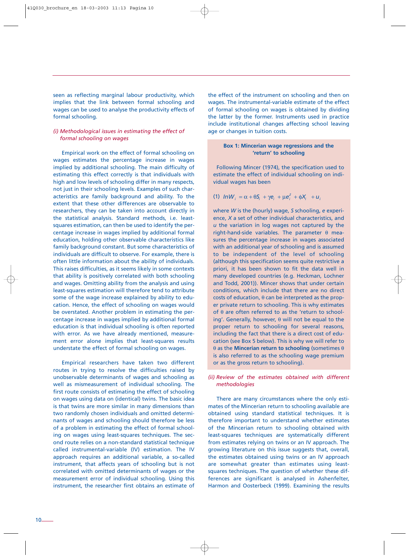seen as reflecting marginal labour productivity, which implies that the link between formal schooling and wages can be used to analyse the productivity effects of formal schooling.

#### *(i) Methodological issues in estimating the effect of formal schooling on wages*

Empirical work on the effect of formal schooling on wages estimates the percentage increase in wages implied by additional schooling. The main difficulty of estimating this effect correctly is that individuals with high and low levels of schooling differ in many respects, not just in their schooling levels. Examples of such characteristics are family background and ability. To the extent that these other differences are observable to researchers, they can be taken into account directly in the statistical analysis. Standard methods, i.e. leastsquares estimation, can then be used to identify the percentage increase in wages implied by additional formal education, holding other observable characteristics like family background constant. But some characteristics of individuals are difficult to observe. For example, there is often little information about the ability of individuals. This raises difficulties, as it seems likely in some contexts that ability is positively correlated with both schooling and wages. Omitting ability from the analysis and using least-squares estimation will therefore tend to attribute some of the wage increase explained by ability to education. Hence, the effect of schooling on wages would be overstated. Another problem in estimating the percentage increase in wages implied by additional formal education is that individual schooling is often reported with error. As we have already mentioned, measurement error alone implies that least-squares results understate the effect of formal schooling on wages.

Empirical researchers have taken two different routes in trying to resolve the difficulties raised by unobservable determinants of wages and schooling as well as mismeasurement of individual schooling. The first route consists of estimating the effect of schooling on wages using data on (identical) twins. The basic idea is that twins are more similar in many dimensions than two randomly chosen individuals and omitted determinants of wages and schooling should therefore be less of a problem in estimating the effect of formal schooling on wages using least-squares techniques. The second route relies on a non-standard statistical technique called instrumental-variable (IV) estimation. The IV approach requires an additional variable, a so-called instrument, that affects years of schooling but is not correlated with omitted determinants of wages or the measurement error of individual schooling. Using this instrument, the researcher first obtains an estimate of the effect of the instrument on schooling and then on wages. The instrumental-variable estimate of the effect of formal schooling on wages is obtained by dividing the latter by the former. Instruments used in practice include institutional changes affecting school leaving age or changes in tuition costs.

#### **Box 1: Mincerian wage regressions and the 'return' to schooling**

Following Mincer (1974), the specification used to estimate the effect of individual schooling on individual wages has been

(1) 
$$
lnW_i = \alpha + \theta S_i + \gamma e_i + \mu e_i^2 + \phi X_i + u_i
$$

where *W* is the (hourly) wage, *S* schooling, *e* experience, *X* a set of other individual characteristics, and *u* the variation in log wages not captured by the right-hand-side variables. The parameter  $\theta$  measures the percentage increase in wages associated with an additional year of schooling and is assumed to be independent of the level of schooling (although this specification seems quite restrictive a priori, it has been shown to fit the data well in many developed countries (e.g. Heckman, Lochner and Todd, 2001)). Mincer shows that under certain conditions, which include that there are no direct costs of education, θ can be interpreted as the proper private return to schooling. This is why estimates of θ are often referred to as the 'return to schooling'. Generally, however, θ will not be equal to the proper return to schooling for several reasons, including the fact that there is a direct cost of education (see Box 5 below). This is why we will refer to θ as the **Mincerian return to schooling** (sometimes θ is also referred to as the schooling wage premium or as the gross return to schooling).

#### *(ii) Review of the estimates obtained with different methodologies*

There are many circumstances where the only estimates of the Mincerian return to schooling available are obtained using standard statistical techniques. It is therefore important to understand whether estimates of the Mincerian return to schooling obtained with least-squares techniques are systematically different from estimates relying on twins or an IV approach. The growing literature on this issue suggests that, overall, the estimates obtained using twins or an IV approach are somewhat greater than estimates using leastsquares techniques. The question of whether these differences are significant is analysed in Ashenfelter, Harmon and Oosterbeck (1999). Examining the results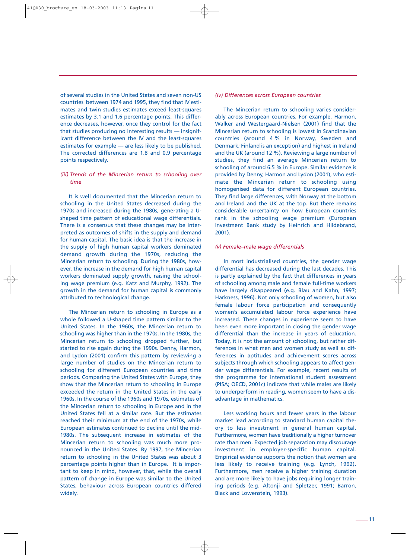of several studies in the United States and seven non-US countries between 1974 and 1995, they find that IV estimates and twin studies estimates exceed least-squares estimates by 3.1 and 1.6 percentage points. This difference decreases, however, once they control for the fact that studies producing no interesting results — insignificant difference between the IV and the least-squares estimates for example — are less likely to be published. The corrected differences are 1.8 and 0.9 percentage points respectively.

#### *(iii) Trends of the Mincerian return to schooling over time*

It is well documented that the Mincerian return to schooling in the United States decreased during the 1970s and increased during the 1980s, generating a Ushaped time pattern of educational wage differentials. There is a consensus that these changes may be interpreted as outcomes of shifts in the supply and demand for human capital. The basic idea is that the increase in the supply of high human capital workers dominated demand growth during the 1970s, reducing the Mincerian return to schooling. During the 1980s, however, the increase in the demand for high human capital workers dominated supply growth, raising the schooling wage premium (e.g. Katz and Murphy, 1992). The growth in the demand for human capital is commonly attributed to technological change.

The Mincerian return to schooling in Europe as a whole followed a U-shaped time pattern similar to the United States. In the 1960s, the Mincerian return to schooling was higher than in the 1970s. In the 1980s, the Mincerian return to schooling dropped further, but started to rise again during the 1990s. Denny, Harmon, and Lydon (2001) confirm this pattern by reviewing a large number of studies on the Mincerian return to schooling for different European countries and time periods. Comparing the United States with Europe, they show that the Mincerian return to schooling in Europe exceeded the return in the United States in the early 1960s. In the course of the 1960s and 1970s, estimates of the Mincerian return to schooling in Europe and in the United States fell at a similar rate. But the estimates reached their minimum at the end of the 1970s, while European estimates continued to decline until the mid-1980s. The subsequent increase in estimates of the Mincerian return to schooling was much more pronounced in the United States. By 1997, the Mincerian return to schooling in the United States was about 3 percentage points higher than in Europe. It is important to keep in mind, however, that, while the overall pattern of change in Europe was similar to the United States, behaviour across European countries differed widely.

#### *(iv) Differences across European countries*

The Mincerian return to schooling varies considerably across European countries. For example, Harmon, Walker and Westergaard-Nielsen (2001) find that the Mincerian return to schooling is lowest in Scandinavian countries (around 4 % in Norway, Sweden and Denmark; Finland is an exception) and highest in Ireland and the UK (around 12 %). Reviewing a large number of studies, they find an average Mincerian return to schooling of around 6.5 % in Europe. Similar evidence is provided by Denny, Harmon and Lydon (2001), who estimate the Mincerian return to schooling using homogenised data for different European countries. They find large differences, with Norway at the bottom and Ireland and the UK at the top. But there remains considerable uncertainty on how European countries rank in the schooling wage premium (European Investment Bank study by Heinrich and Hildebrand, 2001).

#### *(v) Female–male wage differentials*

In most industrialised countries, the gender wage differential has decreased during the last decades. This is partly explained by the fact that differences in years of schooling among male and female full-time workers have largely disappeared (e.g. Blau and Kahn, 1997; Harkness, 1996). Not only schooling of women, but also female labour force participation and consequently women's accumulated labour force experience have increased. These changes in experience seem to have been even more important in closing the gender wage differential than the increase in years of education. Today, it is not the amount of schooling, but rather differences in what men and women study as well as differences in aptitudes and achievement scores across subjects through which schooling appears to affect gender wage differentials. For example, recent results of the programme for international student assessment (PISA; OECD, 2001c) indicate that while males are likely to underperform in reading, women seem to have a disadvantage in mathematics.

Less working hours and fewer years in the labour market lead according to standard human capital theory to less investment in general human capital. Furthermore, women have traditionally a higher turnover rate than men. Expected job separation may discourage investment in employer-specific human capital. Empirical evidence supports the notion that women are less likely to receive training (e.g. Lynch, 1992). Furthermore, men receive a higher training duration and are more likely to have jobs requiring longer training periods (e.g. Altonji and Spletzer, 1991; Barron, Black and Lowenstein, 1993).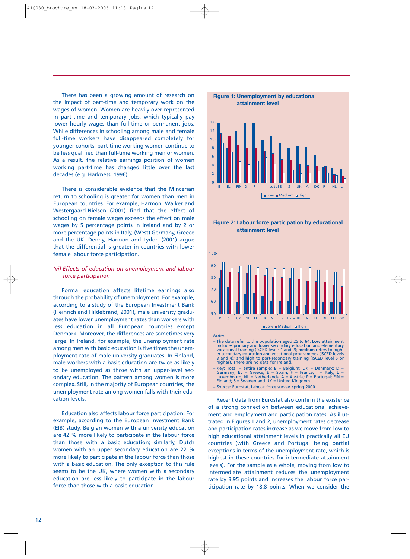There has been a growing amount of research on the impact of part-time and temporary work on the wages of women. Women are heavily over-represented in part-time and temporary jobs, which typically pay lower hourly wages than full-time or permanent jobs. While differences in schooling among male and female full-time workers have disappeared completely for younger cohorts, part-time working women continue to be less qualified than full-time working men or women. As a result, the relative earnings position of women working part-time has changed little over the last decades (e.g. Harkness, 1996).

There is considerable evidence that the Mincerian return to schooling is greater for women than men in European countries. For example, Harmon, Walker and Westergaard-Nielsen (2001) find that the effect of schooling on female wages exceeds the effect on male wages by 5 percentage points in Ireland and by 2 or more percentage points in Italy, (West) Germany, Greece and the UK. Denny, Harmon and Lydon (2001) argue that the differential is greater in countries with lower female labour force participation.

#### *(vi) Effects of education on unemployment and labour force participation*

Formal education affects lifetime earnings also through the probability of unemployment. For example, according to a study of the European Investment Bank (Heinrich and Hildebrand, 2001), male university graduates have lower unemployment rates than workers with less education in all European countries except Denmark. Moreover, the differences are sometimes very large. In Ireland, for example, the unemployment rate among men with basic education is five times the unemployment rate of male university graduates. In Finland, male workers with a basic education are twice as likely to be unemployed as those with an upper-level secondary education. The pattern among women is more complex. Still, in the majority of European countries, the unemployment rate among women falls with their education levels.

Education also affects labour force participation. For example, according to the European Investment Bank (EIB) study, Belgian women with a university education are 42 % more likely to participate in the labour force than those with a basic education; similarly, Dutch women with an upper secondary education are 22 % more likely to participate in the labour force than those with a basic education. The only exception to this rule seems to be the UK, where women with a secondary education are less likely to participate in the labour force than those with a basic education.







– Key: Total = entire sample; B = Belgium; DK = Denmark; D = Germany; EL = Greec; E = Spain; F = France; I = Italy; L = Luxembourg; NL = Netherlands; A = Austria; P = Portugal; FIN = Finland; S = Sweden and UK = United Ki

– *Source*: Eurostat, Labour force survey, spring 2000.

Recent data from Eurostat also confirm the existence of a strong connection between educational achievement and employment and participation rates. As illustrated in Figures 1 and 2, unemployment rates decrease and participation rates increase as we move from low to high educational attainment levels in practically all EU countries (with Greece and Portugal being partial exceptions in terms of the unemployment rate, which is highest in these countries for intermediate attainment levels). For the sample as a whole, moving from low to intermediate attainment reduces the unemployment rate by 3.95 points and increases the labour force participation rate by 18.8 points. When we consider the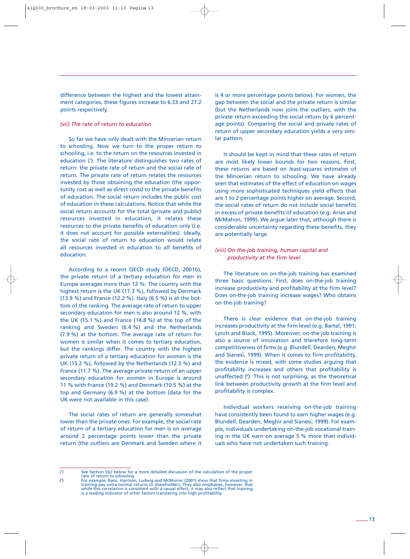difference between the highest and the lowest attainment categories, these figures increase to 6.33 and 27.2 points respectively.

#### *(vii) The rate of return to education*

So far we have only dealt with the Mincerian return to schooling. Now we turn to the proper return to schooling, i.e. to the return on the resources invested in education (7 ). The literature distinguishes two rates of return: the private rate of return and the social rate of return. The private rate of return relates the resources invested by those obtaining the education (the opportunity cost as well as direct costs) to the private benefits of education. The social return includes the public cost of education in these calculations. Notice that while the social return accounts for the total (private and public) resources invested in education, it relates these resources to the private benefits of education only (i.e. it does not account for possible externalities). Ideally, the social rate of return to education would relate all resources invested in education to all benefits of education.

According to a recent OECD study (OECD, 2001b), the private return of a tertiary education for men in Europe averages more than 12 %. The country with the highest return is the UK (17.3 %), followed by Denmark (13.9 %) and France (12.2 %). Italy (6.5 %) is at the bottom of the ranking. The average rate of return to upper secondary education for men is also around 12 %, with the UK (15.1 %) and France (14.8 %) at the top of the ranking and Sweden (6.4 %) and the Netherlands (7.9 %) at the bottom. The average rate of return for women is similar when it comes to tertiary education, but the rankings differ. The country with the highest private return of a tertiary education for women is the UK (15.2 %), followed by the Netherlands (12.3 %) and France (11.7 %). The average private return of an upper secondary education for women in Europe is around 11 % with France (19.2 %) and Denmark (10.5 %) at the top and Germany (6.9 %) at the bottom (data for the UK were not available in this case).

The social rates of return are generally somewhat lower than the private ones. For example, the social rate of return of a tertiary education for men is on average around 2 percentage points lower than the private return (the outliers are Denmark and Sweden where it is 4 or more percentage points below). For women, the gap between the social and the private return is similar (but the Netherlands now joins the outliers, with the private return exceeding the social return by 6 percentage points). Comparing the social and private rates of return of upper secondary education yields a very similar pattern.

It should be kept in mind that these rates of return are most likely lower bounds for two reasons. First, these returns are based on least-squares estimates of the Mincerian return to schooling. We have already seen that estimates of the effect of education on wages using more sophisticated techniques yield effects that are 1 to 2 percentage points higher on average. Second, the social rates of return do not include social benefits in excess of private benefits of education (e.g. Arias and McMahon, 1999). We argue later that, although there is considerable uncertainty regarding these benefits, they are potentially large.

#### *(viii) On-the-job training, human capital and productivity at the firm level*

The literature on on-the-job training has examined three basic questions. First, does on-the-job training increase productivity and profitability at the firm level? Does on-the-job training increase wages? Who obtains on-the-job training?

There is clear evidence that on-the-job training increases productivity at the firm level (e.g. Bartel, 1991; Lynch and Black, 1995). Moreover, on-the job training is also a source of innovation and therefore long-term competitiveness of firms (e.g. Blundell, Dearden, Meghir and Sianesi, 1999). When it comes to firm profitability, the evidence is mixed, with some studies arguing that profitability increases and others that profitability is unaffected (8 ). This is not surprising, as the theoretical link between productivity growth at the firm level and profitability is complex.

Individual workers receiving on-the-job training have consistently been found to earn higher wages (e.g. Blundell, Dearden, Meghir and Sianesi, 1999). For example, individuals undertaking on-the-job vocational training in the UK earn on average 5 % more than individuals who have not undertaken such training.

) See Section 5(c) below for a more detailed discussion of the calculation of the proper

( 8

<sup>(</sup> 7

rate of return to schooling.<br>For example, Bassi, Harrison, Ludwig and McMurrer (2001) show that firms investing in<br>training pay extra-normal returns to shareholders. They also emphasise, however, that<br>while this correlatio

is a leading indicator of other factors translating into high profitability.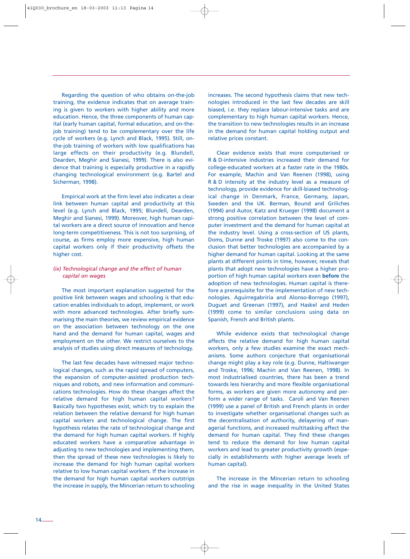Regarding the question of who obtains on-the-job training, the evidence indicates that on average training is given to workers with higher ability and more education. Hence, the three components of human capital (early human capital, formal education, and on-thejob training) tend to be complementary over the life cycle of workers (e.g. Lynch and Black, 1995). Still, onthe-job training of workers with low qualifications has large effects on their productivity (e.g. Blundell, Dearden, Meghir and Sianesi, 1999). There is also evidence that training is especially productive in a rapidly changing technological environment (e.g. Bartel and Sicherman, 1998).

Empirical work at the firm level also indicates a clear link between human capital and productivity at this level (e.g. Lynch and Black, 1995; Blundell, Dearden, Meghir and Sianesi, 1999). Moreover, high human capital workers are a direct source of innovation and hence long-term competitiveness. This is not too surprising, of course, as firms employ more expensive, high human capital workers only if their productivity offsets the higher cost.

#### *(ix) Technological change and the effect of human capital on wages*

The most important explanation suggested for the positive link between wages and schooling is that education enables individuals to adopt, implement, or work with more advanced technologies. After briefly summarising the main theories, we review empirical evidence on the association between technology on the one hand and the demand for human capital, wages and employment on the other. We restrict ourselves to the analysis of studies using direct measures of technology.

The last few decades have witnessed major technological changes, such as the rapid spread of computers, the expansion of computer-assisted production techniques and robots, and new information and communications technologies. How do these changes affect the relative demand for high human capital workers? Basically two hypotheses exist, which try to explain the relation between the relative demand for high human capital workers and technological change. The first hypothesis relates the rate of technological change and the demand for high human capital workers. If highly educated workers have a comparative advantage in adjusting to new technologies and implementing them, then the spread of these new technologies is likely to increase the demand for high human capital workers relative to low human capital workers. If the increase in the demand for high human capital workers outstrips the increase in supply, the Mincerian return to schooling increases. The second hypothesis claims that new technologies introduced in the last few decades are skill biased, i.e. they replace labour-intensive tasks and are complementary to high human capital workers. Hence, the transition to new technologies results in an increase in the demand for human capital holding output and relative prices constant.

Clear evidence exists that more computerised or R & D-intensive industries increased their demand for college-educated workers at a faster rate in the 1980s. For example, Machin and Van Reenen (1998), using R & D intensity at the industry level as a measure of technology, provide evidence for skill-biased technological change in Denmark, France, Germany, Japan, Sweden and the UK. Berman, Bound and Griliches (1994) and Autor, Katz and Krueger (1998) document a strong positive correlation between the level of computer investment and the demand for human capital at the industry level. Using a cross-section of US plants, Doms, Dunne and Troske (1997) also come to the conclusion that better technologies are accompanied by a higher demand for human capital. Looking at the same plants at different points in time, however, reveals that plants that adopt new technologies have a higher proportion of high human capital workers even **before** the adoption of new technologies. Human capital is therefore a prerequisite for the implementation of new technologies. Aguirregabriria and Alonso-Borrego (1997), Duguet and Greenan (1997), and Haskel and Heden (1999) come to similar conclusions using data on Spanish, French and British plants.

While evidence exists that technological change affects the relative demand for high human capital workers, only a few studies examine the exact mechanisms. Some authors conjecture that organisational change might play a key role (e.g. Dunne, Haltiwanger and Troske, 1996; Machin and Van Reenen, 1998). In most industrialised countries, there has been a trend towards less hierarchy and more flexible organisational forms, as workers are given more autonomy and perform a wider range of tasks. Caroli and Van Reenen (1999) use a panel of British and French plants in order to investigate whether organisational changes such as the decentralisation of authority, delayering of managerial functions, and increased multitasking affect the demand for human capital. They find these changes tend to reduce the demand for low human capital workers and lead to greater productivity growth (especially in establishments with higher average levels of human capital).

The increase in the Mincerian return to schooling and the rise in wage inequality in the United States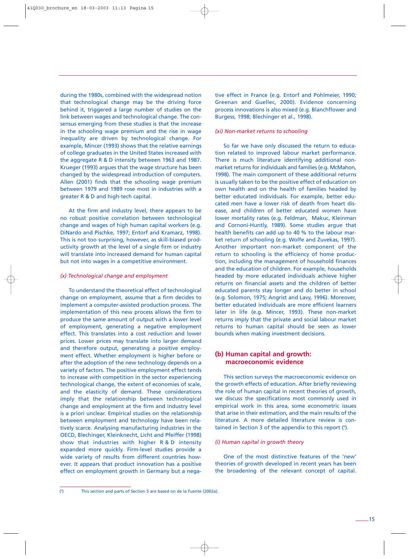during the 1980s, combined with the widespread notion that technological change may be the driving force behind it, triggered a large number of studies on the link between wages and technological change. The consensus emerging from these studies is that the increase in the schooling wage premium and the rise in wage inequality are driven by technological change. For example, Mincer (1993) shows that the relative earnings of college graduates in the United States increased with the aggregate R & D intensity between 1963 and 1987. Krueger (1993) argues that the wage structure has been changed by the widespread introduction of computers. Allen (2001) finds that the schooling wage premium between 1979 and 1989 rose most in industries with a greater R & D and high-tech capital.

At the firm and industry level, there appears to be no robust positive correlation between technological change and wages of high human capital workers (e.g. DiNardo and Pischke, 1997; Entorf and Kramarz, 1998). This is not too surprising, however, as skill-biased productivity growth at the level of a single firm or industry will translate into increased demand for human capital but not into wages in a competitive environment.

#### *(x) Technological change and employment*

To understand the theoretical effect of technological change on employment, assume that a firm decides to implement a computer-assisted production process. The implementation of this new process allows the firm to produce the same amount of output with a lower level of employment, generating a negative employment effect. This translates into a cost reduction and lower prices. Lower prices may translate into larger demand and therefore output, generating a positive employment effect. Whether employment is higher before or after the adoption of the new technology depends on a variety of factors. The positive employment effect tends to increase with competition in the sector experiencing technological change, the extent of economies of scale, and the elasticity of demand. These considerations imply that the relationship between technological change and employment at the firm and industry level is a priori unclear. Empirical studies on the relationship between employment and technology have been relatively scarce. Analysing manufacturing industries in the OECD, Blechinger, Kleinknecht, Licht and Pfeiffer (1998) show that industries with higher R & D intensity expanded more quickly. Firm-level studies provide a wide variety of results from different countries however. It appears that product innovation has a positive effect on employment growth in Germany but a negative effect in France (e.g. Entorf and Pohlmeier, 1990; Greenan and Guellec, 2000). Evidence concerning process innovations is also mixed (e.g. Blanchflower and Burgess, 1998; Blechinger et al., 1998).

#### *(xi) Non-market returns to schooling*

So far we have only discussed the return to education related to improved labour market performance. There is much literature identifying additional nonmarket returns for individuals and families (e.g. McMahon, 1998). The main component of these additional returns is usually taken to be the positive effect of education on own health and on the health of families headed by better educated individuals. For example, better educated men have a lower risk of death from heart disease, and children of better educated women have lower mortality rates (e.g. Feldman, Makuc, Kleinman and Cornoni-Huntly, 1989). Some studies argue that health benefits can add up to 40 % to the labour market return of schooling (e.g. Wolfe and Zuvekas, 1997). Another important non-market component of the return to schooling is the efficiency of home production, including the management of household finances and the education of children. For example, households headed by more educated individuals achieve higher returns on financial assets and the children of better educated parents stay longer and do better in school (e.g. Solomon, 1975; Angrist and Lavy, 1996). Moreover, better educated individuals are more efficient learners later in life (e.g. Mincer, 1993). These non-market returns imply that the private and social labour market returns to human capital should be seen as lower bounds when making investment decisions.

### **(b) Human capital and growth: macroeconomic evidence**

This section surveys the macroeconomic evidence on the growth effects of education. After briefly reviewing the role of human capital in recent theories of growth, we discuss the specifications most commonly used in empirical work in this area, some econometric issues that arise in their estimation, and the main results of the literature. A more detailed literature review is contained in Section 3 of the appendix to this report (9 ).

#### *(i) Human capital in growth theory*

One of the most distinctive features of the 'new' theories of growth developed in recent years has been the broadening of the relevant concept of capital.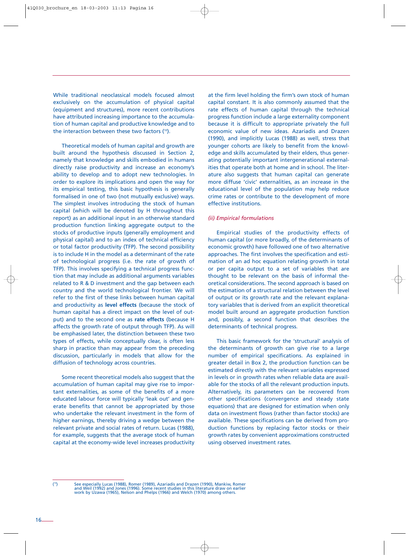While traditional neoclassical models focused almost exclusively on the accumulation of physical capital (equipment and structures), more recent contributions have attributed increasing importance to the accumulation of human capital and productive knowledge and to the interaction between these two factors (<sup>10</sup>).

Theoretical models of human capital and growth are built around the hypothesis discussed in Section 2, namely that knowledge and skills embodied in humans directly raise productivity and increase an economy's ability to develop and to adopt new technologies. In order to explore its implications and open the way for its empirical testing, this basic hypothesis is generally formalised in one of two (not mutually exclusive) ways. The simplest involves introducing the stock of human capital (which will be denoted by H throughout this report) as an additional input in an otherwise standard production function linking aggregate output to the stocks of productive inputs (generally employment and physical capital) and to an index of technical efficiency or total factor productivity (TFP). The second possibility is to include H in the model as a determinant of the rate of technological progress (i.e. the rate of growth of TFP). This involves specifying a technical progress function that may include as additional arguments variables related to R & D investment and the gap between each country and the world technological frontier. We will refer to the first of these links between human capital and productivity as **level effects** (because the stock of human capital has a direct impact on the level of output) and to the second one as **rate effects** (because H affects the growth rate of output through TFP). As will be emphasised later, the distinction between these two types of effects, while conceptually clear, is often less sharp in practice than may appear from the preceding discussion, particularly in models that allow for the diffusion of technology across countries.

Some recent theoretical models also suggest that the accumulation of human capital may give rise to important externalities, as some of the benefits of a more educated labour force will typically 'leak out' and generate benefits that cannot be appropriated by those who undertake the relevant investment in the form of higher earnings, thereby driving a wedge between the relevant private and social rates of return. Lucas (1988), for example, suggests that the average stock of human capital at the economy-wide level increases productivity at the firm level holding the firm's own stock of human capital constant. It is also commonly assumed that the rate effects of human capital through the technical progress function include a large externality component because it is difficult to appropriate privately the full economic value of new ideas. Azariadis and Drazen (1990), and implicitly Lucas (1988) as well, stress that younger cohorts are likely to benefit from the knowledge and skills accumulated by their elders, thus generating potentially important intergenerational externalities that operate both at home and in school. The literature also suggests that human capital can generate more diffuse 'civic' externalities, as an increase in the educational level of the population may help reduce crime rates or contribute to the development of more effective institutions.

#### *(ii) Empirical formulations*

Empirical studies of the productivity effects of human capital (or more broadly, of the determinants of economic growth) have followed one of two alternative approaches. The first involves the specification and estimation of an ad hoc equation relating growth in total or per capita output to a set of variables that are thought to be relevant on the basis of informal theoretical considerations. The second approach is based on the estimation of a structural relation between the level of output or its growth rate and the relevant explanatory variables that is derived from an explicit theoretical model built around an aggregate production function and, possibly, a second function that describes the determinants of technical progress.

This basic framework for the 'structural' analysis of the determinants of growth can give rise to a large number of empirical specifications. As explained in greater detail in Box 2, the production function can be estimated directly with the relevant variables expressed in levels or in growth rates when reliable data are available for the stocks of all the relevant production inputs. Alternatively, its parameters can be recovered from other specifications (convergence and steady state equations) that are designed for estimation when only data on investment flows (rather than factor stocks) are available. These specifications can be derived from production functions by replacing factor stocks or their growth rates by convenient approximations constructed using observed investment rates.

 $(10)$ 

9) See especially Lucas (1988), Romer (1989), Azariadis and Drazen (1990), Mankiw, Romer<br>and Weil (1992) and Jones (1996). Some recent studies in this literature draw on earlier<br>work by Uzawa (1965), Nelson and Phelps (196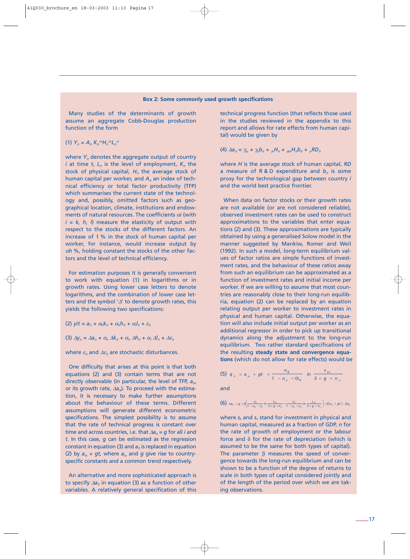#### **Box 2: Some commonly used growth specifications**

Many studies of the determinants of growth assume an aggregate Cobb-Douglas production function of the form

$$
(1) Y_{it} = A_{it} K_{it}^{\alpha k} H_{it}^{\alpha h} L_{it}^{\alpha l}
$$

where  $Y_{it}$  denotes the aggregate output of country  $i$  at time *t*,  $L_i$  is the level of employment,  $K_i$  the stock of physical capital,  $H_{it}$  the average stock of human capital per worker, and  $A_{it}$  an index of technical efficiency or total factor productivity (TFP) which summarises the current state of the technology and, possibly, omitted factors such as geographical location, climate, institutions and endowments of natural resources. The coefficients α*i* (with  $i = k, h, l$  measure the elasticity of output with respect to the stocks of the different factors. An increase of 1 % in the stock of human capital per worker, for instance, would increase output by <sup>α</sup>*h* %, holding constant the stocks of the other factors and the level of technical efficiency.

For estimation purposes it is generally convenient to work with equation (1) in logarithms or in growth rates. Using lower case letters to denote logarithms, and the combination of lower case letters and the symbol '∆' to denote growth rates, this yields the following two specifications:

(2) *yit* =  $a_{it} + \alpha_k k_{it} + \alpha_h h_{it} + \alpha_l l_{it} + \varepsilon_{it}$ 

(3)  $\Delta y_{it} = \Delta a_{it} + \alpha_k \Delta k_{it} + \alpha_h \Delta h_{it} + \alpha_l \Delta l_{it} + \Delta \varepsilon_{it}$ 

where *ε<sub>it</sub>* and ∆*ε<sub>it</sub>* are stochastic disturbances.

One difficulty that arises at this point is that both equations (2) and (3) contain terms that are not directly observable (in particular, the level of TFP,  $a_{in}$ , or its growth rate,  $\Delta a_{it}$ ). To proceed with the estimation, it is necessary to make further assumptions about the behaviour of these terms. Different assumptions will generate different econometric specifications. The simplest possibility is to assume that the rate of technical progress is constant over time and across countries, i.e. that  $\Delta a_i = g$  for all *i* and *t*. In this case, *g* can be estimated as the regression constant in equation (3) and  $a_{it}$  is replaced in equation (2) by  $a_{i_0}$  +  $gt$ , where  $a_{i_0}$  and  $gt$  give rise to countryspecific constants and a common trend respectively.

An alternative and more sophisticated approach is to specify ∆a<sub>it</sub> in equation (3) as a function of other variables. A relatively general specification of this technical progress function (that reflects those used in the studies reviewed in the appendix to this report and allows for rate effects from human capital) would be given by

(4) 
$$
\Delta a_{it} = \gamma_{io} + \gamma_b b_{it} + \gamma_h H_{it} + \gamma_{bh} H_{it} b_{it} + \gamma_R D_{it}
$$

where *H* is the average stock of human capital, *RD* a measure of R & D expenditure and  $b_{it}$  is some proxy for the technological gap between country *i* and the world best practice frontier.

When data on factor stocks or their growth rates are not available (or are not considered reliable), observed investment rates can be used to construct approximations to the variables that enter equations (2) and (3). These approximations are typically obtained by using a generalised Solow model in the manner suggested by Mankiw, Romer and Weil (1992). In such a model, long-term equilibrium values of factor ratios are simple functions of investment rates, and the behaviour of these ratios away from such an equilibrium can be approximated as a function of investment rates and initial income per worker. If we are willing to assume that most countries are reasonably close to their long-run equilibria, equation (2) can be replaced by an equation relating output per worker to investment rates in physical and human capital. Otherwise, the equation will also include initial output per worker as an additional regressor in order to pick up transitional dynamics along the adjustment to the long-run equilibrium. Two rather standard specifications of the resulting **steady state and convergence equations** (which do not allow for rate effects) would be

(5) 
$$
q_{ik} = a_{ik} + gt + \frac{\alpha_k}{1 - \alpha_k - \alpha_h}
$$
 ln  $\frac{s_{ki}}{\delta + g + n_{ik}}$   
and

$$
\textbf{(6)} \ \ \Delta q_n=g+\beta\Bigg(\frac{\alpha_s}{1-\alpha_s-\alpha_n}\ln\frac{s_{sn}}{\delta+g+n_n}+\frac{\alpha_n}{1-\alpha_s-\alpha_n}\ln\frac{s_{sn}}{\delta+g+n_n}\Bigg)+\beta\big(a_n+gt\big)-\beta q_n
$$

where  $s_k$  and  $s_h$  stand for investment in physical and human capital, measured as a fraction of GDP, *n* for the rate of growth of employment or the labour force and  $\delta$  for the rate of depreciation (which is assumed to be the same for both types of capital). The parameter  $\beta$  measures the speed of convergence towards the long-run equilibrium and can be shown to be a function of the degree of returns to scale in both types of capital considered jointly and of the length of the period over which we are taking observations.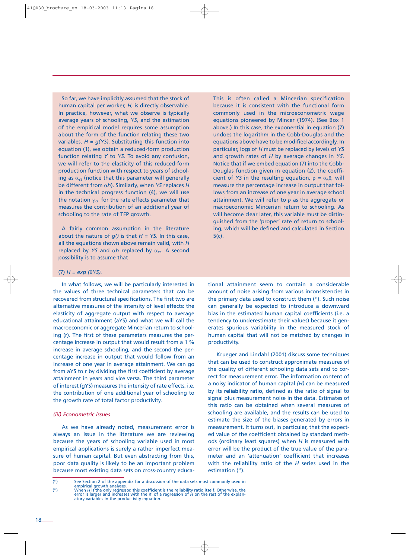So far, we have implicitly assumed that the stock of human capital per worker, *H*, is directly observable. In practice, however, what we observe is typically average years of schooling, *YS*, and the estimation of the empirical model requires some assumption about the form of the function relating these two variables,  $H = g(YS)$ . Substituting this function into equation (1), we obtain a reduced-form production function relating *Y* to *YS*. To avoid any confusion, we will refer to the elasticity of this reduced-form production function with respect to years of schooling as  $\alpha_{\gamma s}$  (notice that this parameter will generally be different from α*h*). Similarly, when *YS* replaces *H* in the technical progress function (4), we will use the notation γ<sub>/S</sub> for the rate effects parameter that measures the contribution of an additional year of schooling to the rate of TFP growth.

A fairly common assumption in the literature about the nature of  $g()$  is that  $H = YS$ . In this case, all the equations shown above remain valid, with *H* replaced by *YS* and α*h* replaced by α<sub>*YS*</sub>. A second possibility is to assume that

This is often called a Mincerian specification because it is consistent with the functional form commonly used in the microeconometric wage equations pioneered by Mincer (1974). (See Box 1 above.) In this case, the exponential in equation (7) undoes the logarithm in the Cobb-Douglas and the equations above have to be modified accordingly. In particular, logs of *H* must be replaced by levels of *YS* and growth rates of *H* by average changes in *YS*. Notice that if we embed equation (7) into the Cobb-Douglas function given in equation (2), the coefficient of *YS* in the resulting equation,  $\rho = \alpha_h \theta$ , will measure the percentage increase in output that follows from an increase of one year in average school attainment. We will refer to  $\rho$  as the aggregate or macroeconomic Mincerian return to schooling. As will become clear later, this variable must be distinguished from the 'proper' rate of return to schooling, which will be defined and calculated in Section 5(c).

### (7) *H = exp (*θ*YS).*

In what follows, we will be particularly interested in the values of three technical parameters that can be recovered from structural specifications. The first two are alternative measures of the intensity of level effects: the elasticity of aggregate output with respect to average educational attainment (aYS) and what we will call the macroeconomic or aggregate Mincerian return to schooling (r). The first of these parameters measures the percentage increase in output that would result from a 1 % increase in average schooling, and the second the percentage increase in output that would follow from an increase of one year in average attainment. We can go from aYS to r by dividing the first coefficient by average attainment in years and vice versa. The third parameter of interest (gYS) measures the intensity of rate effects, i.e. the contribution of one additional year of schooling to the growth rate of total factor productivity.

#### *(iii) Econometric issues*

As we have already noted, measurement error is always an issue in the literature we are reviewing because the years of schooling variable used in most empirical applications is surely a rather imperfect measure of human capital. But even abstracting from this, poor data quality is likely to be an important problem because most existing data sets on cross-country educational attainment seem to contain a considerable amount of noise arising from various inconsistencies in the primary data used to construct them (11). Such noise can generally be expected to introduce a downward bias in the estimated human capital coefficients (i.e. a tendency to underestimate their values) because it generates spurious variability in the measured stock of human capital that will not be matched by changes in productivity.

Krueger and Lindahl (2001) discuss some techniques that can be used to construct approximate measures of the quality of different schooling data sets and to correct for measurement error. The information content of a noisy indicator of human capital *(H)* can be measured by its **reliability ratio**, defined as the ratio of signal to signal plus measurement noise in the data. Estimates of this ratio can be obtained when several measures of schooling are available, and the results can be used to estimate the size of the biases generated by errors in measurement. It turns out, in particular, that the expected value of the coefficient obtained by standard methods (ordinary least squares) when *H* is measured with error will be the product of the true value of the parameter and an 'attenuation' coefficient that increases with the reliability ratio of the *H* series used in the estimation (12).

 $(11)$ 

See Section 2 of the appendix for a discussion of the data sets most commonly used in<br>empirical growth analyses.<br>When H is the only regressor, this coefficient is the reliability ratio itself. Otherwise, the<br>error is larg  $(12)$ atory variables in the productivity equation.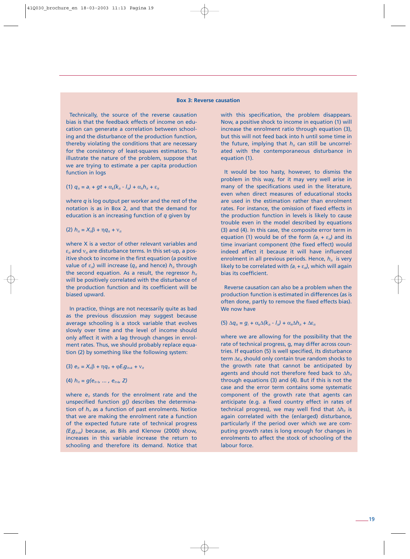#### **Box 3: Reverse causation**

Technically, the source of the reverse causation bias is that the feedback effects of income on education can generate a correlation between schooling and the disturbance of the production function, thereby violating the conditions that are necessary for the consistency of least-squares estimators. To illustrate the nature of the problem, suppose that we are trying to estimate a per capita production function in logs

(1) 
$$
q_{it} = a_i + gt + \alpha_k (k_{it} - l_{it}) + \alpha_h h_{it} + \varepsilon_{it}
$$

where *q* is log output per worker and the rest of the notation is as in Box 2, and that the demand for education is an increasing function of *q* given by

(2) *hit = Xit*β *+* η*qit +* ν*it*

where X is a vector of other relevant variables and  $\varepsilon_{it}$  and  $v_{it}$  are disturbance terms. In this set-up, a positive shock to income in the first equation (a positive value of ε*it*) will increase (*qit* and hence) *hit* through the second equation. As a result, the regressor  $h_{it}$ will be positively correlated with the disturbance of the production function and its coefficient will be biased upward.

In practice, things are not necessarily quite as bad as the previous discussion may suggest because average schooling is a stock variable that evolves slowly over time and the level of income should only affect it with a lag through changes in enrolment rates. Thus, we should probably replace equation (2) by something like the following system:

(3)  $e_{it} = X_{it} \beta + \eta q_{it} + \varphi E_t g_{it+k} + v_{it}$ 

(4) 
$$
h_{it} = g(e_{it}, \ldots, e_{it-k}, Z)
$$

where  $e_{it}$  stands for the enrolment rate and the unspecified function *g()* describes the determination of  $h_{it}$  as a function of past enrolments. Notice that we are making the enrolment rate a function of the expected future rate of technical progress *(E<sub>t</sub>g<sub>it+k</sub>)* because, as Bils and Klenow (2000) show, increases in this variable increase the return to schooling and therefore its demand. Notice that

with this specification, the problem disappears. Now, a positive shock to income in equation (1) will increase the enrolment ratio through equation (3), but this will not feed back into h until some time in the future, implying that  $h_{it}$  can still be uncorrelated with the contemporaneous disturbance in equation (1).

It would be too hasty, however, to dismiss the problem in this way, for it may very well arise in many of the specifications used in the literature, even when direct measures of educational stocks are used in the estimation rather than enrolment rates. For instance, the omission of fixed effects in the production function in levels is likely to cause trouble even in the model described by equations (3) and (4). In this case, the composite error term in equation (1) would be of the form  $(a_i + \varepsilon_{ii})$  and its time invariant component (the fixed effect) would indeed affect it because it will have influenced enrolment in all previous periods. Hence,  $h_{it}$  is very likely to be correlated with  $(a_i + \varepsilon_{ii})$ , which will again bias its coefficient.

Reverse causation can also be a problem when the production function is estimated in differences (as is often done, partly to remove the fixed effects bias). We now have

(5)  $\Delta q_{it} = g_i + \alpha_k \Delta (k_{it} - l_{it}) + \alpha_h \Delta h_{it} + \Delta \varepsilon_{it}$ 

where we are allowing for the possibility that the rate of technical progress, g, may differ across countries. If equation (5) is well specified, its disturbance term ∆ε<sub>it</sub> should only contain true random shocks to the growth rate that cannot be anticipated by agents and should not therefore feed back to ∆*hit* through equations (3) and (4). But if this is not the case and the error term contains some systematic component of the growth rate that agents can anticipate (e.g. a fixed country effect in rates of technical progress), we may well find that ∆*h<sub>it</sub>* is again correlated with the (enlarged) disturbance, particularly if the period over which we are computing growth rates is long enough for changes in enrolments to affect the stock of schooling of the labour force.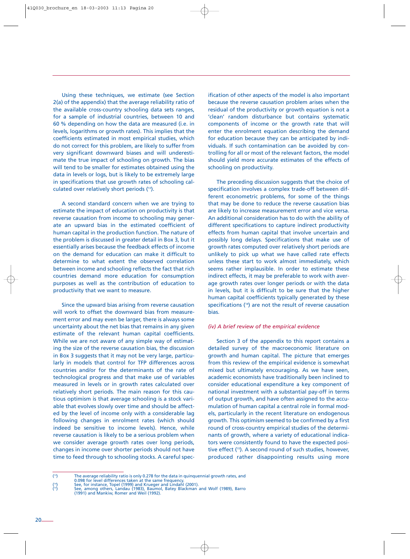Using these techniques, we estimate (see Section 2(a) of the appendix) that the average reliability ratio of the available cross-country schooling data sets ranges, for a sample of industrial countries, between 10 and 60 % depending on how the data are measured (i.e. in levels, logarithms or growth rates). This implies that the coefficients estimated in most empirical studies, which do not correct for this problem, are likely to suffer from very significant downward biases and will underestimate the true impact of schooling on growth. The bias will tend to be smaller for estimates obtained using the data in levels or logs, but is likely to be extremely large in specifications that use growth rates of schooling calculated over relatively short periods (13).

A second standard concern when we are trying to estimate the impact of education on productivity is that reverse causation from income to schooling may generate an upward bias in the estimated coefficient of human capital in the production function. The nature of the problem is discussed in greater detail in Box 3, but it essentially arises because the feedback effects of income on the demand for education can make it difficult to determine to what extent the observed correlation between income and schooling reflects the fact that rich countries demand more education for consumption purposes as well as the contribution of education to productivity that we want to measure.

Since the upward bias arising from reverse causation will work to offset the downward bias from measurement error and may even be larger, there is always some uncertainty about the net bias that remains in any given estimate of the relevant human capital coefficients. While we are not aware of any simple way of estimating the size of the reverse causation bias, the discussion in Box 3 suggests that it may not be very large, particularly in models that control for TFP differences across countries and/or for the determinants of the rate of technological progress and that make use of variables measured in levels or in growth rates calculated over relatively short periods. The main reason for this cautious optimism is that average schooling is a stock variable that evolves slowly over time and should be affected by the level of income only with a considerable lag following changes in enrolment rates (which should indeed be sensitive to income levels). Hence, while reverse causation is likely to be a serious problem when we consider average growth rates over long periods, changes in income over shorter periods should not have time to feed through to schooling stocks. A careful specification of other aspects of the model is also important because the reverse causation problem arises when the residual of the productivity or growth equation is not a 'clean' random disturbance but contains systematic components of income or the growth rate that will enter the enrolment equation describing the demand for education because they can be anticipated by individuals. If such contamination can be avoided by controlling for all or most of the relevant factors, the model should yield more accurate estimates of the effects of schooling on productivity.

The preceding discussion suggests that the choice of specification involves a complex trade-off between different econometric problems, for some of the things that may be done to reduce the reverse causation bias are likely to increase measurement error and vice versa. An additional consideration has to do with the ability of different specifications to capture indirect productivity effects from human capital that involve uncertain and possibly long delays. Specifications that make use of growth rates computed over relatively short periods are unlikely to pick up what we have called rate effects unless these start to work almost immediately, which seems rather implausible. In order to estimate these indirect effects, it may be preferable to work with average growth rates over longer periods or with the data in levels, but it is difficult to be sure that the higher human capital coefficients typically generated by these specifications (<sup>14</sup>) are not the result of reverse causation bias.

#### *(iv) A brief review of the empirical evidence*

Section 3 of the appendix to this report contains a detailed survey of the macroeconomic literature on growth and human capital. The picture that emerges from this review of the empirical evidence is somewhat mixed but ultimately encouraging. As we have seen, academic economists have traditionally been inclined to consider educational expenditure a key component of national investment with a substantial pay-off in terms of output growth, and have often assigned to the accumulation of human capital a central role in formal models, particularly in the recent literature on endogenous growth. This optimism seemed to be confirmed by a first round of cross-country empirical studies of the determinants of growth, where a variety of educational indicators were consistently found to have the expected positive effect (<sup>15</sup>). A second round of such studies, however, produced rather disappointing results using more

 $(13)$ 

<sup>(</sup> (

The average reliability ratio is only 0.278 for the data in quinquennial growth rates, and<br>0.098 for level differences taken at the same frequency.<br>19 See, among others, Landau (1983), Baumol, Batey Blackman and Wolf (1989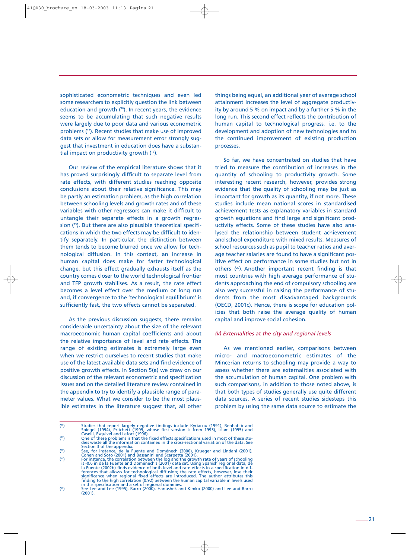sophisticated econometric techniques and even led some researchers to explicitly question the link between education and growth (<sup>16</sup>). In recent years, the evidence seems to be accumulating that such negative results were largely due to poor data and various econometric problems (17). Recent studies that make use of improved data sets or allow for measurement error strongly suggest that investment in education does have a substantial impact on productivity growth (<sup>18</sup>).

Our review of the empirical literature shows that it has proved surprisingly difficult to separate level from rate effects, with different studies reaching opposite conclusions about their relative significance. This may be partly an estimation problem, as the high correlation between schooling levels and growth rates and of these variables with other regressors can make it difficult to untangle their separate effects in a growth regression (19). But there are also plausible theoretical specifications in which the two effects may be difficult to identify separately. In particular, the distinction between them tends to become blurred once we allow for technological diffusion. In this context, an increase in human capital does make for faster technological change, but this effect gradually exhausts itself as the country comes closer to the world technological frontier and TFP growth stabilises. As a result, the rate effect becomes a level effect over the medium or long run and, if convergence to the 'technological equilibrium' is sufficiently fast, the two effects cannot be separated.

As the previous discussion suggests, there remains considerable uncertainty about the size of the relevant macroeconomic human capital coefficients and about the relative importance of level and rate effects. The range of existing estimates is extremely large even when we restrict ourselves to recent studies that make use of the latest available data sets and find evidence of positive growth effects. In Section 5(a) we draw on our discussion of the relevant econometric and specification issues and on the detailed literature review contained in the appendix to try to identify a plausible range of parameter values. What we consider to be the most plausible estimates in the literature suggest that, all other

things being equal, an additional year of average school attainment increases the level of aggregate productivity by around 5 % on impact and by a further 5 % in the long run. This second effect reflects the contribution of human capital to technological progress, i.e. to the development and adoption of new technologies and to the continued improvement of existing production processes.

So far, we have concentrated on studies that have tried to measure the contribution of increases in the quantity of schooling to productivity growth. Some interesting recent research, however, provides strong evidence that the quality of schooling may be just as important for growth as its quantity, if not more. These studies include mean national scores in standardised achievement tests as explanatory variables in standard growth equations and find large and significant productivity effects. Some of these studies have also analysed the relationship between student achievement and school expenditure with mixed results. Measures of school resources such as pupil to teacher ratios and average teacher salaries are found to have a significant positive effect on performance in some studies but not in others  $(20)$ . Another important recent finding is that most countries with high average performance of students approaching the end of compulsory schooling are also very successful in raising the performance of students from the most disadvantaged backgrounds (OECD, 2001c). Hence, there is scope for education policies that both raise the average quality of human capital and improve social cohesion.

#### *(v) Externalities at the city and regional levels*

As we mentioned earlier, comparisons between micro- and macroeconometric estimates of the Mincerian returns to schooling may provide a way to assess whether there are externalities associated with the accumulation of human capital. One problem with such comparisons, in addition to those noted above, is that both types of studies generally use quite different data sources. A series of recent studies sidesteps this problem by using the same data source to estimate the

 $(16)$ <sup>16</sup>) Studies that report largely negative findings include Kyriacou (1991), Benhabib and<br>Spiegel (1994), Pritchett (1995), whose first version is from 1995), Islam (1995) and<br>Caselli, Esquivel and Lefort (1996).<br>17 One of

 $(17)$  $(18)$ 

dies waste all the information contained in the cross-sectional variation of the data. See<br>Section 3 of the appendix.<br><sup>19</sup>) See, for instance, de la Fuente and Doménech (2000), Krueger and Lindahl (2001),<br>19) For instance,  $(19)$ 

 $(20)$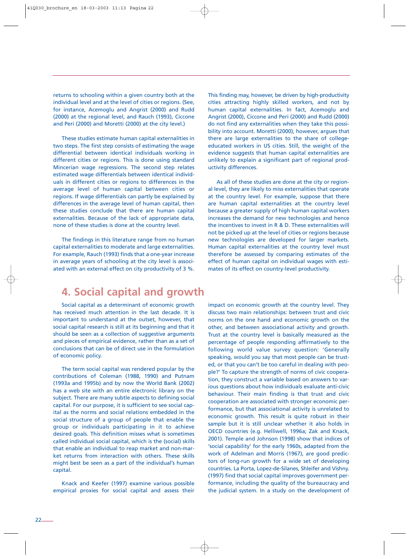returns to schooling within a given country both at the individual level and at the level of cities or regions. (See, for instance, Acemoglu and Angrist (2000) and Rudd (2000) at the regional level, and Rauch (1993), Ciccone and Peri (2000) and Moretti (2000) at the city level.)

These studies estimate human capital externalities in two steps. The first step consists of estimating the wage differential between identical individuals working in different cities or regions. This is done using standard Mincerian wage regressions. The second step relates estimated wage differentials between identical individuals in different cities or regions to differences in the average level of human capital between cities or regions. If wage differentials can partly be explained by differences in the average level of human capital, then these studies conclude that there are human capital externalities. Because of the lack of appropriate data, none of these studies is done at the country level.

The findings in this literature range from no human capital externalities to moderate and large externalities. For example, Rauch (1993) finds that a one-year increase in average years of schooling at the city level is associated with an external effect on city productivity of 3 %.

# **4. Social capital and growth**

Social capital as a determinant of economic growth has received much attention in the last decade. It is important to understand at the outset, however, that social capital research is still at its beginning and that it should be seen as a collection of suggestive arguments and pieces of empirical evidence, rather than as a set of conclusions that can be of direct use in the formulation of economic policy.

The term social capital was rendered popular by the contributions of Coleman (1988, 1990) and Putnam (1993a and 1995b) and by now the World Bank (2002) has a web site with an entire electronic library on the subject. There are many subtle aspects to defining social capital. For our purpose, it is sufficient to see social capital as the norms and social relations embedded in the social structure of a group of people that enable the group or individuals participating in it to achieve desired goals. This definition misses what is sometimes called individual social capital, which is the (social) skills that enable an individual to reap market and non-market returns from interaction with others. These skills might best be seen as a part of the individual's human capital.

Knack and Keefer (1997) examine various possible empirical proxies for social capital and assess their

This finding may, however, be driven by high-productivity cities attracting highly skilled workers, and not by human capital externalities. In fact, Acemoglu and Angrist (2000), Ciccone and Peri (2000) and Rudd (2000) do not find any externalities when they take this possibility into account. Moretti (2000), however, argues that there are large externalities to the share of collegeeducated workers in US cities. Still, the weight of the evidence suggests that human capital externalities are unlikely to explain a significant part of regional productivity differences.

As all of these studies are done at the city or regional level, they are likely to miss externalities that operate at the country level. For example, suppose that there are human capital externalities at the country level because a greater supply of high human capital workers increases the demand for new technologies and hence the incentives to invest in R & D. These externalities will not be picked up at the level of cities or regions because new technologies are developed for larger markets. Human capital externalities at the country level must therefore be assessed by comparing estimates of the effect of human capital on individual wages with estimates of its effect on country-level productivity.

impact on economic growth at the country level. They discuss two main relationships: between trust and civic norms on the one hand and economic growth on the other, and between associational activity and growth. Trust at the country level is basically measured as the percentage of people responding affirmatively to the following world value survey question: 'Generally speaking, would you say that most people can be trusted, or that you can't be too careful in dealing with people?' To capture the strength of norms of civic cooperation, they construct a variable based on answers to various questions about how individuals evaluate anti-civic behaviour. Their main finding is that trust and civic cooperation are associated with stronger economic performance, but that associational activity is unrelated to economic growth. This result is quite robust in their sample but it is still unclear whether it also holds in OECD countries (e.g. Helliwell, 1996a; Zak and Knack, 2001). Temple and Johnson (1998) show that indices of 'social capability' for the early 1960s, adapted from the work of Adelman and Morris (1967), are good predictors of long-run growth for a wide set of developing countries. La Porta, Lopez-de-Silanes, Shleifer and Vishny. (1997) find that social capital improves government performance, including the quality of the bureaucracy and the judicial system. In a study on the development of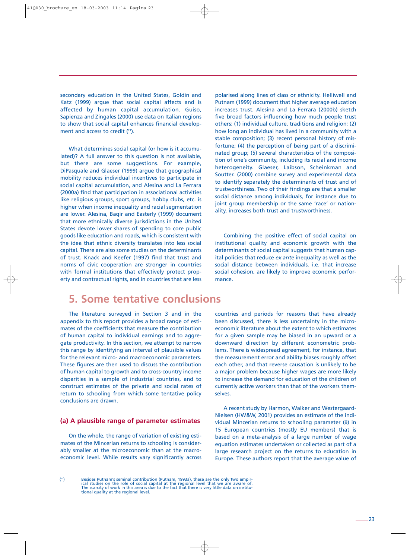secondary education in the United States, Goldin and Katz (1999) argue that social capital affects and is affected by human capital accumulation. Guiso, Sapienza and Zingales (2000) use data on Italian regions to show that social capital enhances financial development and access to credit  $(21)$ .

What determines social capital (or how is it accumulated)? A full answer to this question is not available, but there are some suggestions. For example, DiPasquale and Glaeser (1999) argue that geographical mobility reduces individual incentives to participate in social capital accumulation, and Alesina and La Ferrara (2000a) find that participation in associational activities like religious groups, sport groups, hobby clubs, etc. is higher when income inequality and racial segmentation are lower. Alesina, Baqir and Easterly (1999) document that more ethnically diverse jurisdictions in the United States devote lower shares of spending to core public goods like education and roads, which is consistent with the idea that ethnic diversity translates into less social capital. There are also some studies on the determinants of trust. Knack and Keefer (1997) find that trust and norms of civic cooperation are stronger in countries with formal institutions that effectively protect property and contractual rights, and in countries that are less polarised along lines of class or ethnicity. Helliwell and Putnam (1999) document that higher average education increases trust. Alesina and La Ferrara (2000b) sketch five broad factors influencing how much people trust others: (1) individual culture, traditions and religion; (2) how long an individual has lived in a community with a stable composition; (3) recent personal history of misfortune; (4) the perception of being part of a discriminated group; (5) several characteristics of the composition of one's community, including its racial and income heterogeneity. Glaeser, Laibson, Scheinkman and Soutter. (2000) combine survey and experimental data to identify separately the determinants of trust and of trustworthiness. Two of their findings are that a smaller social distance among individuals, for instance due to joint group membership or the same 'race' or nationality, increases both trust and trustworthiness.

Combining the positive effect of social capital on institutional quality and economic growth with the determinants of social capital suggests that human capital policies that reduce *ex ante* inequality as well as the social distance between individuals, i.e. that increase social cohesion, are likely to improve economic performance.

### **5. Some tentative conclusions**

The literature surveyed in Section 3 and in the appendix to this report provides a broad range of estimates of the coefficients that measure the contribution of human capital to individual earnings and to aggregate productivity. In this section, we attempt to narrow this range by identifying an interval of plausible values for the relevant micro- and macroeconomic parameters. These figures are then used to discuss the contribution of human capital to growth and to cross-country income disparities in a sample of industrial countries, and to construct estimates of the private and social rates of return to schooling from which some tentative policy conclusions are drawn.

### **(a) A plausible range of parameter estimates**

On the whole, the range of variation of existing estimates of the Mincerian returns to schooling is considerably smaller at the microeconomic than at the macroeconomic level. While results vary significantly across countries and periods for reasons that have already been discussed, there is less uncertainty in the microeconomic literature about the extent to which estimates for a given sample may be biased in an upward or a downward direction by different econometric problems. There is widespread agreement, for instance, that the measurement error and ability biases roughly offset each other, and that reverse causation is unlikely to be a major problem because higher wages are more likely to increase the demand for education of the children of currently active workers than that of the workers themselves.

A recent study by Harmon, Walker and Westergaard-Nielsen (HW&W, 2001) provides an estimate of the individual Mincerian returns to schooling parameter (θ) in 15 European countries (mostly EU members) that is based on a meta-analysis of a large number of wage equation estimates undertaken or collected as part of a large research project on the returns to education in Europe. These authors report that the average value of

 $(21)$ 

Besides Putnam's seminal contribution (Putnam, 1993a), these are the only two empirical studies on the role of social capital at the regional level that we are The scarcity of work in this area is due to the fact that there is very little data on institu-tional quality at the regional level.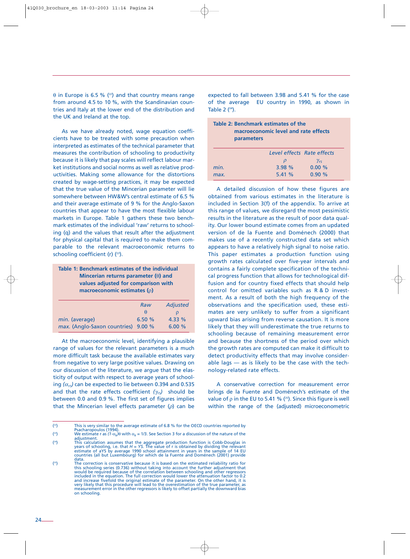θ in Europe is 6.5 % (<sup>22</sup>) and that country means range from around 4.5 to 10 %, with the Scandinavian countries and Italy at the lower end of the distribution and the UK and Ireland at the top.

As we have already noted, wage equation coefficients have to be treated with some precaution when interpreted as estimates of the technical parameter that measures the contribution of schooling to productivity because it is likely that pay scales will reflect labour market institutions and social norms as well as relative productivities. Making some allowance for the distortions created by wage-setting practices, it may be expected that the true value of the Mincerian parameter will lie somewhere between HW&W's central estimate of 6.5 % and their average estimate of 9 % for the Anglo-Saxon countries that appear to have the most flexible labour markets in Europe. Table 1 gathers these two benchmark estimates of the individual 'raw' returns to schooling (q) and the values that result after the adjustment for physical capital that is required to make them comparable to the relevant macroeconomic returns to schooling coefficient (r)  $(^{23})$ .

**Table 1: Benchmark estimates of the individual Mincerian returns parameter (**θ**) and values adjusted for comparison with macroeconomic estimates (**ρ**)**

|                                     | Raw   | Adjusted |
|-------------------------------------|-------|----------|
|                                     | A     |          |
| min. (average)                      | 6.50% | $4.33\%$ |
| max. (Anglo-Saxon countries) 9.00 % |       | 6.00%    |

At the macroeconomic level, identifying a plausible range of values for the relevant parameters is a much more difficult task because the available estimates vary from negative to very large positive values. Drawing on our discussion of the literature, we argue that the elasticity of output with respect to average years of schooling  $(\alpha_{\text{ys}})$  can be expected to lie between 0.394 and 0.535 and that the rate effects coefficient (γ<sub>/S</sub>) should be between 0.0 and 0.9 %. The first set of figures implies that the Mincerian level effects parameter  $(\rho)$  can be

expected to fall between 3.98 and 5.41 % for the case of the average EU country in 1990, as shown in Table  $2(^{24})$ .

|     | Table 2: Benchmark estimates of the<br>macroeconomic level and rate effects<br>parameters |                    |  |  |  |
|-----|-------------------------------------------------------------------------------------------|--------------------|--|--|--|
|     | Level effects Rate effects                                                                |                    |  |  |  |
|     | ρ                                                                                         | $\gamma_{\rm{ys}}$ |  |  |  |
| min | 3.98%                                                                                     | 0.00%              |  |  |  |
| max | 5.41%                                                                                     | 0.90%              |  |  |  |

A detailed discussion of how these figures are obtained from various estimates in the literature is included in Section 3(f) of the appendix. To arrive at this range of values, we disregard the most pessimistic results in the literature as the result of poor data quality. Our lower bound estimate comes from an updated version of de la Fuente and Doménech (2000) that makes use of a recently constructed data set which appears to have a relatively high signal to noise ratio. This paper estimates a production function using growth rates calculated over five-year intervals and contains a fairly complete specification of the technical progress function that allows for technological diffusion and for country fixed effects that should help control for omitted variables such as R & D investment. As a result of both the high frequency of the observations and the specification used, these estimates are very unlikely to suffer from a significant upward bias arising from reverse causation. It is more likely that they will underestimate the true returns to schooling because of remaining measurement error and because the shortness of the period over which the growth rates are computed can make it difficult to detect productivity effects that may involve considerable lags  $-$  as is likely to be the case with the technology-related rate effects.

A conservative correction for measurement error brings de la Fuente and Doménech's estimate of the value of  $ρ$  in the EU to 5.41 % ( $25$ ). Since this figure is well within the range of the (adjusted) microeconometric

 $(22)$ This is very similar to the average estimate of 6.8 % for the OECD countries reported by

Psacharopoulos (1994). 23) We estimate r as *(1-*α*k)*θ with α*<sup>k</sup>* = 1/3. See Section 3 for a discussion of the nature of the  $(23)$ 

adjustment.  $(24)$ This calculation assumes that the aggregate production function is Cobb-Douglas in years of schooling, i.e. that H = YS. The value of r is obtained by dividing the relevant<br>estimate of aYS by average 1990 school attainment countries (all but Luxembourg) for which de la Fuente and Doménech (2001) provide<br>data

<sup>&</sup>lt;sup>23</sup>) The correction is conservative because it is based on the estimated reliability ratio for this schooling series (0.736) without taking into account the further adjustment that would be required because of the correl  $(25)$ on schooling.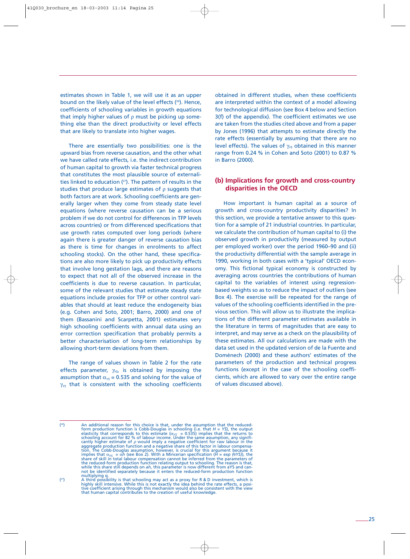estimates shown in Table 1, we will use it as an upper bound on the likely value of the level effects  $(26)$ . Hence, coefficients of schooling variables in growth equations that imply higher values of  $ρ$  must be picking up something else than the direct productivity or level effects that are likely to translate into higher wages.

There are essentially two possibilities: one is the upward bias from reverse causation, and the other what we have called rate effects, i.e. the indirect contribution of human capital to growth via faster technical progress that constitutes the most plausible source of externalities linked to education  $(27)$ . The pattern of results in the studies that produce large estimates of  $\rho$  suggests that both factors are at work. Schooling coefficients are generally larger when they come from steady state level equations (where reverse causation can be a serious problem if we do not control for differences in TFP levels across countries) or from differenced specifications that use growth rates computed over long periods (where again there is greater danger of reverse causation bias as there is time for changes in enrolments to affect schooling stocks). On the other hand, these specifications are also more likely to pick up productivity effects that involve long gestation lags, and there are reasons to expect that not all of the observed increase in the coefficients is due to reverse causation. In particular, some of the relevant studies that estimate steady state equations include proxies for TFP or other control variables that should at least reduce the endogeneity bias (e.g. Cohen and Soto, 2001; Barro, 2000) and one of them (Bassanini and Scarpetta, 2001) estimates very high schooling coefficients with annual data using an error correction specification that probably permits a better characterisation of long-term relationships by allowing short-term deviations from them.

The range of values shown in Table 2 for the rate effects parameter,  $γ_{ss}$ , is obtained by imposing the assumption that  $\alpha_{ys}$  = 0.535 and solving for the value of γ*YS* that is consistent with the schooling coefficients

obtained in different studies, when these coefficients are interpreted within the context of a model allowing for technological diffusion (see Box 4 below and Section 3(f) of the appendix). The coefficient estimates we use are taken from the studies cited above and from a paper by Jones (1996) that attempts to estimate directly the rate effects (essentially by assuming that there are no level effects). The values of γ<sub>*YS*</sub> obtained in this manner range from 0.24 % in Cohen and Soto (2001) to 0.87 % in Barro (2000).

### **(b) Implications for growth and cross-country disparities in the OECD**

How important is human capital as a source of growth and cross-country productivity disparities? In this section, we provide a tentative answer to this question for a sample of 21 industrial countries. In particular, we calculate the contribution of human capital to (i) the observed growth in productivity (measured by output per employed worker) over the period 1960–90 and (ii) the productivity differential with the sample average in 1990, working in both cases with a 'typical' OECD economy. This fictional typical economy is constructed by averaging across countries the contributions of human capital to the variables of interest using regressionbased weights so as to reduce the impact of outliers (see Box 4). The exercise will be repeated for the range of values of the schooling coefficients identified in the previous section. This will allow us to illustrate the implications of the different parameter estimates available in the literature in terms of magnitudes that are easy to interpret, and may serve as a check on the plausibility of these estimates. All our calculations are made with the data set used in the updated version of de la Fuente and Doménech (2000) and these authors' estimates of the parameters of the production and technical progress functions (except in the case of the schooling coefficients, which are allowed to vary over the entire range of values discussed above).

 $(26)$ <sup>26</sup>) An additional reason for this choice is that, under the assumption that the reduced-<br>form production function is Cobb-Douglas in schooling (i.e. that *H* = YS), the output<br>elasticity that corresponds to this estimat share of skill in total labour compensation cannot be inferred from the parameters of<br>the reduced-form production function relating output to schooling. The reason is that,<br>while this share still depends on ah, this parame

multiplying q.<br>
A third possibility is that schooling may act as a proxy for R & D investment, which is<br>
highly skill intensive. While this is not exactly the idea behind the rate effects, a posi-<br>
tive coefficient arising  $(27)$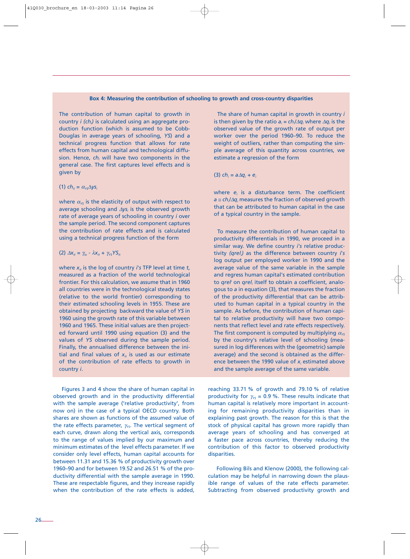#### **Box 4: Measuring the contribution of schooling to growth and cross-country disparities**

The contribution of human capital to growth in country *i (chi )* is calculated using an aggregate production function (which is assumed to be Cobb-Douglas in average years of schooling, *YS*) and a technical progress function that allows for rate effects from human capital and technological diffusion. Hence,  $ch_i$  will have two components in the general case. The first captures level effects and is given by

#### (1)  $ch_{ii} = \alpha_{\gamma s} \Delta y s_i$

where  $\alpha_{\text{YS}}$  is the elasticity of output with respect to average schooling and ∆*ysi* is the observed growth rate of average years of schooling in country *i* over the sample period. The second component captures the contribution of rate effects and is calculated using a technical progress function of the form

#### (2)  $\Delta x_{it} = \gamma_{io} - \lambda x_{it} + \gamma_{ys} Y S_{it}$

where  $x_{it}$  is the log of country *i*'s TFP level at time *t*, measured as a fraction of the world technological frontier. For this calculation, we assume that in 1960 all countries were in the technological steady states (relative to the world frontier) corresponding to their estimated schooling levels in 1955. These are obtained by projecting backward the value of *YS* in 1960 using the growth rate of this variable between 1960 and 1965. These initial values are then projected forward until 1990 using equation (3) and the values of *YS* observed during the sample period. Finally, the annualised difference between the initial and final values of  $x_{it}$  is used as our estimate of the contribution of rate effects to growth in country *i*.

Figures 3 and 4 show the share of human capital in observed growth and in the productivity differential with the sample average ('relative productivity', from now on) in the case of a typical OECD country. Both shares are shown as functions of the assumed value of the rate effects parameter, γ<sub>/S</sub>. The vertical segment of each curve, drawn along the vertical axis, corresponds to the range of values implied by our maximum and minimum estimates of the level effects parameter. If we consider only level effects, human capital accounts for between 11.31 and 15.36 % of productivity growth over 1960–90 and for between 19.52 and 26.51 % of the productivity differential with the sample average in 1990. These are respectable figures, and they increase rapidly when the contribution of the rate effects is added,

The share of human capital in growth in country *i* is then given by the ratio *ai = chi /*∆*qi* where <sup>∆</sup>*qi* is the observed value of the growth rate of output per worker over the period 1960–90. To reduce the weight of outliers, rather than computing the simple average of this quantity across countries, we estimate a regression of the form

#### (3) *chi = a*∆*qi + ei*

where *e<sub>i</sub>* is a disturbance term. The coefficient *a* ≅ *chi /*∆*qi* measures the fraction of observed growth that can be attributed to human capital in the case of a typical country in the sample.

To measure the contribution of human capital to productivity differentials in 1990, we proceed in a similar way. We define country *i's* relative productivity *(qreli )* as the difference between country *i*'*s* log output per employed worker in 1990 and the average value of the same variable in the sample and regress human capital's estimated contribution to *qreli* on *qreli* itself to obtain a coefficient, analogous to *a* in equation (3), that measures the fraction of the productivity differential that can be attributed to human capital in a typical country in the sample. As before, the contribution of human capital to relative productivity will have two components that reflect level and rate effects respectively. The first component is computed by multiplying  $\alpha_{\text{ys}}$ by the country's relative level of schooling (measured in log differences with the (geometric) sample average) and the second is obtained as the difference between the 1990 value of  $x_i$  estimated above and the sample average of the same variable.

reaching 33.71 % of growth and 79.10 % of relative productivity for  $\gamma_{\text{ss}}$  = 0.9 %. These results indicate that human capital is relatively more important in accounting for remaining productivity disparities than in explaining past growth. The reason for this is that the stock of physical capital has grown more rapidly than average years of schooling and has converged at a faster pace across countries, thereby reducing the contribution of this factor to observed productivity disparities.

Following Bils and Klenow (2000), the following calculation may be helpful in narrowing down the plausible range of values of the rate effects parameter. Subtracting from observed productivity growth and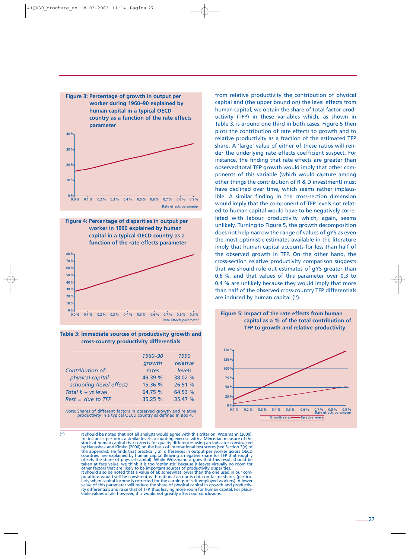

**Figure 4: Percentage of disparities in output per worker in 1990 explained by human capital in a typical OECD country as a function of the rate effects parameter**



**Table 3: Immediate sources of productivity growth and cross-country productivity differentials**

|                          | 1960-90 | 1990     |
|--------------------------|---------|----------|
|                          | growth  | relative |
| Contribution of:         | rates   | levels   |
| physical capital         | 49.39 % | 38.02 %  |
| schooling (level effect) | 15.36 % | 26.51 %  |
| Total $k + ys$ level     | 64.75 % | 64.53 %  |
| $Rest = due to TFP$      | 35.25 % | 35.47 %  |
|                          |         |          |

*Note:* Shares of different factors in observed growth and relative productivity in a typical OECD country as defined in Box 4.

 $(28)$ 

<sup>28</sup>) It should be noted that not all analysts would agree with this criterion. Wössmann (2000), for instance, performs a similar levels accounting exercise with a Mincerian measure of the stock of human capital that corr countries are explained by human capital (leaving a negative share for TFP that roughly<br>offsets the share of physical capital). While Wössmann argues that this result should be<br>taken at face value, we think it is too 'opt

other factors that are likely to be important sources of productivity disparities.<br>It should also be noted that a value of ak somewhat lower than the one used in our com-<br>putations would still be consistent with national a value of this parameter will reduce the share of physical capital in growth and productiv-<br>ity differentials and raise that of TFP, thus leaving more room for human capital. For plaus-<br>0ible values of ak, however, this wou

from relative productivity the contribution of physical capital and (the upper bound on) the level effects from human capital, we obtain the share of total factor productivity (TFP) in these variables which, as shown in Table 3, is around one third in both cases. Figure 5 then plots the contribution of rate effects to growth and to relative productivity as a fraction of the estimated TFP share. A 'large' value of either of these ratios will render the underlying rate effects coefficient suspect. For instance, the finding that rate effects are greater than observed total TFP growth would imply that other components of this variable (which would capture among other things the contribution of R & D investment) must have declined over time, which seems rather implausible. A similar finding in the cross-section dimension would imply that the component of TFP levels not related to human capital would have to be negatively correlated with labour productivity which, again, seems unlikely. Turning to Figure 5, the growth decomposition does not help narrow the range of values of gYS as even the most optimistic estimates available in the literature imply that human capital accounts for less than half of the observed growth in TFP. On the other hand, the cross-section relative productivity comparison suggests that we should rule out estimates of gYS greater than 0.6 %, and that values of this parameter over 0.3 to 0.4 % are unlikely because they would imply that more than half of the observed cross-country TFP differentials are induced by human capital  $(^{28})$ .

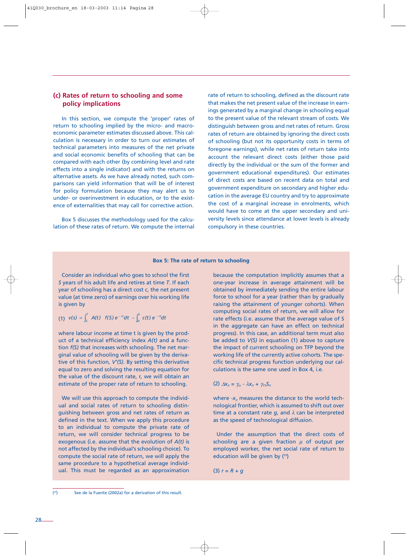### **(c) Rates of return to schooling and some policy implications**

In this section, we compute the 'proper' rates of return to schooling implied by the micro- and macroeconomic parameter estimates discussed above. This calculation is necessary in order to turn our estimates of technical parameters into measures of the net private and social economic benefits of schooling that can be compared with each other (by combining level and rate effects into a single indicator) and with the returns on alternative assets. As we have already noted, such comparisons can yield information that will be of interest for policy formulation because they may alert us to under- or overinvestment in education, or to the existence of externalities that may call for corrective action.

Box 5 discusses the methodology used for the calculation of these rates of return. We compute the internal rate of return to schooling, defined as the discount rate that makes the net present value of the increase in earnings generated by a marginal change in schooling equal to the present value of the relevant stream of costs. We distinguish between gross and net rates of return. Gross rates of return are obtained by ignoring the direct costs of schooling (but not its opportunity costs in terms of foregone earnings), while net rates of return take into account the relevant direct costs (either those paid directly by the individual or the sum of the former and government educational expenditures). Our estimates of direct costs are based on recent data on total and government expenditure on secondary and higher education in the average EU country and try to approximate the cost of a marginal increase in enrolments, which would have to come at the upper secondary and university levels since attendance at lower levels is already compulsory in these countries.

#### **Box 5: The rate of return to schooling**

Consider an individual who goes to school the first *S* years of his adult life and retires at time *T*. If each year of schooling has a direct cost *c*, the net present value (at time zero) of earnings over his working life is given by

(1) 
$$
v(s) = \int_{s}^{T} A(t) f(s) e^{-rt} dt - \int_{0}^{s} c(t) e^{-rt} dt
$$

where labour income at time t is given by the product of a technical efficiency index *A(t)* and a function *f(S)* that increases with schooling. The net marginal value of schooling will be given by the derivative of this function, *V'(S)*. By setting this derivative equal to zero and solving the resulting equation for the value of the discount rate, r, we will obtain an estimate of the proper rate of return to schooling.

We will use this approach to compute the individual and social rates of return to schooling distinguishing between gross and net rates of return as defined in the text. When we apply this procedure to an individual to compute the private rate of return, we will consider technical progress to be exogenous (i.e. assume that the evolution of *A(t)* is not affected by the individual's schooling choice). To compute the social rate of return, we will apply the same procedure to a hypothetical average individual. This must be regarded as an approximation

because the computation implicitly assumes that a one-year increase in average attainment will be obtained by immediately sending the entire labour force to school for a year (rather than by gradually raising the attainment of younger cohorts). When computing social rates of return, we will allow for rate effects (i.e. assume that the average value of S in the aggregate can have an effect on technical progress). In this case, an additional term must also be added to *V(S)* in equation (1) above to capture the impact of current schooling on TFP beyond the working life of the currently active cohorts. The specific technical progress function underlying our calculations is the same one used in Box 4, i.e.

$$
(2) \Delta x_{it} = \gamma_{io} - \lambda x_{it} + \gamma_{YS} S_{it}
$$

where  $-x_{it}$  measures the distance to the world technological frontier, which is assumed to shift out over time at a constant rate  $g$ , and  $\lambda$  can be interpreted as the speed of technological diffusion.

Under the assumption that the direct costs of schooling are a given fraction  $\mu$  of output per employed worker, the net social rate of return to education will be given by  $(^{29})$ 

(3) *r* = *R + g*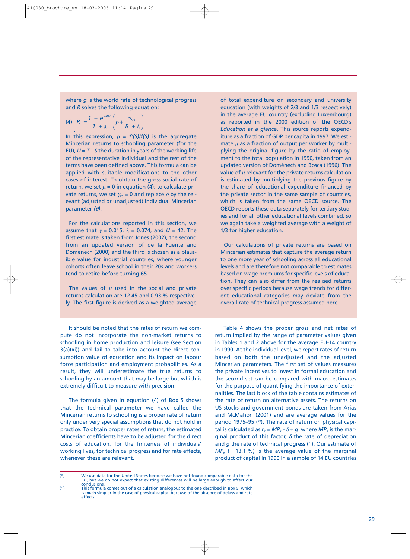where *g* is the world rate of technological progress and *R* solves the following equation:

$$
(4) \quad R = \frac{1 - e^{-RU}}{1 + \mu} \left( \rho + \frac{\gamma_{YS}}{R + \lambda} \right)
$$

In this expression,  $\rho = f'(S)/f(S)$  is the aggregate Mincerian returns to schooling parameter (for the EU),  $U = T - S$  the duration in years of the working life of the representative individual and the rest of the terms have been defined above. This formula can be applied with suitable modifications to the other cases of interest. To obtain the gross social rate of return, we set  $\mu = 0$  in equation (4); to calculate private returns, we set  $\gamma_{\rm ss}$  = 0 and replace  $\rho$  by the relevant (adjusted or unadjusted) individual Mincerian parameter *(*θ*)*.

For the calculations reported in this section, we assume that  $\gamma = 0.015$ ,  $\lambda = 0.074$ , and  $U = 42$ . The first estimate is taken from Jones (2002), the second from an updated version of de la Fuente and Doménech (2000) and the third is chosen as a plausible value for industrial countries, where younger cohorts often leave school in their 20s and workers tend to retire before turning 65.

The values of  $\mu$  used in the social and private returns calculation are 12.45 and 0.93 % respectively. The first figure is derived as a weighted average

It should be noted that the rates of return we compute do not incorporate the non-market returns to schooling in home production and leisure (see Section 3(a)(xi)) and fail to take into account the direct consumption value of education and its impact on labour force participation and employment probabilities. As a result, they will underestimate the true returns to schooling by an amount that may be large but which is extremely difficult to measure with precision.

The formula given in equation (4) of Box 5 shows that the technical parameter we have called the Mincerian returns to schooling is a proper rate of return only under very special assumptions that do not hold in practice. To obtain proper rates of return, the estimated Mincerian coefficients have to be adjusted for the direct costs of education, for the finiteness of individuals' working lives, for technical progress and for rate effects, whenever these are relevant.

of total expenditure on secondary and university education (with weights of 2/3 and 1/3 respectively) in the average EU country (excluding Luxembourg) as reported in the 2000 edition of the OECD's *Education at a glance*. This source reports expenditure as a fraction of GDP per capita in 1997. We estimate  $\mu$  as a fraction of output per worker by multiplying the original figure by the ratio of employment to the total population in 1990, taken from an updated version of Doménech and Boscá (1996). The value of  $\mu$  relevant for the private returns calculation is estimated by multiplying the previous figure by the share of educational expenditure financed by the private sector in the same sample of countries, which is taken from the same OECD source. The OECD reports these data separately for tertiary studies and for all other educational levels combined, so we again take a weighted average with a weight of 1/3 for higher education.

Our calculations of private returns are based on Mincerian estimates that capture the average return to one more year of schooling across all educational levels and are therefore not comparable to estimates based on wage premiums for specific levels of education. They can also differ from the realised returns over specific periods because wage trends for different educational categories may deviate from the overall rate of technical progress assumed here.

Table 4 shows the proper gross and net rates of return implied by the range of parameter values given in Tables 1 and 2 above for the average EU-14 country in 1990. At the individual level, we report rates of return based on both the unadjusted and the adjusted Mincerian parameters. The first set of values measures the private incentives to invest in formal education and the second set can be compared with macro-estimates for the purpose of quantifying the importance of externalities. The last block of the table contains estimates of the rate of return on alternative assets. The returns on US stocks and government bonds are taken from Arias and McMahon (2001) and are average values for the period 1975–95 (30). The rate of return on physical capital is calculated as  $r_k = MP_k - \delta + g$  where  $MP_k$  is the marginal product of this factor,  $\delta$  the rate of depreciation and *g* the rate of technical progress (31). Our estimate of  $MP_k$  (= 13.1 %) is the average value of the marginal product of capital in 1990 in a sample of 14 EU countries

 $(30)$ 30) We use data for the United States because we have not found comparable data for the EU, but we do not expect that existing differences will be large enough to affect our conclusions.

 $(31)$ 31) This formula comes out of a calculation analogous to the one described in Box 5, which is much simpler in the case of physical capital because of the absence of delays and rate effects.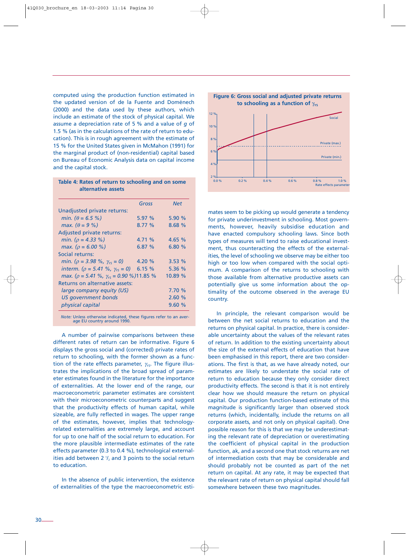computed using the production function estimated in the updated version of de la Fuente and Doménech (2000) and the data used by these authors, which include an estimate of the stock of physical capital. We assume a depreciation rate of 5 % and a value of *g* of 1.5 % (as in the calculations of the rate of return to education). This is in rough agreement with the estimate of 15 % for the United States given in McMahon (1991) for the marginal product of (non-residential) capital based on Bureau of Economic Analysis data on capital income and the capital stock.

|  |                    | Table 4: Rates of return to schooling and on some |  |
|--|--------------------|---------------------------------------------------|--|
|  | alternative assets |                                                   |  |
|  |                    |                                                   |  |

**Table 4: Rates of return to schooling and on some**

|                                                               | Gross | <b>Net</b> |
|---------------------------------------------------------------|-------|------------|
| Unadjusted private returns:                                   |       |            |
| min. $(\theta = 6.5 \% )$                                     | 5.97% | 5.90 %     |
| max. $(\theta = 9\%)$                                         | 8.77% | 8.68%      |
| <b>Adjusted private returns:</b>                              |       |            |
| min. ( $\rho$ = 4.33 %)                                       | 4.71% | 4.65%      |
| max. ( $\rho = 6.00 \%$ )                                     | 6.87% | 6.80%      |
| Social returns:                                               |       |            |
| min. ( $\rho = 3.98$ %, $\gamma_{\rm s} = 0$ )                | 4.20% | 3.53%      |
| interm. ( $\rho = 5.41$ %, $\gamma_{rs} = 0$ )                | 6.15% | 5.36%      |
| max. ( $\rho$ = 5.41 %, $\gamma_{\text{ys}}$ = 0.90 %)11.85 % |       | 10.89%     |
| Returns on alternative assets:                                |       |            |
| large company equity (US)                                     |       | 7.70 %     |
| <b>US government bonds</b>                                    |       | 2.60%      |
| physical capital                                              |       | 9.60%      |

*Note:* Unless otherwise indicated, these figures refer to an aver-age EU country around 1990.

A number of pairwise comparisons between these different rates of return can be informative. Figure 6 displays the gross social and (corrected) private rates of return to schooling, with the former shown as a function of the rate effects parameter, γ<sub>/S</sub>. The figure illustrates the implications of the broad spread of parameter estimates found in the literature for the importance of externalities. At the lower end of the range, our macroeconometric parameter estimates are consistent with their microeconometric counterparts and suggest that the productivity effects of human capital, while sizeable, are fully reflected in wages. The upper range of the estimates, however, implies that technologyrelated externalities are extremely large, and account for up to one half of the social return to education. For the more plausible intermediate estimates of the rate effects parameter (0.3 to 0.4 %), technological externalities add between 2  $\frac{1}{2}$  and 3 points to the social return to education.

In the absence of public intervention, the existence of externalities of the type the macroeconometric esti-



mates seem to be picking up would generate a tendency for private underinvestment in schooling. Most governments, however, heavily subsidise education and have enacted compulsory schooling laws. Since both types of measures will tend to raise educational investment, thus counteracting the effects of the externalities, the level of schooling we observe may be either too high or too low when compared with the social optimum. A comparison of the returns to schooling with those available from alternative productive assets can potentially give us some information about the optimality of the outcome observed in the average EU country.

In principle, the relevant comparison would be between the net social returns to education and the returns on physical capital. In practice, there is considerable uncertainty about the values of the relevant rates of return. In addition to the existing uncertainty about the size of the external effects of education that have been emphasised in this report, there are two considerations. The first is that, as we have already noted, our estimates are likely to understate the social rate of return to education because they only consider direct productivity effects. The second is that it is not entirely clear how we should measure the return on physical capital. Our production function-based estimate of this magnitude is significantly larger than observed stock returns (which, incidentally, include the returns on all corporate assets, and not only on physical capital). One possible reason for this is that we may be underestimating the relevant rate of depreciation or overestimating the coefficient of physical capital in the production function, ak, and a second one that stock returns are net of intermediation costs that may be considerable and should probably not be counted as part of the net return on capital. At any rate, it may be expected that the relevant rate of return on physical capital should fall somewhere between these two magnitudes.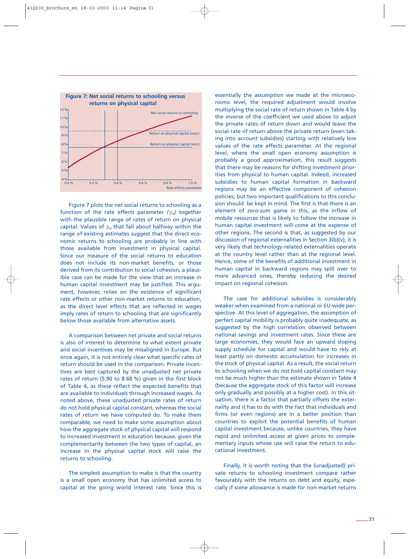

Figure 7 plots the net social returns to schooling as a function of the rate effects parameter (γ<sub>*S*s</sub>) together with the plausible range of rates of return on physical capital. Values of γ*YS* that fall about halfway within the range of existing estimates suggest that the direct economic returns to schooling are probably in line with those available from investment in physical capital. Since our measure of the social returns to education does not include its non-market benefits, or those derived from its contribution to social cohesion, a plausible case can be made for the view that an increase in human capital investment may be justified. This argument, however, relies on the existence of significant rate effects or other non-market returns to education, as the direct level effects that are reflected in wages imply rates of return to schooling that are significantly below those available from alternative assets.

A comparison between net private and social returns is also of interest to determine to what extent private and social incentives may be misaligned in Europe. But once again, it is not entirely clear what specific rates of return should be used in the comparison. Private incentives are best captured by the unadjusted net private rates of return (5.90 to 8.68 %) given in the first block of Table 4, as these reflect the expected benefits that are available to individuals through increased wages. As noted above, these unadjusted private rates of return do not hold physical capital constant, whereas the social rates of return we have computed do. To make them comparable, we need to make some assumption about how the aggregate stock of physical capital will respond to increased investment in education because, given the complementarity between the two types of capital, an increase in the physical capital stock will raise the returns to schooling.

The simplest assumption to make is that the country is a small open economy that has unlimited access to capital at the going world interest rate. Since this is essentially the assumption we made at the microeconomic level, the required adjustment would involve multiplying the social rate of return shown in Table 4 by the inverse of the coefficient we used above to adjust the private rates of return down and would leave the social rate of return above the private return (even taking into account subsidies) starting with relatively low values of the rate effects parameter. At the regional level, where the small open economy assumption is probably a good approximation, this result suggests that there may be reasons for shifting investment priorities from physical to human capital. Indeed, increased subsidies to human capital formation in backward regions may be an effective component of cohesion policies, but two important qualifications to this conclusion should be kept in mind. The first is that there is an element of zero-sum game in this, as the inflow of mobile resources that is likely to follow the increase in human capital investment will come at the expense of other regions. The second is that, as suggested by our discussion of regional externalities in Section 3(b)(v), it is very likely that technology-related externalities operate at the country level rather than at the regional level. Hence, some of the benefits of additional investment in human capital in backward regions may spill over to more advanced ones, thereby reducing the desired impact on regional cohesion.

The case for additional subsidies is considerably weaker when examined from a national or EU-wide perspective. At this level of aggregation, the assumption of perfect capital mobility is probably quite inadequate, as suggested by the high correlation observed between national savings and investment rates. Since these are large economies, they would face an upward sloping supply schedule for capital and would have to rely at least partly on domestic accumulation for increases in the stock of physical capital. As a result, the social return to schooling when we do not hold capital constant may not be much higher than the estimate shown in Table 4 (because the aggregate stock of this factor will increase only gradually and possibly at a higher cost). In this situation, there is a factor that partially offsets the externality and it has to do with the fact that individuals and firms (or even regions) are in a better position than countries to exploit the potential benefits of human capital investment because, unlike countries, they have rapid and unlimited access at given prices to complementary inputs whose use will raise the return to educational investment.

Finally, it is worth noting that the (unadjusted) private returns to schooling investment compare rather favourably with the returns on debt and equity, especially if some allowance is made for non-market returns

31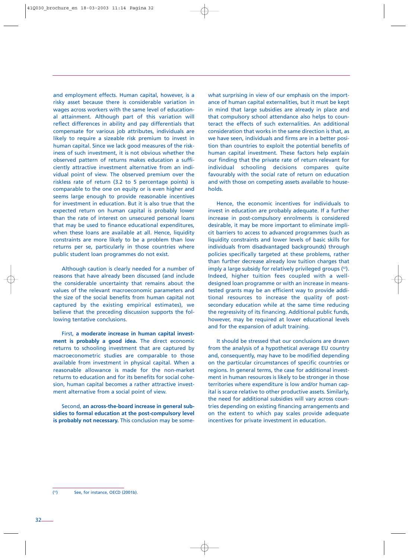and employment effects. Human capital, however, is a risky asset because there is considerable variation in wages across workers with the same level of educational attainment. Although part of this variation will reflect differences in ability and pay differentials that compensate for various job attributes, individuals are likely to require a sizeable risk premium to invest in human capital. Since we lack good measures of the riskiness of such investment, it is not obvious whether the observed pattern of returns makes education a sufficiently attractive investment alternative from an individual point of view. The observed premium over the riskless rate of return (3.2 to 5 percentage points) is comparable to the one on equity or is even higher and seems large enough to provide reasonable incentives for investment in education. But it is also true that the expected return on human capital is probably lower than the rate of interest on unsecured personal loans that may be used to finance educational expenditures, when these loans are available at all. Hence, liquidity constraints are more likely to be a problem than low returns per se, particularly in those countries where public student loan programmes do not exist.

Although caution is clearly needed for a number of reasons that have already been discussed (and include the considerable uncertainty that remains about the values of the relevant macroeconomic parameters and the size of the social benefits from human capital not captured by the existing empirical estimates), we believe that the preceding discussion supports the following tentative conclusions.

First, **a moderate increase in human capital investment is probably a good idea.** The direct economic returns to schooling investment that are captured by macroeconometric studies are comparable to those available from investment in physical capital. When a reasonable allowance is made for the non-market returns to education and for its benefits for social cohesion, human capital becomes a rather attractive investment alternative from a social point of view.

Second, **an across-the-board increase in general subsidies to formal education at the post-compulsory level is probably not necessary.** This conclusion may be somewhat surprising in view of our emphasis on the importance of human capital externalities, but it must be kept in mind that large subsidies are already in place and that compulsory school attendance also helps to counteract the effects of such externalities. An additional consideration that works in the same direction is that, as we have seen, individuals and firms are in a better position than countries to exploit the potential benefits of human capital investment. These factors help explain our finding that the private rate of return relevant for individual schooling decisions compares quite favourably with the social rate of return on education and with those on competing assets available to households.

Hence, the economic incentives for individuals to invest in education are probably adequate. If a further increase in post-compulsory enrolments is considered desirable, it may be more important to eliminate implicit barriers to access to advanced programmes (such as liquidity constraints and lower levels of basic skills for individuals from disadvantaged backgrounds) through policies specifically targeted at these problems, rather than further decrease already low tuition charges that imply a large subsidy for relatively privileged groups (32). Indeed, higher tuition fees coupled with a welldesigned loan programme or with an increase in meanstested grants may be an efficient way to provide additional resources to increase the quality of postsecondary education while at the same time reducing the regressivity of its financing. Additional public funds, however, may be required at lower educational levels and for the expansion of adult training.

It should be stressed that our conclusions are drawn from the analysis of a hypothetical average EU country and, consequently, may have to be modified depending on the particular circumstances of specific countries or regions. In general terms, the case for additional investment in human resources is likely to be stronger in those territories where expenditure is low and/or human capital is scarce relative to other productive assets. Similarly, the need for additional subsidies will vary across countries depending on existing financing arrangements and on the extent to which pay scales provide adequate incentives for private investment in education.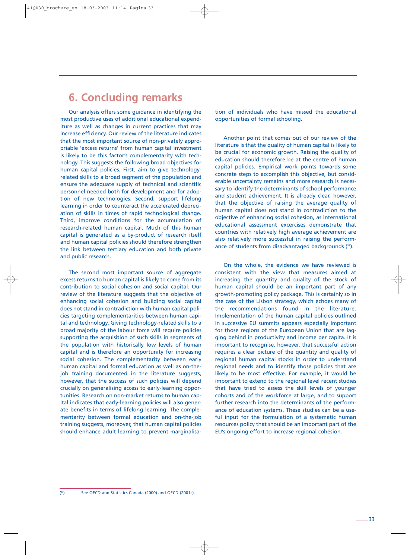# **6. Concluding remarks**

Our analysis offers some guidance in identifying the most productive uses of additional educational expenditure as well as changes in current practices that may increase efficiency. Our review of the literature indicates that the most important source of non-privately appropriable 'excess returns' from human capital investment is likely to be this factor's complementarity with technology. This suggests the following broad objectives for human capital policies. First, aim to give technologyrelated skills to a broad segment of the population and ensure the adequate supply of technical and scientific personnel needed both for development and for adoption of new technologies. Second, support lifelong learning in order to counteract the accelerated depreciation of skills in times of rapid technological change. Third, improve conditions for the accumulation of research-related human capital. Much of this human capital is generated as a by-product of research itself and human capital policies should therefore strengthen the link between tertiary education and both private and public research.

The second most important source of aggregate excess returns to human capital is likely to come from its contribution to social cohesion and social capital. Our review of the literature suggests that the objective of enhancing social cohesion and building social capital does not stand in contradiction with human capital policies targeting complementarities between human capital and technology. Giving technology-related skills to a broad majority of the labour force will require policies supporting the acquisition of such skills in segments of the population with historically low levels of human capital and is therefore an opportunity for increasing social cohesion. The complementarity between early human capital and formal education as well as on-thejob training documented in the literature suggests, however, that the success of such policies will depend crucially on generalising access to early-learning opportunities. Research on non-market returns to human capital indicates that early-learning policies will also generate benefits in terms of lifelong learning. The complementarity between formal education and on-the-job training suggests, moreover, that human capital policies should enhance adult learning to prevent marginalisation of individuals who have missed the educational opportunities of formal schooling.

Another point that comes out of our review of the literature is that the quality of human capital is likely to be crucial for economic growth. Raising the quality of education should therefore be at the centre of human capital policies. Empirical work points towards some concrete steps to accomplish this objective, but considerable uncertainty remains and more research is necessary to identify the determinants of school performance and student achievement. It is already clear, however, that the objective of raising the average quality of human capital does not stand in contradiction to the objective of enhancing social cohesion, as international educational assessment excercises demonstrate that countries with relatively high average achievement are also relatively more successful in raising the performance of students from disadvantaged backgrounds (33).

On the whole, the evidence we have reviewed is consistent with the view that measures aimed at increasing the quantity and quality of the stock of human capital should be an important part of any growth-promoting policy package. This is certainly so in the case of the Lisbon strategy, which echoes many of the recommendations found in the literature. Implementation of the human capital policies outlined in successive EU summits appears especially important for those regions of the European Union that are lagging behind in productivity and income per capita. It is important to recognise, however, that successful action requires a clear picture of the quantity and quality of regional human capital stocks in order to understand regional needs and to identify those policies that are likely to be most effective. For example, it would be important to extend to the regional level recent studies that have tried to assess the skill levels of younger cohorts and of the workforce at large, and to support further research into the determinants of the performance of education systems. These studies can be a useful input for the formulation of a systematic human resources policy that should be an important part of the EU's ongoing effort to increase regional cohesion.

33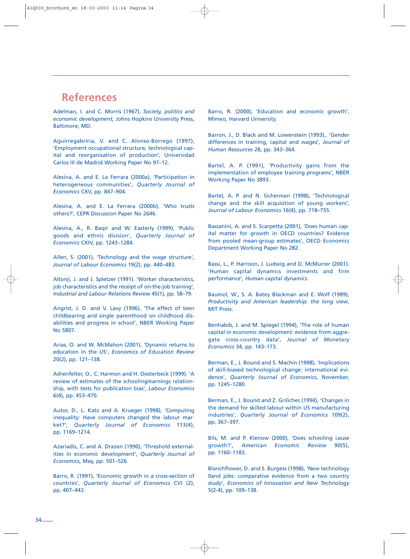# **References**

Adelman, I. and C. Morris (1967), *Society, politics and economic development,* Johns Hopkins University Press, Baltimore, MD.

Aguirregabriria, V. and C. Alonso-Borrego (1997), 'Employment occupational structure, technological capital and reorganisation of production', Universidad Carlos III de Madrid Working Paper No 97–12.

Alesina, A. and E. La Ferrara (2000a), 'Participation in heterogeneous communities', *Quarterly Journal of Economics* CXV, pp. 847–904.

Alesina, A. and E. La Ferrara (2000b), 'Who trusts others?', CEPR Discussion Paper No 2646.

Alesina, A., R. Baqir and W. Easterly (1999), 'Public goods and ethnic division', *Quarterly Journal of Economics* CXIV, pp. 1243–1284.

Allen, S. (2001), 'Technology and the wage structure', *Journal of Labour Economics* 19(2), pp. 440–483.

Altonji, J. and J. Spletzer (1991). 'Worker characteristics, job characteristics and the receipt of on-the-job training', *Industrial and Labour Relations Review* 45(1), pp. 58–79.

Angrist, J. D. and V. Lavy (1996), 'The effect of teen childbearing and single parenthood on childhood disabilities and progress in school', NBER Working Paper No 5807.

Arias, O. and W. McMahon (2001), 'Dynamic returns to education in the US', *Economics of Education Review* 20(2), pp. 121–138.

Ashenfelter, O., C. Harmon and H. Oosterbeck (1999). 'A review of estimates of the schooling/earnings relationship, with tests for publication bias', *Labour Economics* 6(4), pp. 453–470.

Autor, D., L. Katz and A. Krueger (1998), 'Computing inequality: Have computers changed the labour market?', *Quarterly Journal of Economics* 113(4), pp. 1169–1214.

Azariadis, C. and A. Drazen (1990), 'Threshold externalities in economic development', *Quarterly Journal of Economics*, May, pp. 501–526.

Barro, R. (1991), 'Economic growth in a cross-section of countries', *Quarterly Journal of Economics* CVI (2), pp. 407–443.

Barro, R. (2000), 'Education and economic growth', Mimeo, Harvard University.

Barron, J., D. Black and M. Lowenstein (1993),. 'Gender differences in training, capital and wages', *Journal of Human Resources* 28, pp. 343–364.

Bartel, A. P. (1991), 'Productivity gains from the implementation of employee training programs', NBER Working Paper No 3893.

Bartel, A. P. and N. Sicherman (1998), 'Technological change and the skill acquisition of young workers', *Journal of Labour Economics* 16(4), pp. 718–755.

Bassanini, A. and S. Scarpetta (2001), 'Does human capital matter for growth in OECD countries? Evidence from pooled mean-group estimates', OECD Economics Department Working Paper No 282.

Bassi, L., P. Harrison, J. Ludwig and D. McMurrer (2001). 'Human capital dynamics investments and firm performance', *Human capital dynamics.* 

Baumol, W., S. A. Batey Blackman and E. Wolf (1989), *Productivity and American leadership: the long view*, MIT Press.

Benhabib, J. and M. Spiegel (1994), 'The role of human capital in economic development: evidence from aggregate cross-country data', *Journal of Monetary Economics* 34, pp. 143–173.

Berman, E., J. Bound and S. Machin (1998), 'Implications of skill-biased technological change: international evidence', *Quarterly Journal of Economics*, November, pp. 1245–1280.

Berman, E., J. Bound and Z. Griliches (1994), 'Changes in the demand for skilled labour within US manufacturing industries', *Quarterly Journal of Economics* 109(2), pp. 367–397.

Bils, M. and P. Klenow (2000), 'Does schooling cause growth?', *American Economic Review* 90(5), pp. 1160–1183.

Blanchflower, D. and S. Burgess (1998), 'New technology 0and jobs: comparative evidence from a two country study', *Economics of Innovation and New Technology* 5(2-4), pp. 109–138.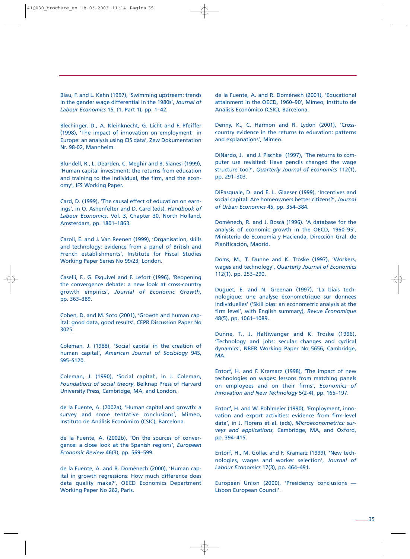Blau, F. and L. Kahn (1997), 'Swimming upstream: trends in the gender wage differential in the 1980s', *Journal of Labour Economics* 15, (1, Part 1), pp. 1–42.

Blechinger, D., A. Kleinknecht, G. Licht and F. Pfeiffer (1998), 'The impact of innovation on employment in Europe: an analysis using CIS data', Zew Dokumentation Nr. 98-02, Mannheim.

Blundell, R., L. Dearden, C. Meghir and B. Sianesi (1999), 'Human capital investment: the returns from education and training to the individual, the firm, and the economy', IFS Working Paper.

Card, D. (1999), 'The causal effect of education on earnings', in O. Ashenfelter and D. Card (eds), *Handbook of Labour Economics*, Vol. 3, Chapter 30, North Holland, Amsterdam, pp. 1801–1863.

Caroli, E. and J. Van Reenen (1999), 'Organisation, skills and technology: evidence from a panel of British and French establishments', Institute for Fiscal Studies Working Paper Series No 99/23, London.

Caselli, F., G. Esquivel and F. Lefort (1996), 'Reopening the convergence debate: a new look at cross-country growth empirics', *Journal of Economic Growth*, pp. 363–389.

Cohen, D. and M. Soto (2001), 'Growth and human capital: good data, good results', CEPR Discussion Paper No 3025.

Coleman, J. (1988), 'Social capital in the creation of human capital', *American Journal of Sociology* 94S, S95–S120.

Coleman, J. (1990), 'Social capital', in J. Coleman, *Foundations of social theory*, Belknap Press of Harvard University Press, Cambridge, MA, and London.

de la Fuente, A. (2002a), 'Human capital and growth: a survey and some tentative conclusions', Mimeo, Instituto de Análisis Económico (CSIC), Barcelona.

de la Fuente, A. (2002b), 'On the sources of convergence: a close look at the Spanish regions', *European Economic Review* 46(3), pp. 569–599.

de la Fuente, A. and R. Doménech (2000), 'Human capital in growth regressions: How much difference does data quality make?', OECD Economics Department Working Paper No 262, Paris.

de la Fuente, A. and R. Doménech (2001), 'Educational attainment in the OECD, 1960–90', Mimeo, Instituto de Análisis Económico (CSIC), Barcelona.

Denny, K., C. Harmon and R. Lydon (2001), 'Crosscountry evidence in the returns to education: patterns and explanations', Mimeo.

DiNardo, J. and J. Pischke (1997), 'The returns to computer use revisited: Have pencils changed the wage structure too?', *Quarterly Journal of Economics* 112(1), pp. 291–303.

DiPasquale, D. and E. L. Glaeser (1999), 'Incentives and social capital: Are homeowners better citizens?', *Journal of Urban Economics* 45, pp. 354–384.

Doménech, R. and J. Boscá (1996). 'A database for the analysis of economic growth in the OECD, 1960–95', Ministerio de Economía y Hacienda, Dirección Gral. de Planificación, Madrid.

Doms, M., T. Dunne and K. Troske (1997), 'Workers, wages and technology', *Quarterly Journal of Economics* 112(1), pp. 253–290.

Duguet, E. and N. Greenan (1997), 'La biais technologique: une analyse économetrique sur donnees individuelles' ('Skill bias: an econometric analysis at the firm level', with English summary), *Revue Économique* 48(5), pp. 1061–1089.

Dunne, T., J. Haltiwanger and K. Troske (1996), 'Technology and jobs: secular changes and cyclical dynamics', NBER Working Paper No 5656, Cambridge, MA.

Entorf, H. and F. Kramarz (1998), 'The impact of new technologies on wages: lessons from matching panels on employees and on their firms', *Economics of Innovation and New Technology* 5(2-4), pp. 165–197.

Entorf, H. and W. Pohlmeier (1990), 'Employment, innovation and export activities: evidence from firm-level data', in J. Florens et al. (eds), *Microeconometrics: surveys and applications*, Cambridge, MA, and Oxford, pp. 394–415.

Entorf, H., M. Gollac and F. Kramarz (1999), 'New technologies, wages and worker selection', *Journal of Labour Economics* 17(3), pp. 464–491.

European Union (2000), 'Presidency conclusions — Lisbon European Council'.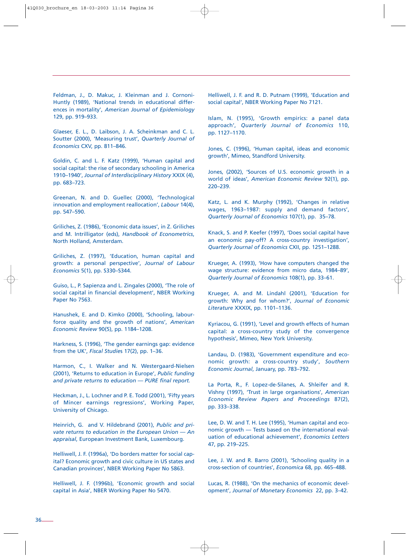Feldman, J., D. Makuc, J. Kleinman and J. Cornoni-Huntly (1989), 'National trends in educational differences in mortality', *American Journal of Epidemiology* 129, pp. 919–933.

Glaeser, E. L., D. Laibson, J. A. Scheinkman and C. L. Soutter (2000), 'Measuring trust', *Quarterly Journal of Economics* CXV, pp. 811–846.

Goldin, C. and L. F. Katz (1999), 'Human capital and social capital: the rise of secondary schooling in America 1910–1940', *Journal of Interdisciplinary History* XXIX (4), pp. 683–723.

Greenan, N. and D. Guellec (2000), 'Technological innovation and employment reallocation', *Labour* 14(4), pp. 547–590.

Griliches, Z. (1986), 'Economic data issues', in Z. Griliches and M. Intrilligator (eds), *Handbook of Econometrics*, North Holland, Amsterdam.

Griliches, Z. (1997), 'Education, human capital and growth: a personal perspective', *Journal of Labour Economics* 5(1), pp. S330–S344.

Guiso, L., P. Sapienza and L. Zingales (2000), 'The role of social capital in financial development', NBER Working Paper No 7563.

Hanushek, E. and D. Kimko (2000), 'Schooling, labourforce quality and the growth of nations', *American Economic Review* 90(5), pp. 1184–1208.

Harkness, S. (1996), 'The gender earnings gap: evidence from the UK', *Fiscal Studie*s 17(2), pp. 1–36.

Harmon, C., I. Walker and N. Westergaard-Nielsen (2001), 'Returns to education in Europe', *Public funding and private returns to education — PURE final report.*

Heckman, J., L. Lochner and P. E. Todd (2001), 'Fifty years of Mincer earnings regressions', Working Paper, University of Chicago.

Heinrich, G. and V. Hildebrand (2001), *Public and private returns to education in the European Union — An appraisal*, European Investment Bank, Luxembourg.

Helliwell, J. F. (1996a), 'Do borders matter for social capital? Economic growth and civic culture in US states and Canadian provinces', NBER Working Paper No 5863.

Helliwell, J. F. (1996b), 'Economic growth and social capital in Asia', NBER Working Paper No 5470.

Helliwell, J. F. and R. D. Putnam (1999), 'Education and social capital', NBER Working Paper No 7121.

Islam, N. (1995), 'Growth empirics: a panel data approach', *Quarterly Journal of Economics* 110, pp. 1127–1170.

Jones, C. (1996), 'Human capital, ideas and economic growth', Mimeo, Standford University.

Jones, (2002), 'Sources of U.S. economic growth in a world of ideas', *American Economic Review* 92(1), pp. 220–239.

Katz, L. and K. Murphy (1992), 'Changes in relative wages, 1963–1987: supply and demand factors', *Quarterly Journal of Economics* 107(1), pp. 35–78.

Knack, S. and P. Keefer (1997), 'Does social capital have an economic pay-off? A cross-country investigation', *Quarterly Journal of Economics* CXII, pp. 1251–1288.

Krueger, A. (1993), 'How have computers changed the wage structure: evidence from micro data, 1984–89', *Quarterly Journal of Economics* 108(1), pp. 33–61.

Krueger, A. and M. Lindahl (2001), 'Education for growth: Why and for whom?', *Journal of Economic Literature* XXXIX, pp. 1101–1136.

Kyriacou, G. (1991), 'Level and growth effects of human capital: a cross-country study of the convergence hypothesis', Mimeo, New York University.

Landau, D. (1983), 'Government expenditure and economic growth: a cross-country study', *Southern Economic Journal*, January, pp. 783–792.

La Porta, R., F. Lopez-de-Silanes, A. Shleifer and R. Vishny (1997), 'Trust in large organisations', *American Economic Review Papers and Proceedings* 87(2), pp. 333–338.

Lee, D. W. and T. H. Lee (1995), 'Human capital and economic growth — Tests based on the international evaluation of educational achievement', *Economics Letters* 47, pp. 219–225.

Lee, J. W. and R. Barro (2001), 'Schooling quality in a cross-section of countries', *Economica* 68, pp. 465–488.

Lucas, R. (1988), 'On the mechanics of economic development', *Journal of Monetary Economics* 22, pp. 3–42.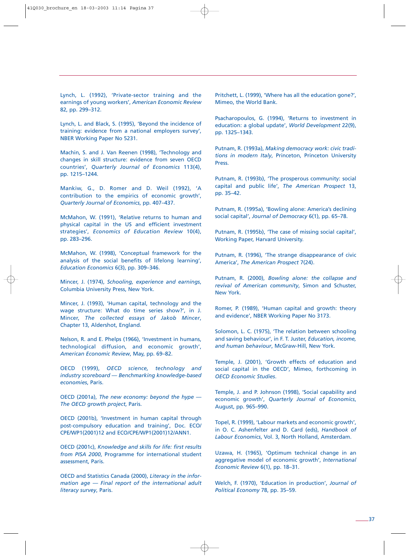Lynch, L. (1992), 'Private-sector training and the earnings of young workers', *American Economic Review* 82, pp. 299–312.

Lynch, L. and Black, S. (1995), 'Beyond the incidence of training: evidence from a national employers survey', NBER Working Paper No 5231.

Machin, S. and J. Van Reenen (1998), 'Technology and changes in skill structure: evidence from seven OECD countries', *Quarterly Journal of Economics* 113(4), pp. 1215–1244.

Mankiw, G., D. Romer and D. Weil (1992), 'A contribution to the empirics of economic growth', *Quarterly Journal of Economics*, pp. 407–437.

McMahon, W. (1991), 'Relative returns to human and physical capital in the US and efficient investment strategies', *Economics of Education Review* 10(4), pp. 283–296.

McMahon, W. (1998), 'Conceptual framework for the analysis of the social benefits of lifelong learning', *Education Economics* 6(3), pp. 309–346.

Mincer, J. (1974), *Schooling, experience and earnings*, Columbia University Press, New York.

Mincer, J. (1993), 'Human capital, technology and the wage structure: What do time series show?', in J. Mincer, *The collected essays of Jakob Mincer*, Chapter 13, Aldershot, England.

Nelson, R. and E. Phelps (1966), 'Investment in humans, technological diffusion, and economic growth', *American Economic Review*, May, pp. 69–82.

OECD (1999), *OECD science, technology and industry scoreboard — Benchmarking knowledge-based economies*, Paris.

OECD (2001a), *The new economy: beyond the hype — The OECD growth project*, Paris.

OECD (2001b), 'Investment in human capital through post-compulsory education and training', Doc. ECO/ CPE/WP1(2001)12 and ECO/CPE/WP1(2001)12/ANN1.

OECD (2001c), *Knowledge and skills for life: first results from PISA 2000*, Programme for international student assessment, Paris.

OECD and Statistics Canada (2000), *Literacy in the information age — Final report of the international adult literacy survey*, Paris.

Pritchett, L. (1999), 'Where has all the education gone?', Mimeo, the World Bank.

Psacharopoulos, G. (1994), 'Returns to investment in education: a global update', *World Development* 22(9), pp. 1325–1343.

Putnam, R. (1993a), *Making democracy work: civic traditions in modern Italy*, Princeton, Princeton University Press.

Putnam, R. (1993b), 'The prosperous community: social capital and public life', *The American Prospect* 13, pp. 35–42.

Putnam, R. (1995a), 'Bowling alone: America's declining social capital', *Journal of Democracy* 6(1), pp. 65–78.

Putnam, R. (1995b), 'The case of missing social capital', Working Paper, Harvard University.

Putnam, R. (1996), 'The strange disappearance of civic America', *The American Prospect* 7(24).

Putnam, R. (2000), *Bowling alone: the collapse and revival of American community*, Simon and Schuster, New York.

Romer, P. (1989), 'Human capital and growth: theory and evidence', NBER Working Paper No 3173.

Solomon, L. C. (1975), 'The relation between schooling and saving behaviour', in F. T. Juster, *Education, income, and human behaviour*, McGraw-Hill, New York.

Temple, J. (2001), 'Growth effects of education and social capital in the OECD', Mimeo, forthcoming in *OECD Economic Studies*.

Temple, J. and P. Johnson (1998), 'Social capability and economic growth', *Quarterly Journal of Economics*, August, pp. 965–990.

Topel, R. (1999), 'Labour markets and economic growth', in O. C. Ashenfelter and D. Card (eds), *Handbook of Labour Economics*, Vol. 3, North Holland, Amsterdam.

Uzawa, H. (1965), 'Optimum technical change in an aggregative model of economic growth', *International Economic Review* 6(1), pp. 18–31.

Welch, F. (1970), 'Education in production', *Journal of Political Economy* 78, pp. 35–59.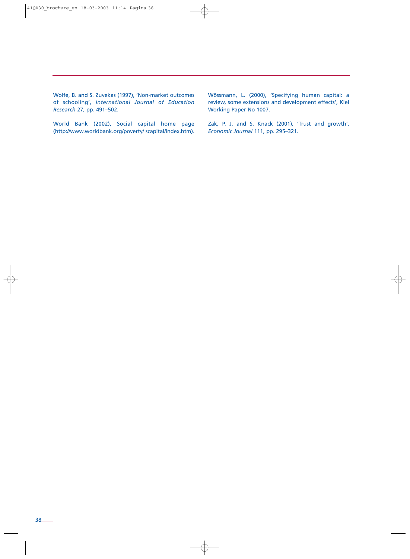Wolfe, B. and S. Zuvekas (1997), 'Non-market outcomes of schooling', *International Journal of Education Research* 27, pp. 491–502.

Wössmann, L. (2000), 'Specifying human capital: a review, some extensions and development effects', Kiel Working Paper No 1007.

World Bank (2002), Social capital home page (http://www.worldbank.org/poverty/ scapital/index.htm).

Zak, P. J. and S. Knack (2001), 'Trust and growth', *Economic Journal* 111, pp. 295–321.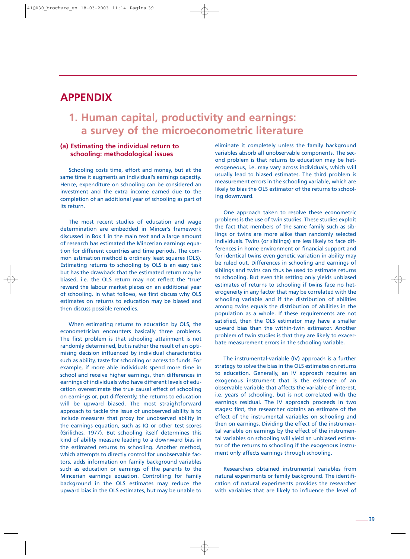# **APPENDIX**

# **1. Human capital, productivity and earnings: a survey of the microeconometric literature**

# **(a) Estimating the individual return to schooling: methodological issues**

Schooling costs time, effort and money, but at the same time it augments an individual's earnings capacity. Hence, expenditure on schooling can be considered an investment and the extra income earned due to the completion of an additional year of schooling as part of its return.

The most recent studies of education and wage determination are embedded in Mincer's framework discussed in Box 1 in the main text and a large amount of research has estimated the Mincerian earnings equation for different countries and time periods. The common estimation method is ordinary least squares (OLS). Estimating returns to schooling by OLS is an easy task but has the drawback that the estimated return may be biased, i.e. the OLS return may not reflect the 'true' reward the labour market places on an additional year of schooling. In what follows, we first discuss why OLS estimates on returns to education may be biased and then discuss possible remedies.

When estimating returns to education by OLS, the econometrician encounters basically three problems. The first problem is that schooling attainment is not randomly determined, but is rather the result of an optimising decision influenced by individual characteristics such as ability, taste for schooling or access to funds. For example, if more able individuals spend more time in school and receive higher earnings, then differences in earnings of individuals who have different levels of education overestimate the true causal effect of schooling on earnings or, put differently, the returns to education will be upward biased. The most straightforward approach to tackle the issue of unobserved ability is to include measures that proxy for unobserved ability in the earnings equation, such as IQ or other test scores (Griliches, 1977). But schooling itself determines this kind of ability measure leading to a downward bias in the estimated returns to schooling. Another method, which attempts to directly control for unobservable factors, adds information on family background variables such as education or earnings of the parents to the Mincerian earnings equation. Controlling for family background in the OLS estimates may reduce the upward bias in the OLS estimates, but may be unable to

eliminate it completely unless the family background variables absorb all unobservable components. The second problem is that returns to education may be heterogeneous, i.e. may vary across individuals, which will usually lead to biased estimates. The third problem is measurement errors in the schooling variable, which are likely to bias the OLS estimator of the returns to schooling downward.

One approach taken to resolve these econometric problems is the use of twin studies. These studies exploit the fact that members of the same family such as siblings or twins are more alike than randomly selected individuals. Twins (or siblings) are less likely to face differences in home environment or financial support and for identical twins even genetic variation in ability may be ruled out. Differences in schooling and earnings of siblings and twins can thus be used to estimate returns to schooling. But even this setting only yields unbiased estimates of returns to schooling if twins face no heterogeneity in any factor that may be correlated with the schooling variable and if the distribution of abilities among twins equals the distribution of abilities in the population as a whole. If these requirements are not satisfied, then the OLS estimator may have a smaller upward bias than the within-twin estimator. Another problem of twin studies is that they are likely to exacerbate measurement errors in the schooling variable.

The instrumental-variable (IV) approach is a further strategy to solve the bias in the OLS estimates on returns to education. Generally, an IV approach requires an exogenous instrument that is the existence of an observable variable that affects the variable of interest, i.e. years of schooling, but is not correlated with the earnings residual. The IV approach proceeds in two stages: first, the researcher obtains an estimate of the effect of the instrumental variables on schooling and then on earnings. Dividing the effect of the instrumental variable on earnings by the effect of the instrumental variables on schooling will yield an unbiased estimator of the returns to schooling if the exogenous instrument only affects earnings through schooling.

Researchers obtained instrumental variables from natural experiments or family background. The identification of natural experiments provides the researcher with variables that are likely to influence the level of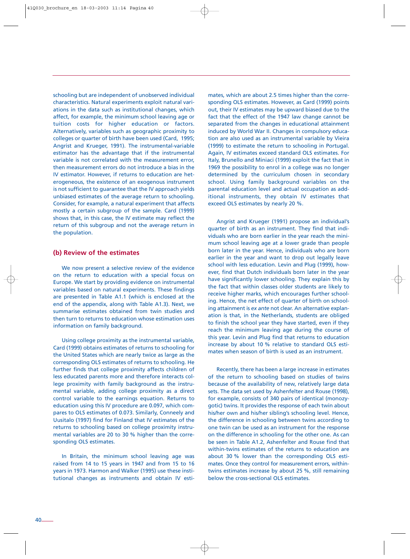schooling but are independent of unobserved individual characteristics. Natural experiments exploit natural variations in the data such as institutional changes, which affect, for example, the minimum school leaving age or tuition costs for higher education or factors. Alternatively, variables such as geographic proximity to colleges or quarter of birth have been used (Card, 1995; Angrist and Krueger, 1991). The instrumental-variable estimator has the advantage that if the instrumental variable is not correlated with the measurement error, then measurement errors do not introduce a bias in the IV estimator. However, if returns to education are heterogeneous, the existence of an exogenous instrument is not sufficient to guarantee that the IV approach yields unbiased estimates of the average return to schooling. Consider, for example, a natural experiment that affects mostly a certain subgroup of the sample. Card (1999) shows that, in this case, the IV estimate may reflect the return of this subgroup and not the average return in the population.

#### **(b) Review of the estimates**

We now present a selective review of the evidence on the return to education with a special focus on Europe. We start by providing evidence on instrumental variables based on natural experiments. These findings are presented in Table A1.1 (which is enclosed at the end of the appendix, along with Table A1.3). Next, we summarise estimates obtained from twin studies and then turn to returns to education whose estimation uses information on family background.

Using college proximity as the instrumental variable, Card (1999) obtains estimates of returns to schooling for the United States which are nearly twice as large as the corresponding OLS estimates of returns to schooling. He further finds that college proximity affects children of less educated parents more and therefore interacts college proximity with family background as the instrumental variable, adding college proximity as a direct control variable to the earnings equation. Returns to education using this IV procedure are 0.097, which compares to OLS estimates of 0.073. Similarly, Conneely and Uusitalo (1997) find for Finland that IV estimates of the returns to schooling based on college proximity instrumental variables are 20 to 30 % higher than the corresponding OLS estimates.

In Britain, the minimum school leaving age was raised from 14 to 15 years in 1947 and from 15 to 16 years in 1973. Harmon and Walker (1995) use these institutional changes as instruments and obtain IV estimates, which are about 2.5 times higher than the corresponding OLS estimates. However, as Card (1999) points out, their IV estimates may be upward biased due to the fact that the effect of the 1947 law change cannot be separated from the changes in educational attainment induced by World War II. Changes in compulsory education are also used as an instrumental variable by Vieira (1999) to estimate the return to schooling in Portugal. Again, IV estimates exceed standard OLS estimates. For Italy, Brunello and Miniaci (1999) exploit the fact that in 1969 the possibility to enrol in a college was no longer determined by the curriculum chosen in secondary school. Using family background variables on the parental education level and actual occupation as additional instruments, they obtain IV estimates that exceed OLS estimates by nearly 20 %.

Angrist and Krueger (1991) propose an individual's quarter of birth as an instrument. They find that individuals who are born earlier in the year reach the minimum school leaving age at a lower grade than people born later in the year. Hence, individuals who are born earlier in the year and want to drop out legally leave school with less education. Levin and Plug (1999), however, find that Dutch individuals born later in the year have significantly lower schooling. They explain this by the fact that within classes older students are likely to receive higher marks, which encourages further schooling. Hence, the net effect of quarter of birth on schooling attainment is *ex ante* not clear. An alternative explanation is that, in the Netherlands, students are obliged to finish the school year they have started, even if they reach the minimum leaving age during the course of this year. Levin and Plug find that returns to education increase by about 10 % relative to standard OLS estimates when season of birth is used as an instrument.

Recently, there has been a large increase in estimates of the return to schooling based on studies of twins because of the availability of new, relatively large data sets. The data set used by Ashenfelter and Rouse (1998), for example, consists of 340 pairs of identical (monozygotic) twins. It provides the response of each twin about his/her own and his/her sibling's schooling level. Hence, the difference in schooling between twins according to one twin can be used as an instrument for the response on the difference in schooling for the other one. As can be seen in Table A1.2, Ashenfelter and Rouse find that within-twins estimates of the returns to education are about 30 % lower than the corresponding OLS estimates. Once they control for measurement errors, withintwins estimates increase by about 25 %, still remaining below the cross-sectional OLS estimates.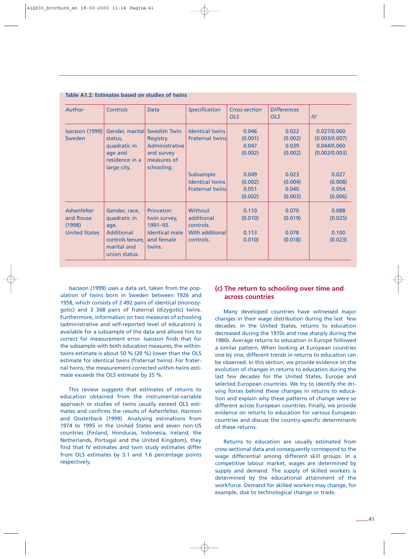| Author                                                     | Controls                                                                                                       | Data                                                                                   | <b>Specification</b>                                                      | Cross-section<br><b>OLS</b>          | <b>Differences</b><br><b>OLS</b>     | IV                                                           |
|------------------------------------------------------------|----------------------------------------------------------------------------------------------------------------|----------------------------------------------------------------------------------------|---------------------------------------------------------------------------|--------------------------------------|--------------------------------------|--------------------------------------------------------------|
| Isacsson (1999)<br>Sweden                                  | Gender, marital<br>status,<br>quadratic in<br>age and<br>residence in a<br>large city.                         | Swedish Twin<br>Registry.<br>Administrative<br>and survey<br>measures of<br>schooling. | <b>Identical twins</b><br><b>Fraternal twins</b>                          | 0.046<br>(0.001)<br>0.047<br>(0.002) | 0.022<br>(0.002)<br>0.039<br>(0.002) | 0.027/0.060<br>(0.003/0.007)<br>0.044/0.060<br>(0.002/0.003) |
|                                                            |                                                                                                                |                                                                                        | Subsample<br><b>Identical twins</b><br><b>Fraternal twins</b>             | 0.049<br>(0.002)<br>0.051<br>(0.002) | 0.023<br>(0.004)<br>0.040<br>(0.003) | 0.027<br>(0.008)<br>0.054<br>(0.006)                         |
| Ashenfelter<br>and Rouse<br>(1998)<br><b>United States</b> | Gender, race,<br>quadratic in<br>age.<br><b>Additional</b><br>controls tenure,<br>marital and<br>union status. | Princeton<br>twin survey,<br>$1991 - 93.$<br>Identical male<br>and female<br>twins.    | <b>Without</b><br>additional<br>controls.<br>With additional<br>controls. | 0.110<br>(0.010)<br>0.113<br>0.010)  | 0.070<br>(0.019)<br>0.078<br>(0.018) | 0.088<br>(0.025)<br>0.100<br>(0.023)                         |

#### **Table A1.2: Estimates based on studies of twins**

Isacsson (1999) uses a data set, taken from the population of twins born in Sweden between 1926 and 1958, which consists of 2 492 pairs of identical (monozygotic) and 3 368 pairs of fraternal (dizygotic) twins. Furthermore, information on two measures of schooling (administrative and self-reported level of education) is available for a subsample of the data and allows him to correct for measurement error. Isacsson finds that for the subsample with both education measures, the withintwins estimate is about 50 % (20 %) lower than the OLS estimate for identical twins (fraternal twins). For fraternal twins, the measurement-corrected within-twins estimate exceeds the OLS estimate by 35 %.

This review suggests that estimates of returns to education obtained from the instrumental-variable approach or studies of twins usually exceed OLS estimates and confirms the results of Ashenfelter, Harmon and Oosterbeck (1999). Analysing estimations from 1974 to 1995 in the United States and seven non-US countries (Finland, Honduras, Indonesia, Ireland, the Netherlands, Portugal and the United Kingdom), they find that IV estimates and twin study estimates differ from OLS estimates by 3.1 and 1.6 percentage points respectively.

### **(c) The return to schooling over time and across countries**

Many developed countries have witnessed major changes in their wage distribution during the last few decades. In the United States, returns to education decreased during the 1970s and rose sharply during the 1980s. Average returns to education in Europe followed a similar pattern. When looking at European countries one by one, different trends in returns to education can be observed. In this section, we provide evidence on the evolution of changes in returns to education during the last few decades for the United States, Europe and selected European countries. We try to identify the driving forces behind these changes in returns to education and explain why these patterns of change were so different across European countries. Finally, we provide evidence on returns to education for various European countries and discuss the country-specific determinants of these returns.

Returns to education are usually estimated from cross-sectional data and consequently correspond to the wage differential among different skill groups. In a competitive labour market, wages are determined by supply and demand. The supply of skilled workers is determined by the educational attainment of the workforce. Demand for skilled workers may change, for example, due to technological change or trade.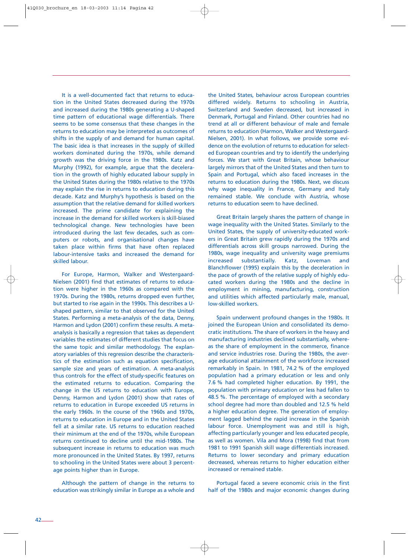It is a well-documented fact that returns to education in the United States decreased during the 1970s and increased during the 1980s generating a U-shaped time pattern of educational wage differentials. There seems to be some consensus that these changes in the returns to education may be interpreted as outcomes of shifts in the supply of and demand for human capital. The basic idea is that increases in the supply of skilled workers dominated during the 1970s, while demand growth was the driving force in the 1980s. Katz and Murphy (1992), for example, argue that the deceleration in the growth of highly educated labour supply in the United States during the 1980s relative to the 1970s may explain the rise in returns to education during this decade. Katz and Murphy's hypothesis is based on the assumption that the relative demand for skilled workers increased. The prime candidate for explaining the increase in the demand for skilled workers is skill-biased technological change. New technologies have been introduced during the last few decades, such as computers or robots, and organisational changes have taken place within firms that have often replaced labour-intensive tasks and increased the demand for skilled labour.

For Europe, Harmon, Walker and Westergaard-Nielsen (2001) find that estimates of returns to education were higher in the 1960s as compared with the 1970s. During the 1980s, returns dropped even further, but started to rise again in the 1990s. This describes a Ushaped pattern, similar to that observed for the United States. Performing a meta-analysis of the data, Denny, Harmon and Lydon (2001) confirm these results. A metaanalysis is basically a regression that takes as dependent variables the estimates of different studies that focus on the same topic and similar methodology. The explanatory variables of this regression describe the characteristics of the estimation such as equation specification, sample size and years of estimation. A meta-analysis thus controls for the effect of study-specific features on the estimated returns to education. Comparing the change in the US returns to education with Europe, Denny, Harmon and Lydon (2001) show that rates of returns to education in Europe exceeded US returns in the early 1960s. In the course of the 1960s and 1970s, returns to education in Europe and in the United States fell at a similar rate. US returns to education reached their minimum at the end of the 1970s, while European returns continued to decline until the mid-1980s. The subsequent increase in returns to education was much more pronounced in the United States. By 1997, returns to schooling in the United States were about 3 percentage points higher than in Europe.

Although the pattern of change in the returns to education was strikingly similar in Europe as a whole and the United States, behaviour across European countries differed widely. Returns to schooling in Austria, Switzerland and Sweden decreased, but increased in Denmark, Portugal and Finland. Other countries had no trend at all or different behaviour of male and female returns to education (Harmon, Walker and Westergaard-Nielsen, 2001). In what follows, we provide some evidence on the evolution of returns to education for selected European countries and try to identify the underlying forces. We start with Great Britain, whose behaviour largely mirrors that of the United States and then turn to Spain and Portugal, which also faced increases in the returns to education during the 1980s. Next, we discuss why wage inequality in France, Germany and Italy remained stable. We conclude with Austria, whose returns to education seem to have declined.

Great Britain largely shares the pattern of change in wage inequality with the United States. Similarly to the United States, the supply of university-educated workers in Great Britain grew rapidly during the 1970s and differentials across skill groups narrowed. During the 1980s, wage inequality and university wage premiums increased substantially. Katz, Loveman and Blanchflower (1995) explain this by the deceleration in the pace of growth of the relative supply of highly educated workers during the 1980s and the decline in employment in mining, manufacturing, construction and utilities which affected particularly male, manual, low-skilled workers.

Spain underwent profound changes in the 1980s. It joined the European Union and consolidated its democratic institutions. The share of workers in the heavy and manufacturing industries declined substantially, whereas the share of employment in the commerce, finance and service industries rose. During the 1980s, the average educational attainment of the workforce increased remarkably in Spain. In 1981, 74.2 % of the employed population had a primary education or less and only 7.6 % had completed higher education. By 1991, the population with primary education or less had fallen to 48.5 %. The percentage of employed with a secondary school degree had more than doubled and 12.5 % held a higher education degree. The generation of employment lagged behind the rapid increase in the Spanish labour force. Unemployment was and still is high, affecting particularly younger and less educated people, as well as women. Vila and Mora (1998) find that from 1981 to 1991 Spanish skill wage differentials increased. Returns to lower secondary and primary education decreased, whereas returns to higher education either increased or remained stable.

Portugal faced a severe economic crisis in the first half of the 1980s and major economic changes during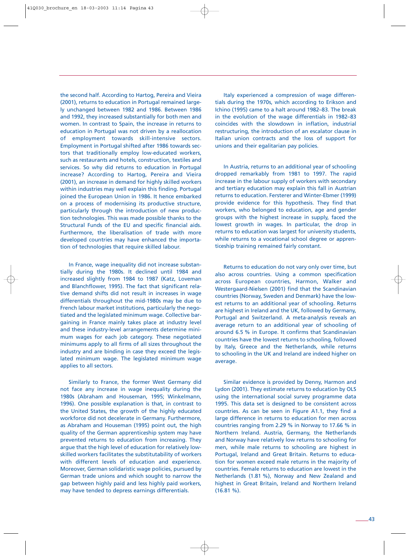the second half. According to Hartog, Pereira and Vieira (2001), returns to education in Portugal remained largely unchanged between 1982 and 1986. Between 1986 and 1992, they increased substantially for both men and women. In contrast to Spain, the increase in returns to education in Portugal was not driven by a reallocation of employment towards skill-intensive sectors. Employment in Portugal shifted after 1986 towards sectors that traditionally employ low-educated workers, such as restaurants and hotels, construction, textiles and services. So why did returns to education in Portugal increase? According to Hartog, Pereira and Vieira (2001), an increase in demand for highly skilled workers within industries may well explain this finding. Portugal joined the European Union in 1986. It hence embarked on a process of modernising its productive structure, particularly through the introduction of new production technologies. This was made possible thanks to the Structural Funds of the EU and specific financial aids. Furthermore, the liberalisation of trade with more developed countries may have enhanced the importation of technologies that require skilled labour.

In France, wage inequality did not increase substantially during the 1980s. It declined until 1984 and increased slightly from 1984 to 1987 (Katz, Loveman and Blanchflower, 1995). The fact that significant relative demand shifts did not result in increases in wage differentials throughout the mid-1980s may be due to French labour market institutions, particularly the negotiated and the legislated minimum wage. Collective bargaining in France mainly takes place at industry level and these industry-level arrangements determine minimum wages for each job category. These negotiated minimums apply to all firms of all sizes throughout the industry and are binding in case they exceed the legislated minimum wage. The legislated minimum wage applies to all sectors.

Similarly to France, the former West Germany did not face any increase in wage inequality during the 1980s (Abraham and Houseman, 1995; Winkelmann, 1996). One possible explanation is that, in contrast to the United States, the growth of the highly educated workforce did not decelerate in Germany. Furthermore, as Abraham and Houseman (1995) point out, the high quality of the German apprenticeship system may have prevented returns to education from increasing. They argue that the high level of education for relatively lowskilled workers facilitates the substitutability of workers with different levels of education and experience. Moreover, German solidaristic wage policies, pursued by German trade unions and which sought to narrow the gap between highly paid and less highly paid workers, may have tended to depress earnings differentials.

Italy experienced a compression of wage differentials during the 1970s, which according to Erikson and Ichino (1995) came to a halt around 1982–83. The break in the evolution of the wage differentials in 1982–83 coincides with the slowdown in inflation, industrial restructuring, the introduction of an escalator clause in Italian union contracts and the loss of support for unions and their egalitarian pay policies.

In Austria, returns to an additional year of schooling dropped remarkably from 1981 to 1997. The rapid increase in the labour supply of workers with secondary and tertiary education may explain this fall in Austrian returns to education. Fersterer and Winter-Ebmer (1999) provide evidence for this hypothesis. They find that workers, who belonged to education, age and gender groups with the highest increase in supply, faced the lowest growth in wages. In particular, the drop in returns to education was largest for university students, while returns to a vocational school degree or apprenticeship training remained fairly constant.

Returns to education do not vary only over time, but also across countries. Using a common specification across European countries, Harmon, Walker and Westergaard-Nielsen (2001) find that the Scandinavian countries (Norway, Sweden and Denmark) have the lowest returns to an additional year of schooling. Returns are highest in Ireland and the UK, followed by Germany, Portugal and Switzerland. A meta-analysis reveals an average return to an additional year of schooling of around 6.5 % in Europe. It confirms that Scandinavian countries have the lowest returns to schooling, followed by Italy, Greece and the Netherlands, while returns to schooling in the UK and Ireland are indeed higher on average.

Similar evidence is provided by Denny, Harmon and Lydon (2001). They estimate returns to education by OLS using the international social survey programme data 1995. This data set is designed to be consistent across countries. As can be seen in Figure A1.1, they find a large difference in returns to education for men across countries ranging from 2.29 % in Norway to 17.66 % in Northern Ireland. Austria, Germany, the Netherlands and Norway have relatively low returns to schooling for men, while male returns to schooling are highest in Portugal, Ireland and Great Britain. Returns to education for women exceed male returns in the majority of countries. Female returns to education are lowest in the Netherlands (1.81 %), Norway and New Zealand and highest in Great Britain, Ireland and Northern Ireland  $(16.81\%).$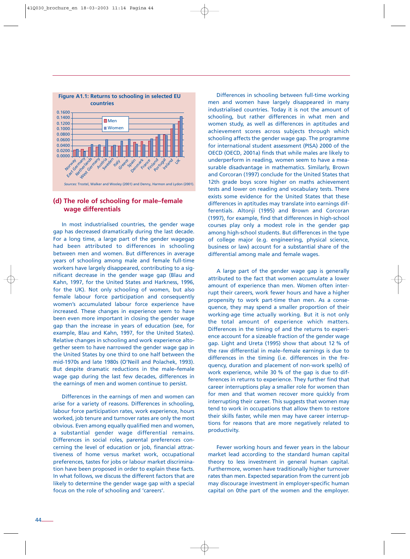

## **(d) The role of schooling for male–female wage differentials**

In most industrialised countries, the gender wage gap has decreased dramatically during the last decade. For a long time, a large part of the gender wagegap had been attributed to differences in schooling between men and women. But differences in average years of schooling among male and female full-time workers have largely disappeared, contributing to a significant decrease in the gender wage gap (Blau and Kahn, 1997, for the United States and Harkness, 1996, for the UK). Not only schooling of women, but also female labour force participation and consequently women's accumulated labour force experience have increased. These changes in experience seem to have been even more important in closing the gender wage gap than the increase in years of education (see, for example, Blau and Kahn, 1997, for the United States). Relative changes in schooling and work experience altogether seem to have narrowed the gender wage gap in the United States by one third to one half between the mid-1970s and late 1980s (O'Neill and Polachek, 1993). But despite dramatic reductions in the male–female wage gap during the last few decades, differences in the earnings of men and women continue to persist.

Differences in the earnings of men and women can arise for a variety of reasons. Differences in schooling, labour force participation rates, work experience, hours worked, job tenure and turnover rates are only the most obvious. Even among equally qualified men and women, a substantial gender wage differential remains. Differences in social roles, parental preferences concerning the level of education or job, financial attractiveness of home versus market work, occupational preferences, tastes for jobs or labour market discrimination have been proposed in order to explain these facts. In what follows, we discuss the different factors that are likely to determine the gender wage gap with a special focus on the role of schooling and 'careers'.

Differences in schooling between full-time working men and women have largely disappeared in many industrialised countries. Today it is not the amount of schooling, but rather differences in what men and women study, as well as differences in aptitudes and achievement scores across subjects through which schooling affects the gender wage gap. The programme for international student assessment (PISA) 2000 of the OECD (OECD, 2001a) finds that while males are likely to underperform in reading, women seem to have a measurable disadvantage in mathematics. Similarly, Brown and Corcoran (1997) conclude for the United States that 12th grade boys score higher on maths achievement tests and lower on reading and vocabulary tests. There exists some evidence for the United States that these differences in aptitudes may translate into earnings differentials. Altonji (1995) and Brown and Corcoran (1997), for example, find that differences in high-school courses play only a modest role in the gender gap among high-school students. But differences in the type of college major (e.g. engineering, physical science, business or law) account for a substantial share of the differential among male and female wages.

A large part of the gender wage gap is generally attributed to the fact that women accumulate a lower amount of experience than men. Women often interrupt their careers, work fewer hours and have a higher propensity to work part-time than men. As a consequence, they may spend a smaller proportion of their working-age time actually working. But it is not only the total amount of experience which matters. Differences in the timing of and the returns to experience account for a sizeable fraction of the gender wage gap. Light and Ureta (1995) show that about 12 % of the raw differential in male–female earnings is due to differences in the timing (i.e. differences in the frequency, duration and placement of non-work spells) of work experience, while 30 % of the gap is due to differences in returns to experience. They further find that career interruptions play a smaller role for women than for men and that women recover more quickly from interrupting their career. This suggests that women may tend to work in occupations that allow them to restore their skills faster, while men may have career interruptions for reasons that are more negatively related to productivity.

Fewer working hours and fewer years in the labour market lead according to the standard human capital theory to less investment in general human capital. Furthermore, women have traditionally higher turnover rates than men. Expected separation from the current job may discourage investment in employer-specific human capital on 0the part of the women and the employer.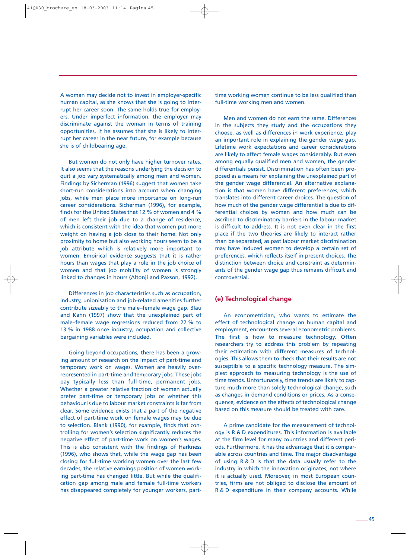A woman may decide not to invest in employer-specific human capital, as she knows that she is going to interrupt her career soon. The same holds true for employers. Under imperfect information, the employer may discriminate against the woman in terms of training opportunities, if he assumes that she is likely to interrupt her career in the near future, for example because she is of childbearing age.

But women do not only have higher turnover rates. It also seems that the reasons underlying the decision to quit a job vary systematically among men and women. Findings by Sicherman (1996) suggest that women take short-run considerations into account when changing jobs, while men place more importance on long-run career considerations. Sicherman (1996), for example, finds for the United States that 12 % of women and 4 % of men left their job due to a change of residence, which is consistent with the idea that women put more weight on having a job close to their home. Not only proximity to home but also working hours seem to be a job attribute which is relatively more important to women. Empirical evidence suggests that it is rather hours than wages that play a role in the job choice of women and that job mobility of women is strongly linked to changes in hours (Altonji and Paxson, 1992).

Differences in job characteristics such as occupation, industry, unionisation and job-related amenities further contribute sizeably to the male–female wage gap. Blau and Kahn (1997) show that the unexplained part of male–female wage regressions reduced from 22 % to 13 % in 1988 once industry, occupation and collective bargaining variables were included.

Going beyond occupations, there has been a growing amount of research on the impact of part-time and temporary work on wages. Women are heavily overrepresented in part-time and temporary jobs. These jobs pay typically less than full-time, permanent jobs. Whether a greater relative fraction of women actually prefer part-time or temporary jobs or whether this behaviour is due to labour market constraints is far from clear. Some evidence exists that a part of the negative effect of part-time work on female wages may be due to selection. Blank (1990), for example, finds that controlling for women's selection significantly reduces the negative effect of part-time work on women's wages. This is also consistent with the findings of Harkness (1996), who shows that, while the wage gap has been closing for full-time working women over the last few decades, the relative earnings position of women working part-time has changed little. But while the qualification gap among male and female full-time workers has disappeared completely for younger workers, part-

time working women continue to be less qualified than full-time working men and women.

Men and women do not earn the same. Differences in the subjects they study and the occupations they choose, as well as differences in work experience, play an important role in explaining the gender wage gap. Lifetime work expectations and career considerations are likely to affect female wages considerably. But even among equally qualified men and women, the gender differentials persist. Discrimination has often been proposed as a means for explaining the unexplained part of the gender wage differential. An alternative explanation is that women have different preferences, which translates into different career choices. The question of how much of the gender wage differential is due to differential choices by women and how much can be ascribed to discriminatory barriers in the labour market is difficult to address. It is not even clear in the first place if the two theories are likely to interact rather than be separated, as past labour market discrimination may have induced women to develop a certain set of preferences, which reflects itself in present choices. The distinction between choice and constraint as determinants of the gender wage gap thus remains difficult and controversial.

#### **(e) Technological change**

An econometrician, who wants to estimate the effect of technological change on human capital and employment, encounters several econometric problems. The first is how to measure technology. Often researchers try to address this problem by repeating their estimation with different measures of technologies. This allows them to check that their results are not susceptible to a specific technology measure. The simplest approach to measuring technology is the use of time trends. Unfortunately, time trends are likely to capture much more than solely technological change, such as changes in demand conditions or prices. As a consequence, evidence on the effects of technological change based on this measure should be treated with care.

A prime candidate for the measurement of technology is R & D expenditures. This information is available at the firm level for many countries and different periods. Furthermore, it has the advantage that it is comparable across countries and time. The major disadvantage of using R & D is that the data usually refer to the industry in which the innovation originates, not where it is actually used. Moreover, in most European countries, firms are not obliged to disclose the amount of R & D expenditure in their company accounts. While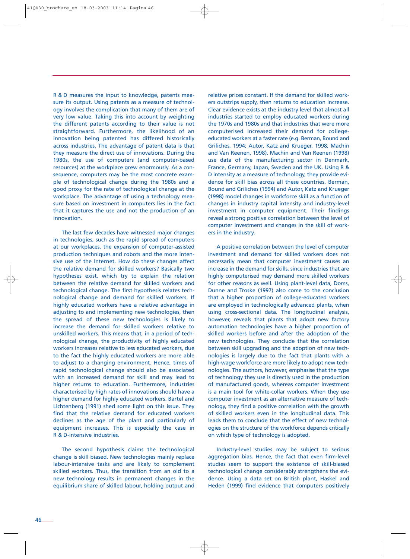R & D measures the input to knowledge, patents measure its output. Using patents as a measure of technology involves the complication that many of them are of very low value. Taking this into account by weighting the different patents according to their value is not straightforward. Furthermore, the likelihood of an innovation being patented has differed historically across industries. The advantage of patent data is that they measure the direct use of innovations. During the 1980s, the use of computers (and computer-based resources) at the workplace grew enormously. As a consequence, computers may be the most concrete example of technological change during the 1980s and a good proxy for the rate of technological change at the workplace. The advantage of using a technology measure based on investment in computers lies in the fact that it captures the use and not the production of an innovation.

The last few decades have witnessed major changes in technologies, such as the rapid spread of computers at our workplaces, the expansion of computer-assisted production techniques and robots and the more intensive use of the Internet. How do these changes affect the relative demand for skilled workers? Basically two hypotheses exist, which try to explain the relation between the relative demand for skilled workers and technological change. The first hypothesis relates technological change and demand for skilled workers. If highly educated workers have a relative advantage in adjusting to and implementing new technologies, then the spread of these new technologies is likely to increase the demand for skilled workers relative to unskilled workers. This means that, in a period of technological change, the productivity of highly educated workers increases relative to less educated workers, due to the fact the highly educated workers are more able to adjust to a changing environment. Hence, times of rapid technological change should also be associated with an increased demand for skill and may lead to higher returns to education. Furthermore, industries characterised by high rates of innovations should have a higher demand for highly educated workers. Bartel and Lichtenberg (1991) shed some light on this issue. They find that the relative demand for educated workers declines as the age of the plant and particularly of equipment increases. This is especially the case in R & D-intensive industries.

The second hypothesis claims the technological change is skill biased. New technologies mainly replace labour-intensive tasks and are likely to complement skilled workers. Thus, the transition from an old to a new technology results in permanent changes in the equilibrium share of skilled labour, holding output and relative prices constant. If the demand for skilled workers outstrips supply, then returns to education increase. Clear evidence exists at the industry level that almost all industries started to employ educated workers during the 1970s and 1980s and that industries that were more computerised increased their demand for collegeeducated workers at a faster rate (e.g. Berman, Bound and Griliches, 1994; Autor, Katz and Krueger, 1998; Machin and Van Reenen, 1998). Machin and Van Reenen (1998) use data of the manufacturing sector in Denmark, France, Germany, Japan, Sweden and the UK. Using R & D intensity as a measure of technology, they provide evidence for skill bias across all these countries. Berman, Bound and Griliches (1994) and Autor, Katz and Krueger (1998) model changes in workforce skill as a function of changes in industry capital intensity and industry-level investment in computer equipment. Their findings reveal a strong positive correlation between the level of computer investment and changes in the skill of workers in the industry.

A positive correlation between the level of computer investment and demand for skilled workers does not necessarily mean that computer investment causes an increase in the demand for skills, since industries that are highly computerised may demand more skilled workers for other reasons as well. Using plant-level data, Doms, Dunne and Troske (1997) also come to the conclusion that a higher proportion of college-educated workers are employed in technologically advanced plants, when using cross-sectional data. The longitudinal analysis, however, reveals that plants that adopt new factory automation technologies have a higher proportion of skilled workers before and after the adoption of the new technologies. They conclude that the correlation between skill upgrading and the adoption of new technologies is largely due to the fact that plants with a high-wage workforce are more likely to adopt new technologies. The authors, however, emphasise that the type of technology they use is directly used in the production of manufactured goods, whereas computer investment is a main tool for white-collar workers. When they use computer investment as an alternative measure of technology, they find a positive correlation with the growth of skilled workers even in the longitudinal data. This leads them to conclude that the effect of new technologies on the structure of the workforce depends critically on which type of technology is adopted.

Industry-level studies may be subject to serious aggregation bias. Hence, the fact that even firm-level studies seem to support the existence of skill-biased technological change considerably strengthens the evidence. Using a data set on British plant, Haskel and Heden (1999) find evidence that computers positively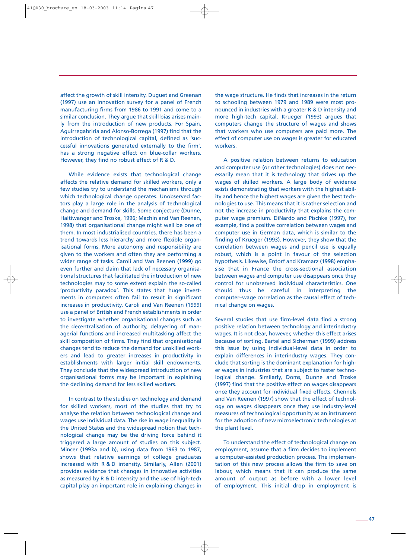affect the growth of skill intensity. Duguet and Greenan (1997) use an innovation survey for a panel of French manufacturing firms from 1986 to 1991 and come to a similar conclusion. They argue that skill bias arises mainly from the introduction of new products. For Spain, Aguirregabriria and Alonso-Borrega (1997) find that the introduction of technological capital, defined as 'successful innovations generated externally to the firm', has a strong negative effect on blue-collar workers. However, they find no robust effect of R & D.

While evidence exists that technological change affects the relative demand for skilled workers, only a few studies try to understand the mechanisms through which technological change operates. Unobserved factors play a large role in the analysis of technological change and demand for skills. Some conjecture (Dunne, Haltiwanger and Troske, 1996; Machin and Van Reenen, 1998) that organisational change might well be one of them. In most industrialised countries, there has been a trend towards less hierarchy and more flexible organisational forms. More autonomy and responsibility are given to the workers and often they are performing a wider range of tasks. Caroli and Van Reenen (1999) go even further and claim that lack of necessary organisational structures that facilitated the introduction of new technologies may to some extent explain the so-called 'productivity paradox'. This states that huge investments in computers often fail to result in significant increases in productivity. Caroli and Van Reenen (1999) use a panel of British and French establishments in order to investigate whether organisational changes such as the decentralisation of authority, delayering of managerial functions and increased multitasking affect the skill composition of firms. They find that organisational changes tend to reduce the demand for unskilled workers and lead to greater increases in productivity in establishments with larger initial skill endowments. They conclude that the widespread introduction of new organisational forms may be important in explaining the declining demand for less skilled workers.

In contrast to the studies on technology and demand for skilled workers, most of the studies that try to analyse the relation between technological change and wages use individual data. The rise in wage inequality in the United States and the widespread notion that technological change may be the driving force behind it triggered a large amount of studies on this subject. Mincer (1993a and b), using data from 1963 to 1987, shows that relative earnings of college graduates increased with R & D intensity. Similarly, Allen (2001) provides evidence that changes in innovative activities as measured by R & D intensity and the use of high-tech capital play an important role in explaining changes in the wage structure. He finds that increases in the return to schooling between 1979 and 1989 were most pronounced in industries with a greater R & D intensity and more high-tech capital. Krueger (1993) argues that computers change the structure of wages and shows that workers who use computers are paid more. The effect of computer use on wages is greater for educated workers.

A positive relation between returns to education and computer use (or other technologies) does not necessarily mean that it is technology that drives up the wages of skilled workers. A large body of evidence exists demonstrating that workers with the highest ability and hence the highest wages are given the best technologies to use. This means that it is rather selection and not the increase in productivity that explains the computer wage premium. DiNardo and Pischke (1997), for example, find a positive correlation between wages and computer use in German data, which is similar to the finding of Krueger (1993). However, they show that the correlation between wages and pencil use is equally robust, which is a point in favour of the selection hypothesis. Likewise, Entorf and Kramarz (1998) emphasise that in France the cross-sectional association between wages and computer use disappears once they control for unobserved individual characteristics. One should thus be careful in interpreting the computer–wage correlation as the causal effect of technical change on wages.

Several studies that use firm-level data find a strong positive relation between technology and interindustry wages. It is not clear, however, whether this effect arises because of sorting. Bartel and Sicherman (1999) address this issue by using individual-level data in order to explain differences in interindustry wages. They conclude that sorting is the dominant explanation for higher wages in industries that are subject to faster technological change. Similarly, Doms, Dunne and Troske (1997) find that the positive effect on wages disappears once they account for individual fixed effects. Chennels and Van Reenen (1997) show that the effect of technology on wages disappears once they use industry-level measures of technological opportunity as an instrument for the adoption of new microelectronic technologies at the plant level.

To understand the effect of technological change on employment, assume that a firm decides to implement a computer-assisted production process. The implementation of this new process allows the firm to save on labour, which means that it can produce the same amount of output as before with a lower level of employment. This initial drop in employment is

47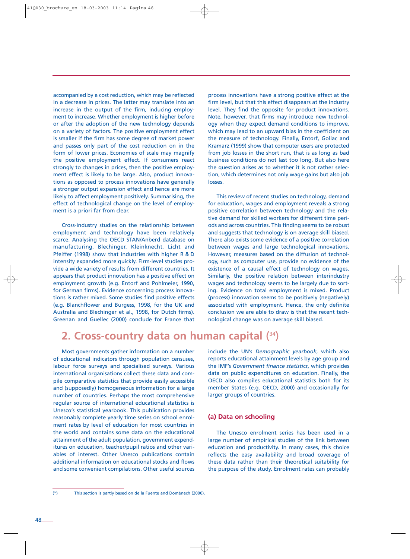accompanied by a cost reduction, which may be reflected in a decrease in prices. The latter may translate into an increase in the output of the firm, inducing employment to increase. Whether employment is higher before or after the adoption of the new technology depends on a variety of factors. The positive employment effect is smaller if the firm has some degree of market power and passes only part of the cost reduction on in the form of lower prices. Economies of scale may magnify the positive employment effect. If consumers react strongly to changes in prices, then the positive employment effect is likely to be large. Also, product innovations as opposed to process innovations have generally a stronger output expansion effect and hence are more likely to affect employment positively. Summarising, the effect of technological change on the level of employment is a priori far from clear.

Cross-industry studies on the relationship between employment and technology have been relatively scarce. Analysing the OECD STAN/Anberd database on manufacturing, Blechinger, Kleinknecht, Licht and Pfeiffer (1998) show that industries with higher R & D intensity expanded more quickly. Firm-level studies provide a wide variety of results from different countries. It appears that product innovation has a positive effect on employment growth (e.g. Entorf and Pohlmeier, 1990, for German firms). Evidence concerning process innovations is rather mixed. Some studies find positive effects (e.g. Blanchflower and Burgess, 1998, for the UK and Australia and Blechinger et al., 1998, for Dutch firms). Greenan and Guellec (2000) conclude for France that process innovations have a strong positive effect at the firm level, but that this effect disappears at the industry level. They find the opposite for product innovations. Note, however, that firms may introduce new technology when they expect demand conditions to improve, which may lead to an upward bias in the coefficient on the measure of technology. Finally, Entorf, Gollac and Kramarz (1999) show that computer users are protected from job losses in the short run, that is as long as bad business conditions do not last too long. But also here the question arises as to whether it is not rather selection, which determines not only wage gains but also job losses.

This review of recent studies on technology, demand for education, wages and employment reveals a strong positive correlation between technology and the relative demand for skilled workers for different time periods and across countries. This finding seems to be robust and suggests that technology is on average skill biased. There also exists some evidence of a positive correlation between wages and large technological innovations. However, measures based on the diffusion of technology, such as computer use, provide no evidence of the existence of a causal effect of technology on wages. Similarly, the positive relation between interindustry wages and technology seems to be largely due to sorting. Evidence on total employment is mixed. Product (process) innovation seems to be positively (negatively) associated with employment. Hence, the only definite conclusion we are able to draw is that the recent technological change was on average skill biased.

# **2. Cross-country data on human capital** ( 34)

Most governments gather information on a number of educational indicators through population censuses, labour force surveys and specialised surveys. Various international organisations collect these data and compile comparative statistics that provide easily accessible and (supposedly) homogeneous information for a large number of countries. Perhaps the most comprehensive regular source of international educational statistics is Unesco's statistical yearbook. This publication provides reasonably complete yearly time series on school enrolment rates by level of education for most countries in the world and contains some data on the educational attainment of the adult population, government expenditures on education, teacher/pupil ratios and other variables of interest. Other Unesco publications contain additional information on educational stocks and flows and some convenient compilations. Other useful sources include the UN's *Demographic yearbook*, which also reports educational attainment levels by age group and the IMF's *Government finance statistics*, which provides data on public expenditures on education. Finally, the OECD also compiles educational statistics both for its member States (e.g. OECD, 2000) and occasionally for larger groups of countries.

#### **(a) Data on schooling**

The Unesco enrolment series has been used in a large number of empirical studies of the link between education and productivity. In many cases, this choice reflects the easy availability and broad coverage of these data rather than their theoretical suitability for the purpose of the study. Enrolment rates can probably

 $(34)$ 

48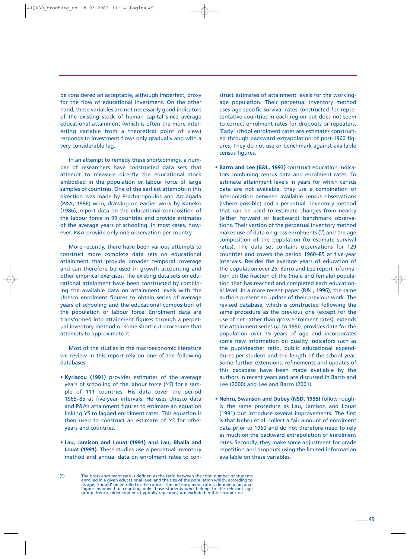be considered an acceptable, although imperfect, proxy for the flow of educational investment. On the other hand, these variables are not necessarily good indicators of the existing stock of human capital since average educational attainment (which is often the more interesting variable from a theoretical point of view) responds to investment flows only gradually and with a very considerable lag.

In an attempt to remedy these shortcomings, a number of researchers have constructed data sets that attempt to measure directly the educational stock embodied in the population or labour force of large samples of countries. One of the earliest attempts in this direction was made by Psacharopoulos and Arriagada (P&A, 1986) who, drawing on earlier work by Kaneko (1986), report data on the educational composition of the labour force in 99 countries and provide estimates of the average years of schooling. In most cases, however, P&A provide only one observation per country.

More recently, there have been various attempts to construct more complete data sets on educational attainment that provide broader temporal coverage and can therefore be used in growth accounting and other empirical exercises. The existing data sets on educational attainment have been constructed by combining the available data on attainment levels with the Unesco enrolment figures to obtain series of average years of schooling and the educational composition of the population or labour force. Enrolment data are transformed into attainment figures through a perpetual inventory method or some short-cut procedure that attempts to approximate it.

Most of the studies in the macroeconomic literature we review in this report rely on one of the following databases.

- **Kyriacou (1991)** provides estimates of the average years of schooling of the labour force (*YS*) for a sample of 111 countries. His data cover the period 1965–85 at five-year intervals. He uses Unesco data and P&A's attainment figures to estimate an equation linking *YS* to lagged enrolment rates. This equation is then used to construct an estimate of *YS* for other years and countries.
- **Lau, Jamison and Louat (1991) and Lau, Bhalla and Louat (1991).** These studies use a perpetual inventory method and annual data on enrolment rates to con-

struct estimates of attainment levels for the workingage population. Their perpetual inventory method uses age-specific survival rates constructed for representative countries in each region but does not seem to correct enrolment rates for dropouts or repeaters. 'Early' school enrolment rates are estimates constructed through backward extrapolation of post-1960 figures. They do not use or benchmark against available census figures.

- **Barro and Lee (B&L, 1993)** construct education indicators combining census data and enrolment rates. To estimate attainment levels in years for which census data are not available, they use a combination of interpolation between available census observations (where possible) and a perpetual inventory method that can be used to estimate changes from nearby (either forward or backward) benchmark observations. Their version of the perpetual inventory method makes use of data on gross enrolments (35) and the age composition of the population (to estimate survival rates). The data set contains observations for 129 countries and covers the period 1960–85 at five-year intervals. Besides the average years of education of the population over 25, Barro and Lee report information on the fraction of the (male and female) population that has reached and completed each educational level. In a more recent paper (B&L, 1996), the same authors present an update of their previous work. The revised database, which is constructed following the same procedure as the previous one (except for the use of net rather than gross enrolment rates), extends the attainment series up to 1990, provides data for the population over 15 years of age and incorporates some new information on quality indicators such as the pupil/teacher ratio, public educational expenditures per student and the length of the school year. Some further extensions, refinements and updates of this database have been made available by the authors in recent years and are discussed in Barro and Lee (2000) and Lee and Barro (2001).
- **Nehru, Swanson and Dubey (NSD, 1995)** follow roughly the same procedure as Lau, Jamison and Louat (1991) but introduce several improvements. The first is that Nehru et al. collect a fair amount of enrolment data prior to 1960 and do not therefore need to rely as much on the backward extrapolation of enrolment rates. Secondly, they make some adjustment for grade repetition and dropouts using the limited information available on these variables.

 $(35)$ 

<sup>&</sup>lt;sup>35</sup>) The gross enrolment rate is defined as the ratio between the total number of students enrolled in a given educational level and the size of the population which, according to its age, 'should' be enrolled in the cour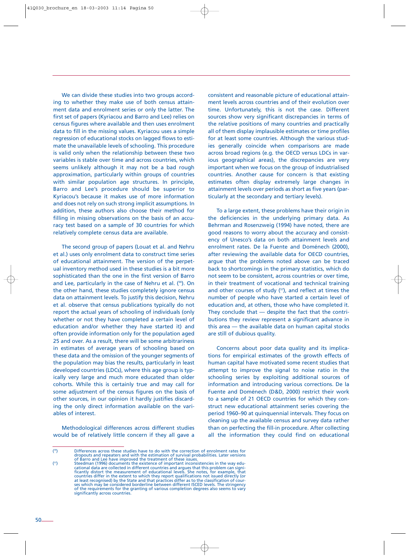We can divide these studies into two groups according to whether they make use of both census attainment data and enrolment series or only the latter. The first set of papers (Kyriacou and Barro and Lee) relies on census figures where available and then uses enrolment data to fill in the missing values. Kyriacou uses a simple regression of educational stocks on lagged flows to estimate the unavailable levels of schooling. This procedure is valid only when the relationship between these two variables is stable over time and across countries, which seems unlikely although it may not be a bad rough approximation, particularly within groups of countries with similar population age structures. In principle, Barro and Lee's procedure should be superior to Kyriacou's because it makes use of more information and does not rely on such strong implicit assumptions. In addition, these authors also choose their method for filling in missing observations on the basis of an accuracy test based on a sample of 30 countries for which relatively complete census data are available.

The second group of papers (Louat et al. and Nehru et al.) uses only enrolment data to construct time series of educational attainment. The version of the perpetual inventory method used in these studies is a bit more sophisticated than the one in the first version of Barro and Lee, particularly in the case of Nehru et al.  $(36)$ . On the other hand, these studies completely ignore census data on attainment levels. To justify this decision, Nehru et al. observe that census publications typically do not report the actual years of schooling of individuals (only whether or not they have completed a certain level of education and/or whether they have started it) and often provide information only for the population aged 25 and over. As a result, there will be some arbitrariness in estimates of average years of schooling based on these data and the omission of the younger segments of the population may bias the results, particularly in least developed countries (LDCs), where this age group is typically very large and much more educated than older cohorts. While this is certainly true and may call for some adjustment of the census figures on the basis of other sources, in our opinion it hardly justifies discarding the only direct information available on the variables of interest.

Methodological differences across different studies would be of relatively little concern if they all gave a consistent and reasonable picture of educational attainment levels across countries and of their evolution over time. Unfortunately, this is not the case. Different sources show very significant discrepancies in terms of the relative positions of many countries and practically all of them display implausible estimates or time profiles for at least some countries. Although the various studies generally coincide when comparisons are made across broad regions (e.g. the OECD versus LDCs in various geographical areas), the discrepancies are very important when we focus on the group of industrialised countries. Another cause for concern is that existing estimates often display extremely large changes in attainment levels over periods as short as five years (particularly at the secondary and tertiary levels).

To a large extent, these problems have their origin in the deficiencies in the underlying primary data. As Behrman and Rosenzweig (1994) have noted, there are good reasons to worry about the accuracy and consistency of Unesco's data on both attainment levels and enrolment rates. De la Fuente and Doménech (2000), after reviewing the available data for OECD countries, argue that the problems noted above can be traced back to shortcomings in the primary statistics, which do not seem to be consistent, across countries or over time, in their treatment of vocational and technical training and other courses of study  $(37)$ , and reflect at times the number of people who have started a certain level of education and, at others, those who have completed it. They conclude that — despite the fact that the contributions they review represent a significant advance in this area — the available data on human capital stocks are still of dubious quality.

Concerns about poor data quality and its implications for empirical estimates of the growth effects of human capital have motivated some recent studies that attempt to improve the signal to noise ratio in the schooling series by exploiting additional sources of information and introducing various corrections. De la Fuente and Doménech (D&D, 2000) restrict their work to a sample of 21 OECD countries for which they construct new educational attainment series covering the period 1960–90 at quinquennial intervals. They focus on cleaning up the available census and survey data rather than on perfecting the fill-in procedure. After collecting all the information they could find on educational

- $(36)$ Differences across these studies have to do with the correction of enrolment rates for
- dropouts and repeaters and with the estimation of survival probabilities. Later versions<br>of Barro and Lee have improved the treatment of these issues.<br>Setedman (1996) documents the existence of important inconsistencies in  $(37)$ significantly across countries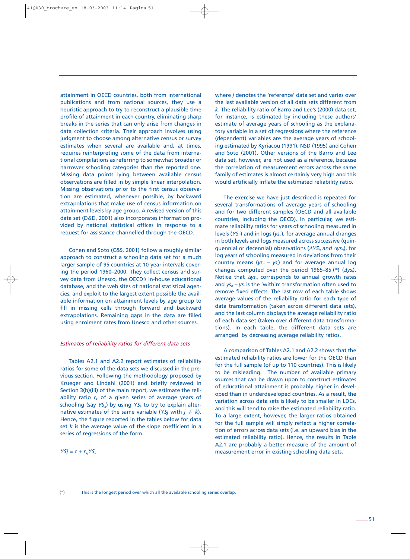attainment in OECD countries, both from international publications and from national sources, they use a heuristic approach to try to reconstruct a plausible time profile of attainment in each country, eliminating sharp breaks in the series that can only arise from changes in data collection criteria. Their approach involves using judgment to choose among alternative census or survey estimates when several are available and, at times, requires reinterpreting some of the data from international compilations as referring to somewhat broader or narrower schooling categories than the reported one. Missing data points lying between available census observations are filled in by simple linear interpolation. Missing observations prior to the first census observation are estimated, whenever possible, by backward extrapolations that make use of census information on attainment levels by age group. A revised version of this data set (D&D, 2001) also incorporates information provided by national statistical offices in response to a request for assistance channelled through the OECD.

Cohen and Soto (C&S, 2001) follow a roughly similar approach to construct a schooling data set for a much larger sample of 95 countries at 10-year intervals covering the period 1960–2000. They collect census and survey data from Unesco, the OECD's in-house educational database, and the web sites of national statistical agencies, and exploit to the largest extent possible the available information on attainment levels by age group to fill in missing cells through forward and backward extrapolations. Remaining gaps in the data are filled using enrolment rates from Unesco and other sources.

#### *Estimates of reliability ratios for different data sets*

Tables A2.1 and A2.2 report estimates of reliability ratios for some of the data sets we discussed in the previous section. Following the methodology proposed by Krueger and Lindahl (2001) and briefly reviewed in Section 3(b)(iii) of the main report, we estimate the reliability ratio  $r_k$  of a given series of average years of schooling (say  $YS_k$ ) by using  $YS_k$  to try to explain alternative estimates of the same variable (*YSj* with  $j \neq k$ ). Hence, the figure reported in the tables below for data set *k* is the average value of the slope coefficient in a series of regressions of the form

 $YSj = c + r_{kj}YSk$ 

where *j* denotes the 'reference' data set and varies over the last available version of all data sets different from *k*. The reliability ratio of Barro and Lee's (2000) data set, for instance, is estimated by including these authors' estimate of average years of schooling as the explanatory variable in a set of regressions where the reference (dependent) variables are the average years of schooling estimated by Kyriacou (1991), NSD (1995) and Cohen and Soto (2001). Other versions of the Barro and Lee data set, however, are not used as a reference, because the correlation of measurement errors across the same family of estimates is almost certainly very high and this would artificially inflate the estimated reliability ratio.

The exercise we have just described is repeated for several transformations of average years of schooling and for two different samples (OECD and all available countries, including the OECD). In particular, we estimate reliability ratios for years of schooling measured in levels (*YS<sub>it</sub>*) and in logs (*ys<sub>it</sub>*), for average annual changes in both levels and logs measured across successive (quinquennial or decennial) observations ( $\Delta YS_{it}$  *and*  $\Delta yS_{it}$ ), for log years of schooling measured in deviations from their country means (ys<sub>it</sub> – ys<sub>i</sub>) and for average annual log changes computed over the period 1965–85 (38) (∆*ysi* ). Notice that ∆ys<sub>it</sub> corresponds to annual growth rates and  $ys_{it} - ys_i$  is the 'within' transformation often used to remove fixed effects. The last row of each table shows average values of the reliability ratio for each type of data transformation (taken across different data sets), and the last column displays the average reliability ratio of each data set (taken over different data transformations). In each table, the different data sets are arranged by decreasing average reliability ratios.

A comparison of Tables A2.1 and A2.2 shows that the estimated reliability ratios are lower for the OECD than for the full sample (of up to 110 countries). This is likely to be misleading. The number of available primary sources that can be drawn upon to construct estimates of educational attainment is probably higher in developed than in underdeveloped countries. As a result, the variation across data sets is likely to be smaller in LDCs, and this will tend to raise the estimated reliability ratio. To a large extent, however, the larger ratios obtained for the full sample will simply reflect a higher correlation of errors across data sets (i.e. an upward bias in the estimated reliability ratio). Hence, the results in Table A2.1 are probably a better measure of the amount of measurement error in existing schooling data sets.

This is the longest period over which all the available schooling series overlap.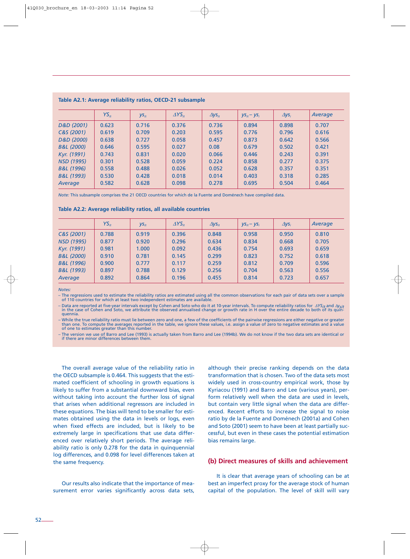|             | $YS_{it}$ | $\mathsf{y}\mathsf{s}_{it}$ | $\Delta Y S_{it}$ | $\Delta yS_{it}$ | $yS_{it} - yS_i$ | $\Delta yS_i$ | Average |
|-------------|-----------|-----------------------------|-------------------|------------------|------------------|---------------|---------|
| D&D (2001)  | 0.623     | 0.716                       | 0.376             | 0.736            | 0.894            | 0.898         | 0.707   |
| C&S (2001)  | 0.619     | 0.709                       | 0.203             | 0.595            | 0.776            | 0.796         | 0.616   |
| D&D (2000)  | 0.638     | 0.727                       | 0.058             | 0.457            | 0.873            | 0.642         | 0.566   |
| B&L (2000)  | 0.646     | 0.595                       | 0.027             | 0.08             | 0.679            | 0.502         | 0.421   |
| Kyr. (1991) | 0.743     | 0.831                       | 0.020             | 0.066            | 0.446            | 0.243         | 0.391   |
| NSD (1995)  | 0.301     | 0.528                       | 0.059             | 0.224            | 0.858            | 0.277         | 0.375   |
| B&L (1996)  | 0.558     | 0.488                       | 0.026             | 0.052            | 0.628            | 0.357         | 0.351   |
| B&L (1993)  | 0.530     | 0.428                       | 0.018             | 0.014            | 0.403            | 0.318         | 0.285   |
| Average     | 0.582     | 0.628                       | 0.098             | 0.278            | 0.695            | 0.504         | 0.464   |

### **Table A2.1: Average reliability ratios, OECD-21 subsample**

*Note:* This subsample comprises the 21 OECD countries for which de la Fuente and Doménech have compiled data.

#### **Table A2.2: Average reliability ratios, all available countries**

|                   | $YS_{it}$ | $\mathsf{y}\mathsf{s}_{it}$ | $\Delta Y S_{it}$ | $\Delta yS_{it}$ | $ys_{it} - ys_i$ | $\Delta$ ys <sub>i</sub> | Average |
|-------------------|-----------|-----------------------------|-------------------|------------------|------------------|--------------------------|---------|
| C&S (2001)        | 0.788     | 0.919                       | 0.396             | 0.848            | 0.958            | 0.950                    | 0.810   |
| <b>NSD (1995)</b> | 0.877     | 0.920                       | 0.296             | 0.634            | 0.834            | 0.668                    | 0.705   |
| Kyr. (1991)       | 0.981     | 1.000                       | 0.092             | 0.436            | 0.754            | 0.693                    | 0.659   |
| B&L (2000)        | 0.910     | 0.781                       | 0.145             | 0.299            | 0.823            | 0.752                    | 0.618   |
| B&L (1996)        | 0.900     | 0.777                       | 0.117             | 0.259            | 0.812            | 0.709                    | 0.596   |
| B&L (1993)        | 0.897     | 0.788                       | 0.129             | 0.256            | 0.704            | 0.563                    | 0.556   |
| Average           | 0.892     | 0.864                       | 0.196             | 0.455            | 0.814            | 0.723                    | 0.657   |

*Notes:*

– The regressions used to estimate the reliability ratios are estimated using all the common observations for each pair of data sets over a sample of 110 countries for which at least two independent estimates are available.

Data are reported at five-year intervals except by Cohen and Soto who do it at 10-year intervals. To compute reliability ratios for  $\Delta Y S_{it}$  and  $\Delta y_{sit}$  in the case of Cohen and Soto, we attribute the observed annualis quennia.

– While the true reliability ratio must lie between zero and one, a few of the coefficients of the pairwise regressions are either negative or greater<br>than one. To compute the averages reported in the table, we ignore thes

– The version we use of Barro and Lee (1993) is actually taken from Barro and Lee (1994b). We do not know if the two data sets are identical or if there are minor differences between them.

The overall average value of the reliability ratio in the OECD subsample is 0.464. This suggests that the estimated coefficient of schooling in growth equations is likely to suffer from a substantial downward bias, even without taking into account the further loss of signal that arises when additional regressors are included in these equations. The bias will tend to be smaller for estimates obtained using the data in levels or logs, even when fixed effects are included, but is likely to be extremely large in specifications that use data differenced over relatively short periods. The average reliability ratio is only 0.278 for the data in quinquennial log differences, and 0.098 for level differences taken at the same frequency.

Our results also indicate that the importance of measurement error varies significantly across data sets,

although their precise ranking depends on the data transformation that is chosen. Two of the data sets most widely used in cross-country empirical work, those by Kyriacou (1991) and Barro and Lee (various years), perform relatively well when the data are used in levels, but contain very little signal when the data are differenced. Recent efforts to increase the signal to noise ratio by de la Fuente and Doménech (2001a) and Cohen and Soto (2001) seem to have been at least partially successful, but even in these cases the potential estimation bias remains large.

### **(b) Direct measures of skills and achievement**

It is clear that average years of schooling can be at best an imperfect proxy for the average stock of human capital of the population. The level of skill will vary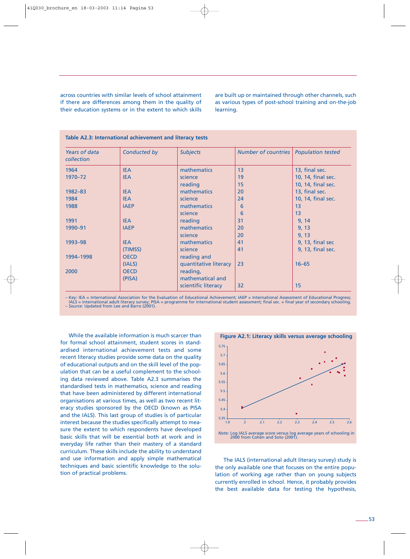across countries with similar levels of school attainment if there are differences among them in the quality of their education systems or in the extent to which skills are built up or maintained through other channels, such as various types of post-school training and on-the-job learning.

| Years of data<br>collection | Conducted by | <b>Subjects</b>       | <b>Number of countries</b> | <b>Population tested</b> |
|-----------------------------|--------------|-----------------------|----------------------------|--------------------------|
| 1964                        | <b>IEA</b>   | mathematics           | 13                         | 13, final sec.           |
| 1970-72                     | <b>IEA</b>   | science               | 19                         | 10, 14, final sec.       |
|                             |              | reading               | 15                         | 10, 14, final sec.       |
| 1982-83                     | <b>IEA</b>   | mathematics           | 20                         | 13, final sec.           |
| 1984                        | <b>IEA</b>   | science               | 24                         | 10, 14, final sec.       |
| 1988                        | <b>IAEP</b>  | mathematics           | 6                          | 13                       |
|                             |              | science               | $6\phantom{1}6$            | 13                       |
| 1991                        | <b>IEA</b>   | reading               | 31                         | 9, 14                    |
| 1990-91                     | <b>IAEP</b>  | mathematics           | 20                         | 9, 13                    |
|                             |              | science               | 20                         | 9, 13                    |
| 1993-98                     | <b>IEA</b>   | mathematics           | 41                         | 9, 13, final sec         |
|                             | (TIMSS)      | science               | 41                         | 9, 13, final sec.        |
| 1994-1998                   | <b>OECD</b>  | reading and           |                            |                          |
|                             | (IALS)       | quantitative literacy | 23                         | $16 - 65$                |
| 2000                        | <b>OECD</b>  | reading,              |                            |                          |
|                             | (PISA)       | mathematical and      |                            |                          |
|                             |              | scientific literacy   | 32                         | 15                       |

– Key: IEA = International Association for the Evaluation of Educational Achievement; IAEP = International Assessment of Educational Progress;<br>- IALS = international adult literacy survey; PISA = programme for internationa

While the available information is much scarcer than for formal school attainment, student scores in standardised international achievement tests and some recent literacy studies provide some data on the quality of educational outputs and on the skill level of the population that can be a useful complement to the schooling data reviewed above. Table A2.3 summarises the standardised tests in mathematics, science and reading that have been administered by different international organisations at various times, as well as two recent literacy studies sponsored by the OECD (known as PISA and the IALS). This last group of studies is of particular interest because the studies specifically attempt to measure the extent to which respondents have developed basic skills that will be essential both at work and in everyday life rather than their mastery of a standard curriculum. These skills include the ability to understand and use information and apply simple mathematical techniques and basic scientific knowledge to the solution of practical problems.



The IALS (international adult literacy survey) study is the only available one that focuses on the entire population of working age rather than on young subjects currently enrolled in school. Hence, it probably provides the best available data for testing the hypothesis,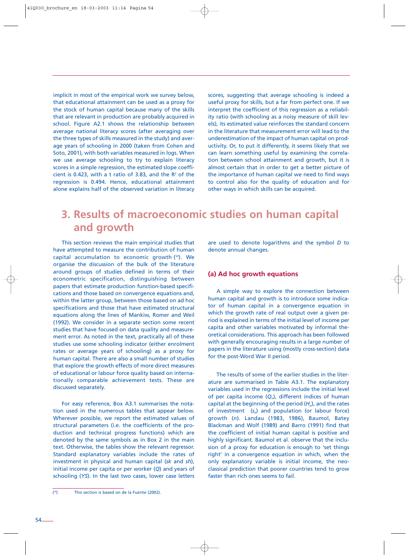implicit in most of the empirical work we survey below, that educational attainment can be used as a proxy for the stock of human capital because many of the skills that are relevant in production are probably acquired in school. Figure A2.1 shows the relationship between average national literacy scores (after averaging over the three types of skills measured in the study) and average years of schooling in 2000 (taken from Cohen and Soto, 2001), with both variables measured in logs. When we use average schooling to try to explain literacy scores in a simple regression, the estimated slope coefficient is 0.423, with a t ratio of 3.83, and the  $R^2$  of the regression is 0.494. Hence, educational attainment alone explains half of the observed variation in literacy scores, suggesting that average schooling is indeed a useful proxy for skills, but a far from perfect one. If we interpret the coefficient of this regression as a reliability ratio (with schooling as a noisy measure of skill levels), its estimated value reinforces the standard concern in the literature that measurement error will lead to the underestimation of the impact of human capital on productivity. Or, to put it differently, it seems likely that we can learn something useful by examining the correlation between school attainment and growth, but it is almost certain that in order to get a better picture of the importance of human capital we need to find ways to control also for the quality of education and for other ways in which skills can be acquired.

# **3. Results of macroeconomic studies on human capital and growth**

This section reviews the main empirical studies that have attempted to measure the contribution of human capital accumulation to economic growth  $(39)$ . We organise the discussion of the bulk of the literature around groups of studies defined in terms of their econometric specification, distinguishing between papers that estimate production function-based specifications and those based on convergence equations and, within the latter group, between those based on ad hoc specifications and those that have estimated structural equations along the lines of Mankiw, Romer and Weil (1992). We consider in a separate section some recent studies that have focused on data quality and measurement error. As noted in the text, practically all of these studies use some schooling indicator (either enrolment rates or average years of schooling) as a proxy for human capital. There are also a small number of studies that explore the growth effects of more direct measures of educational or labour force quality based on internationally comparable achievement tests. These are discussed separately.

For easy reference, Box A3.1 summarises the notation used in the numerous tables that appear below. Wherever possible, we report the estimated values of structural parameters (i.e. the coefficients of the production and technical progress functions) which are denoted by the same symbols as in Box 2 in the main text. Otherwise, the tables show the relevant regressor. Standard explanatory variables include the rates of investment in physical and human capital (*sk* and *sh*), initial income per capita or per worker (*Q*) and years of schooling (*YS*). In the last two cases, lower case letters are used to denote logarithms and the symbol *D* to denote annual changes.

#### **(a) Ad hoc growth equations**

A simple way to explore the connection between human capital and growth is to introduce some indicator of human capital in a convergence equation in which the growth rate of real output over a given period is explained in terms of the initial level of income per capita and other variables motivated by informal theoretical considerations. This approach has been followed with generally encouraging results in a large number of papers in the literature using (mostly cross-section) data for the post-Word War II period.

The results of some of the earlier studies in the literature are summarised in Table A3.1. The explanatory variables used in the regressions include the initial level of per capita income (Q<sub>o</sub>), different indices of human capital at the beginning of the period ( $H_o$ ), and the rates of investment  $(s_k)$  and population (or labour force) growth (*n*). Landau (1983, 1986), Baumol, Batey Blackman and Wolf (1989) and Barro (1991) find that the coefficient of initial human capital is positive and highly significant. Baumol et al. observe that the inclusion of a proxy for education is enough to 'set things right' in a convergence equation in which, when the only explanatory variable is initial income, the neoclassical prediction that poorer countries tend to grow faster than rich ones seems to fail.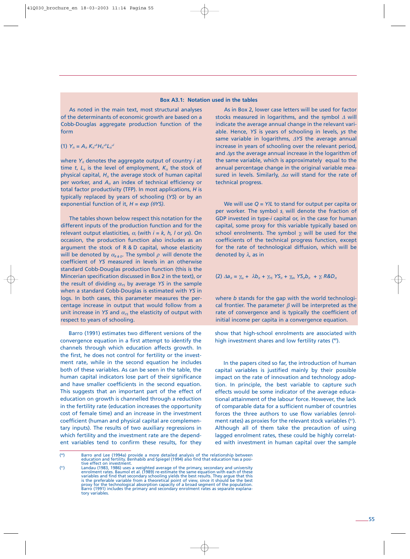#### **Box A3.1: Notation used in the tables**

As noted in the main text, most structural analyses of the determinants of economic growth are based on a Cobb-Douglas aggregate production function of the form

(1)  $Y_{it} = A_{it} K_{it}^{ak} H_{it}^{ak} L_{it}^{ak}$ 

where  $Y_{it}$  denotes the aggregate output of country *i* at time *t*,  $L<sub>i</sub>$  is the level of employment,  $K<sub>i</sub>$  the stock of physical capital,  $H_{it}$  the average stock of human capital per worker, and  $A_{it}$  an index of technical efficiency or total factor productivity (TFP). In most applications, *H* is typically replaced by years of schooling (*YS*) or by an exponential function of it, *H* = *exp (*θ*YS)*.

The tables shown below respect this notation for the different inputs of the production function and for the relevant output elasticities, <sup>α</sup>*<sup>i</sup>* (with *i* = *k, h, l* or *ys*). On occasion, the production function also includes as an argument the stock of R & D capital, whose elasticity will be denoted by  $\alpha_{R\&D}$ . The symbol  $\rho$  will denote the coefficient of *YS* measured in levels in an otherwise standard Cobb-Douglas production function (this is the Mincerian specification discussed in Box 2 in the text), or the result of dividing  $\alpha_{\text{ys}}$  by average *YS* in the sample when a standard Cobb-Douglas is estimated with *YS* in logs. In both cases, this parameter measures the percentage increase in output that would follow from a unit increase in *YS* and  $\alpha_{\text{ys}}$  the elasticity of output with respect to years of schooling.

Barro (1991) estimates two different versions of the convergence equation in a first attempt to identify the channels through which education affects growth. In the first, he does not control for fertility or the investment rate, while in the second equation he includes both of these variables. As can be seen in the table, the human capital indicators lose part of their significance and have smaller coefficients in the second equation. This suggests that an important part of the effect of education on growth is channelled through a reduction in the fertility rate (education increases the opportunity cost of female time) and an increase in the investment coefficient (human and physical capital are complementary inputs). The results of two auxiliary regressions in which fertility and the investment rate are the dependent variables tend to confirm these results, for they

As in Box 2, lower case letters will be used for factor stocks measured in logarithms, and the symbol  $\Delta$  will indicate the average annual change in the relevant variable. Hence, *YS* is years of schooling in levels, *ys* the same variable in logarithms, ∆*YS* the average annual increase in years of schooling over the relevant period, and <sup>∆</sup>*ys* the average annual increase in the logarithm of the same variable, which is approximately equal to the annual percentage change in the original variable measured in levels. Similarly,  $\Delta \alpha$  will stand for the rate of technical progress.

We will use *Q = Y/L* to stand for output per capita or per worker. The symbol *si* will denote the fraction of GDP invested in type-*i* capital or, in the case for human capital, some proxy for this variable typically based on school enrolments. The symbol  $\gamma_i$  will be used for the coefficients of the technical progress function, except for the rate of technological diffusion, which will be denoted by  $\lambda$ , as in

(2) 
$$
\Delta a_{it} = \gamma_{io} + \lambda b_{it} + \gamma_{vs} Y S_{it} + \gamma_{bh} Y S_{it} b_{it} + \gamma_r R \& D_{it}
$$

where *b* stands for the gap with the world technological frontier. The parameter  $\beta$  will be interpreted as the rate of convergence and is typically the coefficient of initial income per capita in a convergence equation.

show that high-school enrolments are associated with high investment shares and low fertility rates (40).

In the papers cited so far, the introduction of human capital variables is justified mainly by their possible impact on the rate of innovation and technology adoption. In principle, the best variable to capture such effects would be some indicator of the average educational attainment of the labour force. However, the lack of comparable data for a sufficient number of countries forces the three authors to use flow variables (enrolment rates) as proxies for the relevant stock variables (41). Although all of them take the precaution of using lagged enrolment rates, these could be highly correlated with investment in human capital over the sample

 $(40)$ 40) Barro and Lee (1994a) provide a more detailed analysis of the relationship between education and fertility. Benhabib and Spiegel (1994) also find that education has a posi-tive effect on investment.

 $(41)$ <sup>41</sup>) Landau (1983, 1986) uses a weighted average of the primary, secondary and university enrolment rates. Baumol et al. (1989) re-estimate the same equation with each of these variables and find that secondary schooling tory variables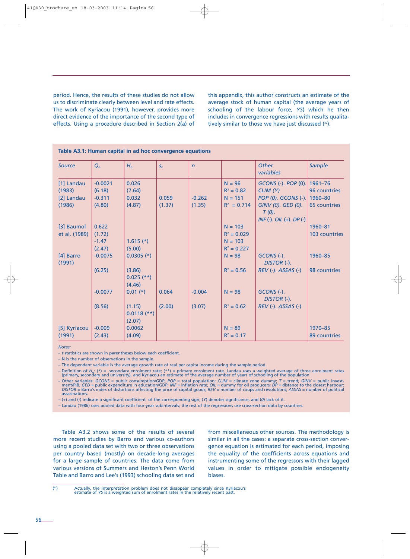period. Hence, the results of these studies do not allow us to discriminate clearly between level and rate effects. The work of Kyriacou (1991), however, provides more direct evidence of the importance of the second type of effects. Using a procedure described in Section 2(a) of this appendix, this author constructs an estimate of the average stock of human capital (the average years of schooling of the labour force, *YS*) which he then includes in convergence regressions with results qualitatively similar to those we have just discussed (42).

| Table A3.1: Human capital in ad hoc convergence equations |                                           |                                    |                 |                    |                                                          |                                                                                                |                                                        |  |  |  |  |  |
|-----------------------------------------------------------|-------------------------------------------|------------------------------------|-----------------|--------------------|----------------------------------------------------------|------------------------------------------------------------------------------------------------|--------------------------------------------------------|--|--|--|--|--|
| <b>Source</b>                                             | $Q_{o}$                                   | $H_{\rm o}$                        | $S_k$           | $\mathsf{n}$       |                                                          | <b>Other</b><br>variables                                                                      | Sample                                                 |  |  |  |  |  |
| [1] Landau<br>(1983)<br>[2] Landau<br>(1986)              | $-0.0021$<br>(6.18)<br>$-0.311$<br>(4.80) | 0.026<br>(7.64)<br>0.032<br>(4.87) | 0.059<br>(1.37) | $-0.262$<br>(1.35) | $N = 96$<br>$R^2 = 0.82$<br>$N = 151$<br>$R^2 = 0.714$   | $GCONS$ (-). $POP$ (0).<br>CLIM(Y)<br>POP (0). GCONS $(-)$ .<br>GINV (0). GED (0).<br>$T(0)$ . | $1961 - 76$<br>96 countries<br>1960-80<br>65 countries |  |  |  |  |  |
| [3] Baumol<br>et al. (1989)                               | 0.622<br>(1.72)<br>$-1.47$<br>(2.47)      | $1.615$ (*)<br>(5.00)              |                 |                    | $N = 103$<br>$R^2 = 0.029$<br>$N = 103$<br>$R^2 = 0.227$ | $INF (-). OIL (+). DP (-)$                                                                     | 1960-81<br>103 countries                               |  |  |  |  |  |
| [4] Barro<br>(1991)                                       | $-0.0075$                                 | $0.0305$ (*)                       |                 |                    | $N = 98$                                                 | GCONS (-).<br>DISTOR (-).                                                                      | 1960-85                                                |  |  |  |  |  |
|                                                           | (6.25)                                    | (3.86)<br>$0.025$ (**)<br>(4.46)   |                 |                    | $R^2 = 0.56$                                             | $REV$ (-). ASSAS (-)                                                                           | 98 countries                                           |  |  |  |  |  |
|                                                           | $-0.0077$                                 | $0.01$ (*)                         | 0.064           | $-0.004$           | $N = 98$                                                 | GCONS (-).<br>DISTOR (-).                                                                      |                                                        |  |  |  |  |  |
|                                                           | (8.56)                                    | (1.15)<br>$0.0118$ (**)<br>(2.07)  | (2.00)          | (3.07)             | $R^2 = 0.62$                                             | $REV$ (-). ASSAS (-)                                                                           |                                                        |  |  |  |  |  |
| [5] Kyriacou<br>(1991)                                    | $-0.009$<br>(2.43)                        | 0.0062<br>(4.09)                   |                 |                    | $N = 89$<br>$R^2 = 0.17$                                 |                                                                                                | 1970-85<br>89 countries                                |  |  |  |  |  |

*Notes:*

– *t* statistics are shown in parentheses below each coefficient.

– N is the number of observations in the sample.

– The dependent variable is the average growth rate of real per capita income during the sample period.

– Definition of H<sub>o</sub>: (\*) = secondary enrolment rate; (\*\*) = primary enrolment rate. Landau uses a weighted average of three enrolment rates<br>(primary, secondary and university), and Kyriacou an estimate of the average num

– Other variables: GCONS = public consumption/GDP; POP = total population; CLIM = climate zone dummy; T = trend; GINV = public invest-<br>ment/PIB; GED = public expenditure in education/GDP; INF = inflation rate; OIL = dummy assasinations.

– (+) and (-) indicate a significant coefficient of the corresponding sign; (*Y*) denotes significance, and (*0*) lack of it.

– Landau (1986) uses pooled data with four-year subintervals; the rest of the regressions use cross-section data by countries.

Table A3.2 shows some of the results of several more recent studies by Barro and various co-authors using a pooled data set with two or three observations per country based (mostly) on decade-long averages for a large sample of countries. The data come from various versions of Summers and Heston's Penn World Table and Barro and Lee's (1993) schooling data set and from miscellaneous other sources. The methodology is similar in all the cases: a separate cross-section convergence equation is estimated for each period, imposing the equality of the coefficients across equations and instrumenting some of the regressors with their lagged values in order to mitigate possible endogeneity biases.

 $(42)$ 

42) Actually, the interpretation problem does not disappear completely since Kyriacou's estimate of *YS* is a weighted sum of enrolment rates in the relatively recent past.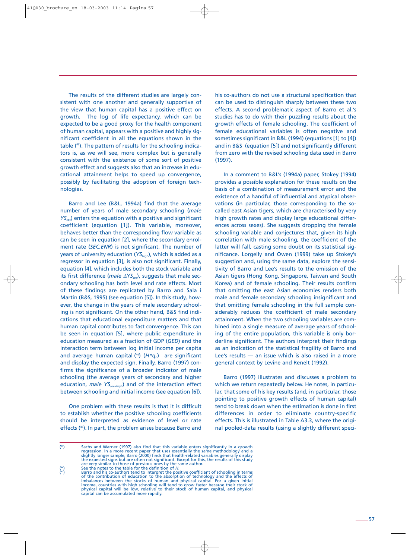The results of the different studies are largely consistent with one another and generally supportive of the view that human capital has a positive effect on growth. The log of life expectancy, which can be expected to be a good proxy for the health component of human capital, appears with a positive and highly significant coefficient in all the equations shown in the table (43). The pattern of results for the schooling indicators is, as we will see, more complex but is generally consistent with the existence of some sort of positive growth effect and suggests also that an increase in educational attainment helps to speed up convergence, possibly by facilitating the adoption of foreign technologies.

Barro and Lee (B&L, 1994a) find that the average number of years of male secondary schooling (*male YSsec*) enters the equation with a positive and significant coefficient (equation [1]). This variable, moreover, behaves better than the corresponding flow variable as can be seen in equation [2], where the secondary enrolment rate (*SEC.ENR*) is not significant. The number of years of university education (*YShigh*), which is added as a regressor in equation [3], is also not significant. Finally, equation [4], which includes both the stock variable and its first difference (*male* ∆*YS*<sub>sec</sub>), suggests that male secondary schooling has both level and rate effects. Most of these findings are replicated by Barro and Sala i Martin (B&S, 1995) (see equation [5]). In this study, however, the change in the years of male secondary schooling is not significant. On the other hand, B&S find indications that educational expenditure matters and that human capital contributes to fast convergence. This can be seen in equation [5], where public expenditure in education measured as a fraction of GDP (*GED*) and the interaction term between log initial income per capita and average human capital (<sup>44</sup>) ( $H*q_o$ ) are significant and display the expected sign. Finally, Barro (1997) confirms the significance of a broader indicator of male schooling (the average years of secondary and higher education, *male YSsec+high*) and of the interaction effect between schooling and initial income (see equation [6]).

One problem with these results is that it is difficult to establish whether the positive schooling coefficients should be interpreted as evidence of level or rate effects (<sup>45</sup>). In part, the problem arises because Barro and his co-authors do not use a structural specification that can be used to distinguish sharply between these two effects. A second problematic aspect of Barro et al.'s studies has to do with their puzzling results about the growth effects of female schooling. The coefficient of female educational variables is often negative and sometimes significant in B&L (1994) (equations [1] to [4]) and in B&S (equation [5]) and not significantly different from zero with the revised schooling data used in Barro (1997).

In a comment to B&L's (1994a) paper, Stokey (1994) provides a possible explanation for these results on the basis of a combination of measurement error and the existence of a handful of influential and atypical observations (in particular, those corresponding to the socalled east Asian tigers, which are characterised by very high growth rates and display large educational differences across sexes). She suggests dropping the female schooling variable and conjectures that, given its high correlation with male schooling, the coefficient of the latter will fall, casting some doubt on its statistical significance. Lorgelly and Owen (1999) take up Stokey's suggestion and, using the same data, explore the sensitivity of Barro and Lee's results to the omission of the Asian tigers (Hong Kong, Singapore, Taiwan and South Korea) and of female schooling. Their results confirm that omitting the east Asian economies renders both male and female secondary schooling insignificant and that omitting female schooling in the full sample considerably reduces the coefficient of male secondary attainment. When the two schooling variables are combined into a single measure of average years of schooling of the entire population, this variable is only borderline significant. The authors interpret their findings as an indication of the statistical fragility of Barro and Lee's results — an issue which is also raised in a more general context by Levine and Renelt (1992).

Barro (1997) illustrates and discusses a problem to which we return repeatedly below. He notes, in particular, that some of his key results (and, in particular, those pointing to positive growth effects of human capital) tend to break down when the estimation is done in first differences in order to eliminate country-specific effects. This is illustrated in Table A3.3, where the original pooled-data results (using a slightly different speci-

( (

 $(43)$ 

Sachs and Warner (1997) also find that this variable enters significantly in a growth<br>regression. In a more recent paper that uses essentially the same methodology and a<br>slightly longer sample, Barro (2000) finds that heal the expected signs but are often not significant. Except for this, the results of this study<br>are very similar to those of previous ones by the same author.<br><sup>4</sup>) See the notes to the table for the definition of *H*.

<sup>&</sup>lt;sup>45</sup>) Barro and his co-authors tend to interpret the positive coefficient of schooling in terms of the contribution of education to the absorption of technology and the effects of inbalances between the stocks of human and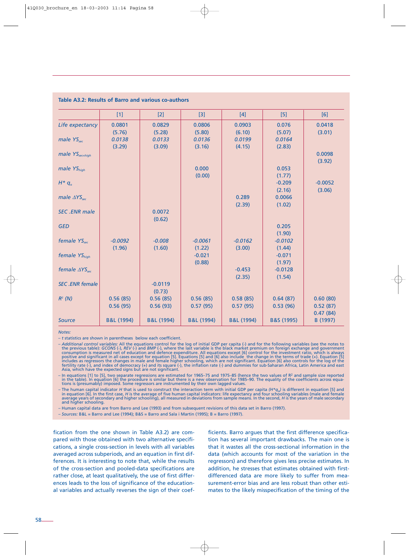|                                   | $[1]$      | $[2]$      | $[3]$      | $[4]$      | $[5]$      | [6]       |
|-----------------------------------|------------|------------|------------|------------|------------|-----------|
|                                   |            |            |            |            |            |           |
| Life expectancy                   | 0.0801     | 0.0829     | 0.0806     | 0.0903     | 0.076      | 0.0418    |
|                                   | (5.76)     | (5.28)     | (5.80)     | (6.10)     | (5.07)     | (3.01)    |
| male YS <sub>sec</sub>            | 0.0138     | 0.0133     | 0.0136     | 0.0199     | 0.0164     |           |
|                                   | (3.29)     | (3.09)     | (3.16)     | (4.15)     | (2.83)     |           |
| $male \ YSsec+high$               |            |            |            |            |            | 0.0098    |
|                                   |            |            |            |            |            | (3.92)    |
| male $YS_{\text{hiah}}$           |            |            | 0.000      |            | 0.053      |           |
|                                   |            |            | (0.00)     |            | (1.77)     |           |
| $H^*q_0$                          |            |            |            |            | $-0.209$   | $-0.0052$ |
|                                   |            |            |            |            | (2.16)     | (3.06)    |
| male $\Delta YS_{\text{sec}}$     |            |            |            | 0.289      | 0.0066     |           |
|                                   |            |            |            | (2.39)     | (1.02)     |           |
| <b>SEC.ENR male</b>               |            | 0.0072     |            |            |            |           |
|                                   |            | (0.62)     |            |            |            |           |
| <b>GED</b>                        |            |            |            |            | 0.205      |           |
|                                   |            |            |            |            | (1.90)     |           |
| female YS <sub>sec</sub>          | $-0.0092$  | $-0.008$   | $-0.0061$  | $-0.0162$  | $-0.0102$  |           |
|                                   | (1.96)     | (1.60)     | (1.22)     | (3.00)     | (1.44)     |           |
| female YS <sub>high</sub>         |            |            | $-0.021$   |            | $-0.071$   |           |
|                                   |            |            | (0.88)     |            | (1.97)     |           |
| female $\Delta$ YS <sub>sec</sub> |            |            |            | $-0.453$   | $-0.0128$  |           |
|                                   |            |            |            | (2.35)     | (1.54)     |           |
| <b>SEC.ENR female</b>             |            | $-0.0119$  |            |            |            |           |
|                                   |            | (0.73)     |            |            |            |           |
| $R^2$ (N)                         | 0.56(85)   | 0.56(85)   | 0.56(85)   | 0.58(85)   | 0.64(87)   | 0.60(80)  |
|                                   | 0.56(95)   | 0.56(93)   | 0.57(95)   | 0.57(95)   | 0.53(96)   | 0.52(87)  |
|                                   |            |            |            |            |            | 0.47(84)  |
| Source                            | B&L (1994) | B&L (1994) | B&L (1994) | B&L (1994) | B&S (1995) | B (1997)  |

#### **Table A3.2: Results of Barro and various co-authors**

*Notes:*

– *t* statistics are shown in parentheses below each coefficient.

- *Additional control variables:* All the equations control for the log of initial GDP per capita (-) and for the following variables (see the notes to the previous table):  $GCONS(.)$ , *REV* (-) and *BMP* (-), where the last

In equations [1] to [5], two separate regressions are estimated for 1965–75 and 1975–85 (hence the two values of  $R^2$  and sample size reported<br>in the table). In equation [6] the procedure is similar but there is a new ob

- The human capital indicator *H* that is used to construct the interaction term with initial GDP per capita (*H*\*q<sub>o</sub>) is different in equation [5] and in equation [5] and in equation [5] and in equation [5] and in equat

– Human capital data are from Barro and Lee (1993) and from subsequent revisions of this data set in Barro (1997).

– *Sources:* B&L = Barro and Lee (1994); B&S = Barro and Sala i Martin (1995); B = Barro (1997).

fication from the one shown in Table A3.2) are compared with those obtained with two alternative specifications, a single cross-section in levels with all variables averaged across subperiods, and an equation in first differences. It is interesting to note that, while the results of the cross-section and pooled-data specifications are rather close, at least qualitatively, the use of first differences leads to the loss of significance of the educational variables and actually reverses the sign of their coefficients. Barro argues that the first difference specification has several important drawbacks. The main one is that it wastes all the cross-sectional information in the data (which accounts for most of the variation in the regressors) and therefore gives less precise estimates. In addition, he stresses that estimates obtained with firstdifferenced data are more likely to suffer from measurement-error bias and are less robust than other estimates to the likely misspecification of the timing of the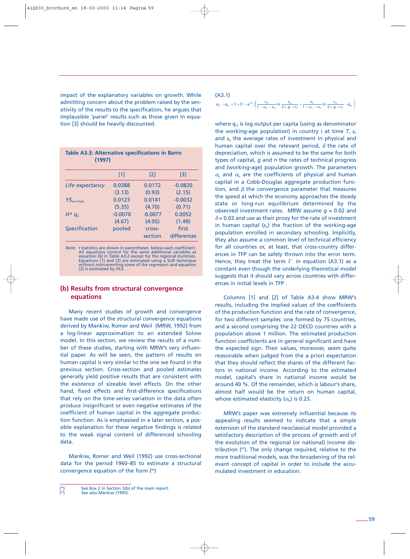impact of the explanatory variables on growth. While admitting concern about the problem raised by the sensitivity of the results to the specification, he argues that implausible 'panel' results such as those given in equation [3] should be heavily discounted.

| <b>Table A3.3: Alternative specifications in Barro</b><br>(1997) |           |               |             |  |  |  |  |  |  |  |  |
|------------------------------------------------------------------|-----------|---------------|-------------|--|--|--|--|--|--|--|--|
|                                                                  | [1]       | [2]           | [3]         |  |  |  |  |  |  |  |  |
| Life expectancy                                                  | 0.0388    | 0.0172        | $-0.0820$   |  |  |  |  |  |  |  |  |
|                                                                  | (3.13)    | (0.93)        | (2.15)      |  |  |  |  |  |  |  |  |
| $YS_{\text{sec+high}}$                                           | 0.0123    | 0.0141        | $-0.0032$   |  |  |  |  |  |  |  |  |
|                                                                  | (5.35)    | (4.70)        | (0.71)      |  |  |  |  |  |  |  |  |
| $H^*q_0$                                                         | $-0.0070$ | $-0.0077$     | 0.0052      |  |  |  |  |  |  |  |  |
|                                                                  | (4.67)    | (4.05)        | (1.49)      |  |  |  |  |  |  |  |  |
| <b>Specification</b>                                             | pooled    | <b>Cross-</b> | first       |  |  |  |  |  |  |  |  |
|                                                                  |           | section       | differences |  |  |  |  |  |  |  |  |

*Note: t* statistics are shown in parentheses below each coefficient. All equations control for the same additional variables as<br>equation [6] in Table A3.2 except for the regional dummies.<br>Equations [1] and [3] are estimated using a SUR technique<br>without instrumenting some of the regressors

## **(b) Results from structural convergence equations**

Many recent studies of growth and convergence have made use of the structural convergence equations derived by Mankiw, Romer and Weil (MRW, 1992) from a log-linear approximation to an extended Solow model. In this section, we review the results of a number of these studies, starting with MRW's very influential paper. As will be seen, the pattern of results on human capital is very similar to the one we found in the previous section. Cross-section and pooled estimates generally yield positive results that are consistent with the existence of sizeable level effects. On the other hand, fixed effects and first-difference specifications that rely on the time-series variation in the data often produce insignificant or even negative estimates of the coefficient of human capital in the aggregate production function. As is emphasised in a later section, a possible explanation for these negative findings is related to the weak signal content of differenced schooling data.

Mankiw, Romer and Weil (1992) use cross-sectional data for the period 1960–85 to estimate a structural convergence equation of the form (46)

#### ( ( <sup>46</sup>) See Box 2 in Section 3(b) of the main report.<br><sup>47</sup>) See also Mankiw (1995).

# (A3.1)

#### $q_{\pi}-q_{i\sigma} = \Gamma + (1 - e^{\beta T}) \left( \frac{\alpha_k}{1-\alpha_k-\alpha_h} \ln \frac{s_{ki}}{\delta + g + n_i} + \frac{\alpha_h}{1-\alpha_k-\alpha_h} \ln \frac{s_{hi}}{\delta + g + n_i} \right)$ −*qio*  $\left(\frac{\alpha_k}{1-\alpha_k-\alpha_h}\ln\frac{s_{ki}}{\delta+g+n_i}+\frac{\alpha_h}{1-\alpha_k-\alpha_h}\ln\frac{s_{hi}}{\delta+g+n_i}-q_{io}\right)$  $\bigg)$

where  $q_{i\bar{i}}$  is log output per capita (using as denominator the working-age population) in country i at time  $T$ ,  $s_k$ and *sh* the average rates of investment in physical and human capital over the relevant period,  $\delta$  the rate of depreciation, which is assumed to be the same for both types of capital, *g* and *n* the rates of technical progress and (working-age) population growth. The parameters  $\alpha_k$  and  $\alpha_h$  are the coefficients of physical and human capital in a Cobb-Douglas aggregate production function, and  $\beta$  the convergence parameter that measures the speed at which the economy approaches the steady state or long-run equilibrium determined by the observed investment rates. MRW assume *g* = 0.02 and  $\delta$  = 0.03 and use as their proxy for the rate of investment in human capital (*sh*) the fraction of the working-age population enrolled in secondary schooling. Implicitly, they also assume a common level of technical efficiency for all countries or, at least, that cross-country differences in TFP can be safely thrown into the error term. Hence, they treat the term  $\Gamma$  in equation (A3.1) as a constant even though the underlying theoretical model suggests that it should vary across countries with differences in initial levels in TFP .

Columns [1] and [2] of Table A3.4 show MRW's results, including the implied values of the coefficients of the production function and the rate of convergence, for two different samples: one formed by 75 countries, and a second comprising the 22 OECD countries with a population above 1 million. The estimated production function coefficients are in general significant and have the expected sign. Their values, moreover, seem quite reasonable when judged from the a priori expectation that they should reflect the shares of the different factors in national income. According to the estimated model, capital's share in national income would be around 40 %. Of the remainder, which is labour's share, almost half would be the return on human capital, whose estimated elasticity (<sup>α</sup>*h*) is 0.23.

MRW's paper was extremely influential because its appealing results seemed to indicate that a simple extension of the standard neoclassical model provided a satisfactory description of the process of growth and of the evolution of the regional (or national) income distribution  $(47)$ . The only change required, relative to the more traditional models, was the broadening of the relevant concept of capital in order to include the accumulated investment in education.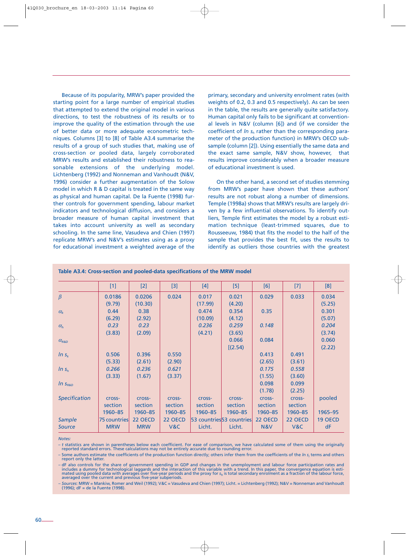Because of its popularity, MRW's paper provided the starting point for a large number of empirical studies that attempted to extend the original model in various directions, to test the robustness of its results or to improve the quality of the estimation through the use of better data or more adequate econometric techniques. Columns [3] to [8] of Table A3.4 summarise the results of a group of such studies that, making use of cross-section or pooled data, largely corroborated MRW's results and established their robustness to reasonable extensions of the underlying model. Lichtenberg (1992) and Nonneman and Vanhoudt (N&V, 1996) consider a further augmentation of the Solow model in which R & D capital is treated in the same way as physical and human capital. De la Fuente (1998) further controls for government spending, labour market indicators and technological diffusion, and considers a broader measure of human capital investment that takes into account university as well as secondary schooling. In the same line, Vasudeva and Chien (1997) replicate MRW's and N&V's estimates using as a proxy for educational investment a weighted average of the primary, secondary and university enrolment rates (with weights of 0.2, 0.3 and 0.5 respectively). As can be seen in the table, the results are generally quite satisfactory. Human capital only fails to be significant at conventional levels in N&V (column [6]) and (if we consider the coefficient of *ln sh* rather than the corresponding parameter of the production function) in MRW's OECD subsample (column [2]). Using essentially the same data and the exact same sample, N&V show, however, that results improve considerably when a broader measure of educational investment is used.

On the other hand, a second set of studies stemming from MRW's paper have shown that these authors' results are not robust along a number of dimensions. Temple (1998a) shows that MRW's results are largely driven by a few influential observations. To identify outliers, Temple first estimates the model by a robust estimation technique (least-trimmed squares, due to Rousseeuw, 1984) that fits the model to the half of the sample that provides the best fit, uses the results to identify as outliers those countries with the greatest

|                      | $[1]$               | $[2]$         | $[3]$         | $[4]$                     | $[5]$   | [6]           | $[7]$         | [8]     |
|----------------------|---------------------|---------------|---------------|---------------------------|---------|---------------|---------------|---------|
| $\beta$              | 0.0186              | 0.0206        | 0.024         | 0.017                     | 0.021   | 0.029         | 0.033         | 0.034   |
|                      | (9.79)              | (10.30)       |               | (17.99)                   | (4.20)  |               |               | (5.25)  |
| $\alpha_{k}$         | 0.44                | 0.38          |               | 0.474                     | 0.354   | 0.35          |               | 0.301   |
|                      | (6.29)              | (2.92)        |               | (10.09)                   | (4.12)  |               |               | (5.07)  |
| $\alpha_{h}$         | 0.23                | 0.23          |               | 0.236                     | 0.259   | 0.148         |               | 0.204   |
|                      | (3.83)              | (2.09)        |               | (4.21)                    | (3.65)  |               |               | (3.74)  |
| $\alpha_{\rm{R\&O}}$ |                     |               |               |                           | 0.066   | 0.084         |               | 0.060   |
|                      |                     |               |               |                           | [(2.54) |               |               | (2.22)  |
| $ln s_k$             | 0.506               | 0.396         | 0.550         |                           |         | 0.413         | 0.491         |         |
|                      | (5.33)              | (2.61)        | (2.90)        |                           |         | (2.65)        | (3.61)        |         |
| ln s <sub>h</sub>    | 0.266               | 0.236         | 0.621         |                           |         | 0.175         | 0.558         |         |
|                      | (3.33)              | (1.67)        | (3.37)        |                           |         | (1.55)        | (3.60)        |         |
| $In S_{R\&D}$        |                     |               |               |                           |         | 0.098         | 0.099         |         |
|                      |                     |               |               |                           |         | (1.78)        | (2.25)        |         |
| <b>Specification</b> | Cross-              | <b>Cross-</b> | <b>Cross-</b> | Cross-                    | Cross-  | <b>Cross-</b> | <b>Cross-</b> | pooled  |
|                      | section             | section       | section       | section                   | section | section       | section       |         |
|                      | 1960-85             | 1960-85       | 1960-85       | 1960-85                   | 1960-85 | 1960-85       | 1960-85       | 1965-95 |
| Sample               | <b>75 countries</b> | 22 OECD       | 22 OECD       | 53 countries 53 countries |         | 22 OECD       | 22 OECD       | 19 OECD |
| <b>Source</b>        | <b>MRW</b>          | <b>MRW</b>    | V&C           | Licht.                    | Licht.  | N&V           | V&C           | dF      |

#### **Table A3.4: Cross-section and pooled-data specifications of the MRW model**

*Notes:*

– t statistics are shown in parentheses below each coefficient. For ease of comparison, we have calculated some of them using the originally<br>reported standard errors. These calculations may not be entirely accurate due to

Some authors estimate the coefficients of the production function directly; others infer them from the coefficients of the  $ln s_i$  terms and others report only the latter.

– dF also controls for the share of government spending in GDP and changes in the unemployment and labour force participation rates and the interaction of this variable with a trend. In this paper, the convergence equatio averaged over the current and previous five-year subperiods.

– *Sources*: MRW = Mankiw, Romer and Weil (1992); V&C = Vasudeva and Chien (1997); Licht. = Lichtenberg (1992); N&V = Nonneman and Vanhoudt<br>(1996); dF = de la Fuente (1998).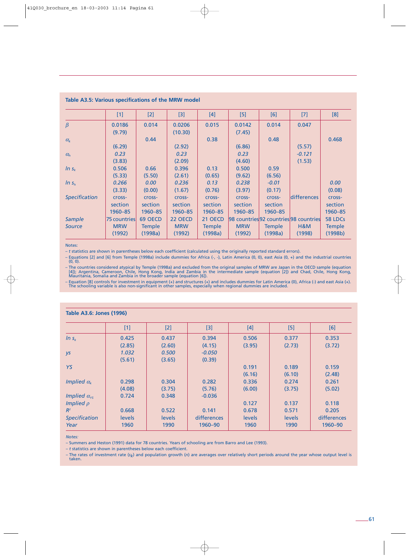|                      | $[1]$               | $[2]$         | $[3]$         | $[4]$         | [5]           | [6]           | $[7]$                                  | [8]           |
|----------------------|---------------------|---------------|---------------|---------------|---------------|---------------|----------------------------------------|---------------|
| $\beta$              | 0.0186              | 0.014         | 0.0206        | 0.015         | 0.0142        | 0.014         | 0.047                                  |               |
|                      | (9.79)              |               | (10.30)       |               | (7.45)        |               |                                        |               |
| $\alpha_{k}$         |                     | 0.44          |               | 0.38          |               | 0.48          |                                        | 0.468         |
|                      | (6.29)              |               | (2.92)        |               | (6.86)        |               | (5.57)                                 |               |
| $\alpha_{h}$         | 0.23                |               | 0.23          |               | 0.23          |               | $-0.121$                               |               |
|                      | (3.83)              |               | (2.09)        |               | (4.60)        |               | (1.53)                                 |               |
| $ln s_k$             | 0.506               | 0.66          | 0.396         | 0.13          | 0.500         | 0.59          |                                        |               |
|                      | (5.33)              | (5.50)        | (2.61)        | (0.65)        | (9.62)        | (6.56)        |                                        |               |
| ln s <sub>h</sub>    | 0.266               | 0.00          | 0.236         | 0.13          | 0.238         | $-0.01$       |                                        | 0.00          |
|                      | (3.33)              | (0.00)        | (1.67)        | (0.76)        | (3.97)        | (0.17)        |                                        | (0.08)        |
| <b>Specification</b> | <b>Cross-</b>       | <b>Cross-</b> | <b>Cross-</b> | <b>Cross-</b> | <b>Cross-</b> | <b>Cross-</b> | differences                            | <b>Cross-</b> |
|                      | section             | section       | section       | section       | section       | section       |                                        | section       |
|                      | 1960-85             | 1960-85       | 1960-85       | 1960-85       | 1960-85       | 1960-85       |                                        | 1960-85       |
| Sample               | <b>75 countries</b> | 69 OECD       | 22 OECD       | 21 OECD       |               |               | 98 countries 92 countries 98 countries | 58 LDCs       |
| Source               | <b>MRW</b>          | <b>Temple</b> | <b>MRW</b>    | <b>Temple</b> | <b>MRW</b>    | <b>Temple</b> | H&M                                    | <b>Temple</b> |
|                      | (1992)              | (1998a)       | (1992)        | (1998a)       | (1992)        | (1998a)       | (1998)                                 | (1998b)       |
|                      |                     |               |               |               |               |               |                                        |               |

### **Table A3.5: Various specifications of the MRW model**

Notes:

– *t* statistics are shown in parentheses below each coefficient (calculated using the originally reported standard errors).

– Equations [2] and [6] from Temple (1998a) include dummies for Africa (-, -), Latin America (0, 0), east Asia (0, +) and the industrial countries  $(0, 0)$ .

– The countries considered atypical by Temple (1998a) and excluded from the original samples of MRW are Japan in the OECD sample (equation<br>[4]); Argentina, Cameroon, Chile, Hong Kong, India and Zambia in the intermediate s

– Equation [8] controls for investment in equipment (+) and structures (+) and includes dummies for Latin America (0), Africa (-) and east Asia (+).<br>The schooling variable is also non-significant in other samples, especial

| <b>Table A3.6: Jones (1996)</b> |               |        |             |               |        |             |
|---------------------------------|---------------|--------|-------------|---------------|--------|-------------|
|                                 | $[1]$         | $[2]$  | $[3]$       | $[4]$         | $[5]$  | [6]         |
| $ln s_k$                        | 0.425         | 0.437  | 0.394       | 0.506         | 0.377  | 0.353       |
|                                 | (2.85)        | (2.60) | (4.15)      | (3.95)        | (2.73) | (3.72)      |
| <b>ys</b>                       | 1.032         | 0.500  | $-0.050$    |               |        |             |
|                                 | (5.61)        | (3.65) | (0.39)      |               |        |             |
| <b>YS</b>                       |               |        |             | 0.191         | 0.189  | 0.159       |
|                                 |               |        |             | (6.16)        | (6.10) | (2.48)      |
| Implied $\alpha_k$              | 0.298         | 0.304  | 0.282       | 0.336         | 0.274  | 0.261       |
|                                 | (4.08)        | (3.75) | (5.76)      | (6.00)        | (3.75) | (5.02)      |
| Implied $\alpha_{\text{ys}}$    | 0.724         | 0.348  | $-0.036$    |               |        |             |
| Implied $\rho$                  |               |        |             | 0.127         | 0.137  | 0.118       |
| $R^2$                           | 0.668         | 0.522  | 0.141       | 0.678         | 0.571  | 0.205       |
| <b>Specification</b>            | <b>levels</b> | levels | differences | <b>levels</b> | levels | differences |
| Year                            | 1960          | 1990   | 1960-90     | 1960          | 1990   | 1960-90     |

*Notes:*

– Summers and Heston (1991) data for 78 countries. Years of schooling are from Barro and Lee (1993).

– *t* statistics are shown in parentheses below each coefficient.

– The rates of investment rate (s<sub>k</sub>) and population growth (n) are averages over relatively short periods around the year whose output level is<br>taken.

 $\rightarrow$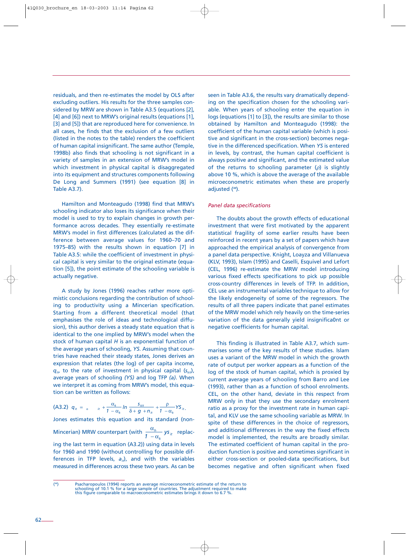residuals, and then re-estimates the model by OLS after excluding outliers. His results for the three samples considered by MRW are shown in Table A3.5 (equations [2], [4] and [6]) next to MRW's original results (equations [1], [3] and [5]) that are reproduced here for convenience. In all cases, he finds that the exclusion of a few outliers (listed in the notes to the table) renders the coefficient of human capital insignificant. The same author (Temple, 1998b) also finds that schooling is not significant in a variety of samples in an extension of MRW's model in which investment in physical capital is disaggregated into its equipment and structures components following De Long and Summers (1991) (see equation [8] in Table A3.7).

Hamilton and Monteagudo (1998) find that MRW's schooling indicator also loses its significance when their model is used to try to explain changes in growth performance across decades. They essentially re-estimate MRW's model in first differences (calculated as the difference between average values for 1960–70 and 1975–85) with the results shown in equation [7] in Table A3.5: while the coefficient of investment in physical capital is very similar to the original estimate (equation [5]), the point estimate of the schooling variable is actually negative.

A study by Jones (1996) reaches rather more optimistic conclusions regarding the contribution of schooling to productivity using a Mincerian specification. Starting from a different theoretical model (that emphasises the role of ideas and technological diffusion), this author derives a steady state equation that is identical to the one implied by MRW's model when the stock of human capital *H* is an exponential function of the average years of schooling, *YS*. Assuming that countries have reached their steady states, Jones derives an expression that relates (the log) of per capita income,  $q_{it}$  to the rate of investment in physical capital  $(s_{kit})$ , average years of schooling *(YS)* and log TFP *(a)*. When we interpret it as coming from MRW's model, this equation can be written as follows:

$$
\textbf{(A3.2) } q_{it} = \frac{}{t_{0}} + \frac{\alpha_{k}}{1-\alpha_{k}} \ln \frac{s_{kit}}{\delta + g + n_{it}} + \frac{\rho}{1-\alpha_{k}} \text{YS}_{it}.
$$

Jones estimates this equation and its standard (non-

Mincerian) MRW counterpart (with  $\frac{\alpha_h}{\sqrt{a}}$  ys<sub>it</sub> replac- $\frac{\alpha_h}{1-\alpha_k}$  ys<sub>it</sub>

ing the last term in equation (A3.2)) using data in levels for 1960 and 1990 (without controlling for possible differences in TFP levels,  $a_{it}$ ), and with the variables measured in differences across these two years. As can be

seen in Table A3.6, the results vary dramatically depending on the specification chosen for the schooling variable. When years of schooling enter the equation in logs (equations [1] to [3]), the results are similar to those obtained by Hamilton and Monteagudo (1998): the coefficient of the human capital variable (which is positive and significant in the cross-section) becomes negative in the differenced specification. When *YS* is entered in levels, by contrast, the human capital coefficient is always positive and significant, and the estimated value of the returns to schooling parameter  $(\rho)$  is slightly above 10 %, which is above the average of the available microeconometric estimates when these are properly adjusted (48).

#### *Panel data specifications*

The doubts about the growth effects of educational investment that were first motivated by the apparent statistical fragility of some earlier results have been reinforced in recent years by a set of papers which have approached the empirical analysis of convergence from a panel data perspective. Knight, Loayza and Villanueva (KLV, 1993), Islam (1995) and Caselli, Esquivel and Lefort (CEL, 1996) re-estimate the MRW model introducing various fixed effects specifications to pick up possible cross-country differences in levels of TFP. In addition, CEL use an instrumental variables technique to allow for the likely endogeneity of some of the regressors. The results of all three papers indicate that panel estimates of the MRW model which rely heavily on the time-series variation of the data generally yield insignifica0nt or negative coefficients for human capital.

This finding is illustrated in Table A3.7, which summarises some of the key results of these studies. Islam uses a variant of the MRW model in which the growth rate of output per worker appears as a function of the log of the stock of human capital, which is proxied by current average years of schooling from Barro and Lee (1993), rather than as a function of school enrolments. CEL, on the other hand, deviate in this respect from MRW only in that they use the secondary enrolment ratio as a proxy for the investment rate in human capital, and KLV use the same schooling variable as MRW. In spite of these differences in the choice of regressors, and additional differences in the way the fixed effects model is implemented, the results are broadly similar. The estimated coefficient of human capital in the production function is positive and sometimes significant in either cross-section or pooled-data specifications, but becomes negative and often significant when fixed

 $(48)$ 

Sacharopoulos (1994) reports an average microeconometric estimate of the return to."<br>Schooling of 10.1 % for a large sample of countries. The adjustment required to make<br>this figure comparable to macroeconometric estimates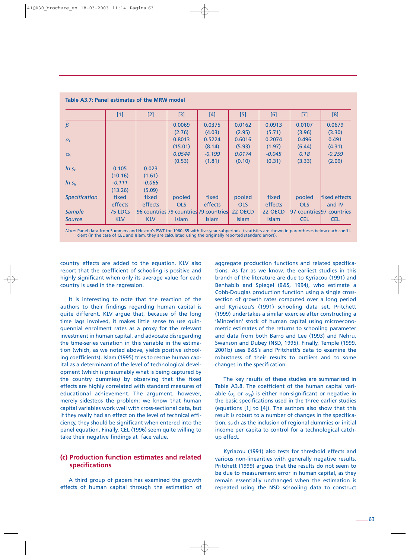|                      | $[1]$      | $[2]$      | $[3]$        | $[4]$                                  | $[5]$        | [6]          | $[7]$      | [8]                       |
|----------------------|------------|------------|--------------|----------------------------------------|--------------|--------------|------------|---------------------------|
| $\beta$              |            |            | 0.0069       | 0.0375                                 | 0.0162       | 0.0913       | 0.0107     | 0.0679                    |
|                      |            |            | (2.76)       | (4.03)                                 | (2.95)       | (5.71)       | (3.96)     | (3.30)                    |
| $\alpha_{k}$         |            |            | 0.8013       | 0.5224                                 | 0.6016       | 0.2074       | 0.496      | 0.491                     |
|                      |            |            | (15.01)      | (8.14)                                 | (5.93)       | (1.97)       | (6.44)     | (4.31)                    |
| $\alpha_{h}$         |            |            | 0.0544       | $-0.199$                               | 0.0174       | $-0.045$     | 0.18       | $-0.259$                  |
|                      |            |            | (0.53)       | (1.81)                                 | (0.10)       | (0.31)       | (3.33)     | (2.09)                    |
| $ln s_k$             | 0.105      | 0.023      |              |                                        |              |              |            |                           |
|                      | (10.16)    | (1.61)     |              |                                        |              |              |            |                           |
| ln s <sub>h</sub>    | $-0.111$   | $-0.065$   |              |                                        |              |              |            |                           |
|                      | (13.26)    | (5.09)     |              |                                        |              |              |            |                           |
| <b>Specification</b> | fixed      | fixed      | pooled       | fixed                                  | pooled       | fixed        | pooled     | fixed effects             |
|                      | effects    | effects    | <b>OLS</b>   | effects                                | <b>OLS</b>   | effects      | <b>OLS</b> | and IV                    |
| Sample               | 75 LDCs    |            |              | 96 countries 79 countries 79 countries | 22 OECD      | 22 OECD      |            | 97 countries 97 countries |
| Source               | <b>KLV</b> | <b>KLV</b> | <b>Islam</b> | <b>Islam</b>                           | <b>Islam</b> | <b>Islam</b> | <b>CEL</b> | <b>CEL</b>                |

#### **Table A3.7: Panel estimates of the MRW model**

Note: Panel data from Summers and Heston's PWT for 1960–85 with five-year subperiods. *t* statistics are shown in parentheses below each coeffi-<br>cient (in the case of CEL and Islam, they are calculated using the originally

country effects are added to the equation. KLV also report that the coefficient of schooling is positive and highly significant when only its average value for each country is used in the regression.

It is interesting to note that the reaction of the authors to their findings regarding human capital is quite different. KLV argue that, because of the long time lags involved, it makes little sense to use quinquennial enrolment rates as a proxy for the relevant investment in human capital, and advocate disregarding the time-series variation in this variable in the estimation (which, as we noted above, yields positive schooling coefficients). Islam (1995) tries to rescue human capital as a determinant of the level of technological development (which is presumably what is being captured by the country dummies) by observing that the fixed effects are highly correlated with standard measures of educational achievement. The argument, however, merely sidesteps the problem: we know that human capital variables work well with cross-sectional data, but if they really had an effect on the level of technical efficiency, they should be significant when entered into the panel equation. Finally, CEL (1996) seem quite willing to take their negative findings at face value.

## **(c) Production function estimates and related specifications**

A third group of papers has examined the growth effects of human capital through the estimation of

aggregate production functions and related specifications. As far as we know, the earliest studies in this branch of the literature are due to Kyriacou (1991) and Benhabib and Spiegel (B&S, 1994), who estimate a Cobb-Douglas production function using a single crosssection of growth rates computed over a long period and Kyriacou's (1991) schooling data set. Pritchett (1999) undertakes a similar exercise after constructing a 'Mincerian' stock of human capital using microeconometric estimates of the returns to schooling parameter and data from both Barro and Lee (1993) and Nehru, Swanson and Dubey (NSD, 1995). Finally, Temple (1999, 2001b) uses B&S's and Pritchett's data to examine the robustness of their results to outliers and to some changes in the specification.

The key results of these studies are summarised in Table A3.8. The coefficient of the human capital variable ( $\alpha_h$  or  $\alpha_{\gamma s}$ ) is either non-significant or negative in the basic specifications used in the three earlier studies (equations [1] to [4]). The authors also show that this result is robust to a number of changes in the specification, such as the inclusion of regional dummies or initial income per capita to control for a technological catchup effect.

Kyriacou (1991) also tests for threshold effects and various non-linearities with generally negative results. Pritchett (1999) argues that the results do not seem to be due to measurement error in human capital, as they remain essentially unchanged when the estimation is repeated using the NSD schooling data to construct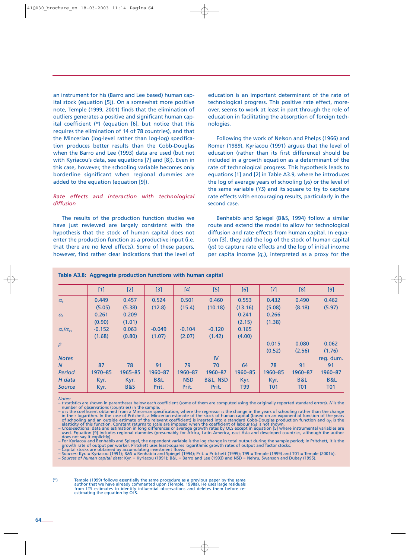an instrument for his (Barro and Lee based) human capital stock (equation [5]). On a somewhat more positive note, Temple (1999, 2001) finds that the elimination of outliers generates a positive and significant human capital coefficient (49) (equation [6], but notice that this requires the elimination of 14 of 78 countries), and that the Mincerian (log-level rather than log-log) specification produces better results than the Cobb-Douglas when the Barro and Lee (1993) data are used (but not with Kyriacou's data, see equations [7] and [8]). Even in this case, however, the schooling variable becomes only borderline significant when regional dummies are added to the equation (equation [9]).

### *Rate effects and interaction with technological diffusion*

The results of the production function studies we have just reviewed are largely consistent with the hypothesis that the stock of human capital does not enter the production function as a productive input (i.e. that there are no level effects). Some of these papers, however, find rather clear indications that the level of

education is an important determinant of the rate of technological progress. This positive rate effect, moreover, seems to work at least in part through the role of education in facilitating the absorption of foreign technologies.

Following the work of Nelson and Phelps (1966) and Romer (1989), Kyriacou (1991) argues that the level of education (rather than its first difference) should be included in a growth equation as a determinant of the rate of technological progress. This hypothesis leads to equations [1] and [2] in Table A3.9, where he introduces the log of average years of schooling (*ys*) or the level of the same variable (*YS*) and its square to try to capture rate effects with encouraging results, particularly in the second case.

Benhabib and Spiegel (B&S, 1994) follow a similar route and extend the model to allow for technological diffusion and rate effects from human capital. In equation [3], they add the log of the stock of human capital (*ys*) to capture rate effects and the log of initial income per capita income  $(q_o)$ , interpreted as a proxy for the

|                              | $[1]$    | $[2]$          | $[3]$          | $[4]$      | $[5]$    | [6]        | $[7]$      | [8]        | $[9]$      |
|------------------------------|----------|----------------|----------------|------------|----------|------------|------------|------------|------------|
| $\alpha_{k}$                 | 0.449    | 0.457          | 0.524          | 0.501      | 0.460    | 0.553      | 0.432      | 0.490      | 0.462      |
|                              | (5.05)   | (5.38)         | (12.8)         | (15.4)     | (10.18)  | (13.16)    | (5.08)     | (8.18)     | (5.97)     |
| $\alpha_{I}$                 | 0.261    | 0.209          |                |            |          | 0.241      | 0.266      |            |            |
|                              | (0.90)   | (1.01)         |                |            |          | (2.15)     | (1.38)     |            |            |
| $\alpha_h/\alpha_{\gamma s}$ | $-0.152$ | 0.063          | $-0.049$       | $-0.104$   | $-0.120$ | 0.165      |            |            |            |
|                              | (1.68)   | (0.80)         | (1.07)         | (2.07)     | (1.42)   | (4.00)     |            |            |            |
| $\rho$                       |          |                |                |            |          |            | 0.015      | 0.080      | 0.062      |
|                              |          |                |                |            |          |            | (0.52)     | (2.56)     | (1.76)     |
| <b>Notes</b>                 |          |                |                |            | IV       |            |            |            | reg. dum.  |
| $\overline{N}$               | 87       | 78             | 91             | 79         | 70       | 64         | 78         | 91         | 91         |
| Period                       | 1970-85  | 1965-85        | 1960-87        | 1960-87    | 1960-87  | 1960-85    | 1960-85    | 1960-87    | 1960-87    |
| H data                       | Kyr.     | Kyr.           | <b>B&amp;L</b> | <b>NSD</b> | B&L, NSD | Kyr.       | Kyr.       | B&L        | B&L        |
| <b>Source</b>                | Kyr.     | <b>B&amp;S</b> | Prit.          | Prit.      | Prit.    | <b>T99</b> | <b>T01</b> | <b>T01</b> | <b>T01</b> |

### **Table A3.8: Aggregate production functions with human capital**

*Notes:*

– *t* statistics are shown in parentheses below each coefficient (some of them are computed using the originally reported standard errors). *N* is the

number of observations (countries) in the sample.<br>  $-\rho$  is the coefficient obtained from a Mincerian specification, where the regressor is the change in the years of schooling rather than the change<br>  $-\rho$  is the coefficie

does not say it explicitly).<br>– For Kyriacou and Benhabib and Spiegel, the dependent variable is the log change in total output during the sample period; in Pritchett, it is the<br>– growth rate of output per worker. Pritchett

 $(49)$ <sup>49</sup>) Temple (1999) follows essentially the same procedure as a previous paper by the same<br>author that we have already commented upon (Temple, 1998a). He uses large residuals<br>from LTS estimates to identify influential obse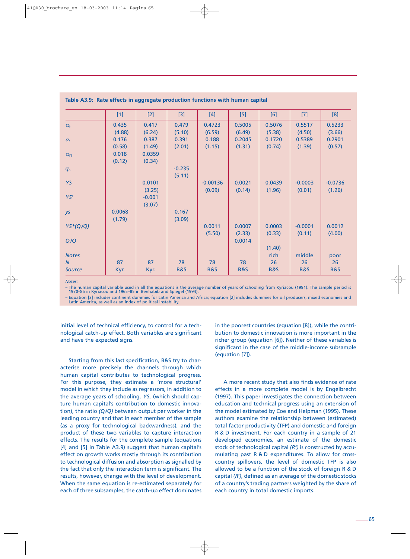|                      | $[1]$  | $[2]$    | $[3]$          | $[4]$          | $[5]$          | [6]            | $[7]$          | [8]            |
|----------------------|--------|----------|----------------|----------------|----------------|----------------|----------------|----------------|
| $\alpha_{k}$         | 0.435  | 0.417    | 0.479          | 0.4723         | 0.5005         | 0.5076         | 0.5517         | 0.5233         |
|                      | (4.88) | (6.24)   | (5.10)         | (6.59)         | (6.49)         | (5.38)         | (4.50)         | (3.66)         |
| $\alpha_{l}$         | 0.176  | 0.387    | 0.391          | 0.188          | 0.2045         | 0.1720         | 0.5389         | 0.2901         |
|                      | (0.58) | (1.49)   | (2.01)         | (1.15)         | (1.31)         | (0.74)         | (1.39)         | (0.57)         |
| $\alpha_{\text{YS}}$ | 0.018  | 0.0359   |                |                |                |                |                |                |
|                      | (0.12) | (0.34)   |                |                |                |                |                |                |
| $q_{o}$              |        |          | $-0.235$       |                |                |                |                |                |
|                      |        |          | (5.11)         |                |                |                |                |                |
| YS                   |        | 0.0101   |                | $-0.00136$     | 0.0021         | 0.0439         | $-0.0003$      | $-0.0736$      |
|                      |        | (3.25)   |                | (0.09)         | (0.14)         | (1.96)         | (0.01)         | (1.26)         |
| YS <sup>2</sup>      |        | $-0.001$ |                |                |                |                |                |                |
|                      |        | (3.07)   |                |                |                |                |                |                |
| ys                   | 0.0068 |          | 0.167          |                |                |                |                |                |
|                      | (1.79) |          | (3.09)         |                |                |                |                |                |
| $YS*(Q/Q)$           |        |          |                | 0.0011         | 0.0007         | 0.0003         | $-0.0001$      | 0.0012         |
|                      |        |          |                | (5.50)         | (2.33)         | (0.33)         | (0.11)         | (4.00)         |
| Q/Q                  |        |          |                |                | 0.0014         |                |                |                |
|                      |        |          |                |                |                | (1.40)         |                |                |
| <b>Notes</b>         |        |          |                |                |                | rich           | middle         | poor           |
| N                    | 87     | 87       | 78             | 78             | 78             | 26             | 26             | 26             |
| <b>Source</b>        | Kyr.   | Kyr.     | <b>B&amp;S</b> | <b>B&amp;S</b> | <b>B&amp;S</b> | <b>B&amp;S</b> | <b>B&amp;S</b> | <b>B&amp;S</b> |

### **Table A3.9: Rate effects in aggregate production functions with human capital**

*Notes:*

– The human capital variable used in all the equations is the average number of years of schooling from Kyriacou (1991). The sample period is 1970–85 in Kyriacou and 1965–85 in Benhabib and Spiegel (1994).

– Equation [3] includes continent dummies for Latin America and Africa; equation [2] includes dummies for oil producers, mixed economies and Latin America, as well as an index of political instability.

initial level of technical efficiency, to control for a technological catch-up effect. Both variables are significant and have the expected signs.

Starting from this last specification, B&S try to characterise more precisely the channels through which human capital contributes to technological progress. For this purpose, they estimate a 'more structural' model in which they include as regressors, in addition to the average years of schooling, *YS*, (which should capture human capital's contribution to domestic innovation), the ratio *(Q<sub>I</sub>/Q)* between output per worker in the leading country and that in each member of the sample (as a proxy for technological backwardness), and the product of these two variables to capture interaction effects. The results for the complete sample (equations [4] and [5] in Table A3.9) suggest that human capital's effect on growth works mostly through its contribution to technological diffusion and absorption as signalled by the fact that only the interaction term is significant. The results, however, change with the level of development. When the same equation is re-estimated separately for each of three subsamples, the catch-up effect dominates in the poorest countries (equation [8]), while the contribution to domestic innovation is more important in the richer group (equation [6]). Neither of these variables is significant in the case of the middle-income subsample (equation [7]).

A more recent study that also finds evidence of rate effects in a more complete model is by Engelbrecht (1997). This paper investigates the connection between education and technical progress using an extension of the model estimated by Coe and Helpman (1995). These authors examine the relationship between (estimated) total factor productivity (TFP) and domestic and foreign R & D investment. For each country in a sample of 21 developed economies, an estimate of the domestic stock of technological capital *(Rd )* is constructed by accumulating past R & D expenditures. To allow for crosscountry spillovers, the level of domestic TFP is also allowed to be a function of the stock of foreign R & D capital *(Rf )*, defined as an average of the domestic stocks of a country's trading partners weighted by the share of each country in total domestic imports.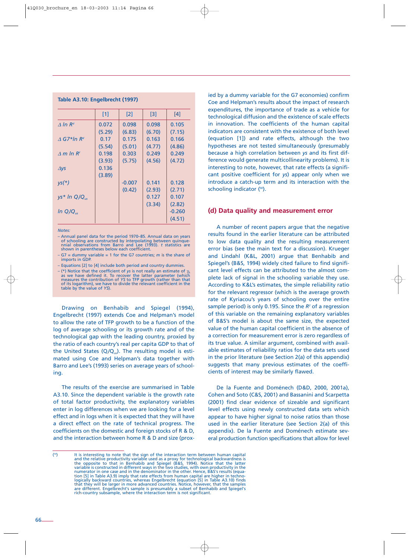| Table A3.10: Engelbrecht (1997) |        |          |        |          |  |  |  |  |  |
|---------------------------------|--------|----------|--------|----------|--|--|--|--|--|
|                                 | $[1]$  | [2]      | $[3]$  | $[4]$    |  |  |  |  |  |
| $\Lambda$ In $\mathsf{R}^d$     | 0.072  | 0.098    | 0.098  | 0.105    |  |  |  |  |  |
|                                 | (5.29) | (6.83)   | (6.70) | (7.15)   |  |  |  |  |  |
| $\Delta$ G7*In R <sup>d</sup>   | 0.17   | 0.175    | 0.163  | 0.166    |  |  |  |  |  |
|                                 | (5.54) | (5.01)   | (4.77) | (4.86)   |  |  |  |  |  |
| $\Lambda$ m ln R <sup>f</sup>   | 0.198  | 0.303    | 0.249  | 0.249    |  |  |  |  |  |
|                                 | (3.93) | (5.75)   | (4.56) | (4.72)   |  |  |  |  |  |
| $\Delta y$ s                    | 0.136  |          |        |          |  |  |  |  |  |
|                                 | (3.89) |          |        |          |  |  |  |  |  |
| $\mathsf{ys}(\ast)$             |        | $-0.007$ | 0.141  | 0.128    |  |  |  |  |  |
|                                 |        | (0.42)   | (2.93) | (2.71)   |  |  |  |  |  |
| ys* In $Q_i/Q_{us}$             |        |          | 0.127  | 0.107    |  |  |  |  |  |
|                                 |        |          | (3.34) | (2.82)   |  |  |  |  |  |
| $\ln Q_i/Q_{us}$                |        |          |        | $-0.260$ |  |  |  |  |  |
|                                 |        |          |        | (4.51)   |  |  |  |  |  |

*Notes:*

- Annual panel data for the period 1970–85. Annual data on years of schooling are constructed by interpolating between quinque-<br>nnial observations from Barro and Lee (1993). *t s*tatistics are<br>shown in parentheses below each coefficient.
- G7 = dummy variable = 1 for the G7 countries; *m* is the share of imports in GDP.
- Equations [2] to [4] include both period and country dummies.
- (\*) Notice that the coefficient of *ys* is not really an estimate of  $\gamma_h$  as we have defined it. To recover the latter parameter (which measures the contribution of *YS* to TFP growth (rather than that of its logarithm

Drawing on Benhabib and Spiegel (1994), Engelbrecht (1997) extends Coe and Helpman's model to allow the rate of TFP growth to be a function of the log of average schooling or its growth rate and of the technological gap with the leading country, proxied by the ratio of each country's real per capita GDP to that of the United States ( $Q/Q_{us}$ ). The resulting model is estimated using Coe and Helpman's data together with Barro and Lee's (1993) series on average years of schooling.

The results of the exercise are summarised in Table A3.10. Since the dependent variable is the growth rate of total factor productivity, the explanatory variables enter in log differences when we are looking for a level effect and in logs when it is expected that they will have a direct effect on the rate of technical progress. The coefficients on the domestic and foreign stocks of R & D, and the interaction between home R & D and size (prox-

#### **(d) Data quality and measurement error**

A number of recent papers argue that the negative results found in the earlier literature can be attributed to low data quality and the resulting measurement error bias (see the main text for a discussion). Krueger and Lindahl (K&L, 2001) argue that Benhabib and Spiegel's (B&S, 1994) widely cited failure to find significant level effects can be attributed to the almost complete lack of signal in the schooling variable they use. According to K&L's estimates, the simple reliability ratio for the relevant regressor (which is the average growth rate of Kyriacou's years of schooling over the entire sample period) is only 0.195. Since the *R2* of a regression of this variable on the remaining explanatory variables of B&S's model is about the same size, the expected value of the human capital coefficient in the absence of a correction for measurement error is zero regardless of its true value. A similar argument, combined with available estimates of reliability ratios for the data sets used in the prior literature (see Section 2(a) of this appendix) suggests that many previous estimates of the coefficients of interest may be similarly flawed.

De la Fuente and Doménech (D&D, 2000, 2001a), Cohen and Soto (C&S, 2001) and Bassanini and Scarpetta (2001) find clear evidence of sizeable and significant level effects using newly constructed data sets which appear to have higher signal to noise ratios than those used in the earlier literature (see Section 2(a) of this appendix). De la Fuente and Doménech estimate several production function specifications that allow for level

ied by a dummy variable for the G7 economies) confirm Coe and Helpman's results about the impact of research expenditures, the importance of trade as a vehicle for technological diffusion and the existence of scale effects in innovation. The coefficients of the human capital indicators are consistent with the existence of both level (equation [1]) and rate effects, although the two hypotheses are not tested simultaneously (presumably because a high correlation between *ys* and its first difference would generate multicollinearity problems). It is interesting to note, however, that rate effects (a significant positive coefficient for *ys*) appear only when we introduce a catch-up term and its interaction with the schooling indicator (50).

 $(50)$ <sup>59</sup> It is interesting to note that the sign of the interaction term between human capital and the relative productivity variable used as a proxy for technological backwardness is the opposite to that in Benhabib and Spie tion [5] in Table A3.9) imply that rate effects from human capital are higher in techno-<br>logically backward countries, whereas Engelbrecht (equation [5] in Table A3.10) finds<br>that they will be larger in more advanced count are different. Engelbrecht's sample is presumably a subset of Benhabib and Spiegel's rich-country subsample, where the interaction term is not significant.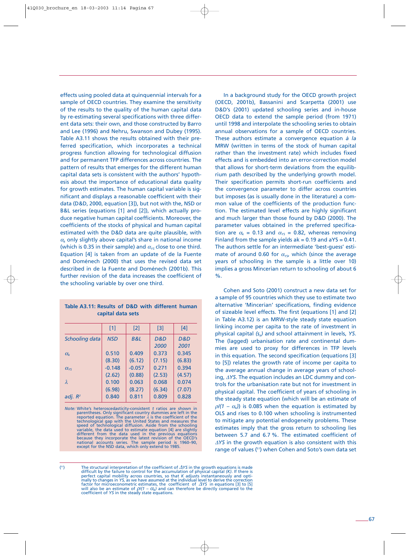effects using pooled data at quinquennial intervals for a sample of OECD countries. They examine the sensitivity of the results to the quality of the human capital data by re-estimating several specifications with three different data sets: their own, and those constructed by Barro and Lee (1996) and Nehru, Swanson and Dubey (1995). Table A3.11 shows the results obtained with their preferred specification, which incorporates a technical progress function allowing for technological diffusion and for permanent TFP differences across countries. The pattern of results that emerges for the different human capital data sets is consistent with the authors' hypothesis about the importance of educational data quality for growth estimates. The human capital variable is significant and displays a reasonable coefficient with their data (D&D, 2000, equation [3]), but not with the, NSD or B&L series (equations [1] and [2]), which actually produce negative human capital coefficients. Moreover, the coefficients of the stocks of physical and human capital estimated with the D&D data are quite plausible, with <sup>α</sup>*<sup>k</sup>* only slightly above capital's share in national income (which is 0.35 in their sample) and  $\alpha_{\text{ys}}$  close to one third. Equation [4] is taken from an update of de la Fuente and Doménech (2000) that uses the revised data set described in de la Fuente and Doménech (2001b). This further revision of the data increases the coefficient of the schooling variable by over one third.

| capital data sets  |            |                |        |        |  |  |  |  |  |
|--------------------|------------|----------------|--------|--------|--|--|--|--|--|
|                    | [1]        | [2]            | [3]    | $[4]$  |  |  |  |  |  |
| Schooling data     | <b>NSD</b> | <b>B&amp;L</b> | D&D    | D&D    |  |  |  |  |  |
|                    |            |                | 2000   | 2001   |  |  |  |  |  |
| $\alpha_{k}$       | 0.510      | 0.409          | 0.373  | 0.345  |  |  |  |  |  |
|                    | (8.30)     | (6.12)         | (7.15) | (6.83) |  |  |  |  |  |
| $\alpha_{\rm{ys}}$ | $-0.148$   | $-0.057$       | 0.271  | 0.394  |  |  |  |  |  |
|                    | (2.62)     | (0.88)         | (2.53) | (4.57) |  |  |  |  |  |
| $\lambda$          | 0.100      | 0.063          | 0.068  | 0.074  |  |  |  |  |  |
|                    | (6.98)     | (8.27)         | (6.34) | (7.07) |  |  |  |  |  |
| adj. $R^2$         | 0.840      | 0.811          | 0.809  | 0.828  |  |  |  |  |  |

**Table A3.11: Results of D&D with different human**

*Note:* White's heteroscedasticity-consistent  $t$  ratios are shown in parentheses. Only isgnificant country dummies are left in the reported equation. The parameter  $\lambda$  is the coefficient of the technological gap with th except for the NSD data, which only extend to 1985.

In a background study for the OECD growth project (OECD, 2001b), Bassanini and Scarpetta (2001) use D&D's (2001) updated schooling series and in-house OECD data to extend the sample period (from 1971) until 1998 and interpolate the schooling series to obtain annual observations for a sample of OECD countries. These authors estimate a convergence equation *à la* MRW (written in terms of the stock of human capital rather than the investment rate) which includes fixed effects and is embedded into an error-correction model that allows for short-term deviations from the equilibrium path described by the underlying growth model. Their specification permits short-run coefficients and the convergence parameter to differ across countries but imposes (as is usually done in the literature) a common value of the coefficients of the production function. The estimated level effects are highly significant and much larger than those found by D&D (2000). The parameter values obtained in the preferred specification are  $\alpha_k$  = 0.13 and  $\alpha_{\gamma s}$  = 0.82, whereas removing Finland from the sample yields  $ak = 0.19$  and  $aYS = 0.41$ . The authors settle for an intermediate 'best-guess' estimate of around 0.60 for  $\alpha_{\text{YS}}$ , which (since the average years of schooling in the sample is a little over 10) implies a gross Mincerian return to schooling of about 6  $\frac{0}{n}$ 

Cohen and Soto (2001) construct a new data set for a sample of 95 countries which they use to estimate two alternative 'Mincerian' specifications, finding evidence of sizeable level effects. The first (equations [1] and [2] in Table A3.12) is an MRW-style steady state equation linking income per capita to the rate of investment in physical capital *(sk)* and school attainment in levels, *YS*. The (lagged) urbanisation rate and continental dummies are used to proxy for differences in TFP levels in this equation. The second specification (equations [3] to [5]) relates the growth rate of income per capita to the average annual change in average years of schooling, <sup>∆</sup>*YS*. The equation includes an LDC dummy and controls for the urbanisation rate but not for investment in physical capital. The coefficient of years of schooling in the steady state equation (which will be an estimate of  $\rho$ /(1 –  $\alpha_k$ )) is 0.085 when the equation is estimated by OLS and rises to 0.100 when schooling is instrumented to mitigate any potential endogeneity problems. These estimates imply that the gross return to schooling lies between 5.7 and 6.7 %. The estimated coefficient of <sup>∆</sup>*YS* in the growth equation is also consistent with this range of values (51) when Cohen and Soto's own data set

 $(51)$ 51) The structural interpretation of the coefficient of ∆*YS* in the growth equations is made difficult by the failure to control for the accumulation of physical capital *(K)*. If there is perfect capital mobility across countries, so that K adjusts instantaneously and opti-<br>mally to changes in YS, as we have assumed at the individual level to derive the correction<br>factor for microeconometric estimates, the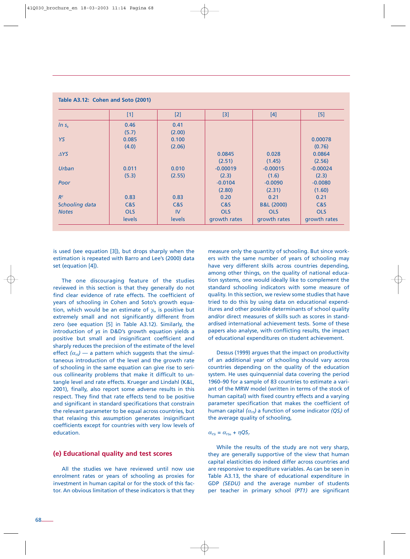|                       | $[1]$         | $[2]$         | $[3]$        | $[4]$        | $[5]$        |
|-----------------------|---------------|---------------|--------------|--------------|--------------|
| $ln s_k$              | 0.46          | 0.41          |              |              |              |
|                       | (5.7)         | (2.00)        |              |              |              |
| <b>YS</b>             | 0.085         | 0.100         |              |              | 0.00078      |
|                       | (4.0)         | (2.06)        |              |              | (0.76)       |
| $\Delta YS$           |               |               | 0.0845       | 0.028        | 0.0864       |
|                       |               |               | (2.51)       | (1.45)       | (2.56)       |
| Urban                 | 0.011         | 0.010         | $-0.00019$   | $-0.00015$   | $-0.00024$   |
|                       | (5.3)         | (2.55)        | (2.3)        | (1.6)        | (2.3)        |
| Poor                  |               |               | $-0.0104$    | $-0.0090$    | $-0.0080$    |
|                       |               |               | (2.80)       | (2.31)       | (1.60)       |
| $R^2$                 | 0.83          | 0.83          | 0.20         | 0.21         | 0.21         |
| <b>Schooling data</b> | C&S           | C&S           | C&S          | B&L (2000)   | C&S          |
| <b>Notes</b>          | <b>OLS</b>    | IV            | <b>OLS</b>   | <b>OLS</b>   | <b>OLS</b>   |
|                       | <b>levels</b> | <b>levels</b> | growth rates | growth rates | growth rates |

is used (see equation [3]), but drops sharply when the estimation is repeated with Barro and Lee's (2000) data set (equation [4]).

The one discouraging feature of the studies reviewed in this section is that they generally do not find clear evidence of rate effects. The coefficient of years of schooling in Cohen and Soto's growth equation, which would be an estimate of γ*h*, is positive but extremely small and not significantly different from zero (see equation [5] in Table A3.12). Similarly, the introduction of *ys* in D&D's growth equation yields a positive but small and insignificant coefficient and sharply reduces the precision of the estimate of the level effect  $(\alpha_{\gamma s})$  — a pattern which suggests that the simultaneous introduction of the level and the growth rate of schooling in the same equation can give rise to serious collinearity problems that make it difficult to untangle level and rate effects. Krueger and Lindahl (K&L, 2001), finally, also report some adverse results in this respect. They find that rate effects tend to be positive and significant in standard specifications that constrain the relevant parameter to be equal across countries, but that relaxing this assumption generates insignificant coefficients except for countries with very low levels of education.

#### **(e) Educational quality and test scores**

All the studies we have reviewed until now use enrolment rates or years of schooling as proxies for investment in human capital or for the stock of this factor. An obvious limitation of these indicators is that they measure only the quantity of schooling. But since workers with the same number of years of schooling may have very different skills across countries depending, among other things, on the quality of national education systems, one would ideally like to complement the standard schooling indicators with some measure of quality. In this section, we review some studies that have tried to do this by using data on educational expenditures and other possible determinants of school quality and/or direct measures of skills such as scores in standardised international achievement tests. Some of these papers also analyse, with conflicting results, the impact of educational expenditures on student achievement.

Dessus (1999) argues that the impact on productivity of an additional year of schooling should vary across countries depending on the quality of the education system. He uses quinquennial data covering the period 1960–90 for a sample of 83 countries to estimate a variant of the MRW model (written in terms of the stock of human capital) with fixed country effects and a varying parameter specification that makes the coefficient of human capital *(*α*YS)* a function of some indicator *(QSi )* of the average quality of schooling,

#### $\alpha_{\text{YS}i} = \alpha_{\text{YS}o} + \eta \mathsf{QS}_i$ .

While the results of the study are not very sharp, they are generally supportive of the view that human capital elasticities do indeed differ across countries and are responsive to expediture variables. As can be seen in Table A3.13, the share of educational expenditure in GDP *(SEDU)* and the average number of students per teacher in primary school *(PT1)* are significant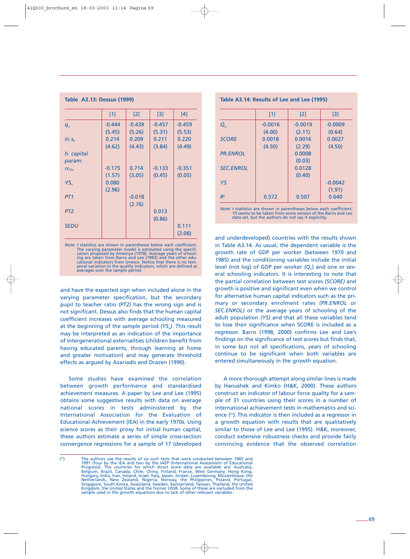**Table A3.13: Dessus (1999)**

|                       | $[1]$    | $[2]$    | $[3]$    | [4]      |
|-----------------------|----------|----------|----------|----------|
| $q_{o}$               | $-0.444$ | $-0.439$ | $-0.457$ | $-0.459$ |
|                       | (5.45)   | (5.26)   | (5.31)   | (5.53)   |
| $ln s_k$              | 0.214    | 0.209    | 0.211    | 0.220    |
|                       | (4.62)   | (4.43)   | (3.84)   | (4.49)   |
| h. capital            |          |          |          |          |
| param:                |          |          |          |          |
| $\alpha_{\text{YSO}}$ | $-0.175$ | 0.714    | $-0.133$ | $-0.351$ |
|                       | (1.57)   | (3.05)   | (0.45)   | (0.05)   |
| $YS_{\alpha}$         | 0.080    |          |          |          |
|                       | (2.96)   |          |          |          |
| PT1                   |          | $-0.018$ |          |          |
|                       |          | (2.76)   |          |          |
| PT <sub>2</sub>       |          |          | 0.013    |          |
|                       |          |          | (0.86)   |          |
| <b>SEDU</b>           |          |          |          | 0.111    |
|                       |          |          |          | (2.08)   |

*Note: t statistics are shown in parentheses below each coefficient.*<br>The varying parameter model is estimated using the specification proposed by Amemya (1978). Average years of schooling are taken from Barro and Lee (199 cational indicators from Unesco. Notice that there is no tem-poral variation in the quality indicators, which are defined as averages over the sample period.

and have the expected sign when included alone in the varying parameter specification, but the secondary pupil to teacher ratio *(PT2)* has the wrong sign and is not significant. Dessus also finds that the human capital coefficient increases with average schooling measured at the beginning of the sample period *(YS<sub>o</sub>)*. This result may be interpreted as an indication of the importance of intergenerational externalities (children benefit from having educated parents, through learning at home and greater motivation) and may generate threshold effects as argued by Azariadis and Drazen (1990).

Some studies have examined the correlation between growth performance and standardised achievement measures. A paper by Lee and Lee (1995) obtains some suggestive results with data on average national scores in tests administered by the International Association for the Evaluation of Educational Achievement (IEA) in the early 1970s. Using science scores as their proxy for initial human capital, these authors estimate a series of simple cross-section convergence regressions for a sample of 17 (developed

 $(52)$ 

#### **Table A3.14: Results of Lee and Lee (1995)**

|                  | $[1]$     | [2]       | [3]       |
|------------------|-----------|-----------|-----------|
| $Q_{o}$          | $-0.0016$ | $-0.0019$ | $-0.0009$ |
|                  | (4.00)    | (2.11)    | (0.64)    |
| <b>SCORE</b>     | 0.0018    | 0.0016    | 0.0027    |
|                  | (4.50)    | (2.29)    | (4.50)    |
| <b>PR.ENROL</b>  |           | 0.0008    |           |
|                  |           | (0.03)    |           |
| <b>SEC.ENROL</b> |           | 0.0128    |           |
|                  |           | (0.40)    |           |
| YS               |           |           | $-0.0042$ |
|                  |           |           | (1.91)    |
| $R^2$            | 0.572     | 0.507     | 0.640     |

*Note: t* statistics are shown in parentheses below each coefficient. *YS* seems to be taken from some version of the Barro and Lee data set, but the authors do not say it explicitly.

and underdeveloped) countries with the results shown in Table A3.14. As usual, the dependent variable is the growth rate of GDP per worker (between 1970 and 1985) and the conditioning variables include the initial level (not log) of GDP per worker (Q<sub>o</sub>) and one or several schooling indicators. It is interesting to note that the partial correlation between test scores *(SCORE)* and growth is positive and significant even when we control for alternative human capital indicators such as the primary or secondary enrolment rates *(PR.ENROL or SEC.ENROL)* or the average years of schooling of the adult population *(YS)* and that all these variables tend to lose their significance when SCORE is included as a regressor. Barro (1998, 2000) confirms Lee and Lee's findings on the significance of test scores but finds that, in some but not all specifications, years of schooling continue to be significant when both variables are entered simultaneously in the growth equation.

A more thorough attempt along similar lines is made by Hanushek and Kimko (H&K, 2000). These authors construct an indicator of labour force quality for a sample of 31 countries using their scores in a number of international achievement tests in mathematics and science (52). This indicator is then included as a regressor in a growth equation with results that are qualitatively similar to those of Lee and Lee (1995). H&K, moreover, conduct extensive robustness checks and provide fairly convincing evidence that the observed correlation

<sup>&</sup>lt;sup>53</sup>) The authors use the results of six such tests that were conducted between 1965 and 1991 (four by the IEA and two by the IAEP (International Assessment of Educational Progress)). The countries for which direct score d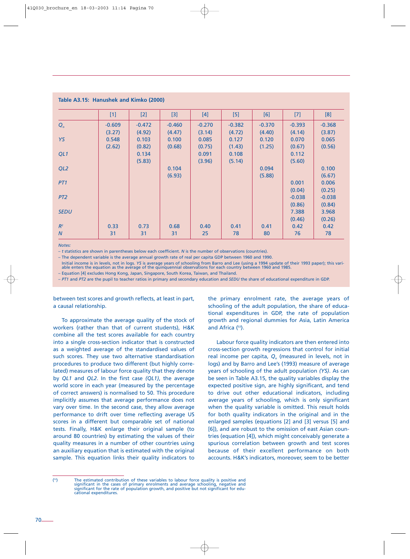| Table A3.15: Hanushek and Kimko (2000) |                    |                    |                    |                    |                    |                    |                    |                    |
|----------------------------------------|--------------------|--------------------|--------------------|--------------------|--------------------|--------------------|--------------------|--------------------|
|                                        | $[1]$              | $[2]$              | $[3]$              | $[4]$              | $[5]$              | [6]                | $[7]$              | [8]                |
| $Q_{o}$                                | $-0.609$<br>(3.27) | $-0.472$<br>(4.92) | $-0.460$<br>(4.47) | $-0.270$<br>(3.14) | $-0.382$<br>(4.72) | $-0.370$<br>(4.40) | $-0.393$<br>(4.14) | $-0.368$<br>(3.87) |
| YS                                     | 0.548<br>(2.62)    | 0.103<br>(0.82)    | 0.100<br>(0.68)    | 0.085<br>(0.75)    | 0.127<br>(1.43)    | 0.120<br>(1.25)    | 0.070<br>(0.67)    | 0.065<br>(0.56)    |
| QL1                                    |                    | 0.134<br>(5.83)    |                    | 0.091<br>(3.96)    | 0.108<br>(5.14)    |                    | 0.112<br>(5.60)    |                    |
| QL <sub>2</sub>                        |                    |                    | 0.104<br>(6.93)    |                    |                    | 0.094<br>(5.88)    |                    | 0.100<br>(6.67)    |
| PT1                                    |                    |                    |                    |                    |                    |                    | 0.001<br>(0.04)    | 0.006<br>(0.25)    |
| PT <sub>2</sub>                        |                    |                    |                    |                    |                    |                    | $-0.038$<br>(0.86) | $-0.038$<br>(0.84) |
| <b>SEDU</b>                            |                    |                    |                    |                    |                    |                    | 7.388<br>(0.46)    | 3.968<br>(0.26)    |
| $R^2$                                  | 0.33               | 0.73               | 0.68               | 0.40               | 0.41               | 0.41               | 0.42               | 0.42               |
| $\overline{N}$                         | 31                 | 31                 | 31                 | 25                 | 78                 | 80                 | 76                 | 78                 |

*Notes:*

– *t* statistics are shown in parentheses below each coefficient. *N* is the number of observations (countries).

– The dependent variable is the average annual growth rate of real per capita GDP between 1960 and 1990.

Initial income is in levels, not in logs. *YS* is average years of schooling from Barro and Lee (using a 1994 update of their 1993 paper); this variable enters the equation as the average of the quinquennial observations for each country between 1960 and 1985

– Equation [4] excludes Hong Kong, Japan, Singapore, South Korea, Taiwan, and Thailand.

– *PT1* and *PT2* are the pupil to teacher ratios in primary and secondary education and *SEDU* the share of educational expenditure in GDP.

between test scores and growth reflects, at least in part, a causal relationship.

To approximate the average quality of the stock of workers (rather than that of current students), H&K combine all the test scores available for each country into a single cross-section indicator that is constructed as a weighted average of the standardised values of such scores. They use two alternative standardisation procedures to produce two different (but highly correlated) measures of labour force quality that they denote by *QL1* and *QL2*. In the first case *(QL1)*, the average world score in each year (measured by the percentage of correct answers) is normalised to 50. This procedure implicitly assumes that average performance does not vary over time. In the second case, they allow average performance to drift over time reflecting average US scores in a different but comparable set of national tests. Finally, H&K enlarge their original sample (to around 80 countries) by estimating the values of their quality measures in a number of other countries using an auxiliary equation that is estimated with the original sample. This equation links their quality indicators to

the primary enrolment rate, the average years of schooling of the adult population, the share of educational expenditures in GDP, the rate of population growth and regional dummies for Asia, Latin America and Africa (53).

Labour force quality indicators are then entered into cross-section growth regressions that control for initial real income per capita, Q<sub>o</sub> (measured in levels, not in logs) and by Barro and Lee's (1993) measure of average years of schooling of the adult population *(YS)*. As can be seen in Table A3.15, the quality variables display the expected positive sign, are highly significant, and tend to drive out other educational indicators, including average years of schooling, which is only significant when the quality variable is omitted. This result holds for both quality indicators in the original and in the enlarged samples (equations [2] and [3] versus [5] and [6]), and are robust to the omission of east Asian countries (equation [4]), which might conceivably generate a spurious correlation between growth and test scores because of their excellent performance on both accounts. H&K's indicators, moreover, seem to be better

 $(53)$ 

The estimated contribution of these variables to labour force quality is positive and<br>significant in the cases of primary enrolments and average schooling, negative and<br>significant for the rate of population growth, and po cational expenditures.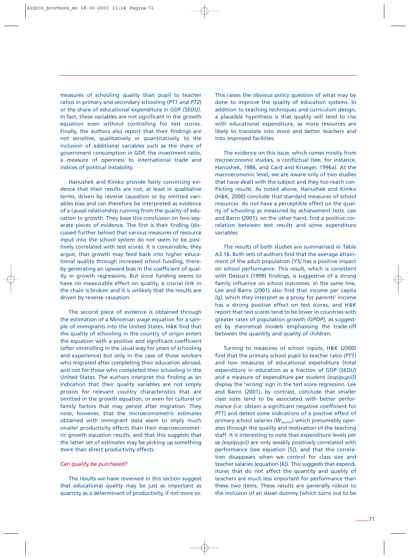measures of schooling quality than pupil to teacher ratios in primary and secondary schooling (*PT1* and *PT2*) or the share of educational expenditure in GDP *(SEDU)*. In fact, these variables are not significant in the growth equation even without controlling for test scores. Finally, the authors also report that their findings are not sensitive, qualitatively or quantitatively, to the inclusion of additional variables such as the share of government consumption in GDP, the investment ratio, a measure of openness to international trade and indices of political instability.

Hanushek and Kimko provide fairly convincing evidence that their results are not, at least in qualitative terms, driven by reverse causation or by omitted variables bias and can therefore be interpreted as evidence of a causal relationship running from the quality of education to growth. They base this conclusion on two separate pieces of evidence. The first is their finding (discussed further below) that various measures of resource input into the school system do not seem to be positively correlated with test scores. It is conceivable, they argue, that growth may feed back into higher educational quality through increased school funding, thereby generating an upward bias in the coefficient of quality in growth regressions. But since funding seems to have no measurable effect on quality, a crucial link in the chain is broken and it is unlikely that the results are driven by reverse causation.

The second piece of evidence is obtained through the estimation of a Mincerian wage equation for a sample of immigrants into the United States. H&K find that the quality of schooling in the country of origin enters the equation with a positive and significant coefficient (after controlling in the usual way for years of schooling and experience) but only in the case of those workers who migrated after completing their education abroad, and not for those who completed their schooling in the United States. The authors interpret this finding as an indication that their quality variables are not simply proxies for relevant country characteristics that are omitted in the growth equation, or even for cultural or family factors that may persist after migration. They note, however, that the microeconometric estimates obtained with immigrant data seem to imply much smaller productivity effects than their macroeconometric growth equation results, and that this suggests that the latter set of estimates may be picking up something more than direct productivity effects.

#### *Can quality be purchased?*

The results we have reviewed in this section suggest that educational quality may be just as important as quantity as a determinant of productivity, if not more so. This raises the obvious policy question of what may be done to improve the quality of education systems. In addition to teaching techniques and curriculum design, a plausible hypothesis is that quality will tend to rise with educational expenditure, as more resources are likely to translate into more and better teachers and into improved facilities.

The evidence on this issue, which comes mostly from microeconomic studies, is conflictual (see, for instance, Hanushek, 1986, and Card and Krueger, 1996a). At the macroeconomic level, we are aware only of two studies that have dealt with the subject and they too reach conflicting results. As noted above, Hanushek and Kimko (H&K, 2000) conclude that standard measures of school resources do not have a perceptible effect on the quality of schooling as measured by achievement tests. Lee and Barro (2001), on the other hand, find a positive correlation between test results and some expenditure variables.

The results of both studies are summarised in Table A3.16. Both sets of authors find that the average attainment of the adult population *(YS)* has a positive impact on school performance. This result, which is consistent with Dessus's (1999) findings, is suggestive of a strong family influence on school outcomes. In the same line, Lee and Barro (2001) also find that income per capita *(q)*, which they interpret as a proxy for parents' income has a strong positive effect on test scores, and H&K report that test scores tend to be lower in countries with greater rates of population growth *(GPOP)*, as suggested by theoretical models emphasising the trade-off between the quantity and quality of children.

Turning to measures of school inputs, H&K (2000) find that the primary school pupil to teacher ratio *(PT1)* and two measures of educational expenditure (total expenditure in education as a fraction of GDP (*SEDU*) and a measure of expenditure per student *(exp/pupil)*) display the 'wrong' sign in the test score regression. Lee and Barro (2001), by contrast, conclude that smaller class sizes tend to be associated with better performance (i.e. obtain a significant negative coefficient for *PT1*) and detect some indications of a positive effect of primary school salaries (W<sub>teacher</sub>) which presumably operates through the quality and motivation of the teaching staff. It is interesting to note that expenditure levels per se *(exp/pupil)* are only weakly positively correlated with performance (see equation [5]), and that this correlation disappears when we control for class size and teacher salaries (equation [6]). This suggests that expenditures that do not affect the quantity and quality of teachers are much less important for performance than these two items. These results are generally robust to the inclusion of an Asian dummy (which turns out to be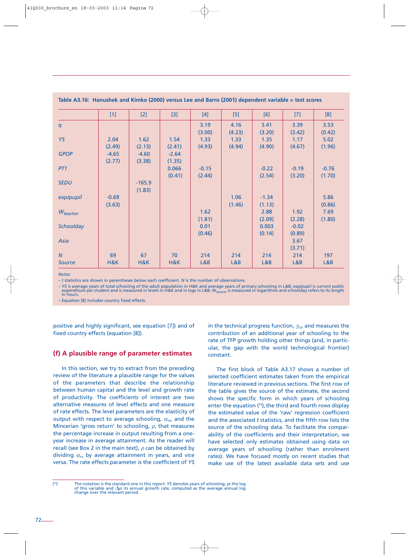|                 | $[1]$   | $[2]$    | $[3]$   | $[4]$   | $[5]$  | [6]     | $[7]$   | [8]     |
|-----------------|---------|----------|---------|---------|--------|---------|---------|---------|
| q               |         |          |         | 3.19    | 4.16   | 3.41    | 3.39    | 3.53    |
|                 |         |          |         | (3.00)  | (4.23) | (3.20)  | (3.42)  | (0.42)  |
| <b>YS</b>       | 2.04    | 1.62     | 1.54    | 1.33    | 1.33   | 1.35    | 1.17    | 5.02    |
|                 | (2.49)  | (2.13)   | (2.41)  | (4.93)  | (4.94) | (4.90)  | (4.67)  | (1.96)  |
| <b>GPOP</b>     | $-4.65$ | $-4.60$  | $-2.64$ |         |        |         |         |         |
|                 | (2.77)  | (3.38)   | (1.35)  |         |        |         |         |         |
| PT <sub>1</sub> |         |          | 0.066   | $-0.15$ |        | $-0.22$ | $-0.19$ | $-0.76$ |
|                 |         |          | (0.41)  | (2.44)  |        | (2.54)  | (3.20)  | (1.70)  |
| <b>SEDU</b>     |         | $-165.9$ |         |         |        |         |         |         |
|                 |         | (1.83)   |         |         |        |         |         |         |
| exp/pupil       | $-0.69$ |          |         |         | 1.06   | $-1.34$ |         | 5.86    |
|                 | (3.63)  |          |         |         | (1.46) | (1.13)  |         | (0.86)  |
| $W_{teacher}$   |         |          |         | 1.62    |        | 2.88    | 1.92    | 7.69    |
|                 |         |          |         | (1.81)  |        | (2.09)  | (2.28)  | (1.80)  |
| Schoolday       |         |          |         | 0.01    |        | 0.003   | $-0.02$ |         |
|                 |         |          |         | (0.46)  |        | (0.14)  | (0.89)  |         |
| Asia            |         |          |         |         |        |         | 3.67    |         |
|                 |         |          |         |         |        |         | (3.71)  |         |
| $\overline{N}$  | 69      | 67       | 70      | 214     | 214    | 214     | 214     | 197     |
| <b>Source</b>   | H&K     | H&K      | H&K     | L&B     | L&B    | L&B     | L&B     | L&B     |

## **Table A3.16: Hanushek and Kimko (2000) versus Lee and Barro (2001) dependent variable = test scores**

*Notes:*

– *t* statistics are shown in parentheses below each coefficient. *N* is the number of observations.

– YS is average years of total schooling of the adult population in H&K and average years of primary schooling in L&B; exp/pupil is current public<br>expenditure per student and is measured in levels in H&K and in logs in L&B

– Equation [8] includes country fixed effects.

positive and highly significant, see equation [7]) and of fixed country effects (equation [8]).

### **(f) A plausible range of parameter estimates**

In this section, we try to extract from the preceding review of the literature a plausible range for the values of the parameters that describe the relationship between human capital and the level and growth rate of productivity. The coefficients of interest are two alternative measures of level effects and one measure of rate effects. The level parameters are the elasticity of output with respect to average schooling,  $\alpha_{\gamma s}$ , and the Mincerian 'gross return' to schooling,  $\rho$ , that measures the percentage increase in output resulting from a oneyear increase in average attainment. As the reader will recall (see Box 2 in the main text),  $\rho$  can be obtained by dividing  $\alpha_{\text{ys}}$  by average attainment in years, and vice versa. The rate effects parameter is the coefficient of *YS* in the technical progress function,  $γ_{S}$ , and measures the contribution of an additional year of schooling to the rate of TFP growth holding other things (and, in particular, the gap with the world technological frontier) constant.

The first block of Table A3.17 shows a number of selected coefficient estimates taken from the empirical literature reviewed in previous sections. The first row of the table gives the source of the estimate, the second shows the specific form in which years of schooling enter the equation  $(54)$ , the third and fourth rows display the estimated value of the 'raw' regression coefficient and the associated *t* statistics, and the fifth row lists the source of the schooling data. To facilitate the comparability of the coefficients and their interpretation, we have selected only estimates obtained using data on average years of schooling (rather than enrolment rates). We have focused mostly on recent studies that make use of the latest available data sets and use

 $(54)$ 

<sup>54</sup>) The notation is the standard one in this report: YS denotes years of schooling, *ys* the log<br>of this variable and ⊿ys its annual growth rate, computed as the average annual log<br>change over the relevant period.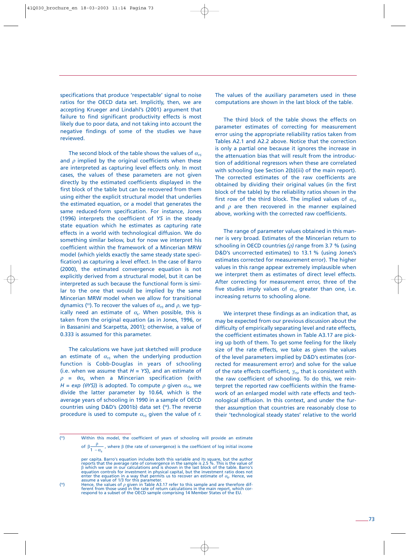specifications that produce 'respectable' signal to noise ratios for the OECD data set. Implicitly, then, we are accepting Krueger and Lindahl's (2001) argument that failure to find significant productivity effects is most likely due to poor data, and not taking into account the negative findings of some of the studies we have reviewed.

The second block of the table shows the values of <sup>α</sup>*YS* and  $\rho$  implied by the original coefficients when these are interpreted as capturing level effects only. In most cases, the values of these parameters are not given directly by the estimated coefficients displayed in the first block of the table but can be recovered from them using either the explicit structural model that underlies the estimated equation, or a model that generates the same reduced-form specification. For instance, Jones (1996) interprets the coefficient of *YS* in the steady state equation which he estimates as capturing rate effects in a world with technological diffusion. We do something similar below, but for now we interpret his coefficient within the framework of a Mincerian MRW model (which yields exactly the same steady state specification) as capturing a level effect. In the case of Barro (2000), the estimated convergence equation is not explicitly derived from a structural model, but it can be interpreted as such because the functional form is similar to the one that would be implied by the same Mincerian MRW model when we allow for transitional dynamics (<sup>55</sup>). To recover the values of  $\alpha_{\text{YS}}$  and  $\rho$ , we typically need an estimate of  $\alpha_k$ . When possible, this is taken from the original equation (as in Jones, 1996, or in Bassanini and Scarpetta, 2001); otherwise, a value of 0.333 is assumed for this parameter.

The calculations we have just sketched will produce an estimate of  $\alpha_{\text{ys}}$  when the underlying production function is Cobb-Douglas in years of schooling (i.e. when we assume that *H* = *YS*), and an estimate of  $\rho = \theta \alpha_h$  when a Mincerian specification (with *H* = *exp* ( $\theta$ *YS*)) is adopted. To compute  $\rho$  given  $\alpha_{\text{ys}}$ , we divide the latter parameter by 10.64, which is the average years of schooling in 1990 in a sample of OECD countries using D&D's (2001b) data set (56). The reverse procedure is used to compute  $\alpha_{\text{ys}}$  given the value of r. The values of the auxiliary parameters used in these computations are shown in the last block of the table.

The third block of the table shows the effects on parameter estimates of correcting for measurement error using the appropriate reliability ratios taken from Tables A2.1 and A2.2 above. Notice that the correction is only a partial one because it ignores the increase in the attenuation bias that will result from the introduction of additional regressors when these are correlated with schooling (see Section 2(b)(iii) of the main report). The corrected estimates of the raw coefficients are obtained by dividing their original values (in the first block of the table) by the reliability ratios shown in the first row of the third block. The implied values of <sup>α</sup>*YS* and  $\rho$  are then recovered in the manner explained above, working with the corrected raw coefficients.

The range of parameter values obtained in this manner is very broad. Estimates of the Mincerian return to schooling in OECD countries *(*ρ*)* range from 3.7 % (using D&D's uncorrected estimates) to 13.1 % (using Jones's estimates corrected for measurement error). The higher values in this range appear extremely implausible when we interpret them as estimates of direct level effects. After correcting for measurement error, three of the five studies imply values of  $\alpha_{\text{ys}}$  greater than one, i.e. increasing returns to schooling alone.

We interpret these findings as an indication that, as may be expected from our previous discussion about the difficulty of empirically separating level and rate effects, the coefficient estimates shown in Table A3.17 are picking up both of them. To get some feeling for the likely size of the rate effects, we take as given the values of the level parameters implied by D&D's estimates (corrected for measurement error) and solve for the value of the rate effects coefficient, γ<sub>/S</sub>, that is consistent with the raw coefficient of schooling. To do this, we reinterpret the reported raw coefficients within the framework of an enlarged model with rate effects and technological diffusion. In this context, and under the further assumption that countries are reasonably close to their 'technological steady states' relative to the world

 $(56)$ 

73

 $(55)$ 

Within this model, the coefficient of years of schooling will provide an estimate -, where  $β$  (the rate of convergence) is the coefficient of log initial income  $β\frac{ρ}{1 - α_k}$ 

per capita. Barro's equation includes both this variable and its square, but the author<br>reports that the average rate of convergence in the sample is 2.5 %. This is the value of<br>β which we use in our calculations and is sh Equation controls for investment in physical capital, but the investment ratio does not<br>enter the equation in a way that permits us to recover an estimate of  $α_k$ . Hence, we<br>assume a value of 1/3 for this parameter.<br>Henc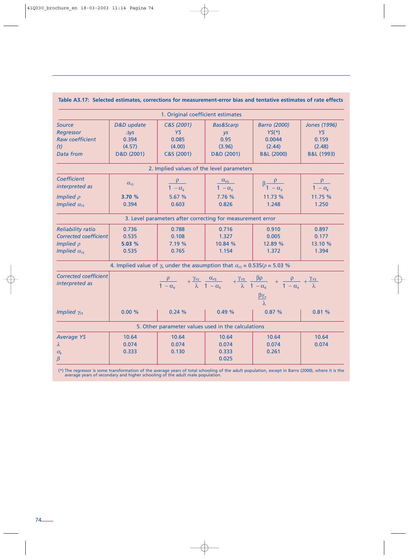|                              |                      | 1. Original coefficient estimates                                                            |                                          |                                                                                                                                                                                                                                                    |                           |
|------------------------------|----------------------|----------------------------------------------------------------------------------------------|------------------------------------------|----------------------------------------------------------------------------------------------------------------------------------------------------------------------------------------------------------------------------------------------------|---------------------------|
| Source                       | D&D update           | C&S (2001)                                                                                   | <b>Bas&amp;Scarp</b>                     | <b>Barro</b> (2000)                                                                                                                                                                                                                                | Jones (1996)              |
| Regressor                    | $\Delta$ ys          | YS                                                                                           | <b>ys</b>                                | $YS(*)$                                                                                                                                                                                                                                            | YS                        |
| <b>Raw coefficient</b>       | 0.394                | 0.085                                                                                        | 0.95                                     | 0.0044                                                                                                                                                                                                                                             | 0.159                     |
| (t)                          | (4.57)               | (4.00)                                                                                       | (3.96)                                   | (2.44)                                                                                                                                                                                                                                             | (2.48)                    |
| Data from                    | D&D (2001)           | C&S (2001)                                                                                   | D&D (2001)                               | B&L (2000)                                                                                                                                                                                                                                         | B&L (1993)                |
|                              |                      | 2. Implied values of the level parameters                                                    |                                          |                                                                                                                                                                                                                                                    |                           |
| Coefficient                  |                      |                                                                                              |                                          |                                                                                                                                                                                                                                                    |                           |
| interpreted as               | $\alpha_{\text{ys}}$ | $\frac{\rho}{1-\alpha_k}$                                                                    | $\frac{\alpha_{\gamma s}}{1-\alpha_{k}}$ | $\beta \frac{\rho}{1-\alpha_k}$                                                                                                                                                                                                                    | $\frac{\rho}{1-\alpha_k}$ |
|                              | 3.70 %               | 5.67 %                                                                                       | 7.76 %                                   | 11.73 %                                                                                                                                                                                                                                            | 11.75 %                   |
| Implied $\rho$               |                      | 0.603                                                                                        |                                          |                                                                                                                                                                                                                                                    |                           |
| Implied $\alpha_{\text{ys}}$ | 0.394                |                                                                                              | 0.826                                    | 1.248                                                                                                                                                                                                                                              | 1.250                     |
|                              |                      | 3. Level parameters after correcting for measurement error                                   |                                          |                                                                                                                                                                                                                                                    |                           |
| <b>Reliability ratio</b>     | 0.736                | 0.788                                                                                        | 0.716                                    | 0.910                                                                                                                                                                                                                                              | 0.897                     |
| <b>Corrected coefficient</b> | 0.535                | 0.108                                                                                        | 1.327                                    | 0.005                                                                                                                                                                                                                                              | 0.177                     |
| Implied $\rho$               | 5.03%                | 7.19%                                                                                        | 10.84 %                                  | 12.89 %                                                                                                                                                                                                                                            | 13.10 %                   |
| Implied $\alpha_{\text{ys}}$ | 0.535                | 0.765                                                                                        | 1.154                                    | 1.372                                                                                                                                                                                                                                              | 1.394                     |
|                              |                      | 4. Implied value of $\gamma_h$ under the assumption that $\alpha_{vs} = 0.535/\rho = 5.03$ % |                                          |                                                                                                                                                                                                                                                    |                           |
| <b>Corrected coefficient</b> |                      |                                                                                              |                                          |                                                                                                                                                                                                                                                    |                           |
| interpreted as               |                      |                                                                                              |                                          | $\frac{\rho}{1-\alpha_k}$ + $\frac{\gamma_{\text{ys}}}{\lambda}$ $\frac{\alpha_{\text{ys}}}{1-\alpha_k}$ + $\frac{\gamma_{\text{ys}}}{\lambda}$ $\frac{\beta \rho}{1-\alpha_k}$ + $\frac{\rho}{1-\alpha_k}$ + $\frac{\gamma_{\text{ys}}}{\lambda}$ |                           |
|                              |                      |                                                                                              |                                          | $\frac{\beta \gamma_{\gamma}}{\lambda}$                                                                                                                                                                                                            |                           |
|                              |                      |                                                                                              |                                          |                                                                                                                                                                                                                                                    |                           |
| Implied $\gamma_{rs}$        | 0.00%                | 0.24%                                                                                        | 0.49%                                    | 0.87%                                                                                                                                                                                                                                              | 0.81%                     |
|                              |                      | 5. Other parameter values used in the calculations                                           |                                          |                                                                                                                                                                                                                                                    |                           |
| <b>Average YS</b>            | 10.64                | 10.64                                                                                        | 10.64                                    | 10.64                                                                                                                                                                                                                                              | 10.64                     |
| $\lambda$                    | 0.074                | 0.074                                                                                        | 0.074                                    | 0.074                                                                                                                                                                                                                                              | 0.074                     |
| $\alpha_{k}$                 | 0.333                | 0.130                                                                                        | 0.333                                    | 0.261                                                                                                                                                                                                                                              |                           |
| $\beta$                      |                      |                                                                                              | 0.025                                    |                                                                                                                                                                                                                                                    |                           |

## **Table A3.17: Selected estimates, corrections for measurement-error bias and tentative estimates of rate effects**

 $\overline{\bigoplus}$ 

(\*) The regressor is some transformation of the average years of total schooling of the adult population, except in Barro (2000), where it is the average years of secondary and higher schooling of the adult male population.

 $\rightarrow$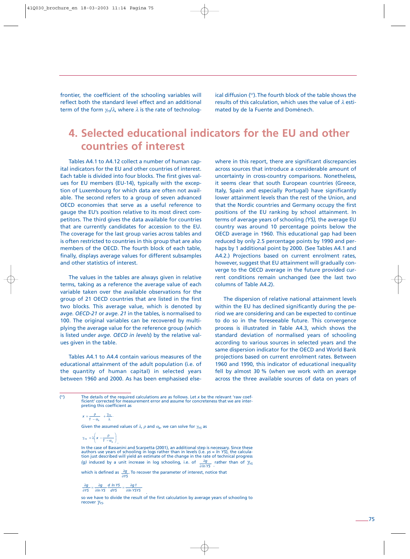frontier, the coefficient of the schooling variables will reflect both the standard level effect and an additional term of the form  $\gamma_{Ys}/\lambda$ , where  $\lambda$  is the rate of technological diffusion (57).The fourth block of the table shows the results of this calculation, which uses the value of  $\lambda$  estimated by de la Fuente and Doménech.

# **4. Selected educational indicators for the EU and other countries of interest**

Tables A4.1 to A4.12 collect a number of human capital indicators for the EU and other countries of interest. Each table is divided into four blocks. The first gives values for EU members (EU-14), typically with the exception of Luxembourg for which data are often not available. The second refers to a group of seven advanced OECD economies that serve as a useful reference to gauge the EU's position relative to its most direct competitors. The third gives the data available for countries that are currently candidates for accession to the EU. The coverage for the last group varies across tables and is often restricted to countries in this group that are also members of the OECD. The fourth block of each table, finally, displays average values for different subsamples and other statistics of interest.

The values in the tables are always given in relative terms, taking as a reference the average value of each variable taken over the available observations for the group of 21 OECD countries that are listed in the first two blocks. This average value, which is denoted by *avge. OECD-21* or *avge. 21* in the tables, is normalised to 100. The original variables can be recovered by multiplying the average value for the reference group (which is listed under *avge. OECD in levels*) by the relative values given in the table.

Tables A4.1 to A4.4 contain various measures of the educational attainment of the adult population (i.e. of the quantity of human capital) in selected years between 1960 and 2000. As has been emphasised else-

where in this report, there are significant discrepancies across sources that introduce a considerable amount of uncertainty in cross-country comparisons. Nonetheless, it seems clear that south European countries (Greece, Italy, Spain and especially Portugal) have significantly lower attainment levels than the rest of the Union, and that the Nordic countries and Germany occupy the first positions of the EU ranking by school attainment. In terms of average years of schooling *(YS),* the average EU country was around 10 percentage points below the OECD average in 1960. This educational gap had been reduced by only 2.5 percentage points by 1990 and perhaps by 1 additional point by 2000. (See Tables A4.1 and A4.2.) Projections based on current enrolment rates, however, suggest that EU attainment will gradually converge to the OECD average in the future provided current conditions remain unchanged (see the last two columns of Table A4.2).

The dispersion of relative national attainment levels within the EU has declined significantly during the period we are considering and can be expected to continue to do so in the foreseeable future. This convergence process is illustrated in Table A4.3, which shows the standard deviation of normalised years of schooling according to various sources in selected years and the same dispersion indicator for the OECD and World Bank projections based on current enrolment rates. Between 1960 and 1990, this indicator of educational inequality fell by almost 30 % (when we work with an average across the three available sources of data on years of

 $(57)$ 

The details of the required calculations are as follows. Let *x* be the relevant 'raw coefficient' corrected for measurement error and assume for concreteness that we are interpreting this coefficient as

 $x = \frac{\rho}{1 - \alpha_k} + \frac{\gamma_{\text{ys}}}{\lambda}$ .

Given the assumed values of  $\lambda$ ,  $\rho$  and  $\alpha_k$ , we can solve for  $\gamma_{\gamma s}$  as

 $\gamma_{\text{ys}} = \lambda \left( x - \frac{\rho}{1 - \alpha_k} \right)$  $\left(x-\frac{\rho}{1-\alpha_k}\right)$  $\bigg)$ 

In the case of Bassanini and Scarpetta (2001), an additional step is necessary. Since these authors use years of schooling in logs rather than in levels (i.e. *ys* = *ln YS*), the calcula-tion just described will yield an estimate of the change in the rate of technical progress *(g)* induced by a unit increase in log schooling, i.e. of  $\frac{\partial g}{\partial ln YS}$  rather than of  $\gamma_{YS}$ ∂ *ln YS*

*which is defined as <u><sup>∂g</sup></u>. To recover the parameter of interest, notice that* ∂*YS*

.

∂*g* <sup>∂</sup>*YS* <sup>=</sup> <sup>∂</sup>*<sup>g</sup>* ∂*ln YS d ln YS dYS* <sup>=</sup> <sup>∂</sup>*g1* ∂*ln YSYS*

.

so we have to divide the result of the first calculation by average years of schooling to recover γ*YS*.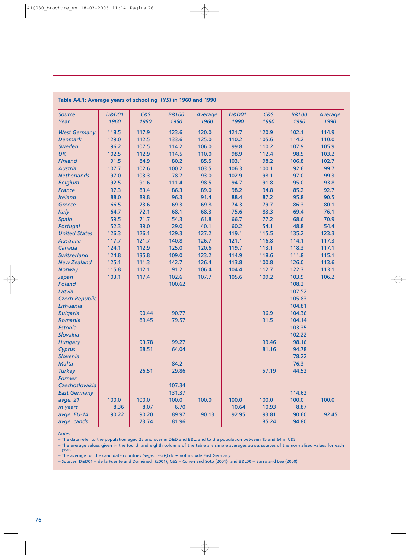| Source                | <b>D&amp;D01</b> | C&S   | <b>B&amp;L00</b> | Average | <b>D&amp;D01</b> | C&S   | <b>B&amp;L00</b> | Average |
|-----------------------|------------------|-------|------------------|---------|------------------|-------|------------------|---------|
| Year                  | 1960             | 1960  | 1960             | 1960    | 1990             | 1990  | 1990             | 1990    |
| <b>West Germany</b>   | 118.5            | 117.9 | 123.6            | 120.0   | 121.7            | 120.9 | 102.1            | 114.9   |
| <b>Denmark</b>        | 129.0            | 112.5 | 133.6            | 125.0   | 110.2            | 105.6 | 114.2            | 110.0   |
| <b>Sweden</b>         | 96.2             | 107.5 | 114.2            | 106.0   | 99.8             | 110.2 | 107.9            | 105.9   |
| <b>UK</b>             | 102.5            | 112.9 | 114.5            | 110.0   | 98.9             | 112.4 | 98.5             | 103.2   |
| <b>Finland</b>        | 91.5             | 84.9  | 80.2             | 85.5    | 103.1            | 98.2  | 106.8            | 102.7   |
| <b>Austria</b>        | 107.7            | 102.6 | 100.2            | 103.5   | 106.3            | 100.1 | 92.6             | 99.7    |
| <b>Netherlands</b>    | 97.0             | 103.3 | 78.7             | 93.0    | 102.9            | 98.1  | 97.0             | 99.3    |
| <b>Belgium</b>        | 92.5             | 91.6  | 111.4            | 98.5    | 94.7             | 91.8  | 95.0             | 93.8    |
| France                | 97.3             | 83.4  | 86.3             | 89.0    | 98.2             | 94.8  | 85.2             | 92.7    |
| <b>Ireland</b>        | 88.0             | 89.8  | 96.3             | 91.4    | 88.4             | 87.2  | 95.8             | 90.5    |
| Greece                | 66.5             | 73.6  | 69.3             | 69.8    | 74.3             | 79.7  | 86.3             | 80.1    |
| <b>Italy</b>          | 64.7             | 72.1  | 68.1             | 68.3    | 75.6             | 83.3  | 69.4             | 76.1    |
| Spain                 | 59.5             | 71.7  | 54.3             | 61.8    | 66.7             | 77.2  | 68.6             | 70.9    |
| Portugal              | 52.3             | 39.0  | 29.0             | 40.1    | 60.2             | 54.1  | 48.8             | 54.4    |
| <b>United States</b>  | 126.3            | 126.1 | 129.3            | 127.2   | 119.1            | 115.5 | 135.2            | 123.3   |
| <b>Australia</b>      | 117.7            | 121.7 | 140.8            | 126.7   | 121.1            | 116.8 | 114.1            | 117.3   |
| Canada                | 124.1            | 112.9 | 125.0            | 120.6   | 119.7            | 113.1 | 118.3            | 117.1   |
| Switzerland           | 124.8            | 135.8 | 109.0            | 123.2   | 114.9            | 118.6 | 111.8            | 115.1   |
| <b>New Zealand</b>    | 125.1            | 111.3 | 142.7            | 126.4   | 113.8            | 100.8 | 126.0            | 113.6   |
| <b>Norway</b>         | 115.8            | 112.1 | 91.2             | 106.4   | 104.4            | 112.7 | 122.3            | 113.1   |
| Japan                 | 103.1            | 117.4 | 102.6            | 107.7   | 105.6            | 109.2 | 103.9            | 106.2   |
| Poland                |                  |       | 100.62           |         |                  |       | 108.2            |         |
| Latvia                |                  |       |                  |         |                  |       | 107.52           |         |
| <b>Czech Republic</b> |                  |       |                  |         |                  |       | 105.83           |         |
| Lithuania             |                  |       |                  |         |                  |       | 104.81           |         |
| <b>Bulgaria</b>       |                  | 90.44 | 90.77            |         |                  | 96.9  | 104.36           |         |
| Romania               |                  | 89.45 | 79.57            |         |                  | 91.5  | 104.14           |         |
| Estonia               |                  |       |                  |         |                  |       | 103.35           |         |
| Slovakia              |                  |       |                  |         |                  |       | 102.22           |         |
| <b>Hungary</b>        |                  | 93.78 | 99.27            |         |                  | 99.46 | 98.16            |         |
| Cyprus                |                  | 68.51 | 64.04            |         |                  | 81.16 | 94.78            |         |
| Slovenia              |                  |       |                  |         |                  |       | 78.22            |         |
| <b>Malta</b>          |                  |       | 84.2             |         |                  |       | 76.3             |         |
| <b>Turkey</b>         |                  | 26.51 | 29.86            |         |                  | 57.19 | 44.52            |         |
| <b>Former</b>         |                  |       |                  |         |                  |       |                  |         |
| Czechoslovakia        |                  |       | 107.34           |         |                  |       |                  |         |
| <b>East Germany</b>   |                  |       | 131.37           |         |                  |       | 114.62           |         |
| avge. 21              | 100.0            | 100.0 | 100.0            | 100.0   | 100.0            | 100.0 | 100.0            | 100.0   |
| in years              | 8.36             | 8.07  | 6.70             |         | 10.64            | 10.93 | 8.87             |         |
| avge. EU-14           | 90.22            | 90.20 | 89.97            | 90.13   | 92.95            | 93.81 | 90.60            | 92.45   |
| avge. cands           |                  | 73.74 | 81.96            |         |                  | 85.24 | 94.80            |         |

## **Table A4.1: Average years of schooling (***YS***) in 1960 and 1990**

*Notes:*

– The data refer to the population aged 25 and over in D&D and B&L, and to the population between 15 and 64 in C&S.

– The average values given in the fourth and eighth columns of the table are simple averages across sources of the normalised values for each year.

 $\overline{\bigoplus}$ 

– The average for the candidate countries *(avge. cands)* does not include East Germany.

– *Sources:* D&D01 = de la Fuente and Doménech (2001); C&S = Cohen and Soto (2001); and B&L00 = Barro and Lee (2000).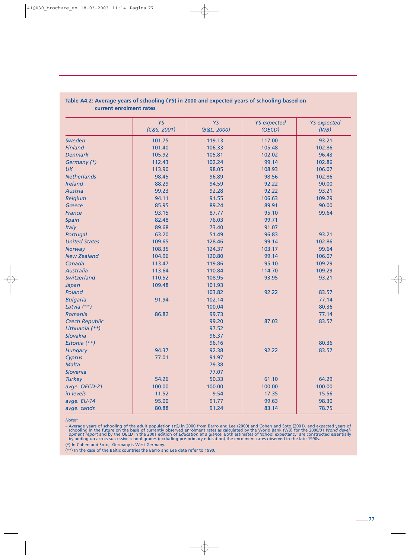|                       | <b>YS</b><br>(C&S, 2001) | YS<br>(B&L, 2000) | <b>YS</b> expected<br>(OECD) | <b>YS</b> expected |
|-----------------------|--------------------------|-------------------|------------------------------|--------------------|
|                       |                          |                   |                              | (WB)               |
| <b>Sweden</b>         | 101.75                   | 119.13            | 117.00                       | 93.21              |
| <b>Finland</b>        | 101.40                   | 106.33            | 105.48                       | 102.86             |
| <b>Denmark</b>        | 105.92                   | 105.81            | 102.02                       | 96.43              |
| Germany (*)           | 112.43                   | 102.24<br>99.14   |                              | 102.86             |
| UK                    | 113.90                   | 98.05             | 108.93                       | 106.07             |
| <b>Netherlands</b>    | 98.45                    | 96.89             | 98.56                        | 102.86             |
| <b>Ireland</b>        | 88.29                    | 94.59             | 92.22                        | 90.00              |
| <b>Austria</b>        | 99.23                    | 92.28             | 92.22                        | 93.21              |
| <b>Belgium</b>        | 94.11                    | 91.55             | 106.63                       | 109.29             |
| Greece                | 85.95                    | 89.24             | 89.91                        | 90.00              |
| France                | 93.15                    | 87.77             | 95.10                        | 99.64              |
| Spain                 | 82.48                    | 76.03             | 99.71                        |                    |
| Italy                 | 89.68                    | 73.40             | 91.07                        |                    |
| Portugal              | 63.20                    | 51.49             | 96.83                        | 93.21              |
| <b>United States</b>  | 109.65                   | 128.46            | 99.14                        | 102.86             |
| <b>Norway</b>         | 108.35                   | 124.37            | 103.17                       | 99.64              |
| <b>New Zealand</b>    | 104.96                   | 120.80            | 99.14                        | 106.07             |
| Canada                | 113.47                   | 119.86            | 95.10                        | 109.29             |
| <b>Australia</b>      | 113.64                   | 110.84            | 114.70                       | 109.29             |
| Switzerland           | 110.52                   | 108.95            | 93.95                        | 93.21              |
| Japan                 | 109.48                   | 101.93            |                              |                    |
| Poland                |                          | 103.82            | 92.22                        | 83.57              |
| <b>Bulgaria</b>       | 91.94                    | 102.14            |                              | 77.14              |
| Latvia $(**)$         |                          | 100.04            |                              | 80.36              |
| Romania               | 86.82                    | 99.73             |                              | 77.14              |
| <b>Czech Republic</b> |                          | 99.20             | 87.03                        | 83.57              |
| Lithuania (**)        |                          | 97.52             |                              |                    |
| <b>Slovakia</b>       |                          | 96.37             |                              |                    |
| Estonia (**)          |                          | 96.16             |                              | 80.36              |
| <b>Hungary</b>        | 94.37                    | 92.38             | 92.22                        | 83.57              |
| Cyprus                | 77.01                    | 91.97             |                              |                    |
| <b>Malta</b>          |                          | 79.38             |                              |                    |
| <b>Slovenia</b>       |                          | 77.07             |                              |                    |
| <b>Turkey</b>         | 54.26                    | 50.33             | 61.10                        | 64.29              |
| avge. OECD-21         | 100.00                   | 100.00            | 100.00                       | 100.00             |
| in levels             | 11.52                    | 9.54              | 17.35                        | 15.56              |
| avge. EU-14           | 95.00                    | 91.77             | 99.63                        | 98.30              |
| avge. cands           | 80.88                    | 91.24             | 83.14                        | 78.75              |

### **Table A4.2: Average years of schooling (***YS***) in 2000 and expected years of schooling based on current enrolment rates**

*Notes:*

- Average years of schooling of the adult population (YS) in 2000 from Barro and Lee (2000) and Cohen and Soto (2001), and expected years of schooling of the abais of currently observed enrolment rates as calculated by the

 $\overline{\bigoplus}$ 

(\*) In Cohen and Soto, Germany is West Germany.

(\*\*) In the case of the Baltic countries the Barro and Lee data refer to 1990.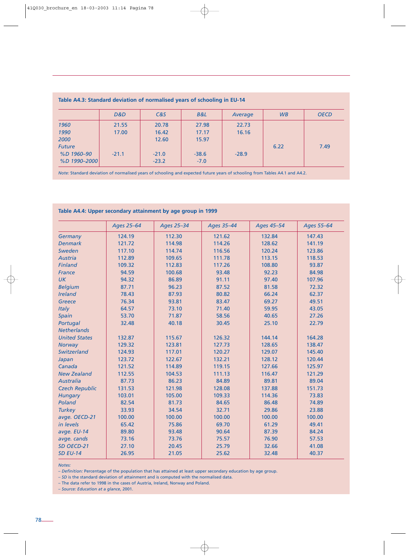| Table A4.3: Standard deviation of normalised years of schooling in EU-14 |         |         |         |         |           |             |  |  |  |
|--------------------------------------------------------------------------|---------|---------|---------|---------|-----------|-------------|--|--|--|
|                                                                          | D&D     | C&S     | B&L     | Average | <b>WB</b> | <b>OECD</b> |  |  |  |
| 1960                                                                     | 21.55   | 20.78   | 27.98   | 22.73   |           |             |  |  |  |
| 1990                                                                     | 17.00   | 16.42   | 17.17   | 16.16   |           |             |  |  |  |
| 2000                                                                     |         | 12.60   | 15.97   |         |           |             |  |  |  |
| <b>Future</b>                                                            |         |         |         |         | 6.22      | 7.49        |  |  |  |
| $%D$ 1960-90                                                             | $-21.1$ | $-21.0$ | $-38.6$ | $-28.9$ |           |             |  |  |  |
| $%D$ 1990-2000                                                           |         | $-23.2$ | $-7.0$  |         |           |             |  |  |  |

 $\overline{\bigoplus}$ 

*Note:* Standard deviation of normalised years of schooling and expected future years of schooling from Tables A4.1 and A4.2.

|                       | Ages 25-64 | Ages 25-34 | Ages 35-44 | Ages 45-54 | Ages 55-64 |
|-----------------------|------------|------------|------------|------------|------------|
| Germany               | 124.19     | 112.30     | 121.62     | 132.84     | 147.43     |
| <b>Denmark</b>        | 121.72     | 114.98     | 114.26     | 128.62     | 141.19     |
| Sweden                | 117.10     | 114.74     | 116.56     | 120.24     | 123.86     |
| <b>Austria</b>        | 112.89     | 109.65     | 111.78     | 113.15     | 118.53     |
| <b>Finland</b>        | 109.32     | 112.83     | 117.26     | 108.80     | 93.87      |
| <b>France</b>         | 94.59      | 100.68     | 93.48      | 92.23      | 84.98      |
| UK                    | 94.32      | 86.89      | 91.11      | 97.40      | 107.96     |
| <b>Belgium</b>        | 87.71      | 96.23      | 87.52      | 81.58      | 72.32      |
| <b>Ireland</b>        | 78.43      | 87.93      | 80.82      | 66.24      | 62.37      |
| Greece                | 76.34      | 93.81      | 83.47      | 69.27      | 49.51      |
| Italy                 | 64.57      | 73.10      | 71.40      | 59.95      | 43.05      |
| Spain                 | 53.70      | 71.87      | 58.56      | 40.65      | 27.26      |
| Portugal              | 32.48      | 40.18      | 30.45      | 25.10      | 22.79      |
| <b>Netherlands</b>    |            |            |            |            |            |
| <b>United States</b>  | 132.87     | 115.67     | 126.32     | 144.14     | 164.28     |
| <b>Norway</b>         | 129.32     | 123.81     | 127.73     | 128.65     | 138.47     |
| Switzerland           | 124.93     | 117.01     | 120.27     | 129.07     | 145.40     |
| Japan                 | 123.72     | 122.67     | 132.21     | 128.12     | 120.44     |
| Canada                | 121.52     | 114.89     | 119.15     | 127.66     | 125.97     |
| <b>New Zealand</b>    | 112.55     | 104.53     | 111.13     | 116.47     | 121.29     |
| <b>Australia</b>      | 87.73      | 86.23      | 84.89      | 89.81      | 89.04      |
| <b>Czech Republic</b> | 131.53     | 121.98     | 128.08     | 137.88     | 151.73     |
| <b>Hungary</b>        | 103.01     | 105.00     | 109.33     | 114.36     | 73.83      |
| Poland                | 82.54      | 81.73      | 84.65      | 86.48      | 74.89      |
| <b>Turkey</b>         | 33.93      | 34.54      | 32.71      | 29.86      | 23.88      |
| avge. OECD-21         | 100.00     | 100.00     | 100.00     | 100.00     | 100.00     |
| in levels             | 65.42      | 75.86      | 69.70      | 61.29      | 49.41      |
| avge. EU-14           | 89.80      | 93.48      | 90.64      | 87.39      | 84.24      |
| avge. cands           | 73.16      | 73.76      | 75.57      | 76.90      | 57.53      |
| SD OECD-21            | 27.10      | 20.45      | 25.79      | 32.66      | 41.08      |
| <b>SD EU-14</b>       | 26.95      | 21.05      | 25.62      | 32.48      | 40.37      |

 $\overline{\bigoplus}$ 

## **Table A4.4: Upper secondary attainment by age group in 1999**

*Notes:*

– *Definition:* Percentage of the population that has attained at least upper secondary education by age group.

– *SD* is the standard deviation of attainment and is computed with the normalised data.

– The data refer to 1998 in the cases of Austria, Ireland, Norway and Poland.

– *Source: Education at a glance*, 2001.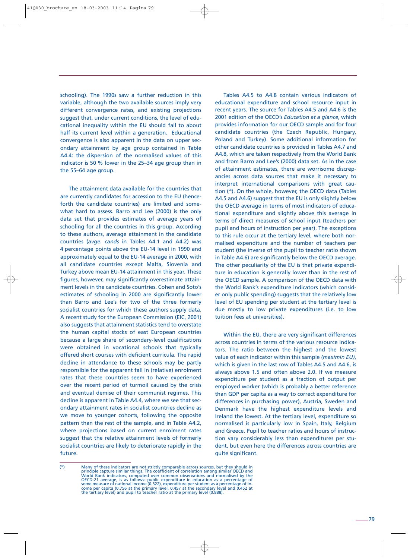schooling). The 1990s saw a further reduction in this variable, although the two available sources imply very different convergence rates, and existing projections suggest that, under current conditions, the level of educational inequality within the EU should fall to about half its current level within a generation. Educational convergence is also apparent in the data on upper secondary attainment by age group contained in Table A4.4: the dispersion of the normalised values of this indicator is 50 % lower in the 25–34 age group than in the 55–64 age group.

The attainment data available for the countries that are currently candidates for accession to the EU (henceforth the candidate countries) are limited and somewhat hard to assess. Barro and Lee (2000) is the only data set that provides estimates of average years of schooling for all the countries in this group. According to these authors, average attainment in the candidate countries (*avge. cands* in Tables A4.1 and A4.2) was 4 percentage points above the EU-14 level in 1990 and approximately equal to the EU-14 average in 2000, with all candidate countries except Malta, Slovenia and Turkey above mean EU-14 attainment in this year. These figures, however, may significantly overestimate attainment levels in the candidate countries. Cohen and Soto's estimates of schooling in 2000 are significantly lower than Barro and Lee's for two of the three formerly socialist countries for which these authors supply data. A recent study for the European Commission (EIC, 2001) also suggests that attainment statistics tend to overstate the human capital stocks of east European countries because a large share of secondary-level qualifications were obtained in vocational schools that typically offered short courses with deficient curricula. The rapid decline in attendance to these schools may be partly responsible for the apparent fall in (relative) enrolment rates that these countries seem to have experienced over the recent period of turmoil caused by the crisis and eventual demise of their communist regimes. This decline is apparent in Table A4.4, where we see that secondary attainment rates in socialist countries decline as we move to younger cohorts, following the opposite pattern than the rest of the sample, and in Table A4.2, where projections based on current enrolment rates suggest that the relative attainment levels of formerly socialist countries are likely to deteriorate rapidly in the future.

Tables A4.5 to A4.8 contain various indicators of educational expenditure and school resource input in recent years. The source for Tables A4.5 and A4.6 is the 2001 edition of the OECD's *Education at a glance*, which provides information for our OECD sample and for four candidate countries (the Czech Republic, Hungary, Poland and Turkey). Some additional information for other candidate countries is provided in Tables A4.7 and A4.8, which are taken respectively from the World Bank and from Barro and Lee's (2000) data set. As in the case of attainment estimates, there are worrisome discrepancies across data sources that make it necessary to interpret international comparisons with great caution (58). On the whole, however, the OECD data (Tables A4.5 and A4.6) suggest that the EU is only slightly below the OECD average in terms of most indicators of educational expenditure and slightly above this average in terms of direct measures of school input (teachers per pupil and hours of instruction per year). The exceptions to this rule occur at the tertiary level, where both normalised expenditure and the number of teachers per student (the inverse of the pupil to teacher ratio shown in Table A4.6) are significantly below the OECD average. The other peculiarity of the EU is that private expenditure in education is generally lower than in the rest of the OECD sample. A comparison of the OECD data with the World Bank's expenditure indicators (which consider only public spending) suggests that the relatively low level of EU spending per student at the tertiary level is due mostly to low private expenditures (i.e. to low tuition fees at universities).

Within the EU, there are very significant differences across countries in terms of the various resource indicators. The ratio between the highest and the lowest value of each indicator within this sample *(max/min EU)*, which is given in the last row of Tables A4.5 and A4.6, is always above 1.5 and often above 2.0. If we measure expenditure per student as a fraction of output per employed worker (which is probably a better reference than GDP per capita as a way to correct expenditure for differences in purchasing power), Austria, Sweden and Denmark have the highest expenditure levels and Ireland the lowest. At the tertiary level, expenditure so normalised is particularly low in Spain, Italy, Belgium and Greece. Pupil to teacher ratios and hours of instruction vary considerably less than expenditures per student, but even here the differences across countries are quite significant.

 $(58)$ 

<sup>&</sup>lt;sup>58</sup>) Many of these indicators are not strictly comparable across sources, but they should in principle capture similar things. The coefficient of correlation among similar OECD and World Bank indicators, computed over co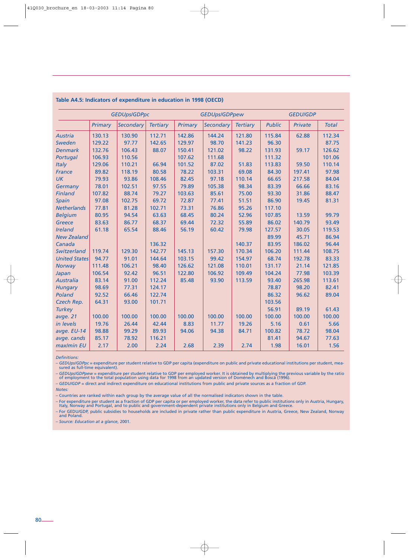|                      |         | <b>GEDUps/GDPpc</b> |                 |         | <b>GEDUps/GDPpew</b> |                 |               | <b>GEDUIGDP</b> |              |
|----------------------|---------|---------------------|-----------------|---------|----------------------|-----------------|---------------|-----------------|--------------|
|                      | Primary | Secondary           | <b>Tertiary</b> | Primary | Secondary            | <b>Tertiary</b> | <b>Public</b> | Private         | <b>Total</b> |
| Austria              | 130.13  | 130.90              | 112.71          | 142.86  | 144.24               | 121.80          | 115.84        | 62.88           | 112.34       |
| Sweden               | 129.22  | 97.77               | 142.65          | 129.97  | 98.70                | 141.23          | 96.30         |                 | 87.75        |
| <b>Denmark</b>       | 132.76  | 106.43              | 88.07           | 150.41  | 121.02               | 98.22           | 131.93        | 59.17           | 126.62       |
| Portugal             | 106.93  | 110.56              |                 | 107.62  | 111.68               |                 | 111.32        |                 | 101.06       |
| <b>Italy</b>         | 129.06  | 110.21              | 66.94           | 101.52  | 87.02                | 51.83           | 113.83        | 59.50           | 110.14       |
| <b>France</b>        | 89.82   | 118.19              | 80.58           | 78.22   | 103.31               | 69.08           | 84.30         | 197.41          | 97.98        |
| <b>UK</b>            | 79.93   | 93.86               | 108.46          | 82.45   | 97.18                | 110.14          | 66.65         | 217.58          | 84.04        |
| Germany              | 78.01   | 102.51              | 97.55           | 79.89   | 105.38               | 98.34           | 83.39         | 66.66           | 83.16        |
| <b>Finland</b>       | 107.82  | 88.74               | 79.27           | 103.63  | 85.61                | 75.00           | 93.30         | 31.86           | 88.47        |
| Spain                | 97.08   | 102.75              | 69.72           | 72.87   | 77.41                | 51.51           | 86.90         | 19.45           | 81.31        |
| <b>Netherlands</b>   | 77.81   | 81.28               | 102.71          | 73.31   | 76.86                | 95.26           | 117.10        |                 |              |
| <b>Belgium</b>       | 80.95   | 94.54               | 63.63           | 68.45   | 80.24                | 52.96           | 107.85        | 13.59           | 99.79        |
| Greece               | 83.63   | 86.77               | 68.37           | 69.44   | 72.32                | 55.89           | 86.02         | 140.79          | 93.49        |
| <b>Ireland</b>       | 61.18   | 65.54               | 88.46           | 56.19   | 60.42                | 79.98           | 127.57        | 30.05           | 119.53       |
| <b>New Zealand</b>   |         |                     |                 |         |                      |                 | 89.99         | 45.71           | 86.94        |
| Canada               |         |                     | 136.32          |         |                      | 140.37          | 83.95         | 186.02          | 96.44        |
| Switzerland          | 119.74  | 129.30              | 142.77          | 145.13  | 157.30               | 170.34          | 106.20        | 111.44          | 108.75       |
| <b>United States</b> | 94.77   | 91.01               | 144.64          | 103.15  | 99.42                | 154.97          | 68.74         | 192.78          | 83.33        |
| <b>Norway</b>        | 111.48  | 106.21              | 98.40           | 126.62  | 121.08               | 110.01          | 131.17        | 21.14           | 121.85       |
| Japan                | 106.54  | 92.42               | 96.51           | 122.80  | 106.92               | 109.49          | 104.24        | 77.98           | 103.39       |
| <b>Australia</b>     | 83.14   | 91.00               | 112.24          | 85.48   | 93.90                | 113.59          | 93.40         | 265.98          | 113.61       |
| Hungary              | 98.69   | 77.31               | 124.17          |         |                      |                 | 78.87         | 98.20           | 82.41        |
| Poland               | 92.52   | 66.46               | 122.74          |         |                      |                 | 86.32         | 96.62           | 89.04        |
| Czech Rep.           | 64.31   | 93.00               | 101.71          |         |                      |                 | 103.56        |                 |              |
| <b>Turkey</b>        |         |                     |                 |         |                      |                 | 56.91         | 89.19           | 61.43        |
| avge. 21             | 100.00  | 100.00              | 100.00          | 100.00  | 100.00               | 100.00          | 100.00        | 100.00          | 100.00       |
| in levels            | 19.76   | 26.44               | 42.44           | 8.83    | 11.77                | 19.26           | 5.16          | 0.61            | 5.66         |
| avge. EU-14          | 98.88   | 99.29               | 89.93           | 94.06   | 94.38                | 84.71           | 100.82        | 78.72           | 98.04        |
| avge. cands          | 85.17   | 78.92               | 116.21          |         |                      |                 | 81.41         | 94.67           | 77.63        |
| max/min EU           | 2.17    | 2.00                | 2.24            | 2.68    | 2.39                 | 2.74            | 1.98          | 16.01           | 1.56         |

### **Table A4.5: Indicators of expenditure in education in 1998 (OECD)**

*Definitions:*

– *GEDUps/GDPpc* = expenditure per student relative to GDP per capita (expenditure on public and private educational institutions per student, mea-sured as full-time equivalent).

– GEDUps/GDPpew = expenditure per student relative to GDP per employed worker. It is obtained by multiplying the previous variable by the ratio<br>- of employment to the total population using data for 1998 from an updated ve

– *GEDU/GDP* = direct and indirect expenditure on educational institutions from public and private sources as a fraction of GDP.

*Notes:*

– Countries are ranked within each group by the average value of all the normalised indicators shown in the table.

– For expenditure per student as a fraction of GDP per capita or per employed worker, the data refer to public institutions only in Austria, Hungary,<br>Italy, Norway and Portugal, and to public and government-dependent priva

– For GEDU/GDP, public subsidies to households are included in private rather than public expenditure in Austria, Greece, New Zealand, Norway and Poland.

 $\overline{\bigoplus}$ 

– *Source: Education at a glance*, 2001.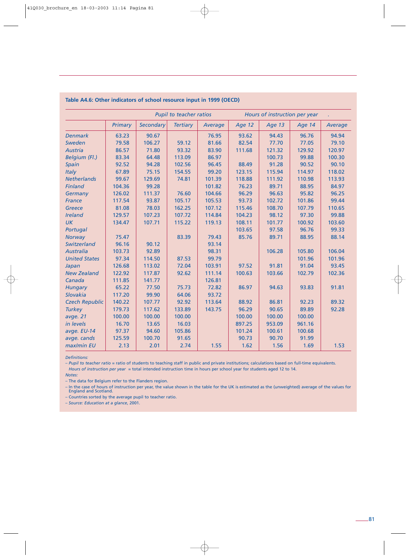|                       |         |           | <b>Pupil to teacher ratios</b><br>Hours of instruction per year |         |               |        |        |         |
|-----------------------|---------|-----------|-----------------------------------------------------------------|---------|---------------|--------|--------|---------|
|                       | Primary | Secondary | <b>Tertiary</b>                                                 | Average | <b>Age 12</b> | Age 13 | Age 14 | Average |
| <b>Denmark</b>        | 63.23   | 90.67     |                                                                 | 76.95   | 93.62         | 94.43  | 96.76  | 94.94   |
| Sweden                | 79.58   | 106.27    | 59.12                                                           | 81.66   | 82.54         | 77.70  | 77.05  | 79.10   |
| Austria               | 86.57   | 71.80     | 93.32                                                           | 83.90   | 111.68        | 121.32 | 129.92 | 120.97  |
| <b>Belgium (Fl.)</b>  | 83.34   | 64.48     | 113.09                                                          | 86.97   |               | 100.73 | 99.88  | 100.30  |
| Spain                 | 92.52   | 94.28     | 102.56                                                          | 96.45   | 88.49         | 91.28  | 90.52  | 90.10   |
| <b>Italy</b>          | 67.89   | 75.15     | 154.55                                                          | 99.20   | 123.15        | 115.94 | 114.97 | 118.02  |
| <b>Netherlands</b>    | 99.67   | 129.69    | 74.81                                                           | 101.39  | 118.88        | 111.92 | 110.98 | 113.93  |
| <b>Finland</b>        | 104.36  | 99.28     |                                                                 | 101.82  | 76.23         | 89.71  | 88.95  | 84.97   |
| Germany               | 126.02  | 111.37    | 76.60                                                           | 104.66  | 96.29         | 96.63  | 95.82  | 96.25   |
| France                | 117.54  | 93.87     | 105.17                                                          | 105.53  | 93.73         | 102.72 | 101.86 | 99.44   |
| Greece                | 81.08   | 78.03     | 162.25                                                          | 107.12  | 115.46        | 108.70 | 107.79 | 110.65  |
| <b>Ireland</b>        | 129.57  | 107.23    | 107.72                                                          | 114.84  | 104.23        | 98.12  | 97.30  | 99.88   |
| <b>UK</b>             | 134.47  | 107.71    | 115.22                                                          | 119.13  | 108.11        | 101.77 | 100.92 | 103.60  |
| Portugal              |         |           |                                                                 |         | 103.65        | 97.58  | 96.76  | 99.33   |
| <b>Norway</b>         | 75.47   |           | 83.39                                                           | 79.43   | 85.76         | 89.71  | 88.95  | 88.14   |
| Switzerland           | 96.16   | 90.12     |                                                                 | 93.14   |               |        |        |         |
| <b>Australia</b>      | 103.73  | 92.89     |                                                                 | 98.31   |               | 106.28 | 105.80 | 106.04  |
| <b>United States</b>  | 97.34   | 114.50    | 87.53                                                           | 99.79   |               |        | 101.96 | 101.96  |
| Japan                 | 126.68  | 113.02    | 72.04                                                           | 103.91  | 97.52         | 91.81  | 91.04  | 93.45   |
| <b>New Zealand</b>    | 122.92  | 117.87    | 92.62                                                           | 111.14  | 100.63        | 103.66 | 102.79 | 102.36  |
| Canada                | 111.85  | 141.77    |                                                                 | 126.81  |               |        |        |         |
| Hungary               | 65.22   | 77.50     | 75.73                                                           | 72.82   | 86.97         | 94.63  | 93.83  | 91.81   |
| Slovakia              | 117.20  | 99.90     | 64.06                                                           | 93.72   |               |        |        |         |
| <b>Czech Republic</b> | 140.22  | 107.77    | 92.92                                                           | 113.64  | 88.92         | 86.81  | 92.23  | 89.32   |
| <b>Turkey</b>         | 179.73  | 117.62    | 133.89                                                          | 143.75  | 96.29         | 90.65  | 89.89  | 92.28   |
| avge. 21              | 100.00  | 100.00    | 100.00                                                          |         | 100.00        | 100.00 | 100.00 |         |
| in levels             | 16.70   | 13.65     | 16.03                                                           |         | 897.25        | 953.09 | 961.16 |         |
| avge. EU-14           | 97.37   | 94.60     | 105.86                                                          |         | 101.24        | 100.61 | 100.68 |         |
| avge. cands           | 125.59  | 100.70    | 91.65                                                           |         | 90.73         | 90.70  | 91.99  |         |
| max/min EU            | 2.13    | 2.01      | 2.74                                                            | 1.55    | 1.62          | 1.56   | 1.69   | 1.53    |

## **Table A4.6: Other indicators of school resource input in 1999 (OECD)**

*Definitions:*

– *Pupil to teacher ratio* = ratio of students to teaching staff in public and private institutions; calculations based on full-time equivalents.

*Hours of instruction per year* = total intended instruction time in hours per school year for students aged 12 to 14.

*Notes:*

– The data for Belgium refer to the Flanders region.

– In the case of hours of instruction per year, the value shown in the table for the UK is estimated as the (unweighted) average of the values for England and Scotland.

 $\overline{\bigoplus}$ 

– Countries sorted by the average pupil to teacher ratio.

– *Source: Education at a glance*, 2001.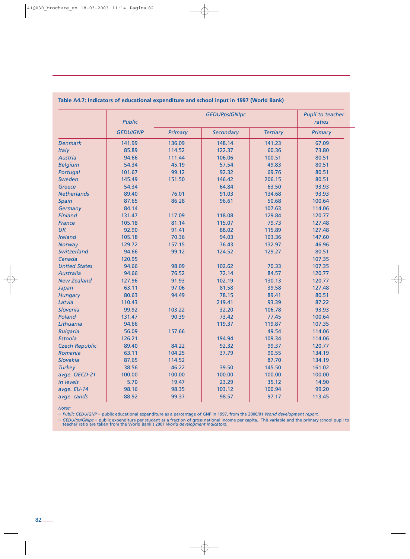|                       |                 |         | <b>GEDUPps/GNIpc</b> |                 |         |  |  |
|-----------------------|-----------------|---------|----------------------|-----------------|---------|--|--|
|                       | <b>Public</b>   |         |                      |                 | ratios  |  |  |
|                       | <b>GEDUIGNP</b> | Primary | Secondary            | <b>Tertiary</b> | Primary |  |  |
| <b>Denmark</b>        | 141.99          | 136.09  | 148.14               | 141.23          | 67.09   |  |  |
| <b>Italy</b>          | 85.89           | 114.52  | 122.37               | 60.36           | 73.80   |  |  |
| <b>Austria</b>        | 94.66           | 111.44  | 106.06               | 100.51          | 80.51   |  |  |
| <b>Belgium</b>        | 54.34           | 45.19   | 57.54                | 49.83           | 80.51   |  |  |
| Portugal              | 101.67          | 99.12   | 92.32                | 69.76           | 80.51   |  |  |
| Sweden                | 145.49          | 151.50  | 146.42               | 206.15          | 80.51   |  |  |
| Greece                | 54.34           |         | 64.84                | 63.50           | 93.93   |  |  |
| <b>Netherlands</b>    | 89.40           | 76.01   | 91.03                | 134.68          | 93.93   |  |  |
| Spain                 | 87.65           | 86.28   | 96.61                | 50.68           | 100.64  |  |  |
| Germany               | 84.14           |         |                      | 107.63          | 114.06  |  |  |
| <b>Finland</b>        | 131.47          | 117.09  | 118.08               | 129.84          | 120.77  |  |  |
| <b>France</b>         | 105.18          | 81.14   | 115.07               | 79.73           | 127.48  |  |  |
| UK                    | 92.90           | 91.41   | 88.02                | 115.89          | 127.48  |  |  |
| <b>Ireland</b>        | 105.18          | 70.36   | 94.03                | 103.36          | 147.60  |  |  |
| <b>Norway</b>         | 129.72          | 157.15  | 76.43                | 132.97          | 46.96   |  |  |
| Switzerland           | 94.66           | 99.12   | 124.52               | 129.27          | 80.51   |  |  |
| Canada                | 120.95          |         |                      |                 | 107.35  |  |  |
| <b>United States</b>  | 94.66           | 98.09   | 102.62               | 70.33           | 107.35  |  |  |
| <b>Australia</b>      | 94.66           | 76.52   | 72.14                | 84.57           | 120.77  |  |  |
| <b>New Zealand</b>    | 127.96          | 91.93   | 102.19               | 130.13          | 120.77  |  |  |
| Japan                 | 63.11           | 97.06   | 81.58                | 39.58           | 127.48  |  |  |
| Hungary               | 80.63           | 94.49   | 78.15                | 89.41           | 80.51   |  |  |
| Latvia                | 110.43          |         | 219.41               | 93.39           | 87.22   |  |  |
| Slovenia              | 99.92           | 103.22  | 32.20                | 106.78          | 93.93   |  |  |
| Poland                | 131.47          | 90.39   | 73.42                | 77.45           | 100.64  |  |  |
| Lithuania             | 94.66           |         | 119.37               | 119.87          | 107.35  |  |  |
| <b>Bulgaria</b>       | 56.09           | 157.66  |                      | 49.54           | 114.06  |  |  |
| Estonia               | 126.21          |         | 194.94               | 109.34          | 114.06  |  |  |
| <b>Czech Republic</b> | 89.40           | 84.22   | 92.32                | 99.37           | 120.77  |  |  |
| Romania               | 63.11           | 104.25  | 37.79                | 90.55           | 134.19  |  |  |
| <b>Slovakia</b>       | 87.65           | 114.52  |                      | 87.70           | 134.19  |  |  |
| <b>Turkey</b>         | 38.56           | 46.22   | 39.50                | 145.50          | 161.02  |  |  |
| avge. OECD-21         | 100.00          | 100.00  | 100.00               | 100.00          | 100.00  |  |  |
| in levels             | 5.70            | 19.47   | 23.29                | 35.12           | 14.90   |  |  |
| avge. EU-14           | 98.16           | 98.35   | 103.12               | 100.94          | 99.20   |  |  |
| avge. cands           | 88.92           | 99.37   | 98.57                | 97.17           | 113.45  |  |  |

## **Table A4.7: Indicators of educational expenditure and school input in 1997 (World Bank)**

*Notes:*

– *Public GEDU/GNP* = public educational expenditure as a percentage of GNP in 1997, from the 2000/01 *World development report.*

- GEDUPps/GNIpc = public expenditure per student as a fraction of gross national income per capita. This variable and the primary school pupil to teacher ratio are taken from the World Bank's 2001 World development indicat

 $\overline{\bigoplus}$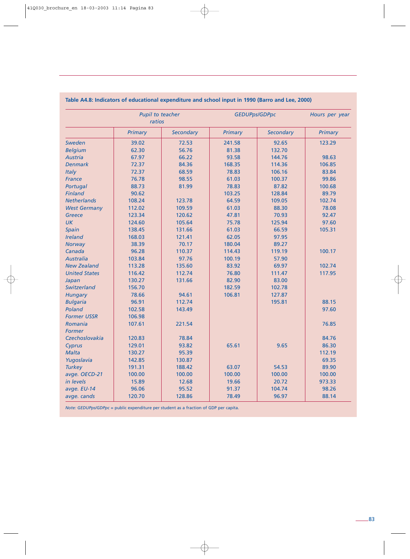|                      | ratios         | Pupil to teacher | <b>GEDUPps/GDPpc</b> |           | Hours per year |  |
|----------------------|----------------|------------------|----------------------|-----------|----------------|--|
|                      | <b>Primary</b> | Secondary        | Primary              | Secondary | Primary        |  |
| <b>Sweden</b>        | 39.02          | 72.53            | 241.58               | 92.65     | 123.29         |  |
| <b>Belgium</b>       | 62.30          | 56.76            | 81.38                | 132.70    |                |  |
| <b>Austria</b>       | 67.97          | 66.22            | 93.58                | 144.76    | 98.63          |  |
| <b>Denmark</b>       | 72.37          | 84.36            | 168.35               | 114.36    | 106.85         |  |
| <b>Italy</b>         | 72.37          | 68.59            | 78.83                | 106.16    | 83.84          |  |
| <b>France</b>        | 76.78          | 98.55            | 61.03                | 100.37    | 99.86          |  |
| Portugal             | 88.73          | 81.99            | 78.83                | 87.82     | 100.68         |  |
| <b>Finland</b>       | 90.62          |                  | 103.25               | 128.84    | 89.79          |  |
| <b>Netherlands</b>   | 108.24         | 123.78           | 64.59                | 109.05    | 102.74         |  |
| <b>West Germany</b>  | 112.02         | 109.59           | 61.03                | 88.30     | 78.08          |  |
| Greece               | 123.34         | 120.62           | 47.81                | 70.93     | 92.47          |  |
| <b>UK</b>            | 124.60         | 105.64           | 75.78                | 125.94    | 97.60          |  |
| Spain                | 138.45         | 131.66           | 61.03                | 66.59     | 105.31         |  |
| <b>Ireland</b>       | 168.03         | 121.41           | 62.05                | 97.95     |                |  |
| <b>Norway</b>        | 38.39          | 70.17            | 180.04               | 89.27     |                |  |
| Canada               | 96.28          | 110.37           | 114.43               | 119.19    | 100.17         |  |
| <b>Australia</b>     | 103.84         | 97.76            | 100.19               | 57.90     |                |  |
| <b>New Zealand</b>   | 113.28         | 135.60           | 83.92                | 69.97     | 102.74         |  |
| <b>United States</b> | 116.42         | 112.74           | 76.80                | 111.47    | 117.95         |  |
| Japan                | 130.27         | 131.66           | 82.90                | 83.00     |                |  |
| Switzerland          | 156.70         |                  | 182.59               | 102.78    |                |  |
| Hungary              | 78.66          | 94.61            | 106.81               | 127.87    |                |  |
| <b>Bulgaria</b>      | 96.91          | 112.74           |                      | 195.81    | 88.15          |  |
| Poland               | 102.58         | 143.49           |                      |           | 97.60          |  |
| <b>Former USSR</b>   | 106.98         |                  |                      |           |                |  |
| Romania              | 107.61         | 221.54           |                      |           | 76.85          |  |
| <b>Former</b>        |                |                  |                      |           |                |  |
| Czechoslovakia       | 120.83         | 78.84            |                      |           | 84.76          |  |
| Cyprus               | 129.01         | 93.82            | 65.61                | 9.65      | 86.30          |  |
| <b>Malta</b>         | 130.27         | 95.39            |                      |           | 112.19         |  |
| Yugoslavia           | 142.85         | 130.87           |                      |           | 69.35          |  |
| <b>Turkey</b>        | 191.31         | 188.42           | 63.07                | 54.53     | 89.90          |  |
| avge. OECD-21        | 100.00         | 100.00           | 100.00               | 100.00    | 100.00         |  |
| in levels            | 15.89          | 12.68            | 19.66                | 20.72     | 973.33         |  |
| avge. EU-14          | 96.06          | 95.52            | 91.37                | 104.74    | 98.26          |  |
| avge. cands          | 120.70         | 128.86           | 78.49                | 96.97     | 88.14          |  |

 $\overline{\bigoplus}$ 

## **Table A4.8: Indicators of educational expenditure and school input in 1990 (Barro and Lee, 2000)**

 $\overline{\varphi}$ 

*Note: GEDUPps/GDPpc* = public expenditure per student as a fraction of GDP per capita.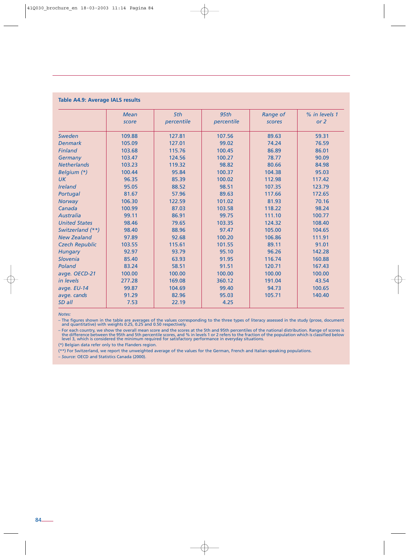## **Table A4.9: Average IALS results**

|                       | Mean   | 5th        | 95th       | <b>Range of</b> | % in levels 1 |
|-----------------------|--------|------------|------------|-----------------|---------------|
|                       | score  | percentile | percentile | scores          | or $2$        |
| Sweden                | 109.88 | 127.81     | 107.56     | 89.63           | 59.31         |
| <b>Denmark</b>        | 105.09 | 127.01     | 99.02      | 74.24           | 76.59         |
| <b>Finland</b>        | 103.68 | 115.76     | 100.45     | 86.89           | 86.01         |
| Germany               | 103.47 | 124.56     | 100.27     | 78.77           | 90.09         |
| <b>Netherlands</b>    | 103.23 | 119.32     | 98.82      | 80.66           | 84.98         |
| Belgium (*)           | 100.44 | 95.84      | 100.37     | 104.38          | 95.03         |
| <b>UK</b>             | 96.35  | 85.39      | 100.02     | 112.98          | 117.42        |
| <b>Ireland</b>        | 95.05  | 88.52      | 98.51      | 107.35          | 123.79        |
| Portugal              | 81.67  | 57.96      | 89.63      | 117.66          | 172.65        |
| <b>Norway</b>         | 106.30 | 122.59     | 101.02     | 81.93           | 70.16         |
| Canada                | 100.99 | 87.03      | 103.58     | 118.22          | 98.24         |
| <b>Australia</b>      | 99.11  | 86.91      | 99.75      | 111.10          | 100.77        |
| <b>United States</b>  | 98.46  | 79.65      | 103.35     | 124.32          | 108.40        |
| Switzerland (**)      | 98.40  | 88.96      | 97.47      | 105.00          | 104.65        |
| <b>New Zealand</b>    | 97.89  | 92.68      | 100.20     | 106.86          | 111.91        |
| <b>Czech Republic</b> | 103.55 | 115.61     | 101.55     | 89.11           | 91.01         |
| <b>Hungary</b>        | 92.97  | 93.79      | 95.10      | 96.26           | 142.28        |
| <b>Slovenia</b>       | 85.40  | 63.93      | 91.95      | 116.74          | 160.88        |
| Poland                | 83.24  | 58.51      | 91.51      | 120.71          | 167.43        |
| avge. OECD-21         | 100.00 | 100.00     | 100.00     | 100.00          | 100.00        |
| in levels             | 277.28 | 169.08     | 360.12     | 191.04          | 43.54         |
| avge. EU-14           | 99.87  | 104.69     | 99.40      | 94.73           | 100.65        |
| avge. cands           | 91.29  | 82.96      | 95.03      | 105.71          | 140.40        |
| SD all                | 7.53   | 22.19      | 4.25       |                 |               |

 $\color{black} \bigoplus$ 

*Notes:*

– The figures shown in the table are averages of the values corresponding to the three types of literacy assessed in the study (prose, document and quantitative) with weights 0.25, 0.25 and 0.50 respectively.

For each country, we show the overall mean score and the scores at the 5th and 95th percentiles of the national distribution. Range of scores is the scores in the difference between the 95th percentile scores, and % in lev

 $\overline{\bigoplus}$ 

(\*) Belgian data refer only to the Flanders region.

(\*\*) For Switzerland, we report the unweighted average of the values for the German, French and Italian-speaking populations.

– *Source:* OECD and Statistics Canada (2000).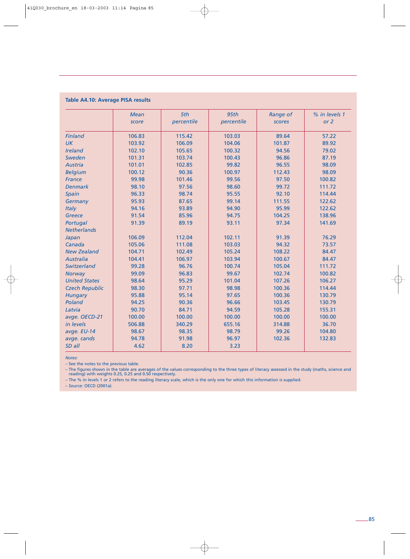## **Table A4.10: Average PISA results**

|                       | <b>Mean</b> | 5th        | 95th       | <b>Range of</b> | % in levels 1 |
|-----------------------|-------------|------------|------------|-----------------|---------------|
|                       | score       | percentile | percentile | scores          | or $2$        |
| <b>Finland</b>        | 106.83      | 115.42     | 103.03     | 89.64           | 57.22         |
| <b>UK</b>             | 103.92      | 106.09     | 104.06     | 101.87          | 89.92         |
| <b>Ireland</b>        | 102.10      | 105.65     | 100.32     | 94.56           | 79.02         |
| Sweden                | 101.31      | 103.74     | 100.43     | 96.86           | 87.19         |
| <b>Austria</b>        | 101.01      | 102.85     | 99.82      | 96.55           | 98.09         |
| <b>Belgium</b>        | 100.12      | 90.36      | 100.97     | 112.43          | 98.09         |
| France                | 99.98       | 101.46     | 99.56      | 97.50           | 100.82        |
| <b>Denmark</b>        | 98.10       | 97.56      | 98.60      | 99.72           | 111.72        |
| Spain                 | 96.33       | 98.74      | 95.55      | 92.10           | 114.44        |
| Germany               | 95.93       | 87.65      | 99.14      | 111.55          | 122.62        |
| <b>Italy</b>          | 94.16       | 93.89      | 94.90      | 95.99           | 122.62        |
| Greece                | 91.54       | 85.96      | 94.75      | 104.25          | 138.96        |
| Portugal              | 91.39       | 89.19      | 93.11      | 97.34           | 141.69        |
| <b>Netherlands</b>    |             |            |            |                 |               |
| Japan                 | 106.09      | 112.04     | 102.11     | 91.39           | 76.29         |
| Canada                | 105.06      | 111.08     | 103.03     | 94.32           | 73.57         |
| <b>New Zealand</b>    | 104.71      | 102.49     | 105.24     | 108.22          | 84.47         |
| <b>Australia</b>      | 104.41      | 106.97     | 103.94     | 100.67          | 84.47         |
| Switzerland           | 99.28       | 96.76      | 100.74     | 105.04          | 111.72        |
| <b>Norway</b>         | 99.09       | 96.83      | 99.67      | 102.74          | 100.82        |
| <b>United States</b>  | 98.64       | 95.29      | 101.04     | 107.26          | 106.27        |
| <b>Czech Republic</b> | 98.30       | 97.71      | 98.98      | 100.36          | 114.44        |
| <b>Hungary</b>        | 95.88       | 95.14      | 97.65      | 100.36          | 130.79        |
| Poland                | 94.25       | 90.36      | 96.66      | 103.45          | 130.79        |
| Latvia                | 90.70       | 84.71      | 94.59      | 105.28          | 155.31        |
| avge. OECD-21         | 100.00      | 100.00     | 100.00     | 100.00          | 100.00        |
| in levels             | 506.88      | 340.29     | 655.16     | 314.88          | 36.70         |
| avge. EU-14           | 98.67       | 98.35      | 98.79      | 99.26           | 104.80        |
| avge. cands           | 94.78       | 91.98      | 96.97      | 102.36          | 132.83        |
| SD all                | 4.62        | 8.20       | 3.23       |                 |               |
|                       |             |            |            |                 |               |

 $\oplus$ 

*Notes*:

– See the notes to the previous table.

– The figures shown in the table are averages of the values corresponding to the three types of literacy assessed in the study (maths, science and reading) with weights 0.25, 0.25 and 0.50 respectively.

 $\color{red} \bigoplus$ 

– The % in levels 1 or 2 refers to the reading literacy scale, which is the only one for which this information is supplied.

– *Source:* OECD (2001a).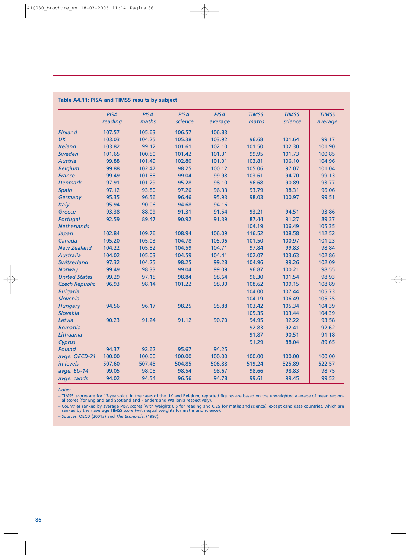|                       | <b>PISA</b> | <b>PISA</b> | <b>PISA</b> | <b>PISA</b> | <b>TIMSS</b> | <b>TIMSS</b> | <b>TIMSS</b> |
|-----------------------|-------------|-------------|-------------|-------------|--------------|--------------|--------------|
|                       | reading     | maths       | science     | average     | maths        | science      | average      |
| <b>Finland</b>        | 107.57      | 105.63      | 106.57      | 106.83      |              |              |              |
| <b>UK</b>             | 103.03      | 104.25      | 105.38      | 103.92      | 96.68        | 101.64       | 99.17        |
| Ireland               | 103.82      | 99.12       | 101.61      | 102.10      | 101.50       | 102.30       | 101.90       |
| Sweden                | 101.65      | 100.50      | 101.42      | 101.31      | 99.95        | 101.73       | 100.85       |
| <b>Austria</b>        | 99.88       | 101.49      | 102.80      | 101.01      | 103.81       | 106.10       | 104.96       |
| <b>Belgium</b>        | 99.88       | 102.47      | 98.25       | 100.12      | 105.06       | 97.07        | 101.04       |
| France                | 99.49       | 101.88      | 99.04       | 99.98       | 103.61       | 94.70        | 99.13        |
| <b>Denmark</b>        | 97.91       | 101.29      | 95.28       | 98.10       | 96.68        | 90.89        | 93.77        |
| Spain                 | 97.12       | 93.80       | 97.26       | 96.33       | 93.79        | 98.31        | 96.06        |
| Germany               | 95.35       | 96.56       | 96.46       | 95.93       | 98.03        | 100.97       | 99.51        |
| <b>Italy</b>          | 95.94       | 90.06       | 94.68       | 94.16       |              |              |              |
| Greece                | 93.38       | 88.09       | 91.31       | 91.54       | 93.21        | 94.51        | 93.86        |
| Portugal              | 92.59       | 89.47       | 90.92       | 91.39       | 87.44        | 91.27        | 89.37        |
| <b>Netherlands</b>    |             |             |             |             | 104.19       | 106.49       | 105.35       |
| Japan                 | 102.84      | 109.76      | 108.94      | 106.09      | 116.52       | 108.58       | 112.52       |
| Canada                | 105.20      | 105.03      | 104.78      | 105.06      | 101.50       | 100.97       | 101.23       |
| <b>New Zealand</b>    | 104.22      | 105.82      | 104.59      | 104.71      | 97.84        | 99.83        | 98.84        |
| <b>Australia</b>      | 104.02      | 105.03      | 104.59      | 104.41      | 102.07       | 103.63       | 102.86       |
| Switzerland           | 97.32       | 104.25      | 98.25       | 99.28       | 104.96       | 99.26        | 102.09       |
| <b>Norway</b>         | 99.49       | 98.33       | 99.04       | 99.09       | 96.87        | 100.21       | 98.55        |
| <b>United States</b>  | 99.29       | 97.15       | 98.84       | 98.64       | 96.30        | 101.54       | 98.93        |
| <b>Czech Republic</b> | 96.93       | 98.14       | 101.22      | 98.30       | 108.62       | 109.15       | 108.89       |
| <b>Bulgaria</b>       |             |             |             |             | 104.00       | 107.44       | 105.73       |
| Slovenia              |             |             |             |             | 104.19       | 106.49       | 105.35       |
| <b>Hungary</b>        | 94.56       | 96.17       | 98.25       | 95.88       | 103.42       | 105.34       | 104.39       |
| Slovakia              |             |             |             |             | 105.35       | 103.44       | 104.39       |
| Latvia                | 90.23       | 91.24       | 91.12       | 90.70       | 94.95        | 92.22        | 93.58        |
| Romania               |             |             |             |             | 92.83        | 92.41        | 92.62        |
| Lithuania             |             |             |             |             | 91.87        | 90.51        | 91.18        |
| Cyprus                |             |             |             |             | 91.29        | 88.04        | 89.65        |
| Poland                | 94.37       | 92.62       | 95.67       | 94.25       |              |              |              |
| avge. OECD-21         | 100.00      | 100.00      | 100.00      | 100.00      | 100.00       | 100.00       | 100.00       |
| in levels             | 507.60      | 507.45      | 504.85      | 506.88      | 519.24       | 525.89       | 522.57       |
| avge. EU-14           | 99.05       | 98.05       | 98.54       | 98.67       | 98.66        | 98.83        | 98.75        |
| avge. cands           | 94.02       | 94.54       | 96.56       | 94.78       | 99.61        | 99.45        | 99.53        |

 $\oplus$ 

## **Table A4.11: PISA and TIMSS results by subject**

*Notes:*

– TIMSS: scores are for 13-year-olds. In the cases of the UK and Belgium, reported figures are based on the unweighted average of mean region-al scores (for England and Scotland and Flanders and Wallonia respectively).

– Countries ranked by average PISA scores (with weights 0.5 for reading and 0.25 for maths and science), except candidate countries, which are ranked by their average TIMSS score (with equal weights for maths and science).

 $\overline{\bigoplus}$ 

– *Sources:* OECD (2001a) and *The Economist* (1997).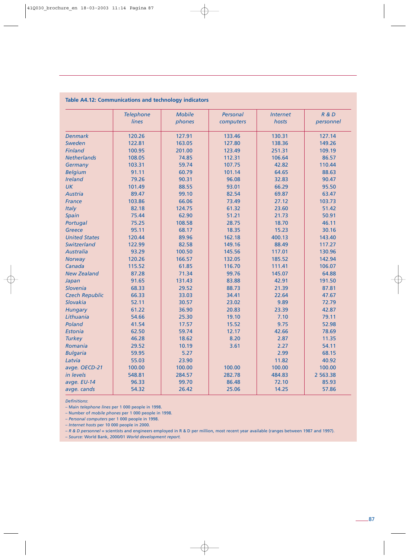| <b>lines</b><br>phones<br>hosts<br>computers<br>120.26<br>127.91<br>133.46<br>130.31<br>127.14<br>122.81<br>163.05<br>138.36<br>127.80<br>149.26<br>201.00<br>123.49<br>251.31<br>100.95<br>109.19<br>108.05<br>74.85<br>106.64<br>86.57<br>112.31<br>103.31<br>59.74<br>107.75<br>110.44<br>42.82<br>91.11<br>60.79<br>101.14<br>64.65<br>88.63<br>79.26<br>90.31<br>96.08<br>32.83<br>90.47<br>101.49<br>88.55<br>93.01<br>66.29<br>95.50<br>89.47<br>99.10<br>82.54<br>69.87<br>63.47<br>103.86<br>66.06<br>73.49<br>27.12<br>103.73<br>61.32<br>82.18<br>124.75<br>23.60<br>51.42<br>75.44<br>62.90<br>51.21<br>50.91<br>21.73<br>75.25<br>28.75<br>18.70<br>46.11<br>108.58<br>95.11<br>68.17<br>18.35<br>15.23<br>30.16<br>120.44<br>89.96<br>162.18<br>400.13<br>143.40<br>82.58<br>122.99<br>149.16<br>88.49<br>117.27<br>93.29<br>100.50<br>145.56<br>117.01<br>130.96<br>166.57<br>120.26<br>132.05<br>185.52<br>142.94<br>115.52<br>61.85<br>116.70<br>111.41<br>106.07<br>87.28<br>71.34<br>99.76<br>145.07<br>64.88<br>91.65<br>131.43<br>191.50<br>83.88<br>42.91<br>68.33<br>29.52<br>88.73<br>21.39<br>Slovenia<br>87.81<br>66.33<br>33.03<br>34.41<br>22.64<br>47.67<br>52.11<br>30.57<br>23.02<br>9.89<br>72.79<br>61.22<br>23.39<br>36.90<br>20.83<br>42.87<br>54.66<br>25.30<br>19.10<br>7.10<br>79.11<br>Lithuania<br>9.75<br>Poland<br>41.54<br>17.57<br>15.52<br>52.98<br>59.74<br>62.50<br>12.17<br>42.66<br>78.69<br>46.28<br>8.20<br>18.62<br>2.87<br>11.35<br>2.27<br>Romania<br>29.52<br>10.19<br>3.61<br>54.11<br>2.99<br>59.95<br>5.27<br>68.15<br><b>Bulgaria</b><br>11.82<br>Latvia<br>55.03<br>23.90<br>40.92<br>avge. OECD-21<br>100.00<br>100.00<br>100.00<br>100.00<br>100.00<br>548.81<br>284.57<br>282.78<br>484.83<br>2 563.38<br>96.33<br>99.70<br>86.48<br>72.10<br>85.93<br>54.32<br>26.42<br>25.06<br>14.25<br>57.86 |                       | <b>Telephone</b> | <b>Mobile</b> | Personal | <b>Internet</b> | R & D     |
|-----------------------------------------------------------------------------------------------------------------------------------------------------------------------------------------------------------------------------------------------------------------------------------------------------------------------------------------------------------------------------------------------------------------------------------------------------------------------------------------------------------------------------------------------------------------------------------------------------------------------------------------------------------------------------------------------------------------------------------------------------------------------------------------------------------------------------------------------------------------------------------------------------------------------------------------------------------------------------------------------------------------------------------------------------------------------------------------------------------------------------------------------------------------------------------------------------------------------------------------------------------------------------------------------------------------------------------------------------------------------------------------------------------------------------------------------------------------------------------------------------------------------------------------------------------------------------------------------------------------------------------------------------------------------------------------------------------------------------------------------------------------------------------------------------------------------------------------------------------------|-----------------------|------------------|---------------|----------|-----------------|-----------|
|                                                                                                                                                                                                                                                                                                                                                                                                                                                                                                                                                                                                                                                                                                                                                                                                                                                                                                                                                                                                                                                                                                                                                                                                                                                                                                                                                                                                                                                                                                                                                                                                                                                                                                                                                                                                                                                                 |                       |                  |               |          |                 | personnel |
|                                                                                                                                                                                                                                                                                                                                                                                                                                                                                                                                                                                                                                                                                                                                                                                                                                                                                                                                                                                                                                                                                                                                                                                                                                                                                                                                                                                                                                                                                                                                                                                                                                                                                                                                                                                                                                                                 | <b>Denmark</b>        |                  |               |          |                 |           |
|                                                                                                                                                                                                                                                                                                                                                                                                                                                                                                                                                                                                                                                                                                                                                                                                                                                                                                                                                                                                                                                                                                                                                                                                                                                                                                                                                                                                                                                                                                                                                                                                                                                                                                                                                                                                                                                                 | Sweden                |                  |               |          |                 |           |
|                                                                                                                                                                                                                                                                                                                                                                                                                                                                                                                                                                                                                                                                                                                                                                                                                                                                                                                                                                                                                                                                                                                                                                                                                                                                                                                                                                                                                                                                                                                                                                                                                                                                                                                                                                                                                                                                 | <b>Finland</b>        |                  |               |          |                 |           |
|                                                                                                                                                                                                                                                                                                                                                                                                                                                                                                                                                                                                                                                                                                                                                                                                                                                                                                                                                                                                                                                                                                                                                                                                                                                                                                                                                                                                                                                                                                                                                                                                                                                                                                                                                                                                                                                                 | <b>Netherlands</b>    |                  |               |          |                 |           |
|                                                                                                                                                                                                                                                                                                                                                                                                                                                                                                                                                                                                                                                                                                                                                                                                                                                                                                                                                                                                                                                                                                                                                                                                                                                                                                                                                                                                                                                                                                                                                                                                                                                                                                                                                                                                                                                                 | Germany               |                  |               |          |                 |           |
|                                                                                                                                                                                                                                                                                                                                                                                                                                                                                                                                                                                                                                                                                                                                                                                                                                                                                                                                                                                                                                                                                                                                                                                                                                                                                                                                                                                                                                                                                                                                                                                                                                                                                                                                                                                                                                                                 | <b>Belgium</b>        |                  |               |          |                 |           |
|                                                                                                                                                                                                                                                                                                                                                                                                                                                                                                                                                                                                                                                                                                                                                                                                                                                                                                                                                                                                                                                                                                                                                                                                                                                                                                                                                                                                                                                                                                                                                                                                                                                                                                                                                                                                                                                                 | <b>Ireland</b>        |                  |               |          |                 |           |
|                                                                                                                                                                                                                                                                                                                                                                                                                                                                                                                                                                                                                                                                                                                                                                                                                                                                                                                                                                                                                                                                                                                                                                                                                                                                                                                                                                                                                                                                                                                                                                                                                                                                                                                                                                                                                                                                 | <b>UK</b>             |                  |               |          |                 |           |
|                                                                                                                                                                                                                                                                                                                                                                                                                                                                                                                                                                                                                                                                                                                                                                                                                                                                                                                                                                                                                                                                                                                                                                                                                                                                                                                                                                                                                                                                                                                                                                                                                                                                                                                                                                                                                                                                 | <b>Austria</b>        |                  |               |          |                 |           |
|                                                                                                                                                                                                                                                                                                                                                                                                                                                                                                                                                                                                                                                                                                                                                                                                                                                                                                                                                                                                                                                                                                                                                                                                                                                                                                                                                                                                                                                                                                                                                                                                                                                                                                                                                                                                                                                                 | France                |                  |               |          |                 |           |
|                                                                                                                                                                                                                                                                                                                                                                                                                                                                                                                                                                                                                                                                                                                                                                                                                                                                                                                                                                                                                                                                                                                                                                                                                                                                                                                                                                                                                                                                                                                                                                                                                                                                                                                                                                                                                                                                 | Italy                 |                  |               |          |                 |           |
|                                                                                                                                                                                                                                                                                                                                                                                                                                                                                                                                                                                                                                                                                                                                                                                                                                                                                                                                                                                                                                                                                                                                                                                                                                                                                                                                                                                                                                                                                                                                                                                                                                                                                                                                                                                                                                                                 | Spain                 |                  |               |          |                 |           |
|                                                                                                                                                                                                                                                                                                                                                                                                                                                                                                                                                                                                                                                                                                                                                                                                                                                                                                                                                                                                                                                                                                                                                                                                                                                                                                                                                                                                                                                                                                                                                                                                                                                                                                                                                                                                                                                                 | Portugal              |                  |               |          |                 |           |
|                                                                                                                                                                                                                                                                                                                                                                                                                                                                                                                                                                                                                                                                                                                                                                                                                                                                                                                                                                                                                                                                                                                                                                                                                                                                                                                                                                                                                                                                                                                                                                                                                                                                                                                                                                                                                                                                 | Greece                |                  |               |          |                 |           |
|                                                                                                                                                                                                                                                                                                                                                                                                                                                                                                                                                                                                                                                                                                                                                                                                                                                                                                                                                                                                                                                                                                                                                                                                                                                                                                                                                                                                                                                                                                                                                                                                                                                                                                                                                                                                                                                                 | <b>United States</b>  |                  |               |          |                 |           |
|                                                                                                                                                                                                                                                                                                                                                                                                                                                                                                                                                                                                                                                                                                                                                                                                                                                                                                                                                                                                                                                                                                                                                                                                                                                                                                                                                                                                                                                                                                                                                                                                                                                                                                                                                                                                                                                                 | Switzerland           |                  |               |          |                 |           |
|                                                                                                                                                                                                                                                                                                                                                                                                                                                                                                                                                                                                                                                                                                                                                                                                                                                                                                                                                                                                                                                                                                                                                                                                                                                                                                                                                                                                                                                                                                                                                                                                                                                                                                                                                                                                                                                                 | <b>Australia</b>      |                  |               |          |                 |           |
|                                                                                                                                                                                                                                                                                                                                                                                                                                                                                                                                                                                                                                                                                                                                                                                                                                                                                                                                                                                                                                                                                                                                                                                                                                                                                                                                                                                                                                                                                                                                                                                                                                                                                                                                                                                                                                                                 | <b>Norway</b>         |                  |               |          |                 |           |
|                                                                                                                                                                                                                                                                                                                                                                                                                                                                                                                                                                                                                                                                                                                                                                                                                                                                                                                                                                                                                                                                                                                                                                                                                                                                                                                                                                                                                                                                                                                                                                                                                                                                                                                                                                                                                                                                 | Canada                |                  |               |          |                 |           |
|                                                                                                                                                                                                                                                                                                                                                                                                                                                                                                                                                                                                                                                                                                                                                                                                                                                                                                                                                                                                                                                                                                                                                                                                                                                                                                                                                                                                                                                                                                                                                                                                                                                                                                                                                                                                                                                                 | <b>New Zealand</b>    |                  |               |          |                 |           |
|                                                                                                                                                                                                                                                                                                                                                                                                                                                                                                                                                                                                                                                                                                                                                                                                                                                                                                                                                                                                                                                                                                                                                                                                                                                                                                                                                                                                                                                                                                                                                                                                                                                                                                                                                                                                                                                                 | Japan                 |                  |               |          |                 |           |
|                                                                                                                                                                                                                                                                                                                                                                                                                                                                                                                                                                                                                                                                                                                                                                                                                                                                                                                                                                                                                                                                                                                                                                                                                                                                                                                                                                                                                                                                                                                                                                                                                                                                                                                                                                                                                                                                 |                       |                  |               |          |                 |           |
|                                                                                                                                                                                                                                                                                                                                                                                                                                                                                                                                                                                                                                                                                                                                                                                                                                                                                                                                                                                                                                                                                                                                                                                                                                                                                                                                                                                                                                                                                                                                                                                                                                                                                                                                                                                                                                                                 | <b>Czech Republic</b> |                  |               |          |                 |           |
|                                                                                                                                                                                                                                                                                                                                                                                                                                                                                                                                                                                                                                                                                                                                                                                                                                                                                                                                                                                                                                                                                                                                                                                                                                                                                                                                                                                                                                                                                                                                                                                                                                                                                                                                                                                                                                                                 | Slovakia              |                  |               |          |                 |           |
|                                                                                                                                                                                                                                                                                                                                                                                                                                                                                                                                                                                                                                                                                                                                                                                                                                                                                                                                                                                                                                                                                                                                                                                                                                                                                                                                                                                                                                                                                                                                                                                                                                                                                                                                                                                                                                                                 | <b>Hungary</b>        |                  |               |          |                 |           |
|                                                                                                                                                                                                                                                                                                                                                                                                                                                                                                                                                                                                                                                                                                                                                                                                                                                                                                                                                                                                                                                                                                                                                                                                                                                                                                                                                                                                                                                                                                                                                                                                                                                                                                                                                                                                                                                                 |                       |                  |               |          |                 |           |
|                                                                                                                                                                                                                                                                                                                                                                                                                                                                                                                                                                                                                                                                                                                                                                                                                                                                                                                                                                                                                                                                                                                                                                                                                                                                                                                                                                                                                                                                                                                                                                                                                                                                                                                                                                                                                                                                 |                       |                  |               |          |                 |           |
|                                                                                                                                                                                                                                                                                                                                                                                                                                                                                                                                                                                                                                                                                                                                                                                                                                                                                                                                                                                                                                                                                                                                                                                                                                                                                                                                                                                                                                                                                                                                                                                                                                                                                                                                                                                                                                                                 | Estonia               |                  |               |          |                 |           |
|                                                                                                                                                                                                                                                                                                                                                                                                                                                                                                                                                                                                                                                                                                                                                                                                                                                                                                                                                                                                                                                                                                                                                                                                                                                                                                                                                                                                                                                                                                                                                                                                                                                                                                                                                                                                                                                                 | <b>Turkey</b>         |                  |               |          |                 |           |
|                                                                                                                                                                                                                                                                                                                                                                                                                                                                                                                                                                                                                                                                                                                                                                                                                                                                                                                                                                                                                                                                                                                                                                                                                                                                                                                                                                                                                                                                                                                                                                                                                                                                                                                                                                                                                                                                 |                       |                  |               |          |                 |           |
|                                                                                                                                                                                                                                                                                                                                                                                                                                                                                                                                                                                                                                                                                                                                                                                                                                                                                                                                                                                                                                                                                                                                                                                                                                                                                                                                                                                                                                                                                                                                                                                                                                                                                                                                                                                                                                                                 |                       |                  |               |          |                 |           |
|                                                                                                                                                                                                                                                                                                                                                                                                                                                                                                                                                                                                                                                                                                                                                                                                                                                                                                                                                                                                                                                                                                                                                                                                                                                                                                                                                                                                                                                                                                                                                                                                                                                                                                                                                                                                                                                                 |                       |                  |               |          |                 |           |
|                                                                                                                                                                                                                                                                                                                                                                                                                                                                                                                                                                                                                                                                                                                                                                                                                                                                                                                                                                                                                                                                                                                                                                                                                                                                                                                                                                                                                                                                                                                                                                                                                                                                                                                                                                                                                                                                 |                       |                  |               |          |                 |           |
|                                                                                                                                                                                                                                                                                                                                                                                                                                                                                                                                                                                                                                                                                                                                                                                                                                                                                                                                                                                                                                                                                                                                                                                                                                                                                                                                                                                                                                                                                                                                                                                                                                                                                                                                                                                                                                                                 | in levels             |                  |               |          |                 |           |
|                                                                                                                                                                                                                                                                                                                                                                                                                                                                                                                                                                                                                                                                                                                                                                                                                                                                                                                                                                                                                                                                                                                                                                                                                                                                                                                                                                                                                                                                                                                                                                                                                                                                                                                                                                                                                                                                 | avge. EU-14           |                  |               |          |                 |           |
|                                                                                                                                                                                                                                                                                                                                                                                                                                                                                                                                                                                                                                                                                                                                                                                                                                                                                                                                                                                                                                                                                                                                                                                                                                                                                                                                                                                                                                                                                                                                                                                                                                                                                                                                                                                                                                                                 | avge. cands           |                  |               |          |                 |           |

## **Table A4.12: Communications and technology indicators**

*Definitions*:

– Main *telephone lines* per 1 000 people in 1998.

– Number of *mobile phones* per 1 000 people in 1998.

– *Personal computers* per 1 000 people in 1998.

– *Internet hosts* per 10 000 people in 2000.

– *R & D personnel* = scientists and engineers employed in R & D per million, most recent year available (ranges between 1987 and 1997).

 $\overline{\bigoplus}$ 

– *Source:* World Bank, 2000/01 *World development report.*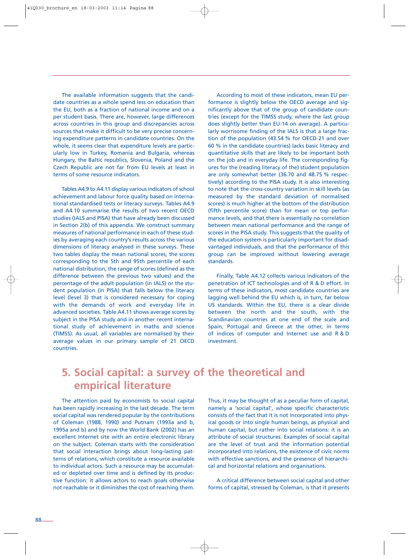The available information suggests that the candidate countries as a whole spend less on education than the EU, both as a fraction of national income and on a per student basis. There are, however, large differences across countries in this group and discrepancies across sources that make it difficult to be very precise concerning expenditure patterns in candidate countries. On the whole, it seems clear that expenditure levels are particularly low in Turkey, Romania and Bulgaria, whereas Hungary, the Baltic republics, Slovenia, Poland and the Czech Republic are not far from EU levels at least in terms of some resource indicators.

Tables A4.9 to A4.11 display various indicators of school achievement and labour force quality based on international standardised tests or literacy surveys. Tables A4.9 and A4.10 summarise the results of two recent OECD studies (IALS and PISA) that have already been discussed in Section 2(b) of this appendix. We construct summary measures of national performance in each of these studies by averaging each country's results across the various dimensions of literacy analysed in these surveys. These two tables display the mean national scores, the scores corresponding to the 5th and 95th percentile of each national distribution, the range of scores (defined as the difference between the previous two values) and the percentage of the adult population (in IALS) or the student population (in PISA) that falls below the literacy level (level 3) that is considered necessary for coping with the demands of work and everyday life in advanced societies. Table A4.11 shows average scores by subject in the PISA study and in another recent international study of achievement in maths and science (TIMSS). As usual, all variables are normalised by their average values in our primary sample of 21 OECD countries.

According to most of these indicators, mean EU performance is slightly below the OECD average and significantly above that of the group of candidate countries (except for the TIMSS study, where the last group does slightly better than EU-14 on average). A particularly worrisome finding of the IALS is that a large fraction of the population (43.54 % for OECD-21 and over 60 % in the candidate countries) lacks basic literacy and quantitative skills that are likely to be important both on the job and in everyday life. The corresponding figures for the (reading literacy of the) student population are only somewhat better (36.70 and 48.75 % respectively) according to the PISA study. It is also interesting to note that the cross-country variation in skill levels (as measured by the standard deviation of normalised scores) is much higher at the bottom of the distribution (fifth percentile score) than for mean or top performance levels, and that there is essentially no correlation between mean national performance and the range of scores in the PISA study. This suggests that the quality of the education system is particularly important for disadvantaged individuals, and that the performance of this group can be improved without lowering average standards.

Finally, Table A4.12 collects various indicators of the penetration of ICT technologies and of R & D effort. In terms of these indicators, most candidate countries are lagging well behind the EU which is, in turn, far below US standards. Within the EU, there is a clear divide between the north and the south, with the Scandinavian countries at one end of the scale and Spain, Portugal and Greece at the other, in terms of indices of computer and Internet use and R & D investment.

# **5. Social capital: a survey of the theoretical and empirical literature**

The attention paid by economists to social capital has been rapidly increasing in the last decade. The term social capital was rendered popular by the contributions of Coleman (1988, 1990) and Putnam (1993a and b, 1995a and b) and by now the World Bank (2002) has an excellent Internet site with an entire electronic library on the subject. Coleman starts with the consideration that social interaction brings about long-lasting patterns of relations, which constitute a resource available to individual actors. Such a resource may be accumulated or depleted over time and is defined by its productive function: it allows actors to reach goals otherwise not reachable or it diminishes the cost of reaching them.

Thus, it may be thought of as a peculiar form of capital, namely a 'social capital', whose specific characteristic consists of the fact that it is not incorporated into physical goods or into single human beings, as physical and human capital, but rather into social relations: it is an attribute of social structures. Examples of social capital are the level of trust and the information potential incorporated into relations, the existence of civic norms with effective sanctions, and the presence of hierarchical and horizontal relations and organisations.

A critical difference between social capital and other forms of capital, stressed by Coleman, is that it presents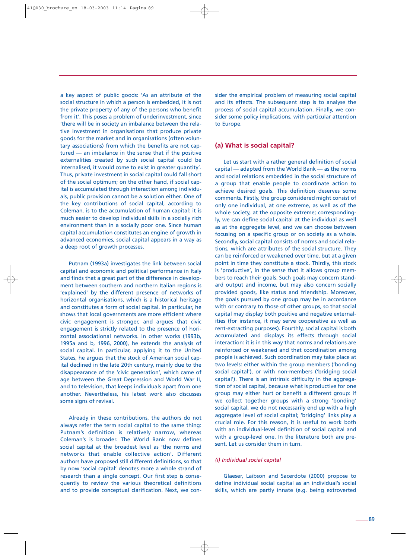a key aspect of public goods: 'As an attribute of the social structure in which a person is embedded, it is not the private property of any of the persons who benefit from it'. This poses a problem of underinvestment, since 'there will be in society an imbalance between the relative investment in organisations that produce private goods for the market and in organisations (often voluntary associations) from which the benefits are not captured — an imbalance in the sense that if the positive externalities created by such social capital could be internalised, it would come to exist in greater quantity'. Thus, private investment in social capital could fall short of the social optimum; on the other hand, if social capital is accumulated through interaction among individuals, public provision cannot be a solution either. One of the key contributions of social capital, according to Coleman, is to the accumulation of human capital: it is much easier to develop individual skills in a socially rich environment than in a socially poor one. Since human capital accumulation constitutes an engine of growth in advanced economies, social capital appears in a way as a deep root of growth processes.

Putnam (1993a) investigates the link between social capital and economic and political performance in Italy and finds that a great part of the difference in development between southern and northern Italian regions is 'explained' by the different presence of networks of horizontal organisations, which is a historical heritage and constitutes a form of social capital. In particular, he shows that local governments are more efficient where civic engagement is stronger, and argues that civic engagement is strictly related to the presence of horizontal associational networks. In other works (1993b, 1995a and b, 1996, 2000), he extends the analysis of social capital. In particular, applying it to the United States, he argues that the stock of American social capital declined in the late 20th century, mainly due to the disappearance of the 'civic generation', which came of age between the Great Depression and World War II, and to television, that keeps individuals apart from one another. Nevertheless, his latest work also discusses some signs of revival.

Already in these contributions, the authors do not always refer the term social capital to the same thing: Putnam's definition is relatively narrow, whereas Coleman's is broader. The World Bank now defines social capital at the broadest level as 'the norms and networks that enable collective action'. Different authors have proposed still different definitions, so that by now 'social capital' denotes more a whole strand of research than a single concept. Our first step is consequently to review the various theoretical definitions and to provide conceptual clarification. Next, we consider the empirical problem of measuring social capital and its effects. The subsequent step is to analyse the process of social capital accumulation. Finally, we consider some policy implications, with particular attention to Europe.

#### **(a) What is social capital?**

Let us start with a rather general definition of social capital — adapted from the World Bank — as the norms and social relations embedded in the social structure of a group that enable people to coordinate action to achieve desired goals. This definition deserves some comments. Firstly, the group considered might consist of only one individual, at one extreme, as well as of the whole society, at the opposite extreme; correspondingly, we can define social capital at the individual as well as at the aggregate level, and we can choose between focusing on a specific group or on society as a whole. Secondly, social capital consists of norms and social relations, which are attributes of the social structure. They can be reinforced or weakened over time, but at a given point in time they constitute a stock. Thirdly, this stock is 'productive', in the sense that it allows group members to reach their goals. Such goals may concern standard output and income, but may also concern socially provided goods, like status and friendship. Moreover, the goals pursued by one group may be in accordance with or contrary to those of other groups, so that social capital may display both positive and negative externalities (for instance, it may serve cooperative as well as rent-extracting purposes). Fourthly, social capital is both accumulated and displays its effects through social interaction: it is in this way that norms and relations are reinforced or weakened and that coordination among people is achieved. Such coordination may take place at two levels: either within the group members ('bonding social capital'), or with non-members ('bridging social capital'). There is an intrinsic difficulty in the aggregation of social capital, because what is productive for one group may either hurt or benefit a different group: if we collect together groups with a strong 'bonding' social capital, we do not necessarily end up with a high aggregate level of social capital; 'bridging' links play a crucial role. For this reason, it is useful to work both with an individual-level definition of social capital and with a group-level one. In the literature both are present. Let us consider them in turn.

#### *(i) Individual social capital*

Glaeser, Laibson and Sacerdote (2000) propose to define individual social capital as an individual's social skills, which are partly innate (e.g. being extroverted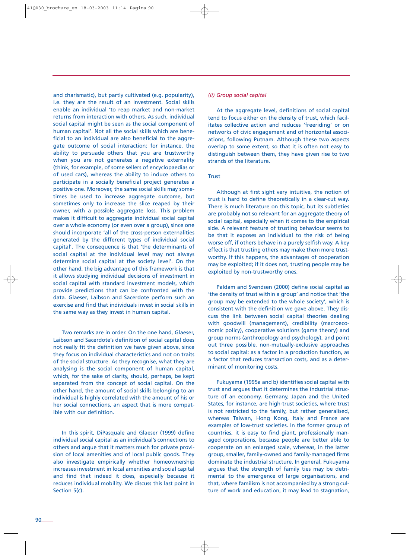and charismatic), but partly cultivated (e.g. popularity), i.e. they are the result of an investment. Social skills enable an individual 'to reap market and non-market returns from interaction with others. As such, individual social capital might be seen as the social component of human capital'. Not all the social skills which are beneficial to an individual are also beneficial to the aggregate outcome of social interaction: for instance, the ability to persuade others that you are trustworthy when you are not generates a negative externality (think, for example, of some sellers of encyclopaedias or of used cars), whereas the ability to induce others to participate in a socially beneficial project generates a positive one. Moreover, the same social skills may sometimes be used to increase aggregate outcome, but sometimes only to increase the slice reaped by their owner, with a possible aggregate loss. This problem makes it difficult to aggregate individual social capital over a whole economy (or even over a group), since one should incorporate 'all of the cross-person externalities generated by the different types of individual social capital'. The consequence is that 'the determinants of social capital at the individual level may not always determine social capital at the society level'. On the other hand, the big advantage of this framework is that it allows studying individual decisions of investment in social capital with standard investment models, which provide predictions that can be confronted with the data. Glaeser, Laibson and Sacerdote perform such an exercise and find that individuals invest in social skills in the same way as they invest in human capital.

Two remarks are in order. On the one hand, Glaeser, Laibson and Sacerdote's definition of social capital does not really fit the definition we have given above, since they focus on individual characteristics and not on traits of the social structure. As they recognise, what they are analysing is the social component of human capital, which, for the sake of clarity, should, perhaps, be kept separated from the concept of social capital. On the other hand, the amount of social skills belonging to an individual is highly correlated with the amount of his or her social connections, an aspect that is more compatible with our definition.

In this spirit, DiPasquale and Glaeser (1999) define individual social capital as an individual's connections to others and argue that it matters much for private provision of local amenities and of local public goods. They also investigate empirically whether homeownership increases investment in local amenities and social capital and find that indeed it does, especially because it reduces individual mobility. We discuss this last point in Section 5(c).

#### *(ii) Group social capital*

At the aggregate level, definitions of social capital tend to focus either on the density of trust, which facilitates collective action and reduces 'freeriding' or on networks of civic engagement and of horizontal associations, following Putnam. Although these two aspects overlap to some extent, so that it is often not easy to distinguish between them, they have given rise to two strands of the literature.

#### **Trust**

Although at first sight very intuitive, the notion of trust is hard to define theoretically in a clear-cut way. There is much literature on this topic, but its subtleties are probably not so relevant for an aggregate theory of social capital, especially when it comes to the empirical side. A relevant feature of trusting behaviour seems to be that it exposes an individual to the risk of being worse off, if others behave in a purely selfish way. A key effect is that trusting others may make them more trustworthy. If this happens, the advantages of cooperation may be exploited; if it does not, trusting people may be exploited by non-trustworthy ones.

Paldam and Svendsen (2000) define social capital as 'the density of trust within a group' and notice that 'the group may be extended to the whole society', which is consistent with the definition we gave above. They discuss the link between social capital theories dealing with goodwill (management), credibility (macroeconomic policy), cooperative solutions (game theory) and group norms (anthropology and psychology), and point out three possible, non-mutually-exclusive approaches to social capital: as a factor in a production function, as a factor that reduces transaction costs, and as a determinant of monitoring costs.

Fukuyama (1995a and b) identifies social capital with trust and argues that it determines the industrial structure of an economy. Germany, Japan and the United States, for instance, are high-trust societies, where trust is not restricted to the family, but rather generalised, whereas Taiwan, Hong Kong, Italy and France are examples of low-trust societies. In the former group of countries, it is easy to find giant, professionally managed corporations, because people are better able to cooperate on an enlarged scale, whereas, in the latter group, smaller, family-owned and family-managed firms dominate the industrial structure. In general, Fukuyama argues that the strength of family ties may be detrimental to the emergence of large organisations, and that, where familism is not accompanied by a strong culture of work and education, it may lead to stagnation,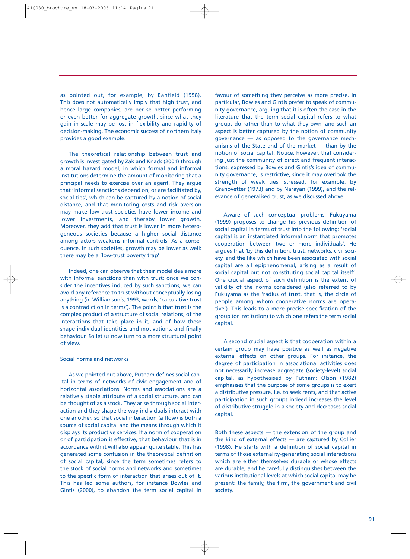as pointed out, for example, by Banfield (1958). This does not automatically imply that high trust, and hence large companies, are per se better performing or even better for aggregate growth, since what they gain in scale may be lost in flexibility and rapidity of decision-making. The economic success of northern Italy provides a good example.

The theoretical relationship between trust and growth is investigated by Zak and Knack (2001) through a moral hazard model, in which formal and informal institutions determine the amount of monitoring that a principal needs to exercise over an agent. They argue that 'informal sanctions depend on, or are facilitated by, social ties', which can be captured by a notion of social distance, and that monitoring costs and risk aversion may make low-trust societies have lower income and lower investments, and thereby lower growth. Moreover, they add that trust is lower in more heterogeneous societies because a higher social distance among actors weakens informal controls. As a consequence, in such societies, growth may be lower as well: there may be a 'low-trust poverty trap'.

Indeed, one can observe that their model deals more with informal sanctions than with trust: once we consider the incentives induced by such sanctions, we can avoid any reference to trust without conceptually losing anything (in Williamson's, 1993, words, 'calculative trust is a contradiction in terms'). The point is that trust is the complex product of a structure of social relations, of the interactions that take place in it, and of how these shape individual identities and motivations, and finally behaviour. So let us now turn to a more structural point of view.

#### Social norms and networks

As we pointed out above, Putnam defines social capital in terms of networks of civic engagement and of horizontal associations. Norms and associations are a relatively stable attribute of a social structure, and can be thought of as a stock. They arise through social interaction and they shape the way individuals interact with one another, so that social interaction (a flow) is both a source of social capital and the means through which it displays its productive services. If a norm of cooperation or of participation is effective, that behaviour that is in accordance with it will also appear quite stable. This has generated some confusion in the theoretical definition of social capital, since the term sometimes refers to the stock of social norms and networks and sometimes to the specific form of interaction that arises out of it. This has led some authors, for instance Bowles and Gintis (2000), to abandon the term social capital in favour of something they perceive as more precise. In particular, Bowles and Gintis prefer to speak of community governance, arguing that it is often the case in the literature that the term social capital refers to what groups do rather than to what they own, and such an aspect is better captured by the notion of community governance — as opposed to the governance mechanisms of the State and of the market — than by the notion of social capital. Notice, however, that considering just the community of direct and frequent interactions, expressed by Bowles and Gintis's idea of community governance, is restrictive, since it may overlook the strength of weak ties, stressed, for example, by Granovetter (1973) and by Narayan (1999), and the relevance of generalised trust, as we discussed above.

Aware of such conceptual problems, Fukuyama (1999) proposes to change his previous definition of social capital in terms of trust into the following: 'social capital is an instantiated informal norm that promotes cooperation between two or more individuals'. He argues that 'by this definition, trust, networks, civil society, and the like which have been associated with social capital are all epiphenomenal, arising as a result of social capital but not constituting social capital itself'. One crucial aspect of such definition is the extent of validity of the norms considered (also referred to by Fukuyama as the 'radius of trust, that is, the circle of people among whom cooperative norms are operative'). This leads to a more precise specification of the group (or institution) to which one refers the term social capital.

A second crucial aspect is that cooperation within a certain group may have positive as well as negative external effects on other groups. For instance, the degree of participation in associational activities does not necessarily increase aggregate (society-level) social capital, as hypothesised by Putnam: Olson (1982) emphasises that the purpose of some groups is to exert a distributive pressure, i.e. to seek rents, and that active participation in such groups indeed increases the level of distributive struggle in a society and decreases social capital.

Both these aspects — the extension of the group and the kind of external effects — are captured by Collier (1998). He starts with a definition of social capital in terms of those externality-generating social interactions which are either themselves durable or whose effects are durable, and he carefully distinguishes between the various institutional levels at which social capital may be present: the family, the firm, the government and civil society.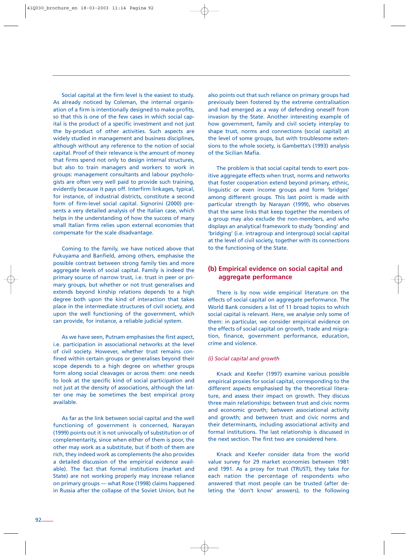Social capital at the firm level is the easiest to study. As already noticed by Coleman, the internal organisation of a firm is intentionally designed to make profits, so that this is one of the few cases in which social capital is the product of a specific investment and not just the by-product of other activities. Such aspects are widely studied in management and business disciplines, although without any reference to the notion of social capital. Proof of their relevance is the amount of money that firms spend not only to design internal structures, but also to train managers and workers to work in groups: management consultants and labour psychologists are often very well paid to provide such training, evidently because it pays off. Interfirm linkages, typical, for instance, of industrial districts, constitute a second form of firm-level social capital. Signorini (2000) presents a very detailed analysis of the Italian case, which helps in the understanding of how the success of many small Italian firms relies upon external economies that compensate for the scale disadvantage.

Coming to the family, we have noticed above that Fukuyama and Banfield, among others, emphasise the possible contrast between strong family ties and more aggregate levels of social capital. Family is indeed the primary source of narrow trust, i.e. trust in peer or primary groups, but whether or not trust generalises and extends beyond kinship relations depends to a high degree both upon the kind of interaction that takes place in the intermediate structures of civil society, and upon the well functioning of the government, which can provide, for instance, a reliable judicial system.

As we have seen, Putnam emphasises the first aspect, i.e. participation in associational networks at the level of civil society. However, whether trust remains confined within certain groups or generalises beyond their scope depends to a high degree on whether groups form along social cleavages or across them: one needs to look at the specific kind of social participation and not just at the density of associations, although the latter one may be sometimes the best empirical proxy available.

As far as the link between social capital and the well functioning of government is concerned, Narayan (1999) points out it is not univocally of substitution or of complementarity, since when either of them is poor, the other may work as a substitute, but if both of them are rich, they indeed work as complements (he also provides a detailed discussion of the empirical evidence available). The fact that formal institutions (market and State) are not working properly may increase reliance on primary groups — what Rose (1998) claims happened in Russia after the collapse of the Soviet Union, but he also points out that such reliance on primary groups had previously been fostered by the extreme centralisation and had emerged as a way of defending oneself from invasion by the State. Another interesting example of how government, family and civil society interplay to shape trust, norms and connections (social capital) at the level of some groups, but with troublesome extensions to the whole society, is Gambetta's (1993) analysis of the Sicilian Mafia.

The problem is that social capital tends to exert positive aggregate effects when trust, norms and networks that foster cooperation extend beyond primary, ethnic, linguistic or even income groups and form 'bridges' among different groups. This last point is made with particular strength by Narayan (1999), who observes that the same links that keep together the members of a group may also exclude the non-members, and who displays an analytical framework to study 'bonding' and 'bridging' (i.e. intragroup and intergroup) social capital at the level of civil society, together with its connections to the functioning of the State.

### **(b) Empirical evidence on social capital and aggregate performance**

There is by now wide empirical literature on the effects of social capital on aggregate performance. The World Bank considers a list of 11 broad topics to which social capital is relevant. Here, we analyse only some of them: in particular, we consider empirical evidence on the effects of social capital on growth, trade and migration, finance, government performance, education, crime and violence.

#### *(i) Social capital and growth*

Knack and Keefer (1997) examine various possible empirical proxies for social capital, corresponding to the different aspects emphasised by the theoretical literature, and assess their impact on growth. They discuss three main relationships: between trust and civic norms and economic growth; between associational activity and growth; and between trust and civic norms and their determinants, including associational activity and formal institutions. The last relationship is discussed in the next section. The first two are considered here.

Knack and Keefer consider data from the world value survey for 29 market economies between 1981 and 1991. As a proxy for trust (TRUST), they take for each nation the percentage of respondents who answered that most people can be trusted (after deleting the 'don't know' answers), to the following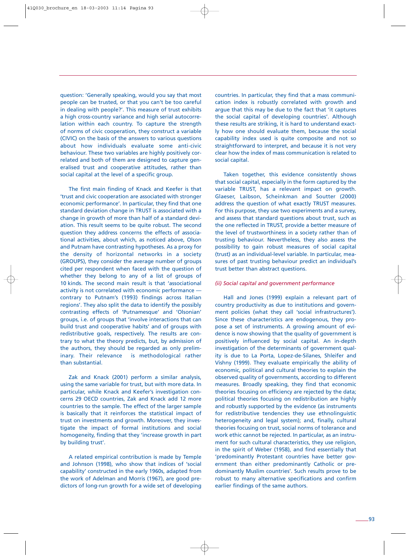question: 'Generally speaking, would you say that most people can be trusted, or that you can't be too careful in dealing with people?'. This measure of trust exhibits a high cross-country variance and high serial autocorrelation within each country. To capture the strength of norms of civic cooperation, they construct a variable (CIVIC) on the basis of the answers to various questions about how individuals evaluate some anti-civic behaviour. These two variables are highly positively correlated and both of them are designed to capture generalised trust and cooperative attitudes, rather than social capital at the level of a specific group.

The first main finding of Knack and Keefer is that 'trust and civic cooperation are associated with stronger economic performance'. In particular, they find that one standard deviation change in TRUST is associated with a change in growth of more than half of a standard deviation. This result seems to be quite robust. The second question they address concerns the effects of associational activities, about which, as noticed above, Olson and Putnam have contrasting hypotheses. As a proxy for the density of horizontal networks in a society (GROUPS), they consider the average number of groups cited per respondent when faced with the question of whether they belong to any of a list of groups of 10 kinds. The second main result is that 'associational activity is not correlated with economic performance contrary to Putnam's (1993) findings across Italian regions'. They also split the data to identify the possibly contrasting effects of 'Putnamesque' and 'Olsonian' groups, i.e. of groups that 'involve interactions that can build trust and cooperative habits' and of groups with redistributive goals, respectively. The results are contrary to what the theory predicts, but, by admission of the authors, they should be regarded as only preliminary. Their relevance is methodological rather than substantial.

Zak and Knack (2001) perform a similar analysis, using the same variable for trust, but with more data. In particular, while Knack and Keefer's investigation concerns 29 OECD countries, Zak and Knack add 12 more countries to the sample. The effect of the larger sample is basically that it reinforces the statistical impact of trust on investments and growth. Moreover, they investigate the impact of formal institutions and social homogeneity, finding that they 'increase growth in part by building trust'.

A related empirical contribution is made by Temple and Johnson (1998), who show that indices of 'social capability' constructed in the early 1960s, adapted from the work of Adelman and Morris (1967), are good predictors of long-run growth for a wide set of developing countries. In particular, they find that a mass communication index is robustly correlated with growth and argue that this may be due to the fact that 'it captures the social capital of developing countries'. Although these results are striking, it is hard to understand exactly how one should evaluate them, because the social capability index used is quite composite and not so straightforward to interpret, and because it is not very clear how the index of mass communication is related to social capital.

Taken together, this evidence consistently shows that social capital, especially in the form captured by the variable TRUST, has a relevant impact on growth. Glaeser, Laibson, Scheinkman and Soutter (2000) address the question of what exactly TRUST measures. For this purpose, they use two experiments and a survey, and assess that standard questions about trust, such as the one reflected in TRUST, provide a better measure of the level of trustworthiness in a society rather than of trusting behaviour. Nevertheless, they also assess the possibility to gain robust measures of social capital (trust) as an individual-level variable. In particular, measures of past trusting behaviour predict an individual's trust better than abstract questions.

#### *(ii) Social capital and government performance*

Hall and Jones (1999) explain a relevant part of country productivity as due to institutions and government policies (what they call 'social infrastructures'). Since these characteristics are endogenous, they propose a set of instruments. A growing amount of evidence is now showing that the quality of government is positively influenced by social capital. An in-depth investigation of the determinants of government quality is due to La Porta, Lopez-de-Silanes, Shleifer and Vishny (1999). They evaluate empirically the ability of economic, political and cultural theories to explain the observed quality of governments, according to different measures. Broadly speaking, they find that economic theories focusing on efficiency are rejected by the data; political theories focusing on redistribution are highly and robustly supported by the evidence (as instruments for redistributive tendencies they use ethnolinguistic heterogeneity and legal system); and, finally, cultural theories focusing on trust, social norms of tolerance and work ethic cannot be rejected. In particular, as an instrument for such cultural characteristics, they use religion, in the spirit of Weber (1958), and find essentially that 'predominantly Protestant countries have better government than either predominantly Catholic or predominantly Muslim countries'. Such results prove to be robust to many alternative specifications and confirm earlier findings of the same authors.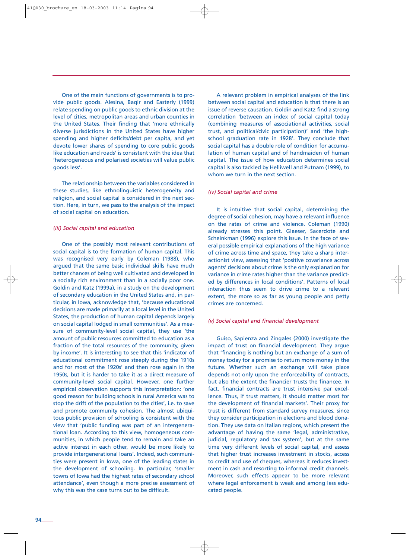One of the main functions of governments is to provide public goods. Alesina, Baqir and Easterly (1999) relate spending on public goods to ethnic division at the level of cities, metropolitan areas and urban counties in the United States. Their finding that 'more ethnically diverse jurisdictions in the United States have higher spending and higher deficits/debt per capita, and yet devote lower shares of spending to core public goods like education and roads' is consistent with the idea that 'heterogeneous and polarised societies will value public goods less'.

The relationship between the variables considered in these studies, like ethnolinguistic heterogeneity and religion, and social capital is considered in the next section. Here, in turn, we pass to the analysis of the impact of social capital on education.

#### *(iii) Social capital and education*

One of the possibly most relevant contributions of social capital is to the formation of human capital. This was recognised very early by Coleman (1988), who argued that the same basic individual skills have much better chances of being well cultivated and developed in a socially rich environment than in a socially poor one. Goldin and Katz (1999a), in a study on the development of secondary education in the United States and, in particular, in Iowa, acknowledge that, 'because educational decisions are made primarily at a local level in the United States, the production of human capital depends largely on social capital lodged in small communities'. As a measure of community-level social capital, they use 'the amount of public resources committed to education as a fraction of the total resources of the community, given by income'. It is interesting to see that this 'indicator of educational commitment rose steeply during the 1910s and for most of the 1920s' and then rose again in the 1950s, but it is harder to take it as a direct measure of community-level social capital. However, one further empirical observation supports this interpretation: 'one good reason for building schools in rural America was to stop the drift of the population to the cities', i.e. to save and promote community cohesion. The almost ubiquitous public provision of schooling is consistent with the view that 'public funding was part of an intergenerational loan. According to this view, homogeneous communities, in which people tend to remain and take an active interest in each other, would be more likely to provide intergenerational loans'. Indeed, such communities were present in Iowa, one of the leading states in the development of schooling. In particular, 'smaller towns of Iowa had the highest rates of secondary school attendance', even though a more precise assessment of why this was the case turns out to be difficult.

A relevant problem in empirical analyses of the link between social capital and education is that there is an issue of reverse causation. Goldin and Katz find a strong correlation 'between an index of social capital today (combining measures of associational activities, social trust, and political/civic participation)' and 'the highschool graduation rate in 1928'. They conclude that social capital has a double role of condition for accumulation of human capital and of handmaiden of human capital. The issue of how education determines social capital is also tackled by Helliwell and Putnam (1999), to whom we turn in the next section.

#### *(iv) Social capital and crime*

It is intuitive that social capital, determining the degree of social cohesion, may have a relevant influence on the rates of crime and violence. Coleman (1990) already stresses this point. Glaeser, Sacerdote and Scheinkman (1996) explore this issue. In the face of several possible empirical explanations of the high variance of crime across time and space, they take a sharp interactionist view, assessing that 'positive covariance across agents' decisions about crime is the only explanation for variance in crime rates higher than the variance predicted by differences in local conditions'. Patterns of local interaction thus seem to drive crime to a relevant extent, the more so as far as young people and petty crimes are concerned.

#### *(v) Social capital and financial development*

Guiso, Sapienza and Zingales (2000) investigate the impact of trust on financial development. They argue that 'financing is nothing but an exchange of a sum of money today for a promise to return more money in the future. Whether such an exchange will take place depends not only upon the enforceability of contracts, but also the extent the financier trusts the financee. In fact, financial contracts are trust intensive par excellence. Thus, if trust matters, it should matter most for the development of financial markets'. Their proxy for trust is different from standard survey measures, since they consider participation in elections and blood donation. They use data on Italian regions, which present the advantage of having the same 'legal, administrative, judicial, regulatory and tax system', but at the same time very different levels of social capital, and assess that higher trust increases investment in stocks, access to credit and use of cheques, whereas it reduces investment in cash and resorting to informal credit channels. Moreover, such effects appear to be more relevant where legal enforcement is weak and among less educated people.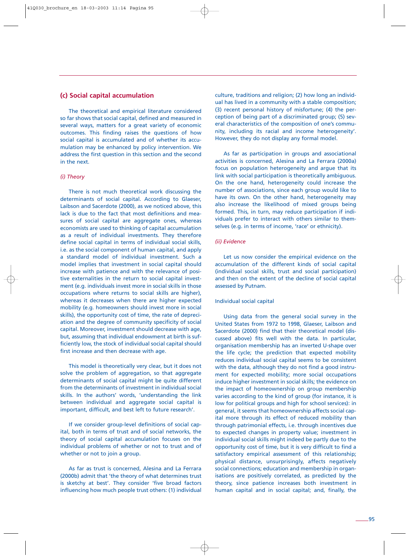## **(c) Social capital accumulation**

The theoretical and empirical literature considered so far shows that social capital, defined and measured in several ways, matters for a great variety of economic outcomes. This finding raises the questions of how social capital is accumulated and of whether its accumulation may be enhanced by policy intervention. We address the first question in this section and the second in the next.

#### *(i) Theory*

There is not much theoretical work discussing the determinants of social capital. According to Glaeser, Laibson and Sacerdote (2000), as we noticed above, this lack is due to the fact that most definitions and measures of social capital are aggregate ones, whereas economists are used to thinking of capital accumulation as a result of individual investments. They therefore define social capital in terms of individual social skills, i.e. as the social component of human capital, and apply a standard model of individual investment. Such a model implies that investment in social capital should increase with patience and with the relevance of positive externalities in the return to social capital investment (e.g. individuals invest more in social skills in those occupations where returns to social skills are higher), whereas it decreases when there are higher expected mobility (e.g. homeowners should invest more in social skills), the opportunity cost of time, the rate of depreciation and the degree of community specificity of social capital. Moreover, investment should decrease with age, but, assuming that individual endowment at birth is sufficiently low, the stock of individual social capital should first increase and then decrease with age.

This model is theoretically very clear, but it does not solve the problem of aggregation, so that aggregate determinants of social capital might be quite different from the determinants of investment in individual social skills. In the authors' words, 'understanding the link between individual and aggregate social capital is important, difficult, and best left to future research'.

If we consider group-level definitions of social capital, both in terms of trust and of social networks, the theory of social capital accumulation focuses on the individual problems of whether or not to trust and of whether or not to join a group.

As far as trust is concerned, Alesina and La Ferrara (2000b) admit that 'the theory of what determines trust is sketchy at best'. They consider 'five broad factors influencing how much people trust others: (1) individual culture, traditions and religion; (2) how long an individual has lived in a community with a stable composition; (3) recent personal history of misfortune; (4) the perception of being part of a discriminated group; (5) several characteristics of the composition of one's community, including its racial and income heterogeneity'. However, they do not display any formal model.

As far as participation in groups and associational activities is concerned, Alesina and La Ferrara (2000a) focus on population heterogeneity and argue that its link with social participation is theoretically ambiguous. On the one hand, heterogeneity could increase the number of associations, since each group would like to have its own. On the other hand, heterogeneity may also increase the likelihood of mixed groups being formed. This, in turn, may reduce participation if individuals prefer to interact with others similar to themselves (e.g. in terms of income, 'race' or ethnicity).

#### *(ii) Evidence*

Let us now consider the empirical evidence on the accumulation of the different kinds of social capital (individual social skills, trust and social participation) and then on the extent of the decline of social capital assessed by Putnam.

#### Individual social capital

Using data from the general social survey in the United States from 1972 to 1998, Glaeser, Laibson and Sacerdote (2000) find that their theoretical model (discussed above) fits well with the data. In particular, organisation membership has an inverted U-shape over the life cycle; the prediction that expected mobility reduces individual social capital seems to be consistent with the data, although they do not find a good instrument for expected mobility; more social occupations induce higher investment in social skills; the evidence on the impact of homeownership on group membership varies according to the kind of group (for instance, it is low for political groups and high for school services): in general, it seems that homeownership affects social capital more through its effect of reduced mobility than through patrimonial effects, i.e. through incentives due to expected changes in property value; investment in individual social skills might indeed be partly due to the opportunity cost of time, but it is very difficult to find a satisfactory empirical assessment of this relationship; physical distance, unsurprisingly, affects negatively social connections; education and membership in organisations are positively correlated, as predicted by the theory, since patience increases both investment in human capital and in social capital; and, finally, the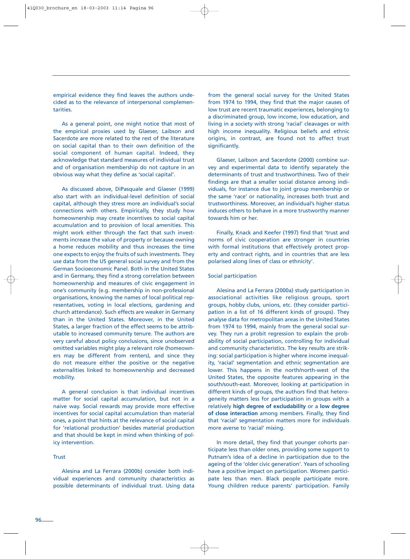empirical evidence they find leaves the authors undecided as to the relevance of interpersonal complementarities.

As a general point, one might notice that most of the empirical proxies used by Glaeser, Laibson and Sacerdote are more related to the rest of the literature on social capital than to their own definition of the social component of human capital. Indeed, they acknowledge that standard measures of individual trust and of organisation membership do not capture in an obvious way what they define as 'social capital'.

As discussed above, DiPasquale and Glaeser (1999) also start with an individual-level definition of social capital, although they stress more an individual's social connections with others. Empirically, they study how homeownership may create incentives to social capital accumulation and to provision of local amenities. This might work either through the fact that such investments increase the value of property or because owning a home reduces mobility and thus increases the time one expects to enjoy the fruits of such investments. They use data from the US general social survey and from the German Socioeconomic Panel. Both in the United States and in Germany, they find a strong correlation between homeownership and measures of civic engagement in one's community (e.g. membership in non-professional organisations, knowing the names of local political representatives, voting in local elections, gardening and church attendance). Such effects are weaker in Germany than in the United States. Moreover, in the United States, a larger fraction of the effect seems to be attributable to increased community tenure. The authors are very careful about policy conclusions, since unobserved omitted variables might play a relevant role (homeowners may be different from renters), and since they do not measure either the positive or the negative externalities linked to homeownership and decreased mobility.

A general conclusion is that individual incentives matter for social capital accumulation, but not in a naive way. Social rewards may provide more effective incentives for social capital accumulation than material ones, a point that hints at the relevance of social capital for 'relational production' besides material production and that should be kept in mind when thinking of policy intervention.

#### Trust

Alesina and La Ferrara (2000b) consider both individual experiences and community characteristics as possible determinants of individual trust. Using data from the general social survey for the United States from 1974 to 1994, they find that the major causes of low trust are recent traumatic experiences, belonging to a discriminated group, low income, low education, and living in a society with strong 'racial' cleavages or with high income inequality. Religious beliefs and ethnic origins, in contrast, are found not to affect trust significantly.

Glaeser, Laibson and Sacerdote (2000) combine survey and experimental data to identify separately the determinants of trust and trustworthiness. Two of their findings are that a smaller social distance among individuals, for instance due to joint group membership or the same 'race' or nationality, increases both trust and trustworthiness. Moreover, an individual's higher status induces others to behave in a more trustworthy manner towards him or her.

Finally, Knack and Keefer (1997) find that 'trust and norms of civic cooperation are stronger in countries with formal institutions that effectively protect property and contract rights, and in countries that are less polarised along lines of class or ethnicity'.

#### Social participation

Alesina and La Ferrara (2000a) study participation in associational activities like religious groups, sport groups, hobby clubs, unions, etc. (they consider participation in a list of 16 different kinds of groups). They analyse data for metropolitan areas in the United States from 1974 to 1994, mainly from the general social survey. They run a probit regression to explain the probability of social participation, controlling for individual and community characteristics. The key results are striking: social participation is higher where income inequality, 'racial' segmentation and ethnic segmentation are lower. This happens in the north/north-west of the United States, the opposite features appearing in the south/south-east. Moreover, looking at participation in different kinds of groups, the authors find that heterogeneity matters less for participation in groups with a relatively **high degree of excludability** or a **low degree of close interaction** among members. Finally, they find that 'racial' segmentation matters more for individuals more averse to 'racial' mixing.

In more detail, they find that younger cohorts participate less than older ones, providing some support to Putnam's idea of a decline in participation due to the ageing of the 'older civic generation'. Years of schooling have a positive impact on participation. Women participate less than men. Black people participate more. Young children reduce parents' participation. Family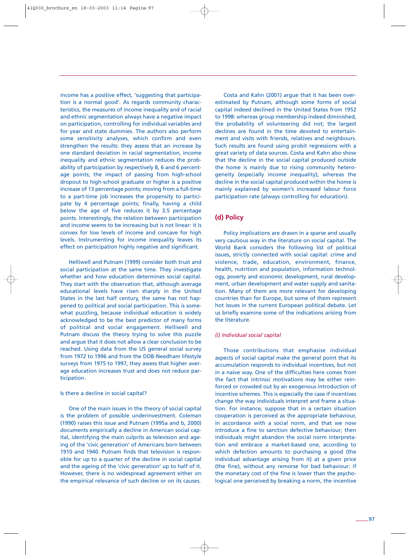income has a positive effect, 'suggesting that participation is a normal good'. As regards community characteristics, the measures of income inequality and of racial and ethnic segmentation always have a negative impact on participation, controlling for individual variables and for year and state dummies. The authors also perform some sensitivity analyses, which confirm and even strengthen the results: they assess that an increase by one standard deviation in racial segmentation, income inequality and ethnic segmentation reduces the probability of participation by respectively 8, 6 and 6 percentage points; the impact of passing from high-school dropout to high-school graduate or higher is a positive increase of 13 percentage points; moving from a full-time to a part-time job increases the propensity to participate by 4 percentage points; finally, having a child below the age of five reduces it by 3.5 percentage points. Interestingly, the relation between participation and income seems to be increasing but is not linear: it is convex for low levels of income and concave for high levels. Instrumenting for income inequality leaves its effect on participation highly negative and significant.

Helliwell and Putnam (1999) consider both trust and social participation at the same time. They investigate whether and how education determines social capital. They start with the observation that, although average educational levels have risen sharply in the United States in the last half century, the same has not happened to political and social participation. This is somewhat puzzling, because individual education is widely acknowledged to be the best predictor of many forms of political and social engagement. Helliwell and Putnam discuss the theory trying to solve this puzzle and argue that it does not allow a clear conclusion to be reached. Using data from the US general social survey from 1972 to 1996 and from the DDB-Needham lifestyle surveys from 1975 to 1997, they assess that higher average education increases trust and does not reduce participation.

#### Is there a decline in social capital?

One of the main issues in the theory of social capital is the problem of possible underinvestment. Coleman (1990) raises this issue and Putnam (1995a and b, 2000) documents empirically a decline in American social capital, identifying the main culprits as television and ageing of the 'civic generation' of Americans born between 1910 and 1940. Putnam finds that television is responsible for up to a quarter of the decline in social capital and the ageing of the 'civic generation' up to half of it. However, there is no widespread agreement either on the empirical relevance of such decline or on its causes.

Costa and Kahn (2001) argue that it has been overestimated by Putnam, although some forms of social capital indeed declined in the United States from 1952 to 1998: whereas group membership indeed diminished, the probability of volunteering did not; the largest declines are found in the time devoted to entertainment and visits with friends, relatives and neighbours. Such results are found using probit regressions with a great variety of data sources. Costa and Kahn also show that the decline in the social capital produced outside the home is mainly due to rising community heterogeneity (especially income inequality), whereas the decline in the social capital produced within the home is mainly explained by women's increased labour force participation rate (always controlling for education).

### **(d) Policy**

Policy implications are drawn in a sparse and usually very cautious way in the literature on social capital. The World Bank considers the following list of political issues, strictly connected with social capital: crime and violence, trade, education, environment, finance, health, nutrition and population, information technology, poverty and economic development, rural development, urban development and water supply and sanitation. Many of them are more relevant for developing countries than for Europe, but some of them represent hot issues in the current European political debate. Let us briefly examine some of the indications arising from the literature.

#### *(i) Individual social capital*

Those contributions that emphasise individual aspects of social capital make the general point that its accumulation responds to individual incentives, but not in a naive way. One of the difficulties here comes from the fact that intrinsic motivations may be either reinforced or crowded out by an exogenous introduction of incentive schemes. This is especially the case if incentives change the way individuals interpret and frame a situation. For instance, suppose that in a certain situation cooperation is perceived as the appropriate behaviour, in accordance with a social norm, and that we now introduce a fine to sanction defective behaviour; then individuals might abandon the social norm interpretation and embrace a market-based one, according to which defection amounts to purchasing a good (the individual advantage arising from it) at a given price (the fine), without any remorse for bad behaviour: if the monetary cost of the fine is lower than the psychological one perceived by breaking a norm, the incentive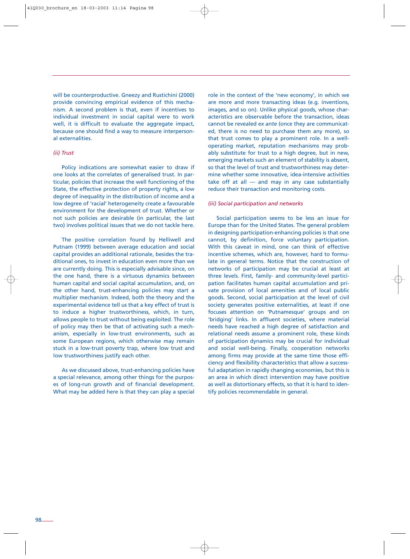will be counterproductive. Gneezy and Rustichini (2000) provide convincing empirical evidence of this mechanism. A second problem is that, even if incentives to individual investment in social capital were to work well, it is difficult to evaluate the aggregate impact, because one should find a way to measure interpersonal externalities.

### *(ii) Trust*

Policy indications are somewhat easier to draw if one looks at the correlates of generalised trust. In particular, policies that increase the well functioning of the State, the effective protection of property rights, a low degree of inequality in the distribution of income and a low degree of 'racial' heterogeneity create a favourable environment for the development of trust. Whether or not such policies are desirable (in particular, the last two) involves political issues that we do not tackle here.

The positive correlation found by Helliwell and Putnam (1999) between average education and social capital provides an additional rationale, besides the traditional ones, to invest in education even more than we are currently doing. This is especially advisable since, on the one hand, there is a virtuous dynamics between human capital and social capital accumulation, and, on the other hand, trust-enhancing policies may start a multiplier mechanism. Indeed, both the theory and the experimental evidence tell us that a key effect of trust is to induce a higher trustworthiness, which, in turn, allows people to trust without being exploited. The role of policy may then be that of activating such a mechanism, especially in low-trust environments, such as some European regions, which otherwise may remain stuck in a low-trust poverty trap, where low trust and low trustworthiness justify each other.

As we discussed above, trust-enhancing policies have a special relevance, among other things for the purposes of long-run growth and of financial development. What may be added here is that they can play a special role in the context of the 'new economy', in which we are more and more transacting ideas (e.g. inventions, images, and so on). Unlike physical goods, whose characteristics are observable before the transaction, ideas cannot be revealed *ex ante* (once they are communicated, there is no need to purchase them any more), so that trust comes to play a prominent role. In a welloperating market, reputation mechanisms may probably substitute for trust to a high degree, but in new, emerging markets such an element of stability is absent, so that the level of trust and trustworthiness may determine whether some innovative, idea-intensive activities take off at all — and may in any case substantially reduce their transaction and monitoring costs.

#### *(iii) Social participation and networks*

Social participation seems to be less an issue for Europe than for the United States. The general problem in designing participation-enhancing policies is that one cannot, by definition, force voluntary participation. With this caveat in mind, one can think of effective incentive schemes, which are, however, hard to formulate in general terms. Notice that the construction of networks of participation may be crucial at least at three levels. First, family- and community-level participation facilitates human capital accumulation and private provision of local amenities and of local public goods. Second, social participation at the level of civil society generates positive externalities, at least if one focuses attention on 'Putnamesque' groups and on 'bridging' links. In affluent societies, where material needs have reached a high degree of satisfaction and relational needs assume a prominent role, these kinds of participation dynamics may be crucial for individual and social well-being. Finally, cooperation networks among firms may provide at the same time those efficiency and flexibility characteristics that allow a successful adaptation in rapidly changing economies, but this is an area in which direct intervention may have positive as well as distortionary effects, so that it is hard to identify policies recommendable in general.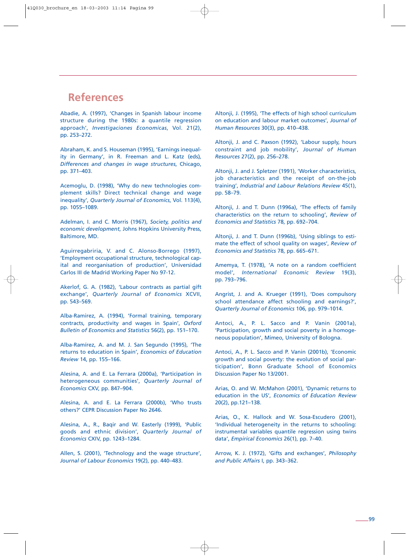## **References**

Abadie, A. (1997), 'Changes in Spanish labour income structure during the 1980s: a quantile regression approach', *Investigaciones Economicas*, Vol. 21(2), pp. 253–272.

Abraham, K. and S. Houseman (1995), 'Earnings inequality in Germany', in R. Freeman and L. Katz (eds)*, Differences and changes in wage structures*, Chicago, pp. 371–403.

Acemoglu, D. (1998), 'Why do new technologies complement skills? Direct technical change and wage inequality', *Quarterly Journal of Economics*, Vol. 113(4), pp. 1055–1089.

Adelman, I. and C. Morris (1967), *Society, politics and economic development*, Johns Hopkins University Press, Baltimore, MD.

Aguirregabriria, V. and C. Alonso-Borrego (1997), 'Employment occupational structure, technological capital and reorganisation of production', Universidad Carlos III de Madrid Working Paper No 97-12.

Akerlof, G. A. (1982), 'Labour contracts as partial gift exchange', *Quarterly Journal of Economics* XCVII, pp. 543–569.

Alba-Ramirez, A. (1994), 'Formal training, temporary contracts, productivity and wages in Spain', *Oxford Bulletin of Economics and Statistics* 56(2), pp. 151–170.

Alba-Ramírez, A. and M. J. San Segundo (1995), 'The returns to education in Spain', *Economics of Education Review* 14, pp. 155–166.

Alesina, A. and E. La Ferrara (2000a), 'Participation in heterogeneous communities', *Quarterly Journal of Economics* CXV, pp. 847–904.

Alesina, A. and E. La Ferrara (2000b), 'Who trusts others?' CEPR Discussion Paper No 2646.

Alesina, A., R., Baqir and W. Easterly (1999), 'Public goods and ethnic division', *Quarterly Journal of Economics* CXIV, pp. 1243–1284.

Allen, S. (2001), 'Technology and the wage structure', *Journal of Labour Economics* 19(2), pp. 440–483.

Altonji, J. (1995), 'The effects of high school curriculum on education and labour market outcomes', *Journal of Human Resources* 30(3), pp. 410–438.

Altonji, J. and C. Paxson (1992), 'Labour supply, hours constraint and job mobility', *Journal of Human Resources* 27(2), pp. 256–278.

Altonji, J. and J. Spletzer (1991), 'Worker characteristics, job characteristics and the receipt of on-the-job training', *Industrial and Labour Relations Review* 45(1), pp. 58–79.

Altonji, J. and T. Dunn (1996a), 'The effects of family characteristics on the return to schooling', *Review of Economics and Statistics* 78, pp. 692–704.

Altonji, J. and T. Dunn (1996b), 'Using siblings to estimate the effect of school quality on wages', *Review of Economics and Statistics* 78, pp. 665–671.

Amemya, T. (1978), 'A note on a random coefficient model', *International Economic Review* 19(3), pp. 793–796.

Angrist, J. and A. Krueger (1991), 'Does compulsory school attendance affect schooling and earnings?', *Quarterly Journal of Economics* 106, pp. 979–1014.

Antoci, A., P. L. Sacco and P. Vanin (2001a), 'Participation, growth and social poverty in a homogeneous population', Mimeo, University of Bologna.

Antoci, A., P. L. Sacco and P. Vanin (2001b), 'Economic growth and social poverty: the evolution of social participation', Bonn Graduate School of Economics Discussion Paper No 13/2001.

Arias, O. and W. McMahon (2001), 'Dynamic returns to education in the US', *Economics of Education Review* 20(2), pp.121–138.

Arias, O., K. Hallock and W. Sosa-Escudero (2001), 'Individual heterogeneity in the returns to schooling: instrumental variables quantile regression using twins data', *Empirical Economics* 26(1), pp. 7–40.

Arrow, K. J. (1972), 'Gifts and exchanges', *Philosophy and Public Affairs* I, pp. 343–362.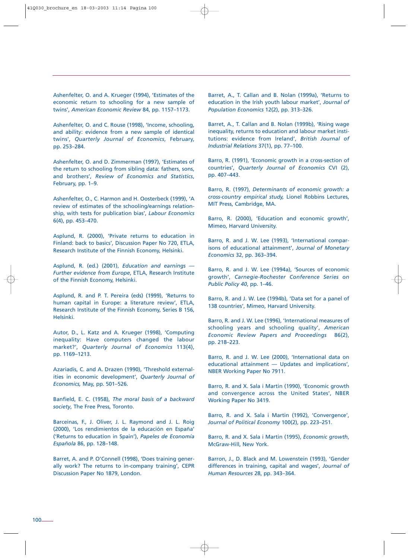Ashenfelter, O. and A. Krueger (1994), 'Estimates of the economic return to schooling for a new sample of twins', *American Economic Review* 84, pp. 1157–1173.

Ashenfelter, O. and C. Rouse (1998), 'Income, schooling, and ability: evidence from a new sample of identical twins', *Quarterly Journal of Economics*, February, pp. 253–284.

Ashenfelter, O. and D. Zimmerman (1997), 'Estimates of the return to schooling from sibling data: fathers, sons, and brothers', *Review of Economics and Statistics*, February, pp. 1–9.

Ashenfelter, O., C. Harmon and H. Oosterbeck (1999), 'A review of estimates of the schooling/earnings relationship, with tests for publication bias', *Labour Economics* 6(4), pp. 453–470.

Asplund, R. (2000), 'Private returns to education in Finland: back to basics', Discussion Paper No 720, ETLA, Research Institute of the Finnish Economy, Helsinki.

Asplund, R. (ed.) (2001), *Education and earnings — Further evidence from Europe*, ETLA, Research Institute of the Finnish Economy, Helsinki.

Asplund, R. and P. T. Pereira (eds) (1999), 'Returns to human capital in Europe: a literature review', ETLA, Research Institute of the Finnish Economy, Series B 156, Helsinki.

Autor, D., L. Katz and A. Krueger (1998), 'Computing inequality: Have computers changed the labour market?', *Quarterly Journal of Economics* 113(4), pp. 1169–1213.

Azariadis, C. and A. Drazen (1990), 'Threshold externalities in economic development', *Quarterly Journal of Economics,* May, pp. 501–526.

Banfield, E. C. (1958), *The moral basis of a backward society*, The Free Press, Toronto.

Barceinas, F., J. Oliver, J. L. Raymond and J. L. Roig (2000), 'Los rendimientos de la educación en España' ('Returns to education in Spain'), *Papeles de Economía Española* 86, pp. 128–148.

Barret, A. and P. O'Connell (1998), 'Does training generally work? The returns to in-company training', CEPR Discussion Paper No 1879, London.

Barret, A., T. Callan and B. Nolan (1999a), 'Returns to education in the Irish youth labour market', *Journal of Population Economics* 12(2), pp. 313–326.

Barret, A., T. Callan and B. Nolan (1999b), 'Rising wage inequality, returns to education and labour market institutions: evidence from Ireland', *British Journal of Industrial Relations* 37(1), pp. 77–100.

Barro, R. (1991), 'Economic growth in a cross-section of countries', *Quarterly Journal of Economics* CVI (2), pp. 407–443.

Barro, R. (1997), *Determinants of economic growth: a cross-country empirical study,* Lionel Robbins Lectures, MIT Press, Cambridge, MA.

Barro, R. (2000), 'Education and economic growth', Mimeo, Harvard University.

Barro, R. and J. W. Lee (1993), 'International comparisons of educational attainment', *Journal of Monetary Economics* 32, pp. 363–394.

Barro, R. and J. W. Lee (1994a), 'Sources of economic growth', *Carnegie-Rochester Conference Series on Public Policy 40*, pp. 1–46.

Barro, R. and J. W. Lee (1994b), 'Data set for a panel of 138 countries', Mimeo, Harvard University.

Barro, R. and J. W. Lee (1996), 'International measures of schooling years and schooling quality', *American Economic Review Papers and Proceedings* 86(2), pp. 218–223.

Barro, R. and J. W. Lee (2000), 'International data on educational attainment — Updates and implications', NBER Working Paper No 7911.

Barro, R. and X. Sala i Martin (1990), 'Economic growth and convergence across the United States', NBER Working Paper No 3419.

Barro, R. and X. Sala i Martin (1992), 'Convergence', *Journal of Political Economy* 100(2), pp. 223–251.

Barro, R. and X. Sala i Martin (1995), *Economic growth*, McGraw-Hill, New York.

Barron, J., D. Black and M. Lowenstein (1993), 'Gender differences in training, capital and wages', *Journal of Human Resources* 28, pp. 343–364.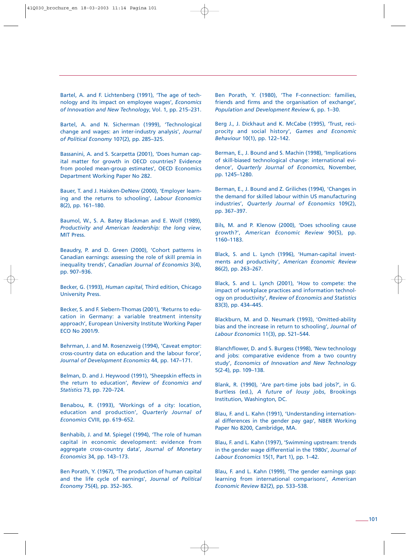Bartel, A. and F. Lichtenberg (1991), 'The age of technology and its impact on employee wages', *Economics of Innovation and New Technology*, Vol. 1, pp. 215–231.

Bartel, A. and N. Sicherman (1999), 'Technological change and wages: an inter-industry analysis', *Journal of Political Economy* 107(2), pp. 285–325.

Bassanini, A. and S. Scarpetta (2001), 'Does human capital matter for growth in OECD countries? Evidence from pooled mean-group estimates', OECD Economics Department Working Paper No 282.

Bauer, T. and J. Haisken-DeNew (2000), 'Employer learning and the returns to schooling', *Labour Economics* 8(2), pp. 161–180.

Baumol, W., S. A. Batey Blackman and E. Wolf (1989), *Productivity and American leadership: the long view*, MIT Press.

Beaudry, P. and D. Green (2000), 'Cohort patterns in Canadian earnings: assessing the role of skill premia in inequality trends', *Canadian Journal of Economics* 3(4), pp. 907–936.

Becker, G. (1993), *Human capital*, Third edition, Chicago University Press.

Becker, S. and F. Siebern-Thomas (2001), 'Returns to education in Germany: a variable treatment intensity approach', European University Institute Working Paper ECO No 2001/9.

Behrman, J. and M. Rosenzweig (1994), 'Caveat emptor: cross-country data on education and the labour force', *Journal of Development Economics* 44, pp. 147–171.

Belman, D. and J. Heywood (1991), 'Sheepskin effects in the return to education', *Review of Economics and Statistics* 73, pp. 720–724.

Benabou, R. (1993), 'Workings of a city: location, education and production', *Quarterly Journal of Economics* CVIII, pp. 619–652.

Benhabib, J. and M. Spiegel (1994), 'The role of human capital in economic development: evidence from aggregate cross-country data', *Journal of Monetary Economics* 34, pp. 143–173.

Ben Porath, Y. (1967), 'The production of human capital and the life cycle of earnings', *Journal of Political Economy* 75(4), pp. 352–365.

Ben Porath, Y. (1980), 'The F-connection: families, friends and firms and the organisation of exchange', *Population and Development Review* 6, pp. 1–30.

Berg J., J. Dickhaut and K. McCabe (1995), 'Trust, reciprocity and social history', *Games and Economic Behaviour* 10(1), pp. 122–142.

Berman, E., J. Bound and S. Machin (1998), 'Implications of skill-biased technological change: international evidence', *Quarterly Journal of Economics*, November, pp. 1245–1280.

Berman, E., J. Bound and Z. Griliches (1994), 'Changes in the demand for skilled labour within US manufacturing industries', *Quarterly Journal of Economics* 109(2), pp. 367–397.

Bils, M. and P. Klenow (2000), 'Does schooling cause growth?', *American Economic Review* 90(5), pp. 1160–1183.

Black, S. and L. Lynch (1996), 'Human-capital investments and productivity', *American Economic Review* 86(2), pp. 263–267.

Black, S. and L. Lynch (2001), 'How to compete: the impact of workplace practices and information technology on productivity', *Review of Economics and Statistics* 83(3), pp. 434–445.

Blackburn, M. and D. Neumark (1993), 'Omitted-ability bias and the increase in return to schooling', *Journal of Labour Economics* 11(3), pp. 521–544.

Blanchflower, D. and S. Burgess (1998), 'New technology and jobs: comparative evidence from a two country study', *Economics of Innovation and New Technology* 5(2-4), pp. 109–138.

Blank, R. (1990), 'Are part-time jobs bad jobs?', in G. Burtless (ed.), *A future of lousy jobs*, Brookings Institution, Washington, DC.

Blau, F. and L. Kahn (1991), 'Understanding international differences in the gender pay gap', NBER Working Paper No 8200, Cambridge, MA.

Blau, F. and L. Kahn (1997), 'Swimming upstream: trends in the gender wage differential in the 1980s', *Journal of Labour Economics* 15(1, Part 1), pp. 1–42.

Blau, F. and L. Kahn (1999), 'The gender earnings gap: learning from international comparisons', *American Economic Review* 82(2), pp. 533–538.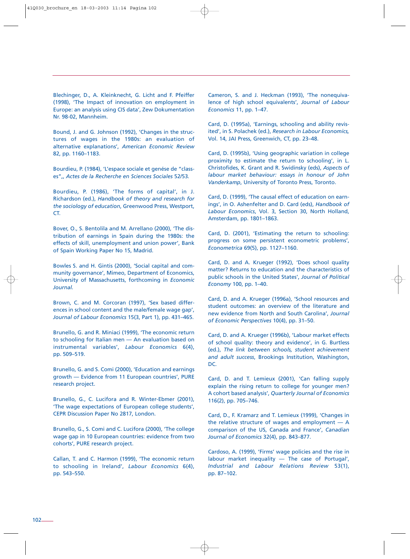Blechinger, D., A. Kleinknecht, G. Licht and F. Pfeiffer (1998), 'The Impact of innovation on employment in Europe: an analysis using CIS data', Zew Dokumentation Nr. 98-02, Mannheim.

Bound, J. and G. Johnson (1992), 'Changes in the structures of wages in the 1980s: an evaluation of alternative explanations', *American Economic Review* 82, pp. 1160–1183.

Bourdieu, P. (1984), 'L'espace sociale et genése de "classes",, *Actes de la Recherche en Sciences Sociales* 52/53*.*

Bourdieu, P. (1986), 'The forms of capital', in J. Richardson (ed.), *Handbook of theory and research for the sociology of education*, Greenwood Press, Westport, CT.

Bover, O., S. Bentolila and M. Arrellano (2000), 'The distribution of earnings in Spain during the 1980s: the effects of skill, unemployment and union power', Bank of Spain Working Paper No 15, Madrid.

Bowles S. and H. Gintis (2000), 'Social capital and community governance', Mimeo, Department of Economics, University of Massachusetts, forthcoming in *Economic Journal.*

Brown, C. and M. Corcoran (1997), 'Sex based differences in school content and the male/female wage gap', *Journal of Labour Economics* 15(3, Part 1), pp. 431–465.

Brunello, G. and R. Miniaci (1999), 'The economic return to schooling for Italian men — An evaluation based on instrumental variables', *Labour Economics* 6(4), pp. 509–519.

Brunello, G. and S. Comi (2000), 'Education and earnings growth — Evidence from 11 European countries', PURE research project.

Brunello, G., C. Lucifora and R. Winter-Ebmer (2001), 'The wage expectations of European college students', CEPR Discussion Paper No 2817, London.

Brunello, G., S. Comi and C. Lucifora (2000), 'The college wage gap in 10 European countries: evidence from two cohorts', PURE research project.

Callan, T. and C. Harmon (1999), 'The economic return to schooling in Ireland', *Labour Economics* 6(4), pp. 543–550.

Cameron, S. and J. Heckman (1993), 'The nonequivalence of high school equivalents', *Journal of Labour Economics* 11, pp. 1–47.

Card, D. (1995a), 'Earnings, schooling and ability revisited', in S. Polachek (ed.), *Research in Labour Economics,* Vol. 14, JAI Press, Greenwich, CT, pp. 23–48.

Card, D. (1995b), 'Using geographic variation in college proximity to estimate the return to schooling', in L. Christofides, K. Grant and R. Swidinsky (eds), *Aspects of labour market behaviour: essays in honour of John Vanderkamp*, University of Toronto Press, Toronto.

Card, D. (1999), 'The causal effect of education on earnings', in O. Ashenfelter and D. Card (eds), *Handbook of Labour Economics*, Vol. 3, Section 30, North Holland, Amsterdam, pp. 1801–1863.

Card, D. (2001), 'Estimating the return to schooling: progress on some persistent econometric problems', *Econometrica* 69(5), pp. 1127–1160.

Card, D. and A. Krueger (1992), 'Does school quality matter? Returns to education and the characteristics of public schools in the United States', *Journal of Political Economy* 100, pp. 1–40.

Card, D. and A. Krueger (1996a), 'School resources and student outcomes: an overview of the literature and new evidence from North and South Carolina', *Journal of Economic Perspectives* 10(4), pp. 31–50.

Card, D. and A. Krueger (1996b), 'Labour market effects of school quality: theory and evidence', in G. Burtless (ed.), *The link between schools, student achievement and adult success*, Brookings Institution, Washington, DC.

Card, D. and T. Lemieux (2001), 'Can falling supply explain the rising return to college for younger men? A cohort based analysis', *Quarterly Journal of Economics* 116(2), pp. 705–746.

Card, D., F. Kramarz and T. Lemieux (1999), 'Changes in the relative structure of wages and employment — A comparison of the US, Canada and France', *Canadian Journal of Economics* 32(4), pp. 843–877.

Cardoso, A. (1999), 'Firms' wage policies and the rise in labour market inequality — The case of Portugal', *Industrial and Labour Relations Review* 53(1), pp. 87–102.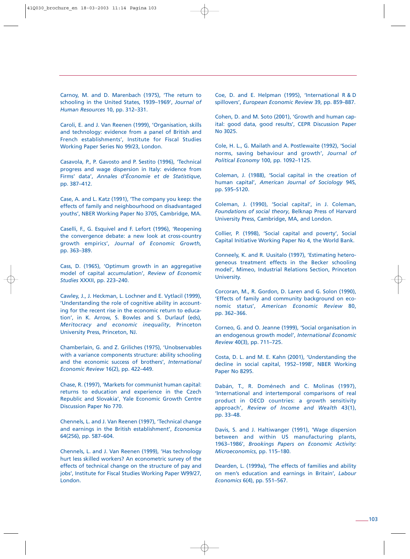Carnoy, M. and D. Marenbach (1975), 'The return to schooling in the United States, 1939–1969', *Journal of Human Resources* 10, pp. 312–331.

Caroli, E. and J. Van Reenen (1999), 'Organisation, skills and technology: evidence from a panel of British and French establishments', Institute for Fiscal Studies Working Paper Series No 99/23, London.

Casavola, P., P. Gavosto and P. Sestito (1996), 'Technical progress and wage dispersion in Italy: evidence from Firms' data', *Annales d'Économie et de Statistique*, pp. 387–412.

Case, A. and L. Katz (1991), 'The company you keep: the effects of family and neighbourhood on disadvantaged youths', NBER Working Paper No 3705, Cambridge, MA.

Caselli, F., G. Esquivel and F. Lefort (1996), 'Reopening the convergence debate: a new look at cross-country growth empirics', *Journal of Economic Growth,* pp. 363–389.

Cass, D. (1965), 'Optimum growth in an aggregative model of capital accumulation', *Review of Economic Studies* XXXII, pp. 223–240.

Cawley, J., J. Heckman, L. Lochner and E. Vytlacil (1999), 'Understanding the role of cognitive ability in accounting for the recent rise in the economic return to education', in K. Arrow, S. Bowles and S. Durlauf (eds), *Meritocracy and economic inequality*, Princeton University Press, Princeton, NJ.

Chamberlain, G. and Z. Griliches (1975), 'Unobservables with a variance components structure: ability schooling and the economic success of brothers', *International Economic Review* 16(2), pp. 422–449.

Chase, R. (1997), 'Markets for communist human capital: returns to education and experience in the Czech Republic and Slovakia', Yale Economic Growth Centre Discussion Paper No 770.

Chennels, L. and J. Van Reenen (1997), 'Technical change and earnings in the British establishment', *Economica* 64(256), pp. 587–604.

Chennels, L. and J. Van Reenen (1999), 'Has technology hurt less skilled workers? An econometric survey of the effects of technical change on the structure of pay and jobs', Institute for Fiscal Studies Working Paper W99/27, London.

Coe, D. and E. Helpman (1995), 'International R & D spillovers', *European Economic Review* 39, pp. 859–887.

Cohen, D. and M. Soto (2001), 'Growth and human capital: good data, good results', CEPR Discussion Paper No 3025.

Cole, H. L., G. Mailath and A. Postlewaite (1992), 'Social norms, saving behaviour and growth', *Journal of Political Economy* 100, pp. 1092–1125.

Coleman, J. (1988), 'Social capital in the creation of human capital', *American Journal of Sociology* 94S, pp. S95–S120.

Coleman, J. (1990), 'Social capital', in J. Coleman, *Foundations of social theory*, Belknap Press of Harvard University Press, Cambridge, MA, and London.

Collier, P. (1998), 'Social capital and poverty', Social Capital Initiative Working Paper No 4, the World Bank.

Conneely, K. and R. Uusitalo (1997), 'Estimating heterogeneous treatment effects in the Becker schooling model', Mimeo, Industrial Relations Section, Princeton University.

Corcoran, M., R. Gordon, D. Laren and G. Solon (1990), 'Effects of family and community background on economic status', *American Economic Review* 80, pp. 362–366.

Corneo, G. and O. Jeanne (1999), 'Social organisation in an endogenous growth model', *International Economic Review* 40(3), pp. 711–725.

Costa, D. L. and M. E. Kahn (2001), 'Understanding the decline in social capital, 1952–1998', NBER Working Paper No 8295.

Dabán, T., R. Doménech and C. Molinas (1997), 'International and intertemporal comparisons of real product in OECD countries: a growth sensitivity approach', *Review of Income and Wealth* 43(1), pp. 33–48.

Davis, S. and J. Haltiwanger (1991), 'Wage dispersion between and within US manufacturing plants, 1963–1986', *Brookings Papers on Economic Activity: Microeconomics*, pp. 115–180.

Dearden, L. (1999a), 'The effects of families and ability on men's education and earnings in Britain', *Labour Economics* 6(4), pp. 551–567.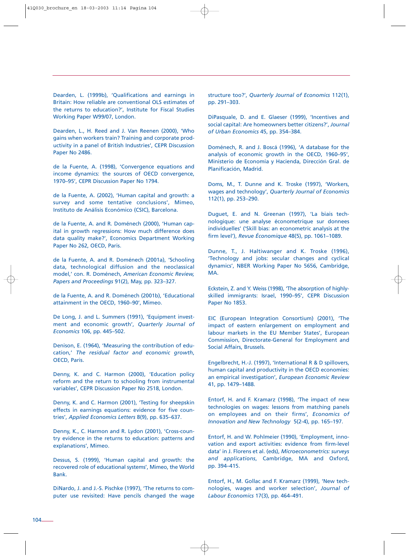Dearden, L. (1999b), 'Qualifications and earnings in Britain: How reliable are conventional OLS estimates of the returns to education?', Institute for Fiscal Studies Working Paper W99/07, London.

Dearden, L., H. Reed and J. Van Reenen (2000), 'Who gains when workers train? Training and corporate productivity in a panel of British Industries', CEPR Discussion Paper No 2486.

de la Fuente, A. (1998), 'Convergence equations and income dynamics: the sources of OECD convergence, 1970–95', CEPR Discussion Paper No 1794.

de la Fuente, A. (2002), 'Human capital and growth: a survey and some tentative conclusions', Mimeo, Instituto de Análisis Económico (CSIC), Barcelona.

de la Fuente, A. and R. Doménech (2000), 'Human capital in growth regressions: How much difference does data quality make?', Economics Department Working Paper No 262, OECD, Paris.

de la Fuente, A. and R. Doménech (2001a), 'Schooling data, technological diffusion and the neoclassical model,' con. R. Doménech, *American Economic Review, Papers and Proceedings* 91(2), May, pp. 323–327.

de la Fuente, A. and R. Doménech (2001b), 'Educational attainment in the OECD, 1960–90', Mimeo.

De Long, J. and L. Summers (1991), 'Equipment investment and economic growth', *Quarterly Journal of Economics* 106, pp. 445–502.

Denison, E. (1964), 'Measuring the contribution of education,' *The residual factor and economic growth*, OECD, Paris.

Denny, K. and C. Harmon (2000), 'Education policy reform and the return to schooling from instrumental variables', CEPR Discussion Paper No 2518, London.

Denny, K. and C. Harmon (2001), 'Testing for sheepskin effects in earnings equations: evidence for five countries', *Applied Economics Letters* 8(9), pp. 635–637.

Denny, K., C. Harmon and R. Lydon (2001), 'Cross-country evidence in the returns to education: patterns and explanations', Mimeo.

Dessus, S. (1999), 'Human capital and growth: the recovered role of educational systems', Mimeo, the World Bank.

DiNardo, J. and J.-S. Pischke (1997), 'The returns to computer use revisited: Have pencils changed the wage structure too?', *Quarterly Journal of Economics* 112(1), pp. 291–303.

DiPasquale, D. and E. Glaeser (1999), 'Incentives and social capital: Are homeowners better citizens?', *Journal of Urban Economics* 45, pp. 354–384.

Doménech, R. and J. Boscá (1996), 'A database for the analysis of economic growth in the OECD, 1960–95', Ministerio de Economía y Hacienda, Dirección Gral. de Planificación, Madrid.

Doms, M., T. Dunne and K. Troske (1997), 'Workers, wages and technology', *Quarterly Journal of Economics* 112(1), pp. 253–290.

Duguet, E. and N. Greenan (1997), 'La biais technologique: une analyse économetrique sur donnees individuelles' ('Skill bias: an econometric analysis at the firm level'), *Revue Économique* 48(5), pp. 1061–1089.

Dunne, T., J. Haltiwanger and K. Troske (1996), 'Technology and jobs: secular changes and cyclical dynamics', NBER Working Paper No 5656, Cambridge, MA.

Eckstein, Z. and Y. Weiss (1998), 'The absorption of highlyskilled immigrants: Israel, 1990–95', CEPR Discussion Paper No 1853.

EIC (European Integration Consortium) (2001), 'The impact of eastern enlargement on employment and labour markets in the EU Member States', European Commission, Directorate-General for Employment and Social Affairs, Brussels.

Engelbrecht, H.-J. (1997), 'International R & D spillovers, human capital and productivity in the OECD economies: an empirical investigation', *European Economic Review* 41, pp. 1479–1488.

Entorf, H. and F. Kramarz (1998), 'The impact of new technologies on wages: lessons from matching panels on employees and on their firms', *Economics of Innovation and New Technology* 5(2-4), pp. 165–197.

Entorf, H. and W. Pohlmeier (1990), 'Employment, innovation and export activities: evidence from firm-level data' in J. Florens et al. (eds), *Microeconometrics: surveys and applications*, Cambridge, MA and Oxford, pp. 394–415.

Entorf, H., M. Gollac and F. Kramarz (1999), 'New technologies, wages and worker selection', *Journal of Labour Economics* 17(3), pp. 464–491.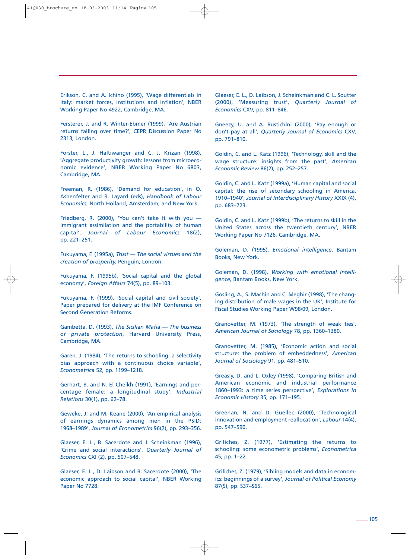Erikson, C. and A. Ichino (1995), 'Wage differentials in Italy: market forces, institutions and inflation', NBER Working Paper No 4922, Cambridge, MA.

Fersterer, J. and R. Winter-Ebmer (1999), 'Are Austrian returns falling over time?', CEPR Discussion Paper No 2313, London.

Forster, L., J. Haltiwanger and C. J. Krizan (1998), 'Aggregate productivity growth: lessons from microeconomic evidence', NBER Working Paper No 6803, Cambridge, MA.

Freeman, R. (1986), 'Demand for education', in O. Ashenfelter and R. Layard (eds), *Handbook of Labour Economics*, North Holland, Amsterdam, and New York.

Friedberg, R. (2000), 'You can't take It with you — Immigrant assimilation and the portability of human capital', *Journal of Labour Economics* 18(2), pp. 221–251.

Fukuyama, F. (1995a), *Trust — The social virtues and the creation of prosperity,* Penguin, London.

Fukuyama, F. (1995b), 'Social capital and the global economy', *Foreign Affairs* 74(5), pp. 89–103.

Fukuyama, F. (1999), 'Social capital and civil society', Paper prepared for delivery at the IMF Conference on Second Generation Reforms.

Gambetta, D. (1993), *The Sicilian Mafia — The business of private protection*, Harvard University Press, Cambridge, MA.

Garen, J. (1984), 'The returns to schooling: a selectivity bias approach with a continuous choice variable', *Econometrica* 52, pp. 1199–1218.

Gerhart, B. and N. El Cheikh (1991), 'Earnings and percentage female: a longitudinal study', *Industrial Relations* 30(1), pp. 62–78.

Geweke, J. and M. Keane (2000), 'An empirical analysis of earnings dynamics among men in the PSID: 1968–1989', *Journal of Econometrics* 96(2), pp. 293–356.

Glaeser, E. L., B. Sacerdote and J. Scheinkman (1996), 'Crime and social interactions', *Quarterly Journal of Economics* CXI (2), pp. 507–548.

Glaeser, E. L., D. Laibson and B. Sacerdote (2000), 'The economic approach to social capital', NBER Working Paper No 7728.

Glaeser, E. L., D. Laibson, J. Scheinkman and C. L. Soutter (2000), 'Measuring trust', *Quarterly Journal of Economics* CXV, pp. 811–846.

Gneezy, U. and A. Rustichini (2000), 'Pay enough or don't pay at all', *Quarterly Journal of Economics* CXV, pp. 791–810.

Goldin, C. and L. Katz (1996), 'Technology, skill and the wage structure: insights from the past', *American Economic Review* 86(2), pp. 252–257.

Goldin, C. and L. Katz (1999a), 'Human capital and social capital: the rise of secondary schooling in America, 1910–1940', *Journal of Interdisciplinary History* XXIX (4), pp. 683–723.

Goldin, C. and L. Katz (1999b), 'The returns to skill in the United States across the twentieth century', NBER Working Paper No 7126, Cambridge, MA.

Goleman, D. (1995), *Emotional intelligence*, Bantam Books, New York.

Goleman, D. (1998), *Working with emotional intelligence,* Bantam Books, New York.

Gosling, A., S. Machin and C. Meghir (1998), 'The changing distribution of male wages in the UK', Institute for Fiscal Studies Working Paper W98/09, London.

Granovetter, M. (1973), 'The strength of weak ties', *American Journal of Sociology* 78, pp. 1360–1380.

Granovetter, M. (1985), 'Economic action and social structure: the problem of embeddedness', *American Journal of Sociology* 91, pp. 481–510.

Greasly, D. and L. Oxley (1998), 'Comparing British and American economic and industrial performance 1860–1993: a time series perspective', *Explorations in Economic History* 35, pp. 171–195.

Greenan, N. and D. Guellec (2000), 'Technological innovation and employment reallocation', *Labour* 14(4), pp. 547–590.

Griliches, Z. (1977), 'Estimating the returns to schooling: some econometric problems', *Econometrica* 45, pp. 1–22.

Griliches, Z. (1979), 'Sibling models and data in economics: beginnings of a survey', *Journal of Political Economy* 87(S), pp. S37–S65.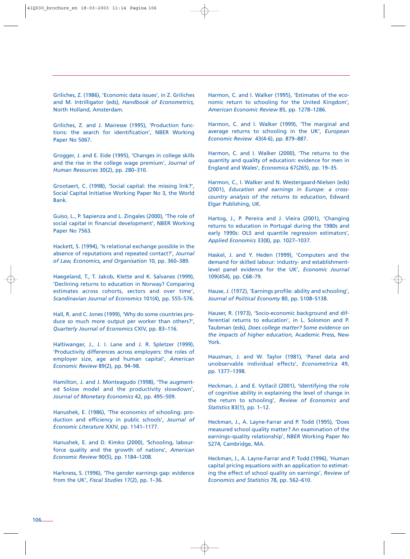Griliches, Z. (1986), 'Economic data issues', in Z. Griliches and M. Intrilligator (eds), *Handbook of Econometrics,* North Holland, Amsterdam.

Griliches, Z. and J. Mairesse (1995), 'Production functions: the search for identification', NBER Working Paper No 5067.

Grogger, J. and E. Eide (1995), 'Changes in college skills and the rise in the college wage premium', *Journal of Human Resources* 30(2), pp. 280–310.

Grootaert, C. (1998), 'Social capital: the missing link?', Social Capital Initiative Working Paper No 3, the World Bank.

Guiso, L., P. Sapienza and L. Zingales (2000), 'The role of social capital in financial development', NBER Working Paper No 7563.

Hackett, S. (1994), 'Is relational exchange possible in the absence of reputations and repeated contact?', *Journal of Law, Economics, and Organisation* 10, pp. 360–389.

Haegeland, T., T. Jakob, Klette and K. Salvanes (1999), 'Declining returns to education in Norway? Comparing estimates across cohorts, sectors and over time', *Scandinavian Journal of Economics* 101(4), pp. 555–576.

Hall, R. and C. Jones (1999), 'Why do some countries produce so much more output per worker than others?', *Quarterly Journal of Economics* CXIV, pp. 83–116.

Haltiwanger, J., J. I. Lane and J. R. Spletzer (1999), 'Productivity differences across employers: the roles of employer size, age and human capital', *American Economic Review* 89(2), pp. 94–98.

Hamilton, J. and J. Monteagudo (1998), 'The augmented Solow model and the productivity slowdown', *Journal of Monetary Economics* 42, pp. 495–509.

Hanushek, E. (1986), 'The economics of schooling: production and efficiency in public schools', *Journal of Economic Literature* XXIV, pp. 1141–1177.

Hanushek, E. and D. Kimko (2000), 'Schooling, labourforce quality and the growth of nations', *American Economic Review* 90(5), pp. 1184–1208.

Harkness, S. (1996), 'The gender earnings gap: evidence from the UK', *Fiscal Studies* 17(2), pp. 1–36.

Harmon, C. and I. Walker (1995), 'Estimates of the economic return to schooling for the United Kingdom', *American Economic Review* 85, pp. 1278–1286.

Harmon, C. and I. Walker (1999), 'The marginal and average returns to schooling in the UK', *European Economic Review* 43(4-6), pp. 879–887.

Harmon, C. and I. Walker (2000), 'The returns to the quantity and quality of education: evidence for men in England and Wales', *Economica* 67(265), pp. 19–35.

Harmon, C., I. Walker and N. Westergaard-Nielsen (eds) (2001), *Education and earnings in Europe: a crosscountry analysis of the returns to education*, Edward Elgar Publishing, UK.

Hartog, J., P. Pereira and J. Vieira (2001), 'Changing returns to education in Portugal during the 1980s and early 1990s: OLS and quantile regression estimators', *Applied Economics* 33(8), pp. 1027–1037.

Haskel, J. and Y. Heden (1999), 'Computers and the demand for skilled labour: industry- and establishmentlevel panel evidence for the UK', *Economic Journal* 109(454), pp. C68–79.

Hause, J. (1972), 'Earnings profile: ability and schooling', *Journal of Political Economy* 80, pp. S108–S138.

Hauser, R. (1973), 'Socio-economic background and differential returns to education', in L. Solomon and P. Taubman (eds), *Does college matter? Some evidence on the impacts of higher education*, Academic Press, New York.

Hausman, J. and W. Taylor (1981), 'Panel data and unobservable individual effects', *Econometrica* 49, pp. 1377–1398.

Heckman, J. and E. Vytlacil (2001), 'Identifying the role of cognitive ability in explaining the level of change in the return to schooling', *Review of Economics and Statistics* 83(1), pp. 1–12.

Heckman, J., A. Layne-Farrar and P. Todd (1995), 'Does measured school quality matter? An examination of the earnings–quality relationship', NBER Working Paper No 5274, Cambridge, MA.

Heckman, J., A. Layne-Farrar and P. Todd (1996), 'Human capital pricing equations with an application to estimating the effect of school quality on earnings', *Review of Economics and Statistics* 78, pp. 562–610.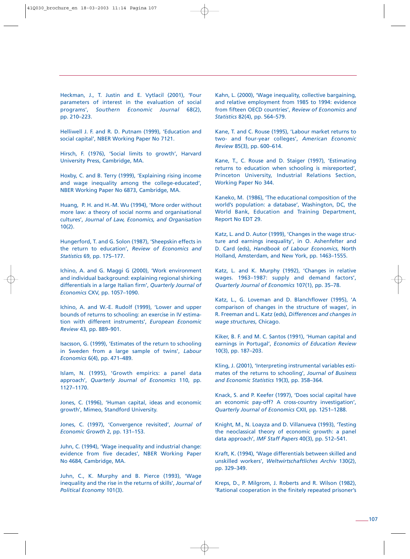Heckman, J., T. Justin and E. Vytlacil (2001), 'Four parameters of interest in the evaluation of social programs', *Southern Economic Journal* 68(2), pp. 210–223.

Helliwell J. F. and R. D. Putnam (1999), 'Education and social capital', NBER Working Paper No 7121.

Hirsch, F. (1976), 'Social limits to growth', Harvard University Press, Cambridge, MA.

Hoxby, C. and B. Terry (1999), 'Explaining rising income and wage inequality among the college-educated', NBER Working Paper No 6873, Cambridge, MA.

Huang, P. H. and H.-M. Wu (1994), 'More order without more law: a theory of social norms and organisational cultures', *Journal of Law, Economics, and Organisation* 10(2).

Hungerford, T. and G. Solon (1987), 'Sheepskin effects in the return to education', *Review of Economics and Statistics* 69, pp. 175–177.

Ichino, A. and G. Maggi G (2000), 'Work environment and individual background: explaining regional shirking differentials in a large Italian firm', *Quarterly Journal of Economics* CXV, pp. 1057–1090.

Ichino, A. and W.-E. Rudolf (1999), 'Lower and upper bounds of returns to schooling: an exercise in IV estimation with different instruments', *European Economic Review* 43, pp. 889–901.

Isacsson, G. (1999), 'Estimates of the return to schooling in Sweden from a large sample of twins', *Labour Economics* 6(4), pp. 471–489.

Islam, N. (1995), 'Growth empirics: a panel data approach', *Quarterly Journal of Economics* 110, pp. 1127–1170.

Jones, C. (1996), 'Human capital, ideas and economic growth', Mimeo, Standford University.

Jones, C. (1997), 'Convergence revisited', *Journal of Economic Growth* 2, pp. 131–153.

Juhn, C. (1994), 'Wage inequality and industrial change: evidence from five decades', NBER Working Paper No 4684, Cambridge, MA.

Juhn, C., K. Murphy and B. Pierce (1993), 'Wage inequality and the rise in the returns of skills', *Journal of Political Economy* 101(3).

Kahn, L. (2000), 'Wage inequality, collective bargaining, and relative employment from 1985 to 1994: evidence from fifteen OECD countries', *Review of Economics and Statistics* 82(4), pp. 564–579.

Kane, T. and C. Rouse (1995), 'Labour market returns to two- and four-year colleges', *American Economic Review* 85(3), pp. 600–614.

Kane, T., C. Rouse and D. Staiger (1997), 'Estimating returns to education when schooling is misreported', Princeton University, Industrial Relations Section, Working Paper No 344.

Kaneko, M. (1986), 'The educational composition of the world's population: a database', Washington, DC, the World Bank, Education and Training Department, Report No EDT 29.

Katz, L. and D. Autor (1999), 'Changes in the wage structure and earnings inequality', in O. Ashenfelter and D. Card (eds), *Handbook of Labour Economics*, North Holland, Amsterdam, and New York, pp. 1463–1555.

Katz, L. and K. Murphy (1992), 'Changes in relative wages. 1963–1987: supply and demand factors', *Quarterly Journal of Economics* 107(1), pp. 35–78.

Katz, L., G. Loveman and D. Blanchflower (1995), 'A comparison of changes in the structure of wages', in R. Freeman and L. Katz (eds), *Differences and changes in wage structures*, Chicago.

Kiker, B. F. and M. C. Santos (1991), 'Human capital and earnings in Portugal', *Economics of Education Review* 10(3), pp. 187–203.

Kling, J. (2001), 'Interpreting instrumental variables estimates of the returns to schooling', *Journal of Business and Economic Statistics* 19(3), pp. 358–364.

Knack, S. and P. Keefer (1997), 'Does social capital have an economic pay-off? A cross-country investigation', *Quarterly Journal of Economics* CXII, pp. 1251–1288.

Knight, M., N. Loayza and D. Villanueva (1993), 'Testing the neoclassical theory of economic growth: a panel data approach', *IMF Staff Papers* 40(3), pp. 512–541.

Kraft, K. (1994), 'Wage differentials between skilled and unskilled workers', *Weltwirtschaftliches Archiv* 130(2), pp. 329–349.

Kreps, D., P. Milgrom, J. Roberts and R. Wilson (1982), 'Rational cooperation in the finitely repeated prisoner's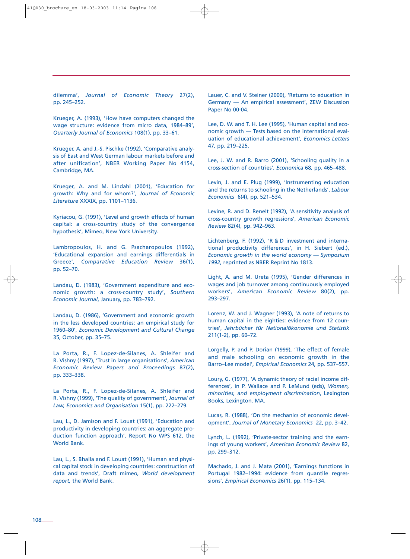dilemma', *Journal of Economic Theory* 27(2), pp. 245–252.

Krueger, A. (1993), 'How have computers changed the wage structure: evidence from micro data, 1984–89', *Quarterly Journal of Economics* 108(1), pp. 33–61.

Krueger, A. and J.-S. Pischke (1992), 'Comparative analysis of East and West German labour markets before and after unification', NBER Working Paper No 4154, Cambridge, MA.

Krueger, A. and M. Lindahl (2001), 'Education for growth: Why and for whom?', *Journal of Economic Literature* XXXIX, pp. 1101–1136.

Kyriacou, G. (1991), 'Level and growth effects of human capital: a cross-country study of the convergence hypothesis', Mimeo, New York University.

Lambropoulos, H. and G. Psacharopoulos (1992), 'Educational expansion and earnings differentials in Greece', *Comparative Education Review* 36(1), pp. 52–70.

Landau, D. (1983), 'Government expenditure and economic growth: a cross-country study', *Southern Economic Journal*, January, pp. 783–792.

Landau, D. (1986), 'Government and economic growth in the less developed countries: an empirical study for 1960–80', *Economic Development and Cultural Change* 35, October, pp. 35–75.

La Porta, R., F. Lopez-de-Silanes, A. Shleifer and R. Vishny (1997), 'Trust in large organisations', *American Economic Review Papers and Proceedings* 87(2), pp. 333–338.

La Porta, R., F. Lopez-de-Silanes, A. Shleifer and R. Vishny (1999), 'The quality of government', *Journal of Law, Economics and Organisation* 15(1), pp. 222–279.

Lau, L., D. Jamison and F. Louat (1991), 'Education and productivity in developing countries: an aggregate production function approach', Report No WPS 612, the World Bank.

Lau, L., S. Bhalla and F. Louat (1991), 'Human and physical capital stock in developing countries: construction of data and trends', Draft mimeo, *World development report,* the World Bank.

Lauer, C. and V. Steiner (2000), 'Returns to education in Germany — An empirical assessment', ZEW Discussion Paper No 00-04.

Lee, D. W. and T. H. Lee (1995), 'Human capital and economic growth — Tests based on the international evaluation of educational achievement', *Economics Letters* 47, pp. 219–225.

Lee, J. W. and R. Barro (2001), 'Schooling quality in a cross-section of countries', *Economica* 68, pp. 465–488.

Levin, J. and E. Plug (1999), 'Instrumenting education and the returns to schooling in the Netherlands', *Labour Economics* 6(4), pp. 521–534.

Levine, R. and D. Renelt (1992), 'A sensitivity analysis of cross-country growth regressions', *American Economic Review* 82(4), pp. 942–963.

Lichtenberg, F. (1992), 'R & D investment and international productivity differences', in H. Siebert (ed.), *Economic growth in the world economy — Symposium 1992*, reprinted as NBER Reprint No 1813.

Light, A. and M. Ureta (1995), 'Gender differences in wages and job turnover among continuously employed workers', *American Economic Review* 80(2), pp. 293–297.

Lorenz, W. and J. Wagner (1993), 'A note of returns to human capital in the eighties: evidence from 12 countries', *Jahrbücher für Nationalökonomie und Statistik* 211(1-2), pp. 60–72.

Lorgelly, P. and P. Dorian (1999), 'The effect of female and male schooling on economic growth in the Barro–Lee model', *Empirical Economics* 24, pp. 537–557.

Loury, G. (1977), 'A dynamic theory of racial income differences', in P. Wallace and P. LeMund (eds), *Women, minorities, and employment discrimination*, Lexington Books, Lexington, MA.

Lucas, R. (1988), 'On the mechanics of economic development', *Journal of Monetary Economics* 22, pp. 3–42.

Lynch, L. (1992), 'Private-sector training and the earnings of young workers', *American Economic Review* 82, pp. 299–312.

Machado, J. and J. Mata (2001), 'Earnings functions in Portugal 1982–1994: evidence from quantile regressions', *Empirical Economics* 26(1), pp. 115–134.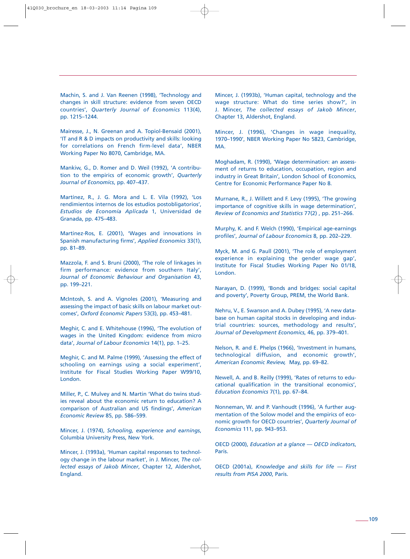Machin, S. and J. Van Reenen (1998), 'Technology and changes in skill structure: evidence from seven OECD countries', *Quarterly Journal of Economics* 113(4), pp. 1215–1244.

Mairesse, J., N. Greenan and A. Topiol-Bensaid (2001), 'IT and R & D impacts on productivity and skills: looking for correlations on French firm-level data', NBER Working Paper No 8070, Cambridge, MA.

Mankiw, G., D. Romer and D. Weil (1992), 'A contribution to the empirics of economic growth', *Quarterly Journal of Economics*, pp. 407–437.

Martínez, R., J. G. Mora and L. E. Vila (1992), 'Los rendimientos internos de los estudios postobligatorios', *Estudios de Economía Aplicada* 1, Universidad de Granada, pp. 475–483.

Martinez-Ros, E. (2001), 'Wages and innovations in Spanish manufacturing firms', *Applied Economics* 33(1), pp. 81–89.

Mazzola, F. and S. Bruni (2000), 'The role of linkages in firm performance: evidence from southern Italy', *Journal of Economic Behaviour and Organisation* 43, pp. 199–221.

McIntosh, S. and A. Vignoles (2001), 'Measuring and assessing the impact of basic skills on labour market outcomes', *Oxford Economic Papers* 53(3), pp. 453–481.

Meghir, C. and E. Whitehouse (1996), 'The evolution of wages in the United Kingdom: evidence from micro data', *Journal of Labour Economics* 14(1), pp. 1–25.

Meghir, C. and M. Palme (1999), 'Assessing the effect of schooling on earnings using a social experiment', Institute for Fiscal Studies Working Paper W99/10, London.

Miller, P., C. Mulvey and N. Martin 'What do twins studies reveal about the economic return to education? A comparison of Australian and US findings', *American Economic Review* 85, pp. 586–599.

Mincer, J. (1974), *Schooling, experience and earnings*, Columbia University Press, New York.

Mincer, J. (1993a), 'Human capital responses to technology change in the labour market', in J. Mincer, *The collected essays of Jakob Mincer*, Chapter 12, Aldershot, England.

Mincer, J. (1993b), 'Human capital, technology and the wage structure: What do time series show?', in J. Mincer, *The collected essays of Jakob Mincer*, Chapter 13, Aldershot, England.

Mincer, J. (1996), 'Changes in wage inequality, 1970–1990', NBER Working Paper No 5823, Cambridge, MA.

Moghadam, R. (1990), 'Wage determination: an assessment of returns to education, occupation, region and industry in Great Britain', London School of Economics, Centre for Economic Performance Paper No 8.

Murnane, R., J. Willett and F. Levy (1995), 'The growing importance of cognitive skills in wage determination', *Review of Economics and Statistics* 77(2) , pp. 251–266.

Murphy, K. and F. Welch (1990), 'Empirical age-earnings profiles', *Journal of Labour Economics* 8, pp. 202–229.

Myck, M. and G. Paull (2001), 'The role of employment experience in explaining the gender wage gap', Institute for Fiscal Studies Working Paper No 01/18, London.

Narayan, D. (1999), 'Bonds and bridges: social capital and poverty', Poverty Group, PREM, the World Bank.

Nehru, V., E. Swanson and A. Dubey (1995), 'A new database on human capital stocks in developing and industrial countries: sources, methodology and results', *Journal of Development Economics*, 46, pp. 379–401.

Nelson, R. and E. Phelps (1966), 'Investment in humans, technological diffusion, and economic growth', *American Economic Review,* May, pp. 69–82.

Newell, A. and B. Reilly (1999), 'Rates of returns to educational qualification in the transitional economics', *Education Economics* 7(1), pp. 67–84.

Nonneman, W. and P. Vanhoudt (1996), 'A further augmentation of the Solow model and the empirics of economic growth for OECD countries', *Quarterly Journal of Economics* 111, pp. 943–953.

OECD (2000), *Education at a glance — OECD indicators*, Paris.

OECD (2001a), *Knowledge and skills for life — First results from PISA 2000*, Paris.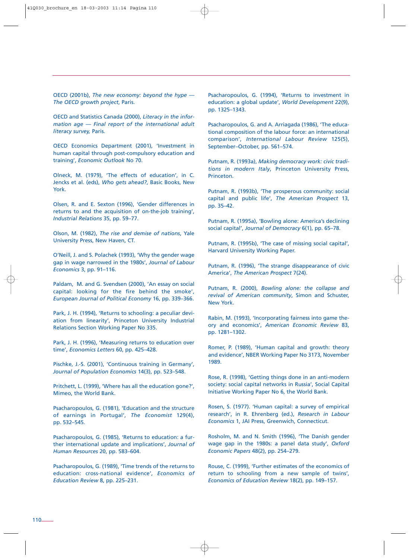OECD (2001b), *The new economy: beyond the hype — The OECD growth project*, Paris.

OECD and Statistics Canada (2000), *Literacy in the information age — Final report of the international adult literacy survey,* Paris.

OECD Economics Department (2001), 'Investment in human capital through post-compulsory education and training', *Economic Outlook* No 70.

Olneck, M. (1979), 'The effects of education', in C. Jencks et al. (eds), *Who gets ahead?*, Basic Books, New York.

Olsen, R. and E. Sexton (1996), 'Gender differences in returns to and the acquisition of on-the-job training', *Industrial Relations* 35, pp. 59–77.

Olson, M. (1982), *The rise and demise of nations*, Yale University Press, New Haven, CT.

O'Neill, J. and S. Polachek (1993), 'Why the gender wage gap in wage narrowed in the 1980s', *Journal of Labour Economics* 3, pp. 91–116.

Paldam, M. and G. Svendsen (2000), 'An essay on social capital: looking for the fire behind the smoke', *European Journal of Political Economy* 16, pp. 339–366.

Park, J. H. (1994), 'Returns to schooling: a peculiar deviation from linearity', Princeton University Industrial Relations Section Working Paper No 335.

Park, J. H. (1996), 'Measuring returns to education over time', *Economics Letters* 60, pp. 425–428.

Pischke, J.-S. (2001), 'Continuous training in Germany', *Journal of Population Economics* 14(3), pp. 523–548.

Pritchett, L. (1999), 'Where has all the education gone?', Mimeo, the World Bank.

Psacharopoulos, G. (1981), 'Education and the structure of earnings in Portugal', *The Economist* 129(4), pp. 532–545.

Psacharopoulos, G. (1985), 'Returns to education: a further international update and implications', *Journal of Human Resources* 20, pp. 583–604.

Psacharopoulos, G. (1989), 'Time trends of the returns to education: cross-national evidence', *Economics of Education Review* 8, pp. 225–231.

Psacharopoulos, G. (1994), 'Returns to investment in education: a global update', *World Development* 22(9), pp. 1325–1343.

Psacharopoulos, G. and A. Arriagada (1986), 'The educational composition of the labour force: an international comparison', *International Labour Review* 125(5), September–October, pp. 561–574.

Putnam, R. (1993a), *Making democracy work: civic traditions in modern Italy*, Princeton University Press, Princeton.

Putnam, R. (1993b), 'The prosperous community: social capital and public life', *The American Prospect* 13, pp. 35–42.

Putnam, R. (1995a), 'Bowling alone: America's declining social capital', *Journal of Democracy* 6(1), pp. 65–78.

Putnam, R. (1995b), 'The case of missing social capital', Harvard University Working Paper.

Putnam, R. (1996), 'The strange disappearance of civic America', *The American Prospect* 7(24).

Putnam, R. (2000), *Bowling alone: the collapse and revival of American community*, Simon and Schuster, New York.

Rabin, M. (1993), 'Incorporating fairness into game theory and economics', *American Economic Review* 83, pp. 1281–1302.

Romer, P. (1989), 'Human capital and growth: theory and evidence', NBER Working Paper No 3173, November 1989.

Rose, R. (1998), 'Getting things done in an anti-modern society: social capital networks in Russia', Social Capital Initiative Working Paper No 6, the World Bank.

Rosen, S. (1977). 'Human capital: a survey of empirical research', in R. Ehrenberg (ed.), *Research in Labour Economics* 1, JAI Press, Greenwich, Connecticut.

Rosholm, M. and N. Smith (1996), 'The Danish gender wage gap in the 1980s: a panel data study', *Oxford Economic Papers* 48(2), pp. 254–279.

Rouse, C. (1999), 'Further estimates of the economics of return to schooling from a new sample of twins', *Economics of Education Review* 18(2), pp. 149–157.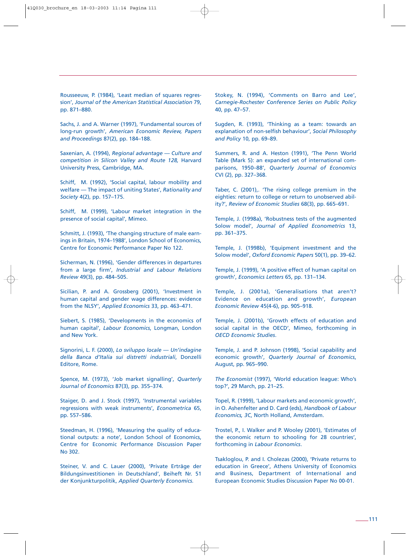Rousseeuw, P. (1984), 'Least median of squares regression', *Journal of the American Statistical Association* 79, pp. 871–880.

Sachs, J. and A. Warner (1997), 'Fundamental sources of long-run growth', *American Economic Review, Papers and Proceedings* 87(2), pp. 184–188.

Saxenian, A. (1994), *Regional advantage — Culture and competition in Silicon Valley and Route 128,* Harvard University Press, Cambridge, MA.

Schiff, M. (1992), 'Social capital, labour mobility and welfare — The impact of uniting States', *Rationality and Society* 4(2), pp. 157–175.

Schiff, M. (1999), 'Labour market integration in the presence of social capital', Mimeo.

Schmitt, J. (1993), 'The changing structure of male earnings in Britain, 1974–1988', London School of Economics, Centre for Economic Performance Paper No 122.

Sicherman, N. (1996), 'Gender differences in departures from a large firm', *Industrial and Labour Relations Review* 49(3), pp. 484–505.

Sicilian, P. and A. Grossberg (2001), 'Investment in human capital and gender wage differences: evidence from the NLSY', *Applied Economics* 33, pp. 463–471.

Siebert, S. (1985), 'Developments in the economics of human capital', *Labour Economics*, Longman, London and New York.

Signorini, L. F. (2000), *Lo sviluppo locale — Un'indagine della Banca d'Italia sui distretti industriali*, Donzelli Editore, Rome.

Spence, M. (1973), 'Job market signalling', *Quarterly Journal of Economics* 87(3), pp. 355–374.

Staiger, D. and J. Stock (1997), 'Instrumental variables regressions with weak instruments', *Econometrica* 65, pp. 557–586.

Steedman, H. (1996), 'Measuring the quality of educational outputs: a note', London School of Economics, Centre for Economic Performance Discussion Paper No 302.

Steiner, V. and C. Lauer (2000), 'Private Erträge der Bildungsinvestitionen in Deutschland', Beiheft Nr. 51 der Konjunkturpolitik, *Applied Quarterly Economics.*

Stokey, N. (1994), 'Comments on Barro and Lee', *Carnegie-Rochester Conference Series on Public Policy* 40, pp. 47–57.

Sugden, R. (1993), 'Thinking as a team: towards an explanation of non-selfish behaviour', *Social Philosophy and Policy* 10, pp. 69–89.

Summers, R. and A. Heston (1991), 'The Penn World Table (Mark 5): an expanded set of international comparisons, 1950–88', *Quarterly Journal of Economics* CVI (2), pp. 327–368.

Taber, C. (2001),. 'The rising college premium in the eighties: return to college or return to unobserved ability?', *Review of Economic Studies* 68(3), pp. 665–691.

Temple, J. (1998a), 'Robustness tests of the augmented Solow model', *Journal of Applied Econometrics* 13, pp. 361–375.

Temple, J. (1998b), 'Equipment investment and the Solow model', *Oxford Economic Papers* 50(1), pp. 39–62.

Temple, J. (1999), 'A positive effect of human capital on growth', *Economics Letters* 65, pp. 131–134.

Temple, J. (2001a), 'Generalisations that aren't? Evidence on education and growth', *European Economic Review* 45(4-6), pp. 905–918.

Temple, J. (2001b), 'Growth effects of education and social capital in the OECD', Mimeo, forthcoming in *OECD Economic Studies*.

Temple, J. and P. Johnson (1998), 'Social capability and economic growth', *Quarterly Journal of Economics*, August, pp. 965–990.

*The Economist* (1997), 'World education league: Who's top?', 29 March, pp. 21–25.

Topel, R. (1999), 'Labour markets and economic growth', in O. Ashenfelter and D. Card (eds), *Handbook of Labour Economics, 3C*, North Holland, Amsterdam.

Trostel, P., I. Walker and P. Wooley (2001), 'Estimates of the economic return to schooling for 28 countries', forthcoming in *Labour Economics*.

Tsakloglou, P. and I. Cholezas (2000), 'Private returns to education in Greece', Athens University of Economics and Business, Department of International and European Economic Studies Discussion Paper No 00-01.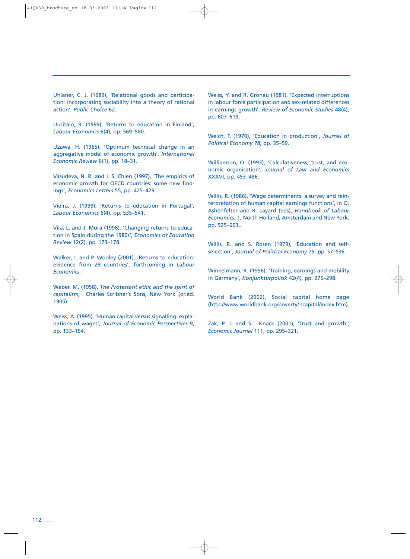Uhlaner, C. J. (1989), 'Relational goods and participation: incorporating sociability into a theory of rational action', *Public Choice* 62.

Uusitalo, R. (1999), 'Returns to education in Finland', *Labour Economics* 6(4), pp. 569–580.

Uzawa, H. (1965), 'Optimum technical change in an aggregative model of economic growth', *International Economic Review* 6(1), pp. 18–31.

Vasudeva, N. R. and I. S. Chien (1997), 'The empirics of economic growth for OECD countries: some new findings', *Economics Letters* 55, pp. 425–429.

Vieira, J. (1999), 'Returns to education in Portugal', *Labour Economics* 6(4), pp. 535–541.

Vila, L. and J. Mora (1998), 'Changing returns to education in Spain during the 1980s', *Economics of Education Review* 12(2), pp. 173–178.

Walker, I. and P. Wooley (2001), 'Returns to education: evidence from 28 countries', forthcoming in *Labour Economics*.

Weber, M. (1958), *The Protestant ethic and the spirit of capitalism,* Charles Scribner's Sons, New York (or.ed. 1905).

Weiss, A. (1995), 'Human capital versus signalling: explanations of wages', *Journal of Economic Perspectives* 9, pp. 133–154.

Weiss, Y. and R. Gronau (1981), 'Expected interruptions in labour force participation and sex-related differences in earnings growth', *Review of Economic Studies* 48(4), pp. 607–619.

Welch, F. (1970), 'Education in production', *Journal of Political Economy 78*, pp. 35–59.

Williamson, O. (1993), 'Calculativeness, trust, and economic organisation', *Journal of Law and Economics* XXXVI, pp. 453–486.

Willis, R. (1986), 'Wage determinants: a survey and reinterpretation of human capital earnings functions', in O. Ashenfelter and R. Layard (eds), *Handbook of Labour Economics*, 1, North Holland, Amsterdam and New York, pp. 525–603..

Willis, R. and S. Rosen (1979), 'Education and selfselection', *Journal of Political Economy* 79, pp. S7–S36.

Winkelmann, R. (1996), 'Training, earnings and mobility in Germany', *Konjunkturpolitik* 42(4), pp. 275–298.

World Bank (2002), Social capital home page (http://www.worldbank.org/poverty/ scapital/index.htm).

Zak, P. J. and S. Knack (2001), 'Trust and growth', *Economic Journal* 111, pp. 295–321.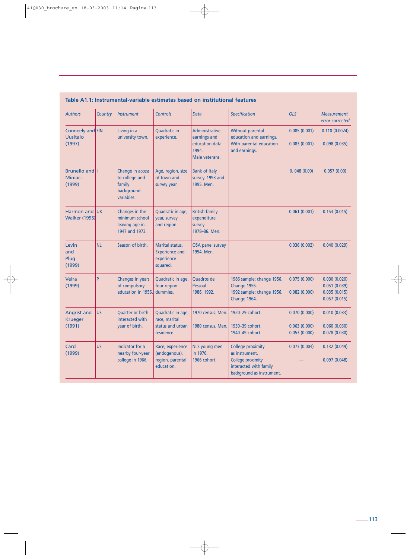| <b>Authors</b>                        | Country   | <b>Instrument</b>                                                        | <b>Controls</b>                                                    | Data                                                            | Specification                                                                   | <b>OLS</b>                   | <b>Measurement</b><br>error corrected |
|---------------------------------------|-----------|--------------------------------------------------------------------------|--------------------------------------------------------------------|-----------------------------------------------------------------|---------------------------------------------------------------------------------|------------------------------|---------------------------------------|
| Conneely and FIN<br><b>Uusitalo</b>   |           | Living in a<br>university town.                                          | <b>Ouadratic in</b><br>experience.                                 | Administrative<br>earnings and                                  | Without parental<br>education and earnings.                                     | 0.085(0.001)                 | 0.110(0.0024)                         |
| (1997)                                |           |                                                                          |                                                                    | education data<br>1994.<br>Male veterans.                       | With parental education<br>and earnings.                                        | 0.083(0.001)                 | 0.098(0.035)                          |
| Brunello and II<br>Miniaci<br>(1999)  |           | Change in access<br>to college and<br>family<br>background<br>variables. | Age, region, size<br>of town and<br>survey year.                   | <b>Bank of Italy</b><br>survey. 1993 and<br>1995. Men.          |                                                                                 | 0.048(0.00)                  | 0.057(0.00)                           |
| Harmon and UK<br><b>Walker (1995)</b> |           | Changes in the<br>minimum school<br>leaving age in<br>1947 and 1973.     | Quadratic in age,<br>year, survey<br>and region.                   | <b>British family</b><br>expenditure<br>survey<br>1978-86. Men. |                                                                                 | 0.061(0.001)                 | 0.153(0.015)                          |
| Levin<br>and<br>Plug<br>(1999)        | <b>NL</b> | Season of birth.                                                         | Marital status.<br><b>Experience and</b><br>experience<br>squared. | <b>OSA panel survey</b><br>1994. Men.                           |                                                                                 | 0.036(0.002)                 | 0.040(0.029)                          |
| Veira<br>(1999)                       | P         | Changes in years<br>of compulsory                                        | Quadratic in age,<br>four region                                   | Quadros de<br>Pessoal                                           | 1986 sample: change 1956.<br><b>Change 1956.</b>                                | 0.075(0.000)                 | 0.030(0.020)<br>0.051(0.039)          |
|                                       |           | education in 1956.                                                       | dummies.                                                           | 1986, 1992.                                                     | 1992 sample: change 1956.<br>Change 1964.                                       | 0.082(0.000)                 | 0.035(0.015)<br>0.057(0.015)          |
| <b>Angrist and</b><br><b>Krueger</b>  | <b>US</b> | <b>Ouarter or birth</b><br>interacted with                               | Quadratic in age,<br>race, marital                                 | 1970 census. Men.                                               | 1920-29 cohort.                                                                 | 0.070(0.000)                 | 0.010(0.033)                          |
| (1991)                                |           | year of birth.                                                           | status and urban<br>residence.                                     | 1980 census. Men.                                               | 1930-39 cohort.<br>1940-49 cohort.                                              | 0.063(0.000)<br>0.053(0.000) | 0.060(0.030)<br>0.078(0.030)          |
| Card<br>(1999)                        | <b>US</b> | Indicator for a<br>nearby four-year                                      | Race, experience<br>(endogenous),                                  | NLS young men<br>in 1976.                                       | <b>College proximity</b><br>as instrument.                                      | 0.073(0.004)                 | 0.132(0.049)                          |
|                                       |           | college in 1966.                                                         | region, parental<br>education.                                     | 1966 cohort.                                                    | <b>College proximity</b><br>interacted with family<br>background as instrument. |                              | 0.097(0.048)                          |

 $\overline{\varphi}$ 

 $\overline{\varphi}$ 

## **Table A1.1: Instrumental-variable estimates based on institutional features**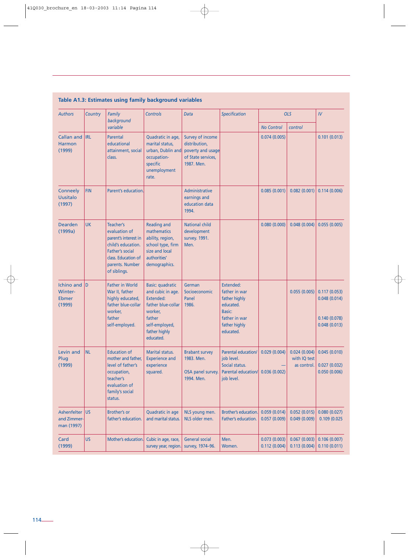| <b>Authors</b>                                         | Country    | Family<br>background<br>variable                                                                                                                             | <b>Controls</b>                                                                                                                                      | Data                                                                                       | Specification                                                                                                            | <b>OLS</b>                   |                                             | IV                                                           |
|--------------------------------------------------------|------------|--------------------------------------------------------------------------------------------------------------------------------------------------------------|------------------------------------------------------------------------------------------------------------------------------------------------------|--------------------------------------------------------------------------------------------|--------------------------------------------------------------------------------------------------------------------------|------------------------------|---------------------------------------------|--------------------------------------------------------------|
|                                                        |            |                                                                                                                                                              |                                                                                                                                                      |                                                                                            |                                                                                                                          | <b>No Control</b>            | control                                     |                                                              |
| <b>Callan and</b><br><b>Harmon</b><br>(1999)           | <b>IRL</b> | Parental<br>educational<br>attainment, social<br>class.                                                                                                      | Quadratic in age,<br>marital status,<br>urban, Dublin and<br>occupation-<br>specific<br>unemployment<br>rate.                                        | Survey of income<br>distribution,<br>poverty and usage<br>of State services,<br>1987. Men. |                                                                                                                          | 0.074(0.005)                 |                                             | 0.101(0.013)                                                 |
| Conneely<br><b>Uusitalo</b><br>(1997)                  | <b>FIN</b> | Parent's education.                                                                                                                                          |                                                                                                                                                      | Administrative<br>earnings and<br>education data<br>1994.                                  |                                                                                                                          | 0.085(0.001)                 | 0.082(0.001)                                | 0.114(0.006)                                                 |
| <b>Dearden</b><br>(1999a)                              | <b>UK</b>  | Teacher's<br>evaluation of<br>parent's interest in<br>child's education.<br><b>Father's social</b><br>class. Education of<br>parents. Number<br>of siblings. | <b>Reading and</b><br>mathematics<br>ability, region,<br>school type, firm<br>size and local<br>authorities'<br>demographics.                        | <b>National child</b><br>development<br>survey. 1991.<br>Men.                              |                                                                                                                          | 0.080(0.000)                 | 0.048(0.004)                                | 0.055(0.005)                                                 |
| Ichino and<br><b>Winter-</b><br><b>Ebmer</b><br>(1999) | D          | <b>Father in World</b><br>War II, father<br>highly educated,<br>father blue-collar<br>worker,<br>father<br>self-employed.                                    | <b>Basic: quadratic</b><br>and cubic in age.<br>Extended:<br>father blue-collar<br>worker,<br>father<br>self-employed,<br>father highly<br>educated. | German<br>Socioeconomic<br>Panel<br>1986.                                                  | Extended:<br>father in war<br>father highly<br>educated.<br><b>Basic:</b><br>father in war<br>father highly<br>educated. |                              | 0.055(0.005)                                | 0.117(0.053)<br>0.048(0.014)<br>0.140(0.078)<br>0.048(0.013) |
| Levin and<br>Plug<br>(1999)                            | <b>NL</b>  | <b>Education of</b><br>mother and father,<br>level of father's<br>occupation,<br>teacher's<br>evaluation of<br>family's social<br>status.                    | Marital status.<br><b>Experience and</b><br>experience<br>squared.                                                                                   | <b>Brabant survey</b><br>1983. Men.<br>OSA panel survey.<br>1994. Men.                     | Parental education/<br>job level.<br>Social status.<br>Parental education/ 0.036 (0.002)<br>job level.                   | 0.029(0.004)                 | 0.024(0.004)<br>with IQ test<br>as control. | 0.045(0.010)<br>0.027(0.032)<br>0.050(0.006)                 |
| Ashenfelter<br>and Zimmer-<br>man (1997)               | <b>US</b>  | Brother's or<br>father's education.                                                                                                                          | Quadratic in age<br>and marital status.                                                                                                              | NLS young men.<br>NLS older men.                                                           | Brother's education.<br>Father's education.                                                                              | 0.059(0.014)<br>0.057(0.009) | 0.052(0.015)<br>0.049(0.009)                | 0.080(0.027)<br>0.109(0.025)                                 |
| Card<br>(1999)                                         | <b>US</b>  | Mother's education.                                                                                                                                          | Cubic in age, race,<br>survey year, region.                                                                                                          | <b>General social</b><br>survey, 1974-96.                                                  | Men.<br>Women.                                                                                                           | 0.073(0.003)<br>0.112(0.004) | 0.067(0.003)<br>0.113(0.004)                | 0.106(0.007)<br>0.110(0.011)                                 |

 $\overline{\bigoplus}$ 

 $\overline{\varphi}$ 

## **Table A1.3: Estimates using family background variables**